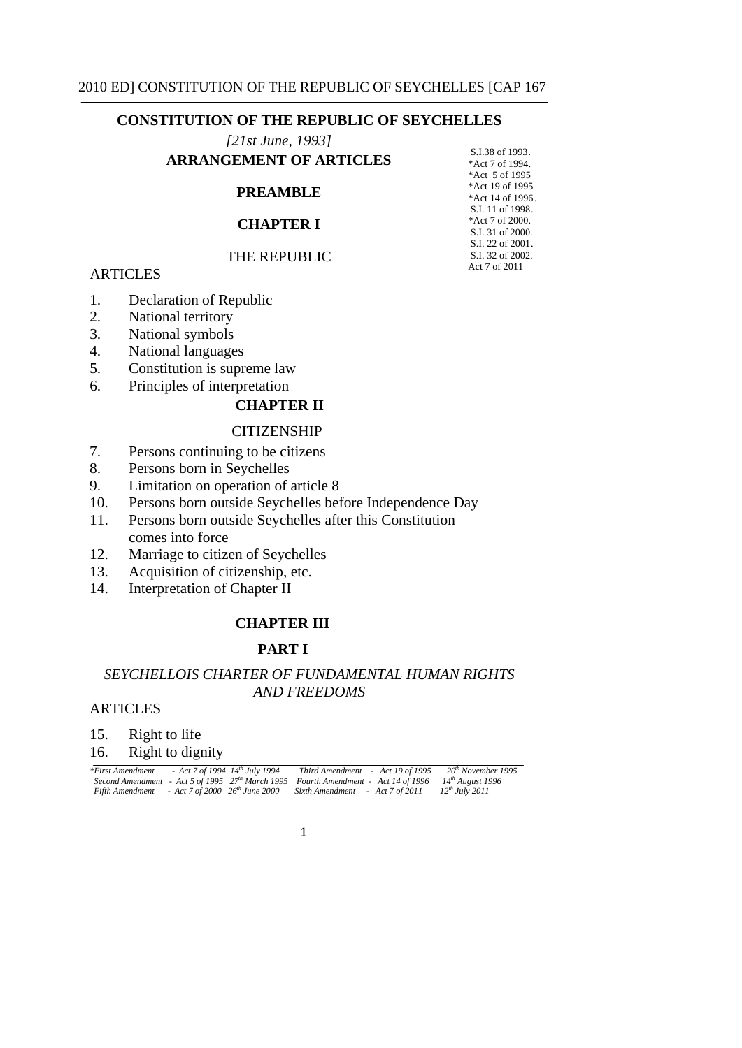*[21st June, 1993]*  ARRANGEMENT OF ARTICLES

| FEMENT OF ARTICLES | *Act 7 of 1994.  |
|--------------------|------------------|
|                    | *Act 5 of 1995   |
| <b>PREAMBLE</b>    | *Act 19 of 1995  |
|                    | *Act 14 of 1996. |
| <b>CHAPTER I</b>   | S.I. 11 of 1998. |
|                    | *Act 7 of 2000.  |
|                    | S.I. 31 of 2000. |
|                    | S.I. 22 of 2001. |
| THE REPUBLIC       | S.I. 32 of 2002. |
|                    |                  |

S.I.38 of 1993.

ARTICLES ARTICLES

- 1. Declaration of Republic
- 2. National territory
- 3. National symbols
- 4. National languages
- 5. Constitution is supreme law
- 6. Principles of interpretation

### **CHAPTER II**

#### **CITIZENSHIP**

- 7. Persons continuing to be citizens
- 8. Persons born in Seychelles
- 9. Limitation on operation of article 8
- 10. Persons born outside Seychelles before Independence Day
- 11. Persons born outside Seychelles after this Constitution comes into force
- 12. Marriage to citizen of Seychelles
- 13. Acquisition of citizenship, etc.
- 14. Interpretation of Chapter II

### **CHAPTER III**

## **PART I**

# *SEYCHELLOIS CHARTER OF FUNDAMENTAL HUMAN RIGHTS AND FREEDOMS*

### ARTICLES

15. Right to life

### 16. Right to dignity

| *First Amendment | - Act 7 of 1994 14 <sup>th</sup> July 1994 |                                     | Third Amendment - Act 19 of 1995                                                                                  | 20 <sup>th</sup> November 1995 |
|------------------|--------------------------------------------|-------------------------------------|-------------------------------------------------------------------------------------------------------------------|--------------------------------|
|                  |                                            |                                     | Second Amendment - Act 5 of 1995 $27th$ March 1995 Fourth Amendment - Act 14 of 1996 14 <sup>th</sup> August 1996 |                                |
| Fifth Amendment  |                                            | - Act 7 of 2000 $26^{th}$ June 2000 | Sixth Amendment - Act 7 of 2011                                                                                   | $12^{th}$ July 2011            |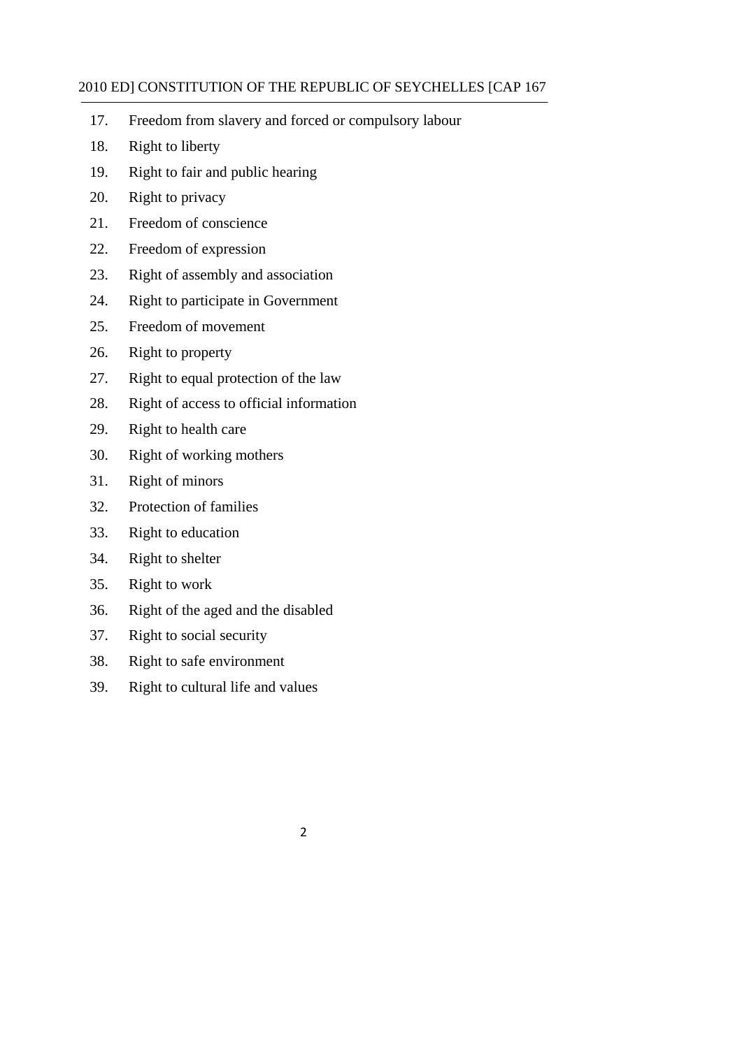- 17. Freedom from slavery and forced or compulsory labour
- 18. Right to liberty
- 19. Right to fair and public hearing
- 20. Right to privacy
- 21. Freedom of conscience
- 22. Freedom of expression
- 23. Right of assembly and association
- 24. Right to participate in Government
- 25. Freedom of movement
- 26. Right to property
- 27. Right to equal protection of the law
- 28. Right of access to official information
- 29. Right to health care
- 30. Right of working mothers
- 31. Right of minors
- 32. Protection of families
- 33. Right to education
- 34. Right to shelter
- 35. Right to work
- 36. Right of the aged and the disabled
- 37. Right to social security
- 38. Right to safe environment
- 39. Right to cultural life and values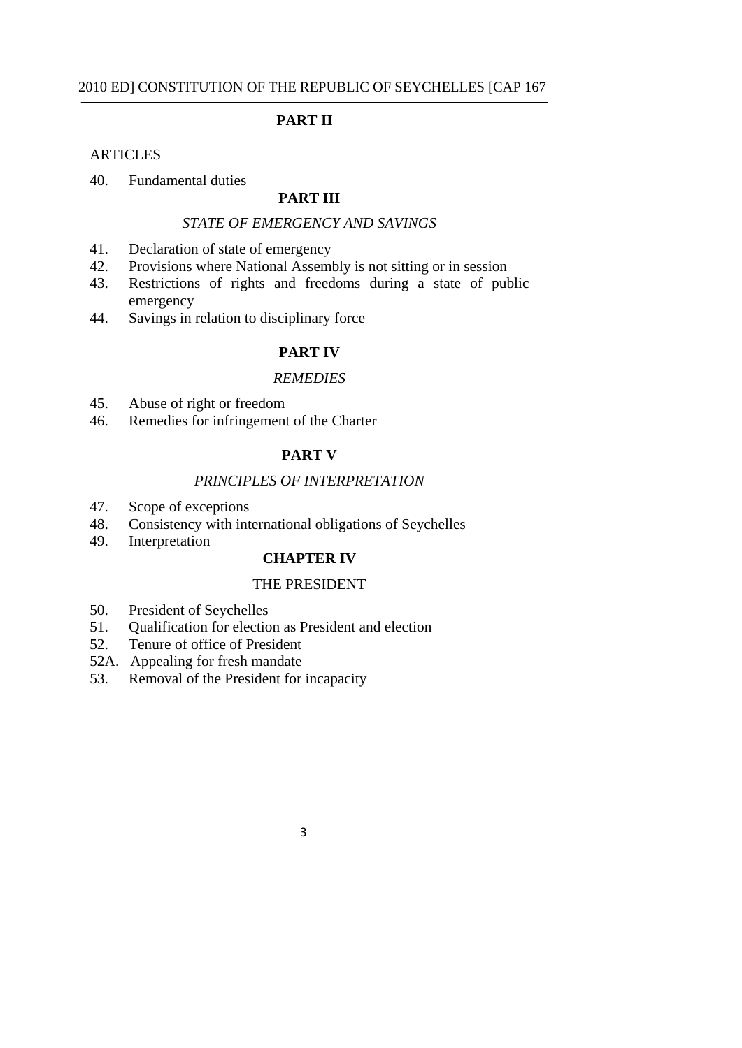### **PART II**

#### **ARTICLES**

### 40. Fundamental duties

## **PART III**

### *STATE OF EMERGENCY AND SAVINGS*

- 41. Declaration of state of emergency
- 42. Provisions where National Assembly is not sitting or in session
- 43. Restrictions of rights and freedoms during a state of public emergency
- 44. Savings in relation to disciplinary force

## **PART IV**

### *REMEDIES*

- 45. Abuse of right or freedom
- 46. Remedies for infringement of the Charter

#### **PART V**

### *PRINCIPLES OF INTERPRETATION*

- 47. Scope of exceptions
- 48. Consistency with international obligations of Seychelles
- 49. Interpretation

### **CHAPTER IV**

### THE PRESIDENT

- 50. President of Seychelles
- 51. Qualification for election as President and election
- 52. Tenure of office of President
- 52A. Appealing for fresh mandate
- 53. Removal of the President for incapacity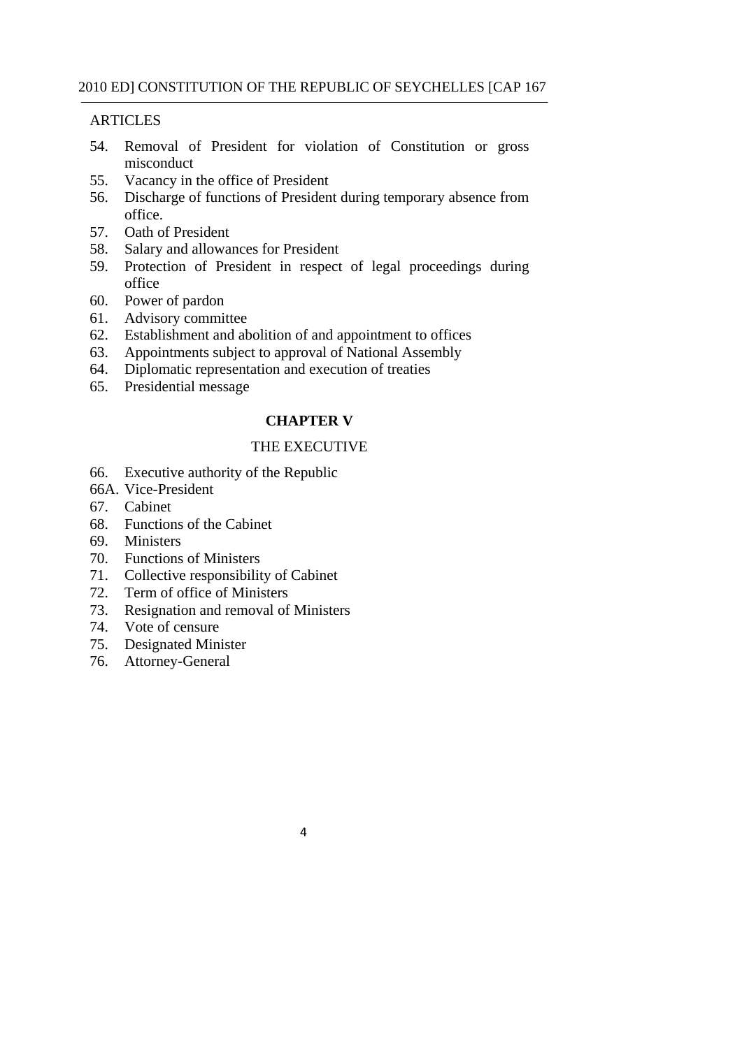## **ARTICLES**

- 54. Removal of President for violation of Constitution or gross misconduct
- 55. Vacancy in the office of President
- 56. Discharge of functions of President during temporary absence from office.
- 57. Oath of President
- 58. Salary and allowances for President
- 59. Protection of President in respect of legal proceedings during office
- 60. Power of pardon
- 61. Advisory committee
- 62. Establishment and abolition of and appointment to offices
- 63. Appointments subject to approval of National Assembly
- 64. Diplomatic representation and execution of treaties
- 65. Presidential message

# **CHAPTER V**

## THE EXECUTIVE

- 66. Executive authority of the Republic
- 66A. Vice-President
- 67. Cabinet
- 68. Functions of the Cabinet
- 69. Ministers
- 70. Functions of Ministers
- 71. Collective responsibility of Cabinet
- 72. Term of office of Ministers
- 73. Resignation and removal of Ministers
- 74. Vote of censure
- 75. Designated Minister
- 76. Attorney-General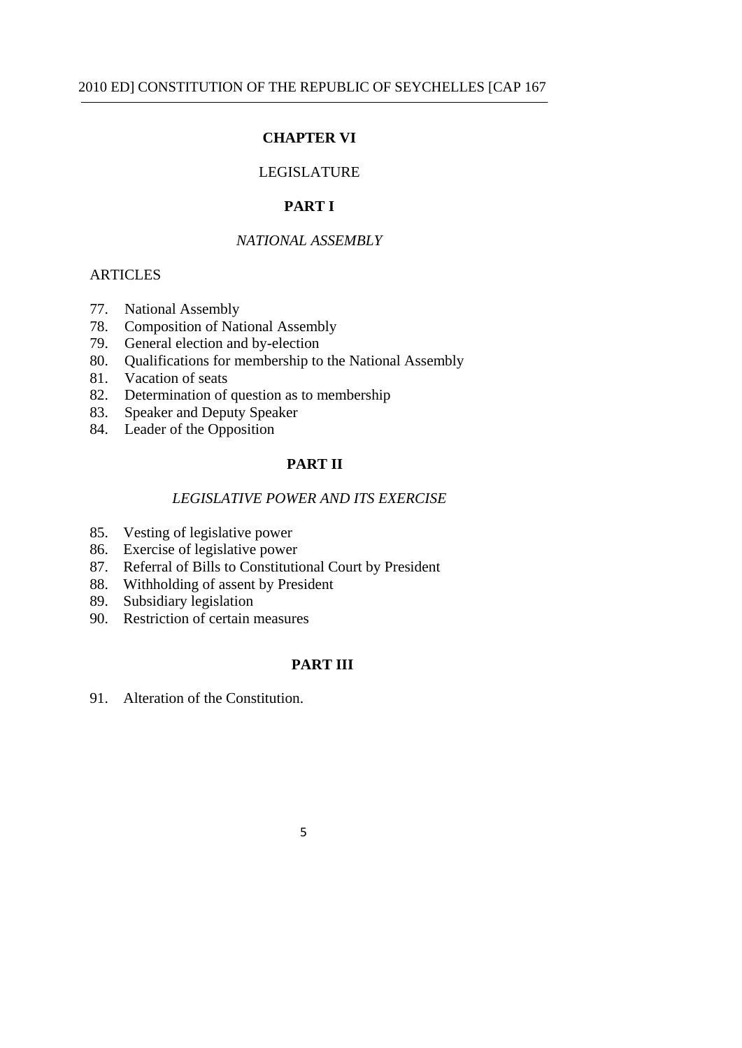## **CHAPTER VI**

### LEGISLATURE

## **PART I**

## *NATIONAL ASSEMBLY*

### **ARTICLES**

- 77. National Assembly
- 78. Composition of National Assembly
- 79. General election and by-election
- 80. Qualifications for membership to the National Assembly
- 81. Vacation of seats
- 82. Determination of question as to membership
- 83. Speaker and Deputy Speaker
- 84. Leader of the Opposition

### **PART II**

### *LEGISLATIVE POWER AND ITS EXERCISE*

- 85. Vesting of legislative power
- 86. Exercise of legislative power
- 87. Referral of Bills to Constitutional Court by President
- 88. Withholding of assent by President
- 89. Subsidiary legislation
- 90. Restriction of certain measures

## **PART III**

91. Alteration of the Constitution.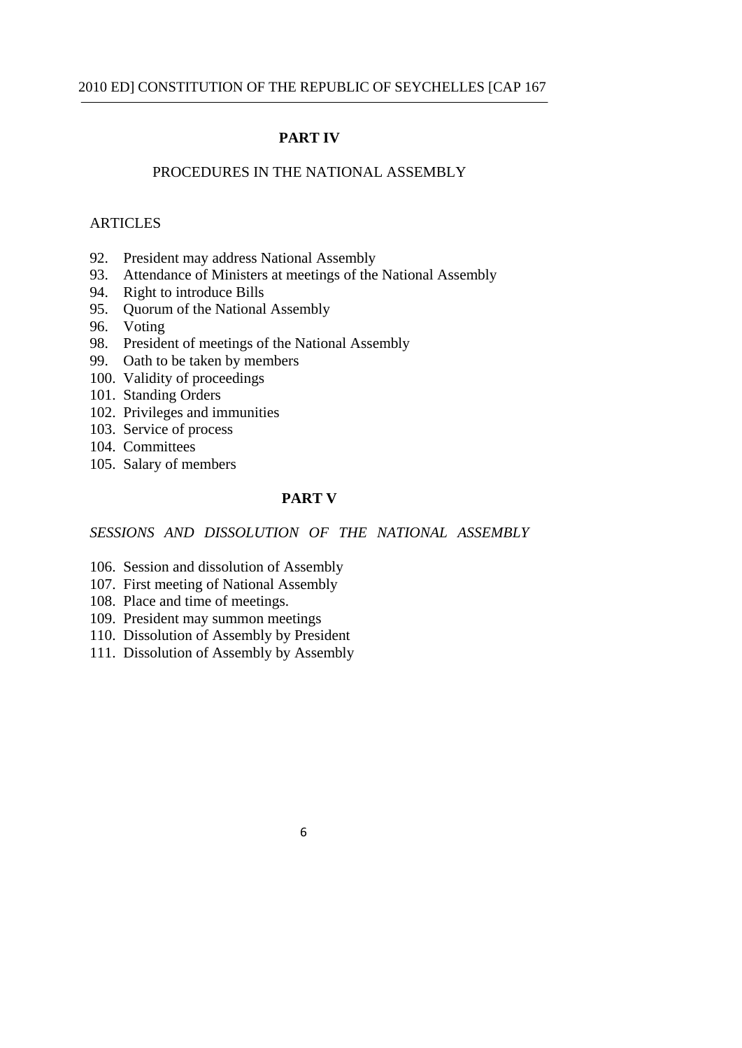#### **PART IV**

### PROCEDURES IN THE NATIONAL ASSEMBLY

#### ARTICLES

- 92. President may address National Assembly
- 93. Attendance of Ministers at meetings of the National Assembly
- 94. Right to introduce Bills
- 95. Quorum of the National Assembly
- 96. Voting
- 98. President of meetings of the National Assembly
- 99. Oath to be taken by members
- 100. Validity of proceedings
- 101. Standing Orders
- 102. Privileges and immunities
- 103. Service of process
- 104. Committees
- 105. Salary of members

## **PART V**

*SESSIONS AND DISSOLUTION OF THE NATIONAL ASSEMBLY* 

- 106. Session and dissolution of Assembly
- 107. First meeting of National Assembly
- 108. Place and time of meetings.
- 109. President may summon meetings
- 110. Dissolution of Assembly by President
- 111. Dissolution of Assembly by Assembly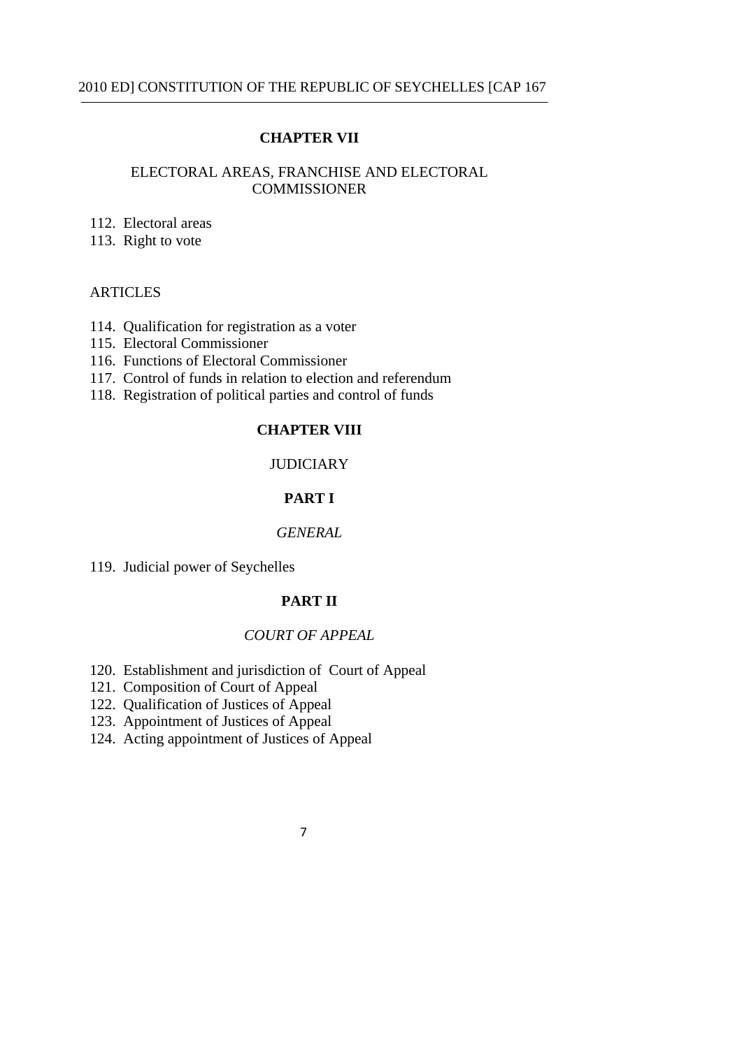### **CHAPTER VII**

### ELECTORAL AREAS, FRANCHISE AND ELECTORAL **COMMISSIONER**

- 112. Electoral areas
- 113. Right to vote

#### ARTICLES

- 114. Qualification for registration as a voter
- 115. Electoral Commissioner
- 116. Functions of Electoral Commissioner
- 117. Control of funds in relation to election and referendum
- 118. Registration of political parties and control of funds

## **CHAPTER VIII**

## **JUDICIARY**

# **PART I**

### *GENERAL*

119. Judicial power of Seychelles

#### **PART II**

### *COURT OF APPEAL*

- 120. Establishment and jurisdiction of Court of Appeal
- 121. Composition of Court of Appeal
- 122. Qualification of Justices of Appeal
- 123. Appointment of Justices of Appeal
- 124. Acting appointment of Justices of Appeal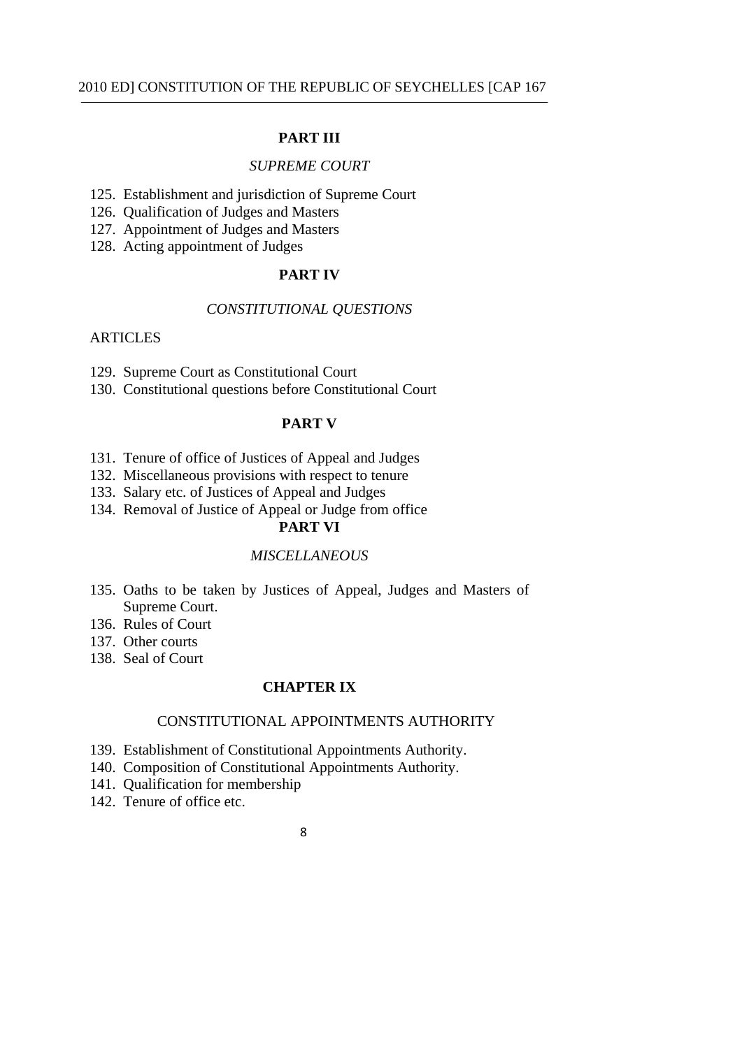### **PART III**

#### *SUPREME COURT*

- 125. Establishment and jurisdiction of Supreme Court
- 126. Qualification of Judges and Masters
- 127. Appointment of Judges and Masters
- 128. Acting appointment of Judges

### **PART IV**

## *CONSTITUTIONAL QUESTIONS*

### ARTICLES

- 129. Supreme Court as Constitutional Court
- 130. Constitutional questions before Constitutional Court

### **PART V**

- 131. Tenure of office of Justices of Appeal and Judges
- 132. Miscellaneous provisions with respect to tenure
- 133. Salary etc. of Justices of Appeal and Judges
- 134. Removal of Justice of Appeal or Judge from office

# **PART VI**

### *MISCELLANEOUS*

- 135. Oaths to be taken by Justices of Appeal, Judges and Masters of Supreme Court.
- 136. Rules of Court
- 137. Other courts
- 138. Seal of Court

## **CHAPTER IX**

### CONSTITUTIONAL APPOINTMENTS AUTHORITY

- 139. Establishment of Constitutional Appointments Authority.
- 140. Composition of Constitutional Appointments Authority.
- 141. Qualification for membership
- 142. Tenure of office etc.
- 8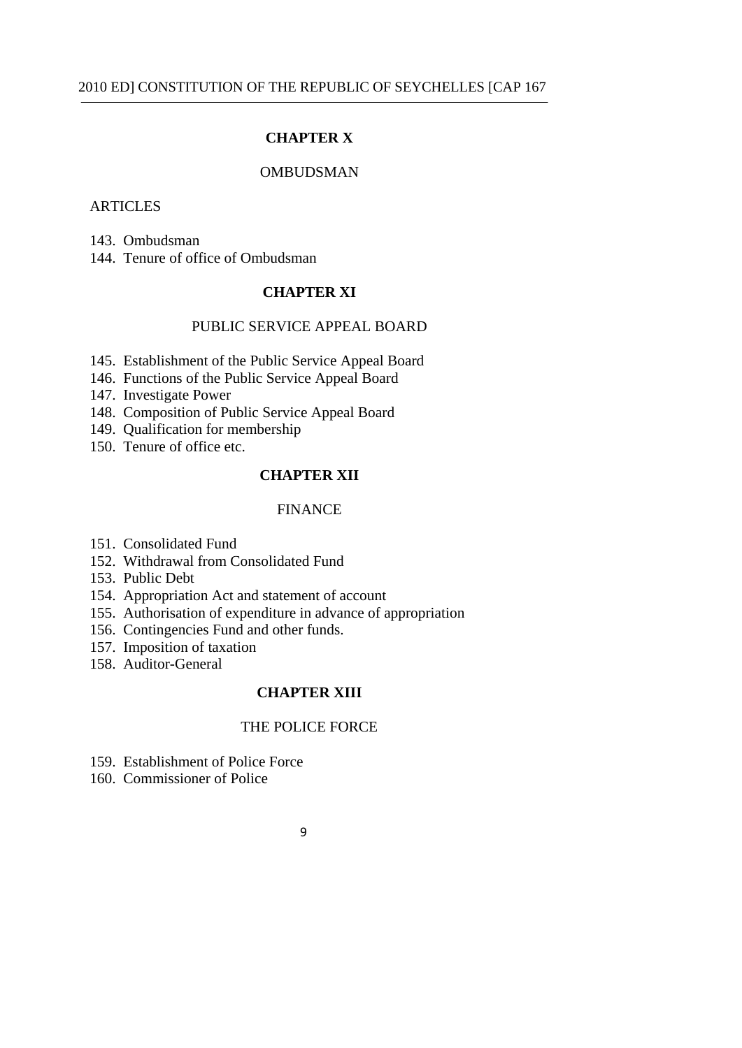## **CHAPTER X**

### **OMBUDSMAN**

## **ARTICLES**

143. Ombudsman

144. Tenure of office of Ombudsman

#### **CHAPTER XI**

### PUBLIC SERVICE APPEAL BOARD

- 145. Establishment of the Public Service Appeal Board
- 146. Functions of the Public Service Appeal Board
- 147. Investigate Power
- 148. Composition of Public Service Appeal Board
- 149. Qualification for membership
- 150. Tenure of office etc.

### **CHAPTER XII**

#### FINANCE

- 151. Consolidated Fund
- 152. Withdrawal from Consolidated Fund
- 153. Public Debt
- 154. Appropriation Act and statement of account
- 155. Authorisation of expenditure in advance of appropriation
- 156. Contingencies Fund and other funds.
- 157. Imposition of taxation
- 158. Auditor-General

### **CHAPTER XIII**

### THE POLICE FORCE

- 159. Establishment of Police Force
- 160. Commissioner of Police
- 9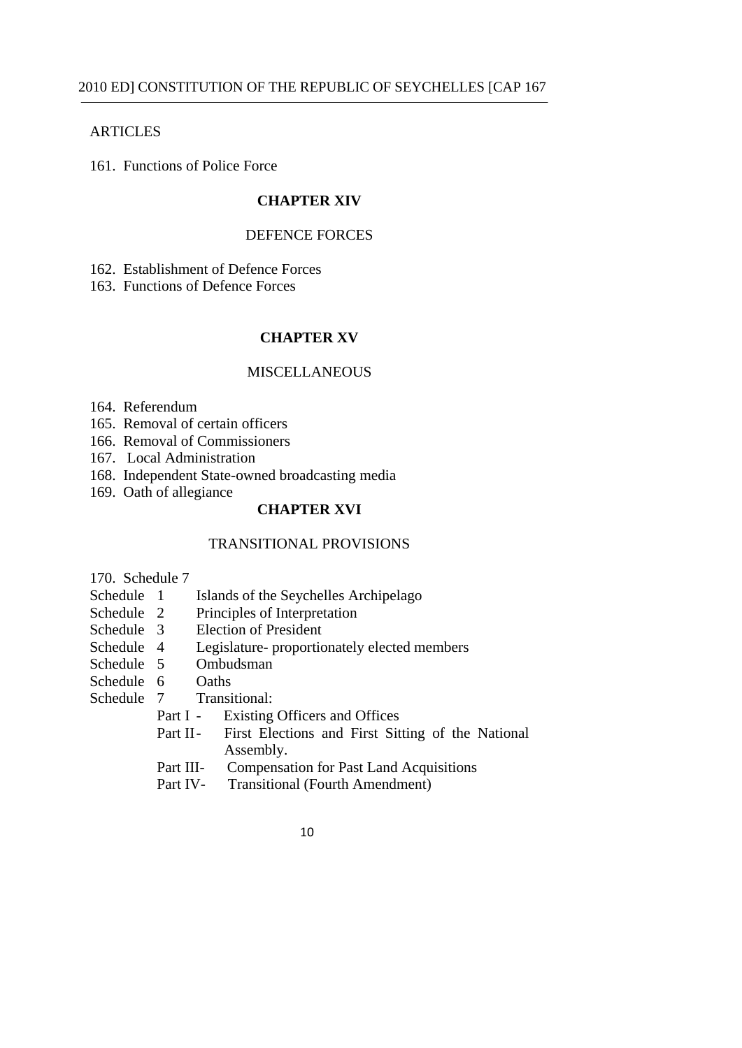### **ARTICLES**

161. Functions of Police Force

# **CHAPTER XIV**

#### DEFENCE FORCES

162. Establishment of Defence Forces

163. Functions of Defence Forces

## **CHAPTER XV**

#### MISCELLANEOUS

- 164. Referendum
- 165. Removal of certain officers
- 166. Removal of Commissioners
- 167. Local Administration
- 168. Independent State-owned broadcasting media
- 169. Oath of allegiance

# **CHAPTER XVI**

## TRANSITIONAL PROVISIONS

170. Schedule 7

- Schedule 1 Islands of the Seychelles Archipelago
- Schedule 2 Principles of Interpretation
- Schedule 3 Election of President
- Schedule 4 Legislature- proportionately elected members
- Schedule 5 Ombudsman
- Schedule 6 Oaths
- Schedule 7 Transitional:
	- Part I Existing Officers and Offices
	- Part II- First Elections and First Sitting of the National Assembly.
	- Part III- Compensation for Past Land Acquisitions
	- Part IV- Transitional (Fourth Amendment)
		- 10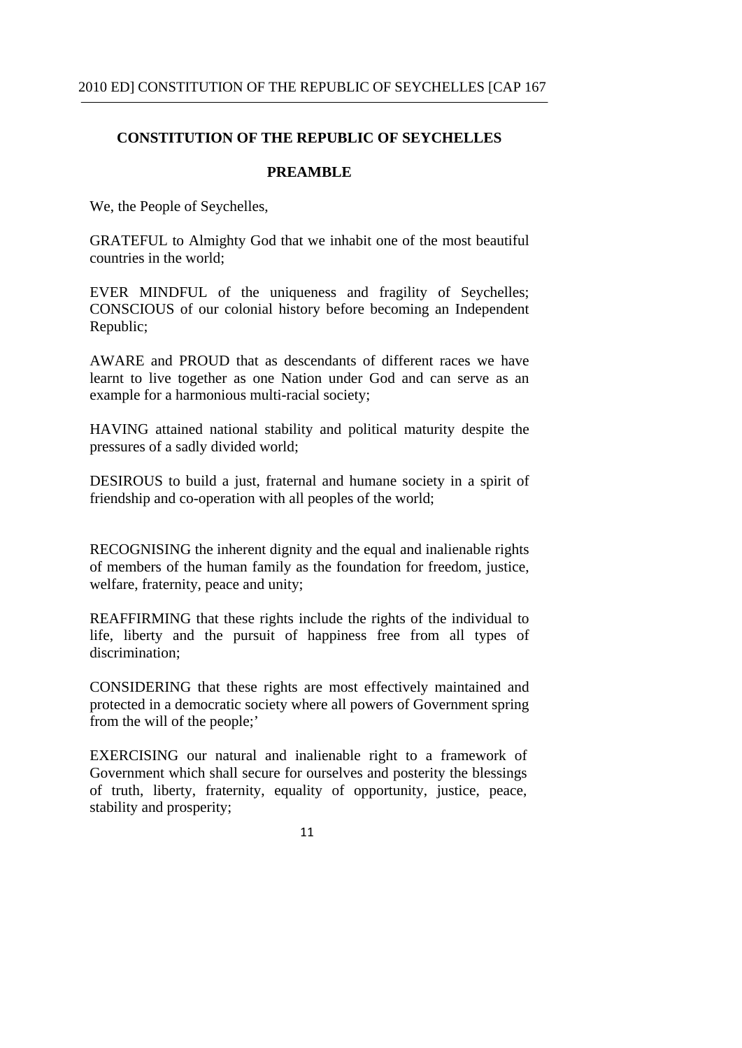### **PREAMBLE**

We, the People of Seychelles,

GRATEFUL to Almighty God that we inhabit one of the most beautiful countries in the world;

EVER MINDFUL of the uniqueness and fragility of Seychelles; CONSCIOUS of our colonial history before becoming an Independent Republic;

AWARE and PROUD that as descendants of different races we have learnt to live together as one Nation under God and can serve as an example for a harmonious multi-racial society;

HAVING attained national stability and political maturity despite the pressures of a sadly divided world;

DESIROUS to build a just, fraternal and humane society in a spirit of friendship and co-operation with all peoples of the world;

RECOGNISING the inherent dignity and the equal and inalienable rights of members of the human family as the foundation for freedom, justice, welfare, fraternity, peace and unity;

REAFFIRMING that these rights include the rights of the individual to life, liberty and the pursuit of happiness free from all types of discrimination;

CONSIDERING that these rights are most effectively maintained and protected in a democratic society where all powers of Government spring from the will of the people;'

EXERCISING our natural and inalienable right to a framework of Government which shall secure for ourselves and posterity the blessings of truth, liberty, fraternity, equality of opportunity, justice, peace, stability and prosperity;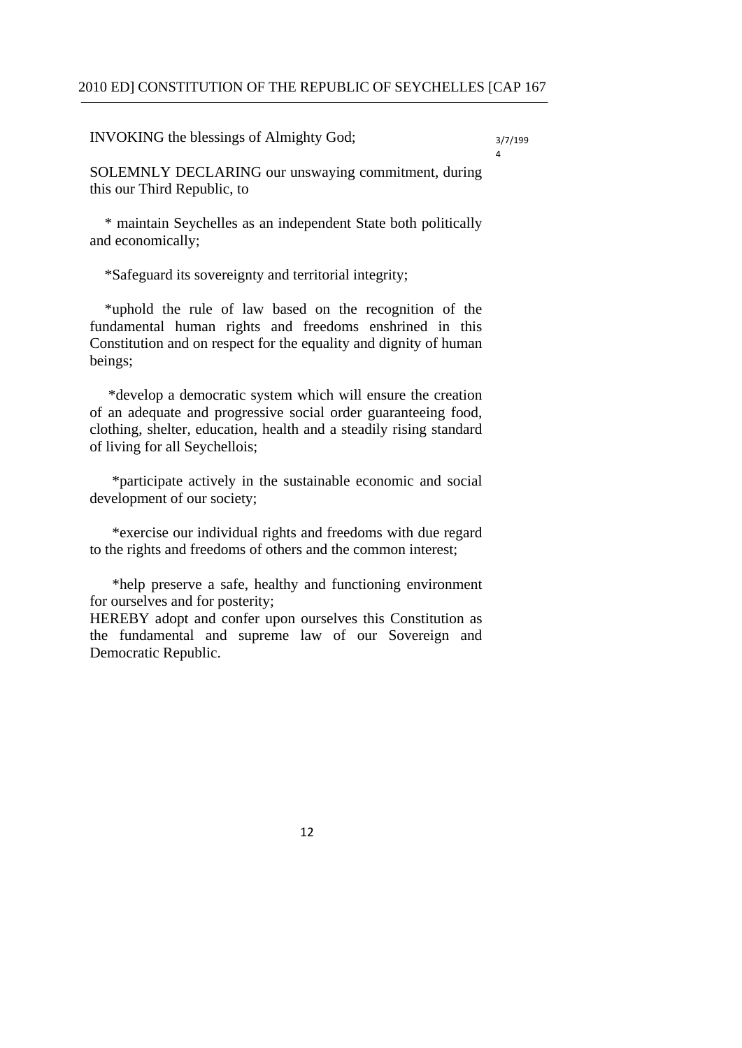INVOKING the blessings of Almighty God;  $3/7/199$ 

4

SOLEMNLY DECLARING our unswaying commitment, during this our Third Republic, to

\* maintain Seychelles as an independent State both politically and economically;

\*Safeguard its sovereignty and territorial integrity;

\*uphold the rule of law based on the recognition of the fundamental human rights and freedoms enshrined in this Constitution and on respect for the equality and dignity of human beings;

 \*develop a democratic system which will ensure the creation of an adequate and progressive social order guaranteeing food, clothing, shelter, education, health and a steadily rising standard of living for all Seychellois;

 \*participate actively in the sustainable economic and social development of our society;

 \*exercise our individual rights and freedoms with due regard to the rights and freedoms of others and the common interest;

 \*help preserve a safe, healthy and functioning environment for ourselves and for posterity;

HEREBY adopt and confer upon ourselves this Constitution as the fundamental and supreme law of our Sovereign and Democratic Republic.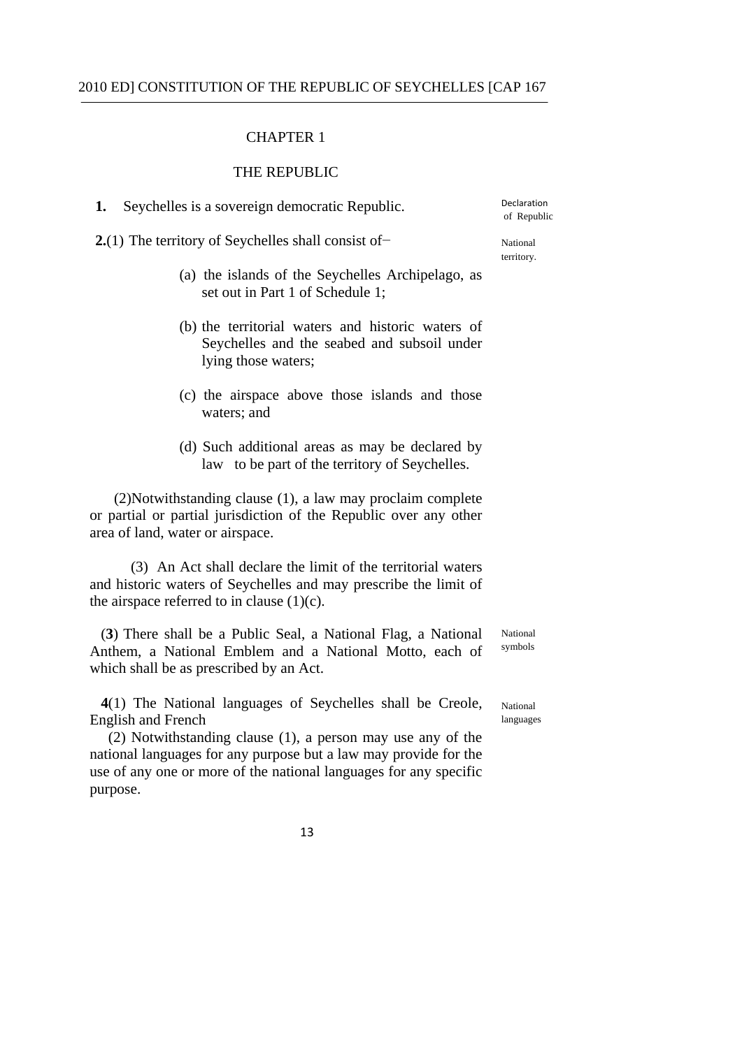#### CHAPTER 1

### THE REPUBLIC

Declaration **1.** Seychelles is a sovereign democratic Republic. Declaration of Republic

|  | <b>2.</b> (1) The territory of Seychelles shall consist of $-$ | National |
|--|----------------------------------------------------------------|----------|
|--|----------------------------------------------------------------|----------|

territory.

- (a) the islands of the Seychelles Archipelago, as set out in Part 1 of Schedule 1;
- (b) the territorial waters and historic waters of Seychelles and the seabed and subsoil under lying those waters;
- (c) the airspace above those islands and those waters: and
- (d) Such additional areas as may be declared by law to be part of the territory of Seychelles.

(2)Notwithstanding clause (1), a law may proclaim complete or partial or partial jurisdiction of the Republic over any other area of land, water or airspace.

(3) An Act shall declare the limit of the territorial waters and historic waters of Seychelles and may prescribe the limit of the airspace referred to in clause  $(1)(c)$ .

(3) There shall be a Public Seal, a National Flag, a National National Rational Reserves and Security of the Symbols Anthem, a National Emblem and a National Motto, each of which shall be as prescribed by an Act.

**4**(1) The National languages of Seychelles shall be Creole, National English and French languages and the languages of the languages of the languages of the languages of the languages of the languages of the languages of the languages of the languages of the languages of the languages of th

(2) Notwithstanding clause (1), a person may use any of the national languages for any purpose but a law may provide for the use of any one or more of the national languages for any specific purpose.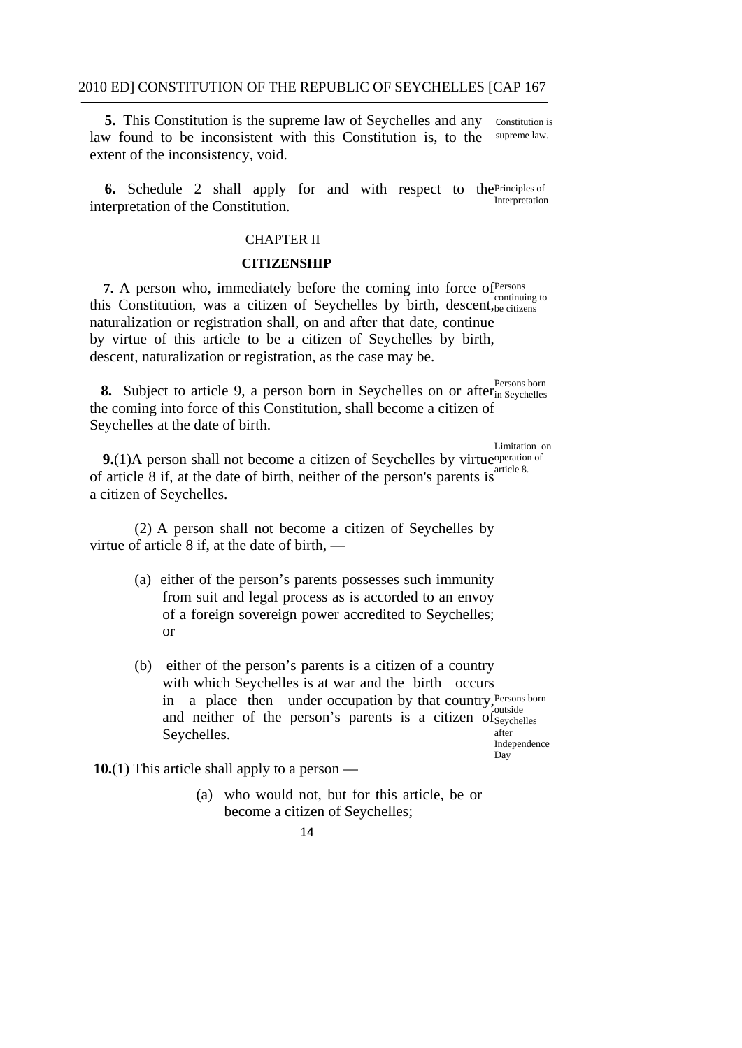**5.** This Constitution is the supreme law of Seychelles and any constitution is law found to be inconsistent with this Constitution is, to the supreme law. extent of the inconsistency, void.

Interpretation **6.** Schedule 2 shall apply for and with respect to thePrinciples of interpretation of the Constitution.

### CHAPTER II

#### **CITIZENSHIP**

7. A person who, immediately before the coming into force of <sup>Persons</sup> this Constitution, was a citizen of Seychelles by birth, descent, be citizens naturalization or registration shall, on and after that date, continue by virtue of this article to be a citizen of Seychelles by birth, descent, naturalization or registration, as the case may be.

8. Subject to article 9, a person born in Seychelles on or after<sub>in Seychelles</sub> the coming into force of this Constitution, shall become a citizen of Seychelles at the date of birth.

Limitation on

Day

**9.**(1)A person shall not become a citizen of Seychelles by virtue operation of of article 8 if, at the date of birth, neither of the person's parents is  $\frac{a \cdot x}{b}$ a citizen of Seychelles.

(2) A person shall not become a citizen of Seychelles by virtue of article 8 if, at the date of birth, —

- (a) either of the person's parents possesses such immunity from suit and legal process as is accorded to an envoy of a foreign sovereign power accredited to Seychelles; or
- with which Seychelles is at war and the birth occurs (b) either of the person's parents is a citizen of a country in a place then under occupation by that country, Persons born and neither of the person's parents is a citizen of Severhelles Seychelles. **And Seychelles** after Independence

**10.**(1) This article shall apply to a person —

- (a) who would not, but for this article, be or become a citizen of Seychelles;
	- 14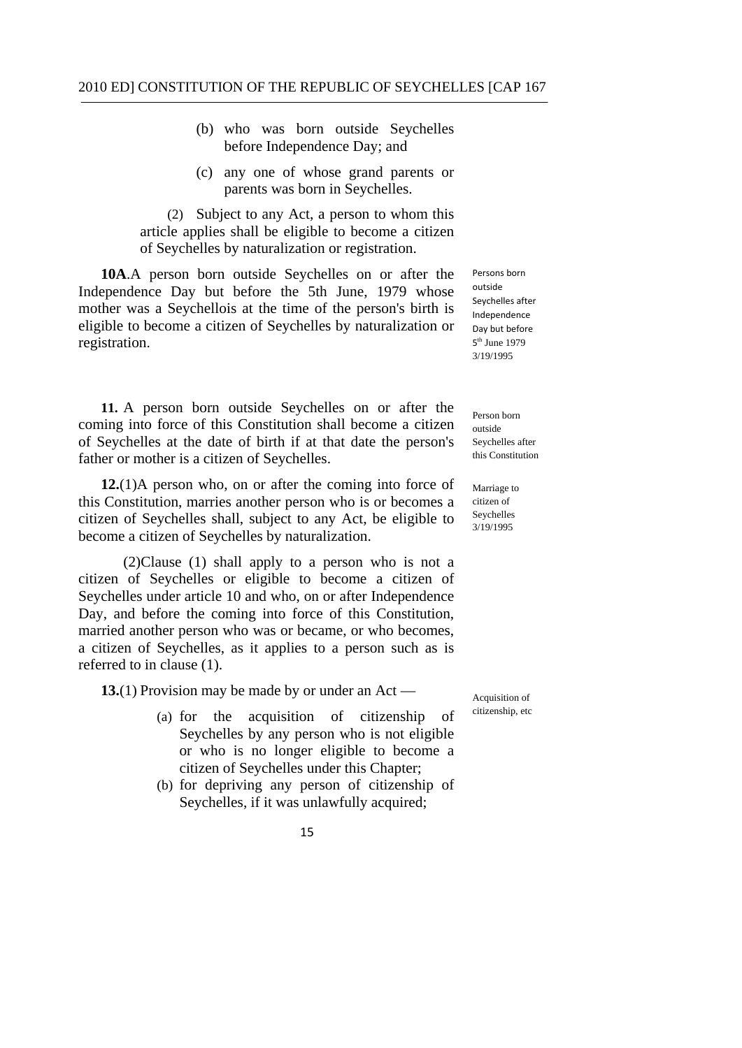- (b) who was born outside Seychelles before Independence Day; and
- (c) any one of whose grand parents or parents was born in Seychelles.

(2) Subject to any Act, a person to whom this article applies shall be eligible to become a citizen of Seychelles by naturalization or registration.

**10A**.A person born outside Seychelles on or after the Independence Day but before the 5th June, 1979 whose mother was a Seychellois at the time of the person's birth is eligible to become a citizen of Seychelles by naturalization or registration.

**11.** A person born outside Seychelles on or after the coming into force of this Constitution shall become a citizen of Seychelles at the date of birth if at that date the person's father or mother is a citizen of Seychelles.

**12.**(1)A person who, on or after the coming into force of this Constitution, marries another person who is or becomes a citizen of Seychelles shall, subject to any Act, be eligible to become a citizen of Seychelles by naturalization.

(2)Clause (1) shall apply to a person who is not a citizen of Seychelles or eligible to become a citizen of Seychelles under article 10 and who, on or after Independence Day, and before the coming into force of this Constitution, married another person who was or became, or who becomes, a citizen of Seychelles, as it applies to a person such as is referred to in clause (1).

**13.**(1) Provision may be made by or under an Act —

- (a) for the acquisition of citizenship of Seychelles by any person who is not eligible or who is no longer eligible to become a citizen of Seychelles under this Chapter;
- (b) for depriving any person of citizenship of Seychelles, if it was unlawfully acquired;

 Persons born Seychelles after Day but before outside Independence 5<sup>th</sup> June 1979 3/19/1995

Person born outside Seychelles after this Constitution

citizen of Marriage to Seychelles 3/19/1995

Acquisition of citizenship, etc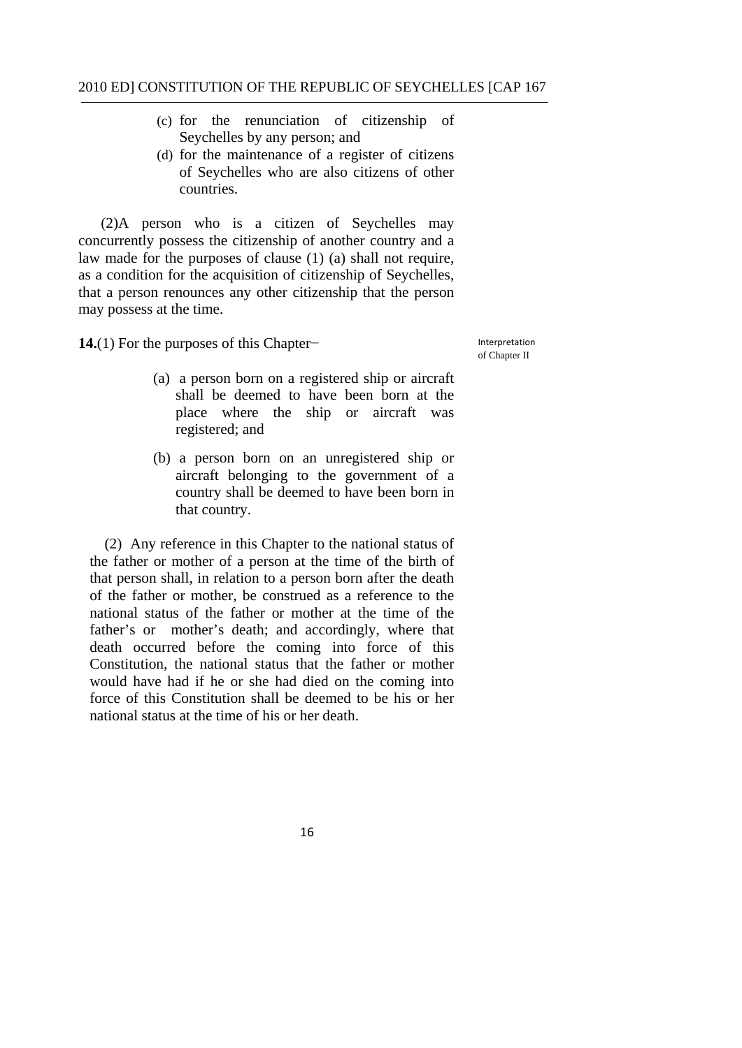- (c) for the renunciation of citizenship of Seychelles by any person; and
- (d) for the maintenance of a register of citizens of Seychelles who are also citizens of other countries.

(2)A person who is a citizen of Seychelles may concurrently possess the citizenship of another country and a law made for the purposes of clause (1) (a) shall not require, as a condition for the acquisition of citizenship of Seychelles, that a person renounces any other citizenship that the person may possess at the time.

**14.**(1) For the purposes of this Chapter−

Interpretation of Chapter II

- (a) a person born on a registered ship or aircraft shall be deemed to have been born at the place where the ship or aircraft was registered; and
- (b) a person born on an unregistered ship or aircraft belonging to the government of a country shall be deemed to have been born in that country.

(2) Any reference in this Chapter to the national status of the father or mother of a person at the time of the birth of that person shall, in relation to a person born after the death of the father or mother, be construed as a reference to the national status of the father or mother at the time of the father's or mother's death; and accordingly, where that death occurred before the coming into force of this Constitution, the national status that the father or mother would have had if he or she had died on the coming into force of this Constitution shall be deemed to be his or her national status at the time of his or her death.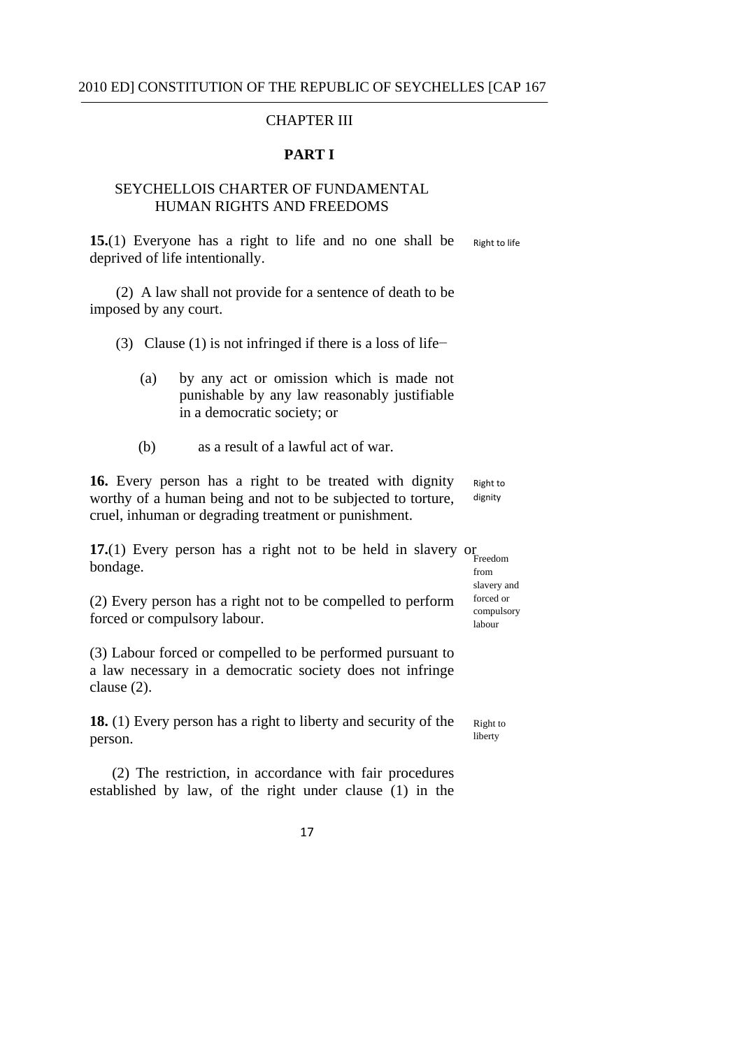## CHAPTER III

#### **PART I**

### SEYCHELLOIS CHARTER OF FUNDAMENTAL HUMAN RIGHTS AND FREEDOMS

 deprived of life intentionally. Right to life **15.**(1) Everyone has a right to life and no one shall be

(2) A law shall not provide for a sentence of death to be imposed by any court.

(3) Clause (1) is not infringed if there is a loss of life−

- (a) by any act or omission which is made not punishable by any law reasonably justifiable in a democratic society; or
- (b) as a result of a lawful act of war.

 Right to **16.** Every person has a right to be treated with dignity worthy of a human being and not to be subjected to torture, cruel, inhuman or degrading treatment or punishment. dignity

**17.**(1) Every person has a right not to be held in slavery or Freedom bondage.

slavery and

(2) Every person has a right not to be compelled to perform  $\frac{\text{forced or}}{\text{complexory}}$  forced or compulsory labour.

(3) Labour forced or compelled to be performed pursuant to a law necessary in a democratic society does not infringe clause (2).

**18.** (1) Every person has a right to liberty and security of the Right to **person.** Iberty

(2) The restriction, in accordance with fair procedures established by law, of the right under clause (1) in the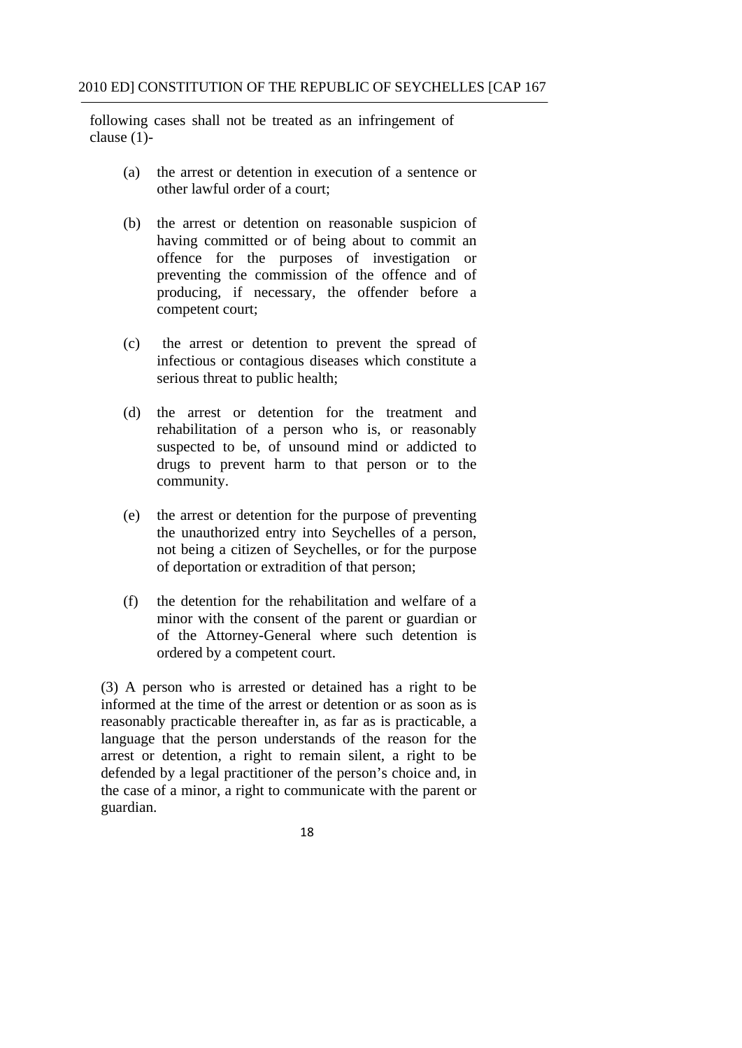following cases shall not be treated as an infringement of clause (1)-

- (a) the arrest or detention in execution of a sentence or other lawful order of a court;
- (b) the arrest or detention on reasonable suspicion of having committed or of being about to commit an offence for the purposes of investigation or preventing the commission of the offence and of producing, if necessary, the offender before a competent court;
- (c) the arrest or detention to prevent the spread of infectious or contagious diseases which constitute a serious threat to public health;
- (d) the arrest or detention for the treatment and rehabilitation of a person who is, or reasonably suspected to be, of unsound mind or addicted to drugs to prevent harm to that person or to the community.
- (e) the arrest or detention for the purpose of preventing the unauthorized entry into Seychelles of a person, not being a citizen of Seychelles, or for the purpose of deportation or extradition of that person;
- (f) the detention for the rehabilitation and welfare of a minor with the consent of the parent or guardian or of the Attorney-General where such detention is ordered by a competent court.

(3) A person who is arrested or detained has a right to be informed at the time of the arrest or detention or as soon as is reasonably practicable thereafter in, as far as is practicable, a language that the person understands of the reason for the arrest or detention, a right to remain silent, a right to be defended by a legal practitioner of the person's choice and, in the case of a minor, a right to communicate with the parent or guardian.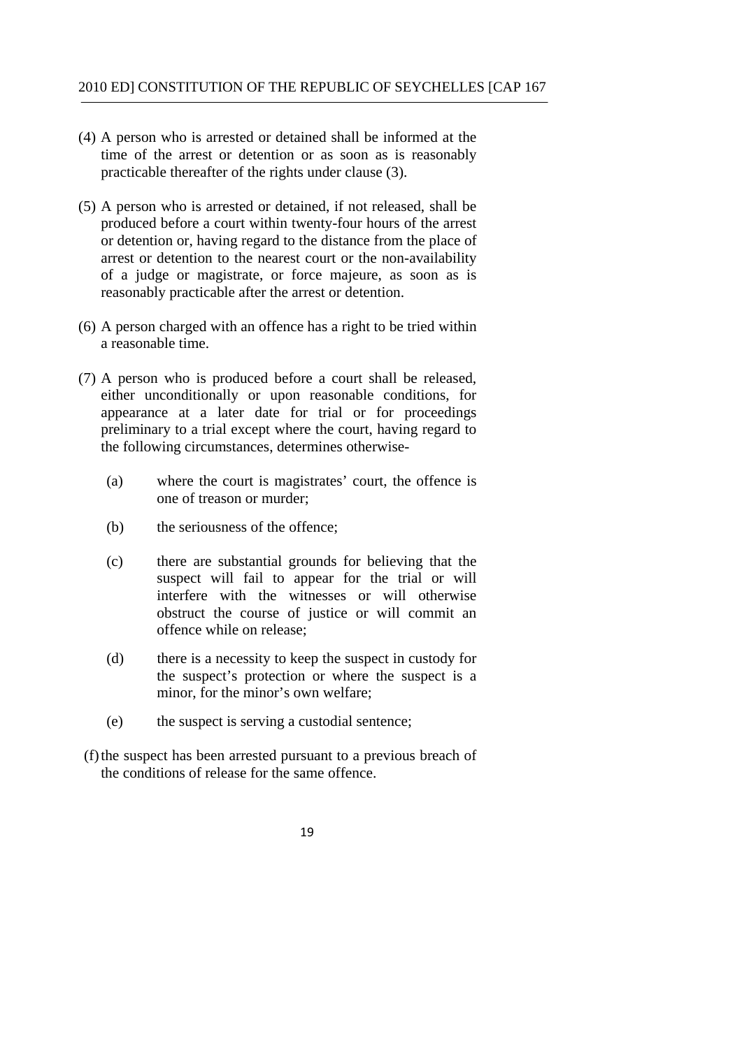- (4) A person who is arrested or detained shall be informed at the time of the arrest or detention or as soon as is reasonably practicable thereafter of the rights under clause (3).
- (5) A person who is arrested or detained, if not released, shall be produced before a court within twenty-four hours of the arrest or detention or, having regard to the distance from the place of arrest or detention to the nearest court or the non-availability of a judge or magistrate, or force majeure, as soon as is reasonably practicable after the arrest or detention.
- (6) A person charged with an offence has a right to be tried within a reasonable time.
- (7) A person who is produced before a court shall be released, either unconditionally or upon reasonable conditions, for appearance at a later date for trial or for proceedings preliminary to a trial except where the court, having regard to the following circumstances, determines otherwise-
	- (a) where the court is magistrates' court, the offence is one of treason or murder;
	- (b) the seriousness of the offence;
	- (c) there are substantial grounds for believing that the suspect will fail to appear for the trial or will interfere with the witnesses or will otherwise obstruct the course of justice or will commit an offence while on release;
	- (d) there is a necessity to keep the suspect in custody for the suspect's protection or where the suspect is a minor, for the minor's own welfare;
	- (e) the suspect is serving a custodial sentence;
- (f) the suspect has been arrested pursuant to a previous breach of the conditions of release for the same offence.
	- 19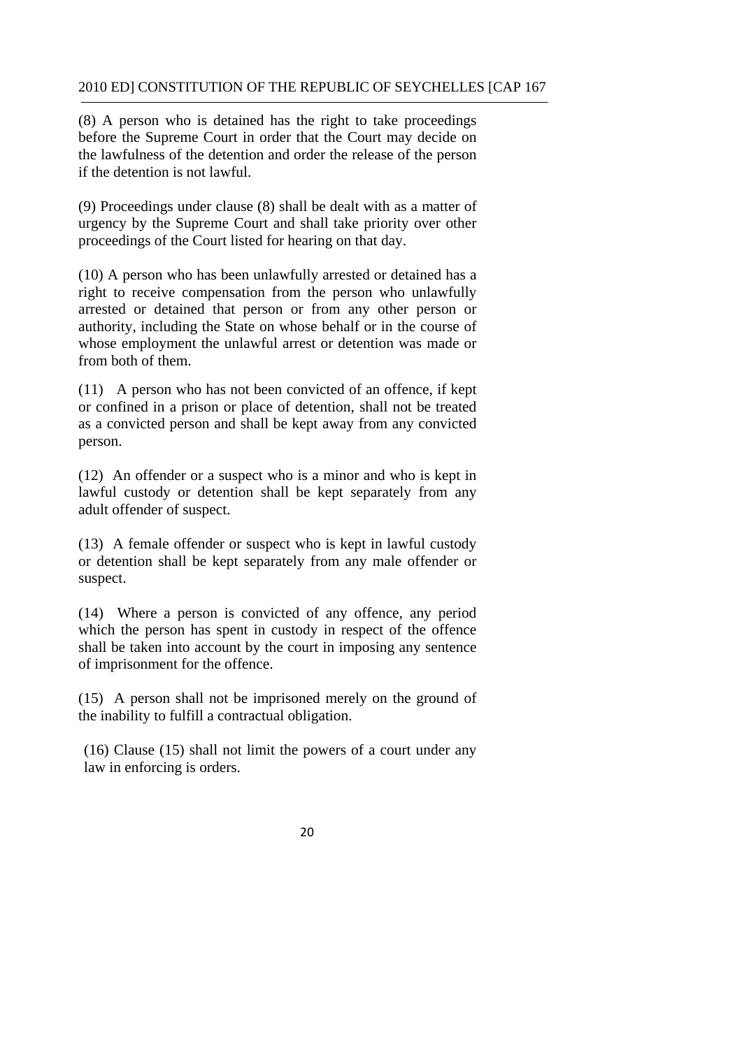(8) A person who is detained has the right to take proceedings before the Supreme Court in order that the Court may decide on the lawfulness of the detention and order the release of the person if the detention is not lawful.

(9) Proceedings under clause (8) shall be dealt with as a matter of urgency by the Supreme Court and shall take priority over other proceedings of the Court listed for hearing on that day.

(10) A person who has been unlawfully arrested or detained has a right to receive compensation from the person who unlawfully arrested or detained that person or from any other person or authority, including the State on whose behalf or in the course of whose employment the unlawful arrest or detention was made or from both of them.

(11) A person who has not been convicted of an offence, if kept or confined in a prison or place of detention, shall not be treated as a convicted person and shall be kept away from any convicted person.

(12) An offender or a suspect who is a minor and who is kept in lawful custody or detention shall be kept separately from any adult offender of suspect.

(13) A female offender or suspect who is kept in lawful custody or detention shall be kept separately from any male offender or suspect.

(14) Where a person is convicted of any offence, any period which the person has spent in custody in respect of the offence shall be taken into account by the court in imposing any sentence of imprisonment for the offence.

(15) A person shall not be imprisoned merely on the ground of the inability to fulfill a contractual obligation.

(16) Clause (15) shall not limit the powers of a court under any law in enforcing is orders.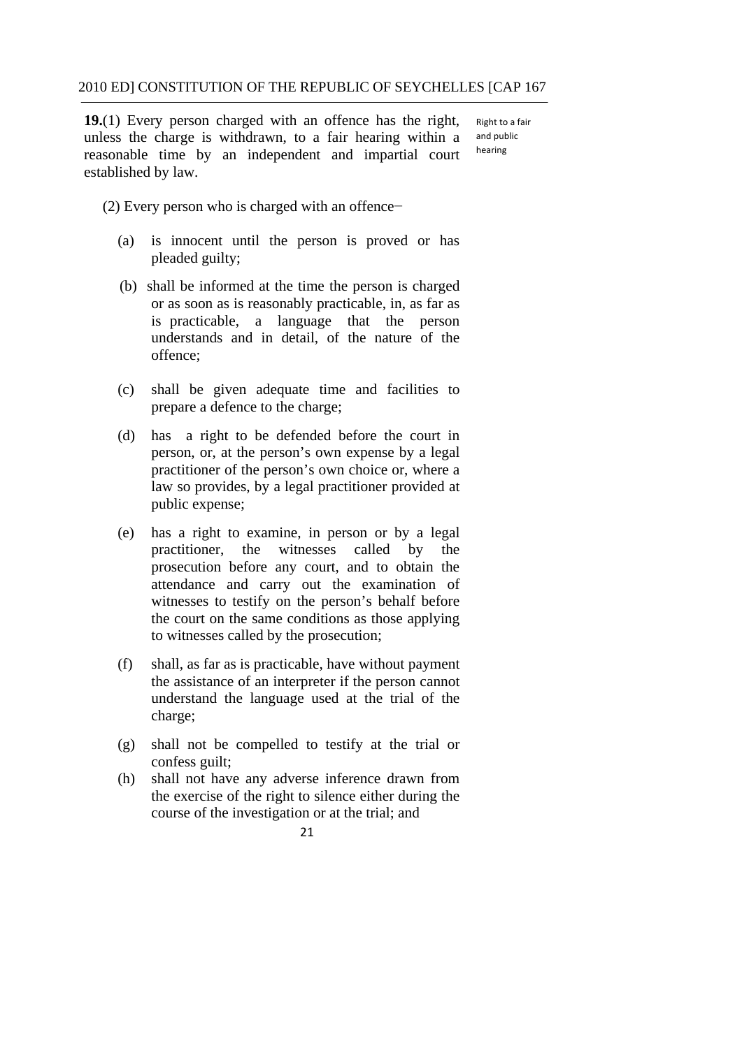Right to a fair and public **19.**(1) Every person charged with an offence has the right, unless the charge is withdrawn, to a fair hearing within a reasonable time by an independent and impartial court established by law. hearing

(2) Every person who is charged with an offence−

- (a) is innocent until the person is proved or has pleaded guilty;
- is practicable, a language that the person offence: (b) shall be informed at the time the person is charged or as soon as is reasonably practicable, in, as far as understands and in detail, of the nature of the
- $(c)$  shall be given adequate time and facilities to prepare a defence to the charge;
- (d) has a right to be defended before the court in person, or, at the person's own expense by a legal practitioner of the person's own choice or, where a law so provides, by a legal practitioner provided at public expense;
- (e) has a right to examine, in person or by a legal practitioner, the witnesses called by the prosecution before any court, and to obtain the attendance and carry out the examination of witnesses to testify on the person's behalf before the court on the same conditions as those applying to witnesses called by the prosecution;
- (f) shall, as far as is practicable, have without payment the assistance of an interpreter if the person cannot understand the language used at the trial of the charge;
- (g) shall not be compelled to testify at the trial or confess guilt;
- (h) shall not have any adverse inference drawn from the exercise of the right to silence either during the course of the investigation or at the trial; and
	- 21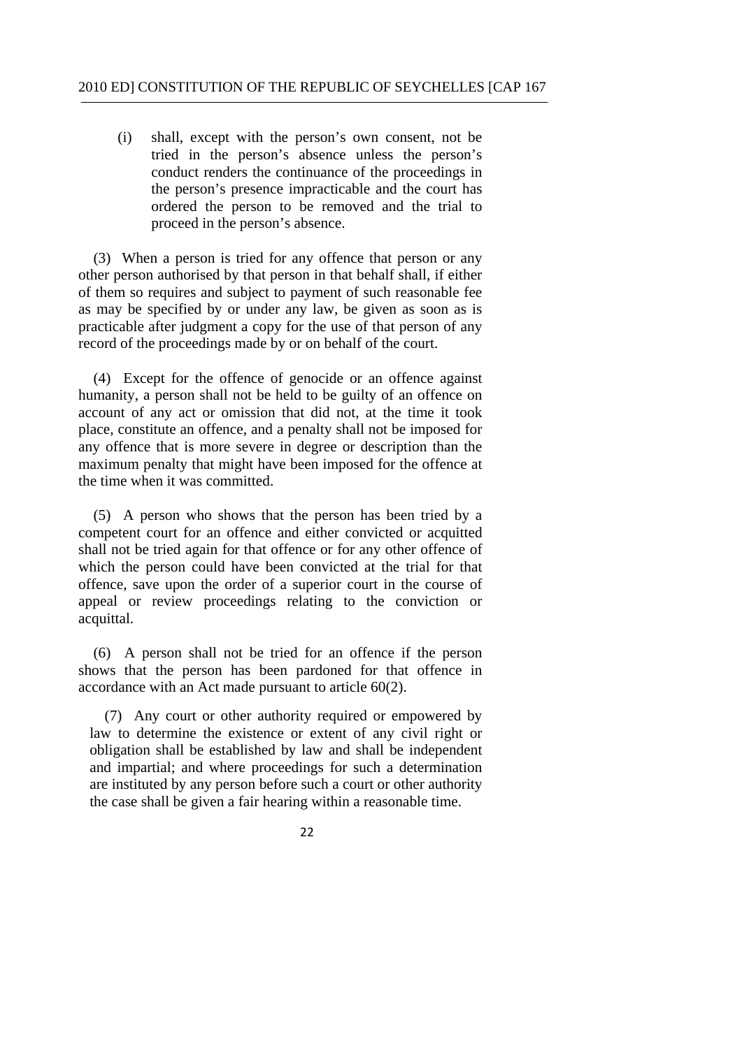proceed in the person's absence. (i) shall, except with the person's own consent, not be tried in the person's absence unless the person's conduct renders the continuance of the proceedings in the person's presence impracticable and the court has ordered the person to be removed and the trial to

 (3) When a person is tried for any offence that person or any other person authorised by that person in that behalf shall, if either of them so requires and subject to payment of such reasonable fee as may be specified by or under any law, be given as soon as is practicable after judgment a copy for the use of that person of any record of the proceedings made by or on behalf of the court.

(4) Except for the offence of genocide or an offence against humanity, a person shall not be held to be guilty of an offence on account of any act or omission that did not, at the time it took place, constitute an offence, and a penalty shall not be imposed for any offence that is more severe in degree or description than the maximum penalty that might have been imposed for the offence at the time when it was committed.

(5) A person who shows that the person has been tried by a competent court for an offence and either convicted or acquitted shall not be tried again for that offence or for any other offence of which the person could have been convicted at the trial for that offence, save upon the order of a superior court in the course of appeal or review proceedings relating to the conviction or acquittal.

(6) A person shall not be tried for an offence if the person shows that the person has been pardoned for that offence in accordance with an Act made pursuant to article 60(2).

(7) Any court or other authority required or empowered by law to determine the existence or extent of any civil right or obligation shall be established by law and shall be independent and impartial; and where proceedings for such a determination are instituted by any person before such a court or other authority the case shall be given a fair hearing within a reasonable time.

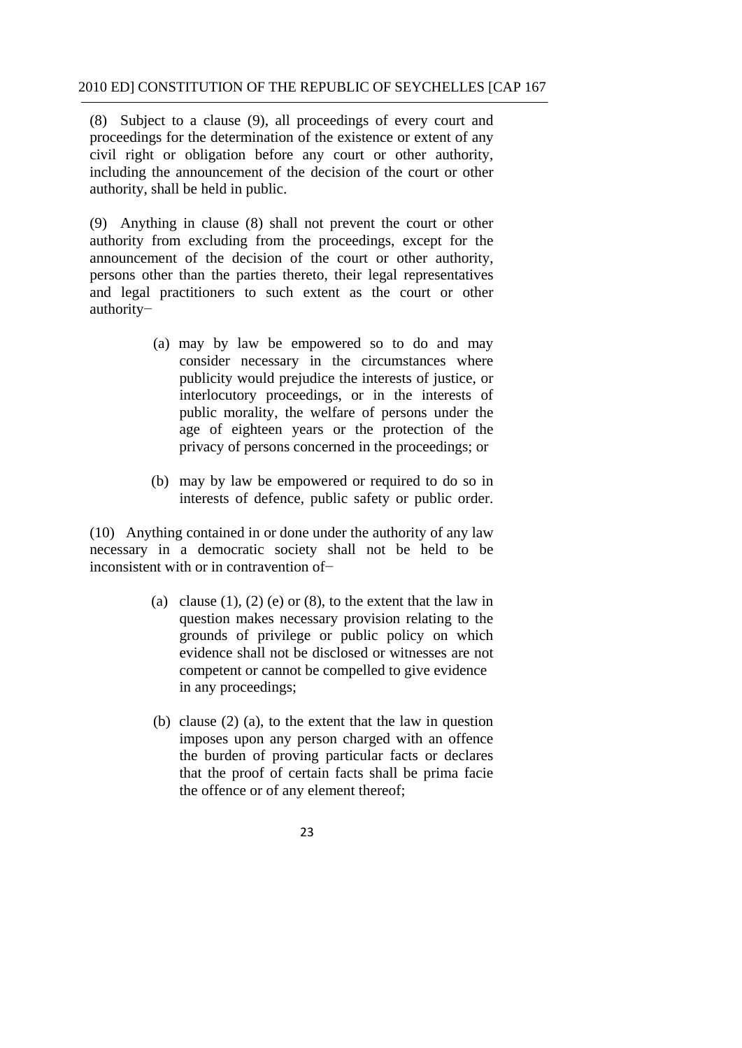(8) Subject to a clause (9), all proceedings of every court and proceedings for the determination of the existence or extent of any civil right or obligation before any court or other authority, including the announcement of the decision of the court or other authority, shall be held in public.

(9) Anything in clause (8) shall not prevent the court or other authority from excluding from the proceedings, except for the announcement of the decision of the court or other authority, persons other than the parties thereto, their legal representatives and legal practitioners to such extent as the court or other authority−

- interlocutory proceedings, or in the interests of (a) may by law be empowered so to do and may consider necessary in the circumstances where publicity would prejudice the interests of justice, or public morality, the welfare of persons under the age of eighteen years or the protection of the privacy of persons concerned in the proceedings; or
	- (b) may by law be empowered or required to do so in interests of defence, public safety or public order.

 inconsistent with or in contravention of− (10) Anything contained in or done under the authority of any law necessary in a democratic society shall not be held to be

- (a) clause  $(1)$ ,  $(2)$  (e) or  $(8)$ , to the extent that the law in question makes necessary provision relating to the grounds of privilege or public policy on which evidence shall not be disclosed or witnesses are not competent or cannot be compelled to give evidence in any proceedings;
- (b) clause (2) (a), to the extent that the law in question imposes upon any person charged with an offence the burden of proving particular facts or declares that the proof of certain facts shall be prima facie the offence or of any element thereof;
	- $23$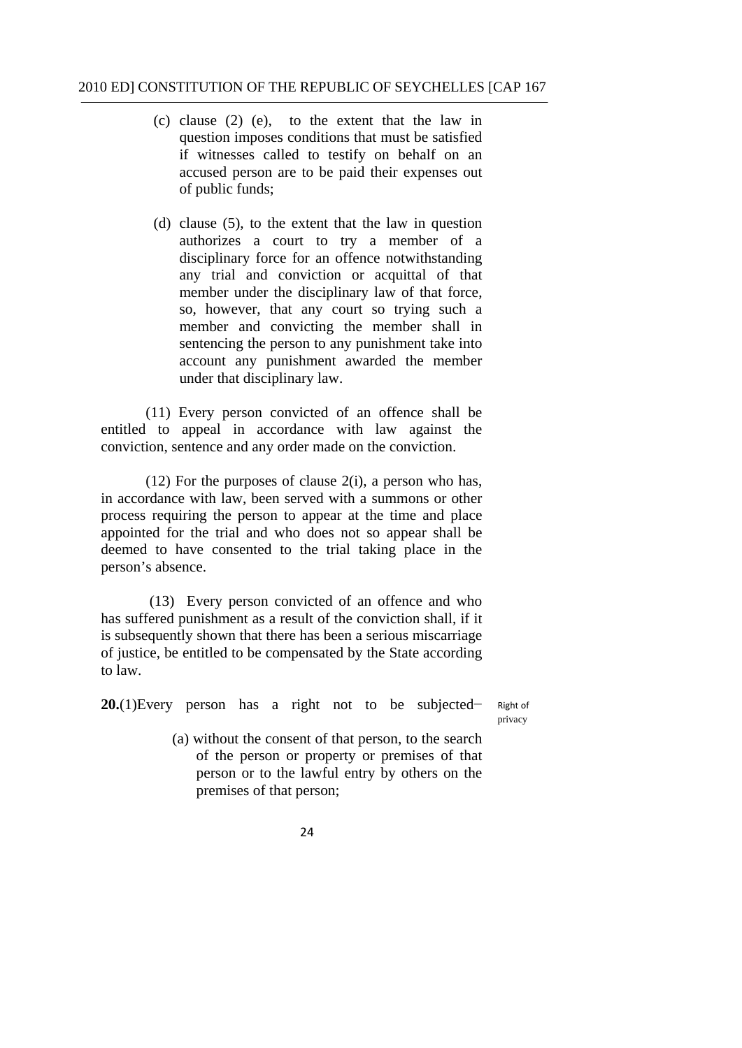- (c) clause (2) (e), to the extent that the law in question imposes conditions that must be satisfied if witnesses called to testify on behalf on an accused person are to be paid their expenses out of public funds;
- (d) clause (5), to the extent that the law in question authorizes a court to try a member of a disciplinary force for an offence notwithstanding any trial and conviction or acquittal of that member under the disciplinary law of that force, so, however, that any court so trying such a member and convicting the member shall in sentencing the person to any punishment take into account any punishment awarded the member under that disciplinary law.

(11) Every person convicted of an offence shall be entitled to appeal in accordance with law against the conviction, sentence and any order made on the conviction.

 $(12)$  For the purposes of clause  $2(i)$ , a person who has, in accordance with law, been served with a summons or other process requiring the person to appear at the time and place appointed for the trial and who does not so appear shall be deemed to have consented to the trial taking place in the person's absence.

(13) Every person convicted of an offence and who has suffered punishment as a result of the conviction shall, if it is subsequently shown that there has been a serious miscarriage of justice, be entitled to be compensated by the State according to law.

**20.**(1)Every person has a right not to be subjected− Right of

privacy

- (a) without the consent of that person, to the search of the person or property or premises of that person or to the lawful entry by others on the premises of that person;
	- 24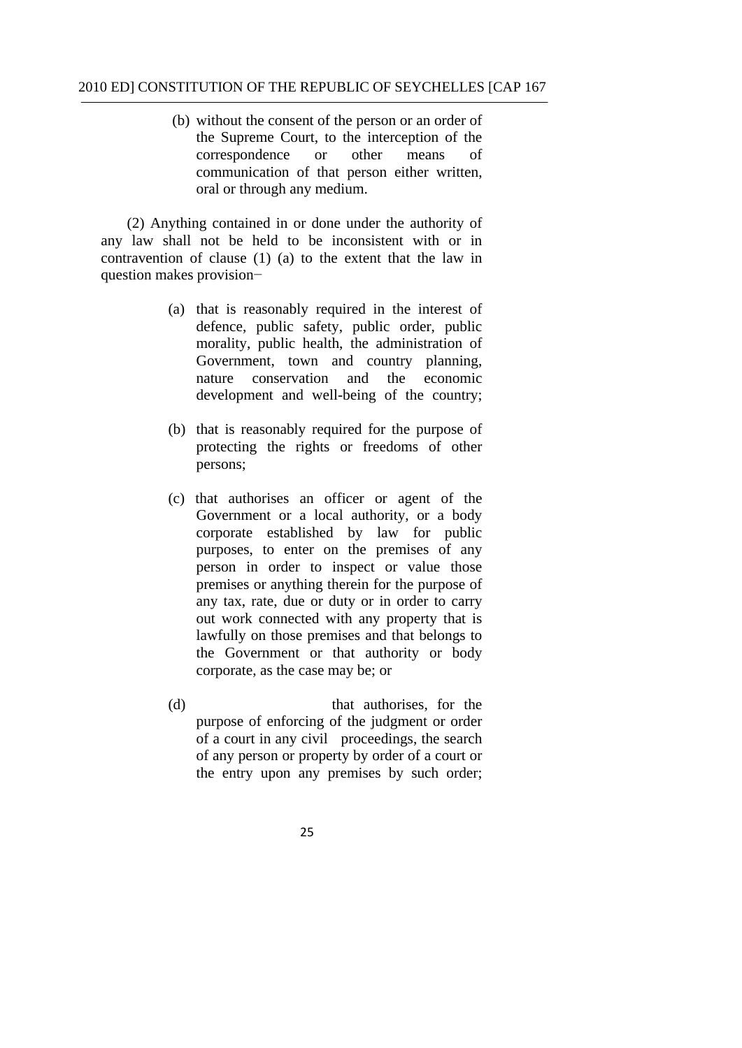(b) without the consent of the person or an order of the Supreme Court, to the interception of the correspondence or other means of communication of that person either written, oral or through any medium.

(2) Anything contained in or done under the authority of any law shall not be held to be inconsistent with or in contravention of clause (1) (a) to the extent that the law in question makes provision−

- (a) that is reasonably required in the interest of defence, public safety, public order, public morality, public health, the administration of Government, town and country planning, nature conservation and the economic development and well-being of the country;
- (b) that is reasonably required for the purpose of protecting the rights or freedoms of other persons;
- (c) that authorises an officer or agent of the Government or a local authority, or a body corporate established by law for public purposes, to enter on the premises of any person in order to inspect or value those premises or anything therein for the purpose of any tax, rate, due or duty or in order to carry out work connected with any property that is lawfully on those premises and that belongs to the Government or that authority or body corporate, as the case may be; or
- (d) that authorises, for the purpose of enforcing of the judgment or order of a court in any civil proceedings, the search of any person or property by order of a court or the entry upon any premises by such order;
	- 25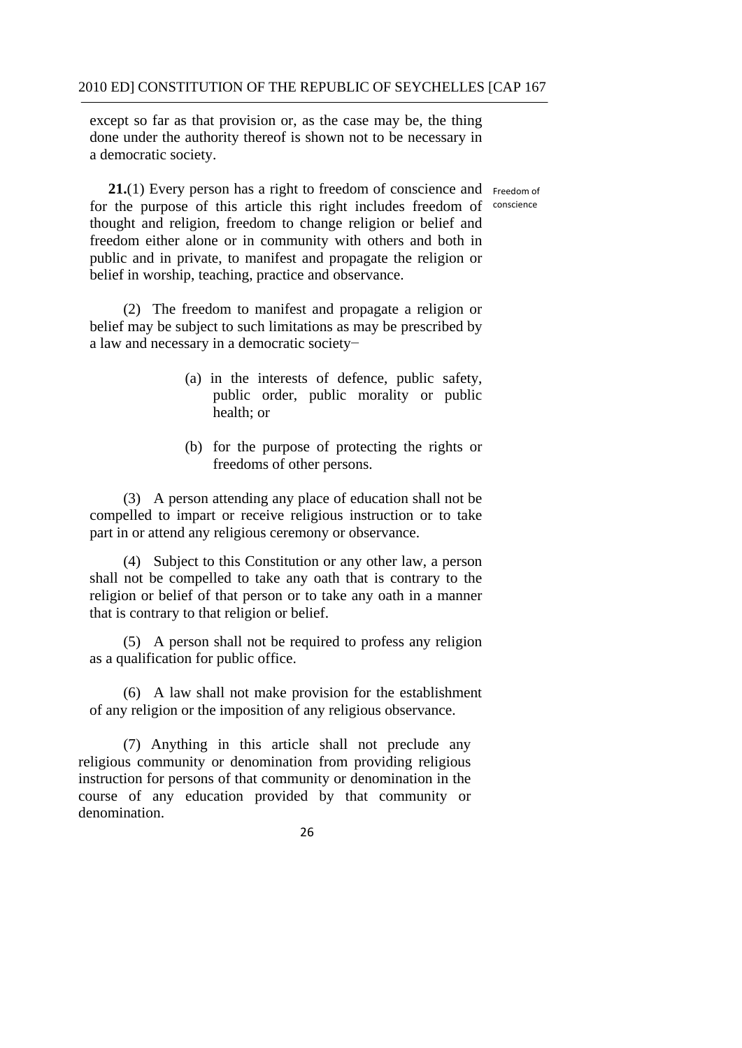except so far as that provision or, as the case may be, the thing done under the authority thereof is shown not to be necessary in a democratic society.

21.(1) Every person has a right to freedom of conscience and Freedom of for the purpose of this article this right includes freedom of conscience thought and religion, freedom to change religion or belief and freedom either alone or in community with others and both in public and in private, to manifest and propagate the religion or belief in worship, teaching, practice and observance.

 a law and necessary in a democratic society− (2) The freedom to manifest and propagate a religion or belief may be subject to such limitations as may be prescribed by

- (a) in the interests of defence, public safety, public order, public morality or public health; or
- (b) for the purpose of protecting the rights or freedoms of other persons.

(3) A person attending any place of education shall not be compelled to impart or receive religious instruction or to take part in or attend any religious ceremony or observance.

(4) Subject to this Constitution or any other law, a person shall not be compelled to take any oath that is contrary to the religion or belief of that person or to take any oath in a manner that is contrary to that religion or belief.

(5) A person shall not be required to profess any religion as a qualification for public office.

(6) A law shall not make provision for the establishment of any religion or the imposition of any religious observance.

(7) Anything in this article shall not preclude any religious community or denomination from providing religious instruction for persons of that community or denomination in the course of any education provided by that community or denomination.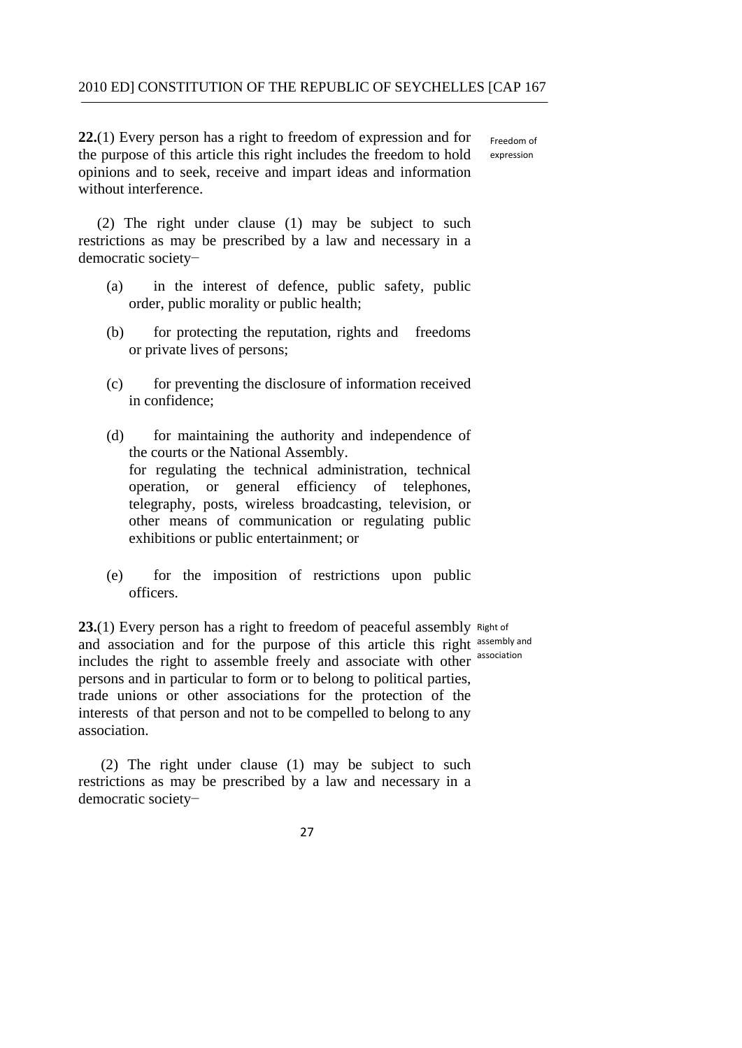Freedom of **22.**(1) Every person has a right to freedom of expression and for the purpose of this article this right includes the freedom to hold opinions and to seek, receive and impart ideas and information without interference. expression

(2) The right under clause (1) may be subject to such restrictions as may be prescribed by a law and necessary in a democratic society−

- (a) in the interest of defence, public safety, public order, public morality or public health;
- (b) for protecting the reputation, rights and freedoms or private lives of persons;
- (c) for preventing the disclosure of information received in confidence;
- (d) for maintaining the authority and independence of the courts or the National Assembly. for regulating the technical administration, technical operation, or general efficiency of telephones, telegraphy, posts, wireless broadcasting, television, or other means of communication or regulating public exhibitions or public entertainment; or
- (e) for the imposition of restrictions upon public officers.

23.(1) Every person has a right to freedom of peaceful assembly Right of and association and for the purpose of this article this right assembly and includes the right to assemble freely and associate with other association persons and in particular to form or to belong to political parties, trade unions or other associations for the protection of the interests of that person and not to be compelled to belong to any association.

(2) The right under clause (1) may be subject to such restrictions as may be prescribed by a law and necessary in a democratic society−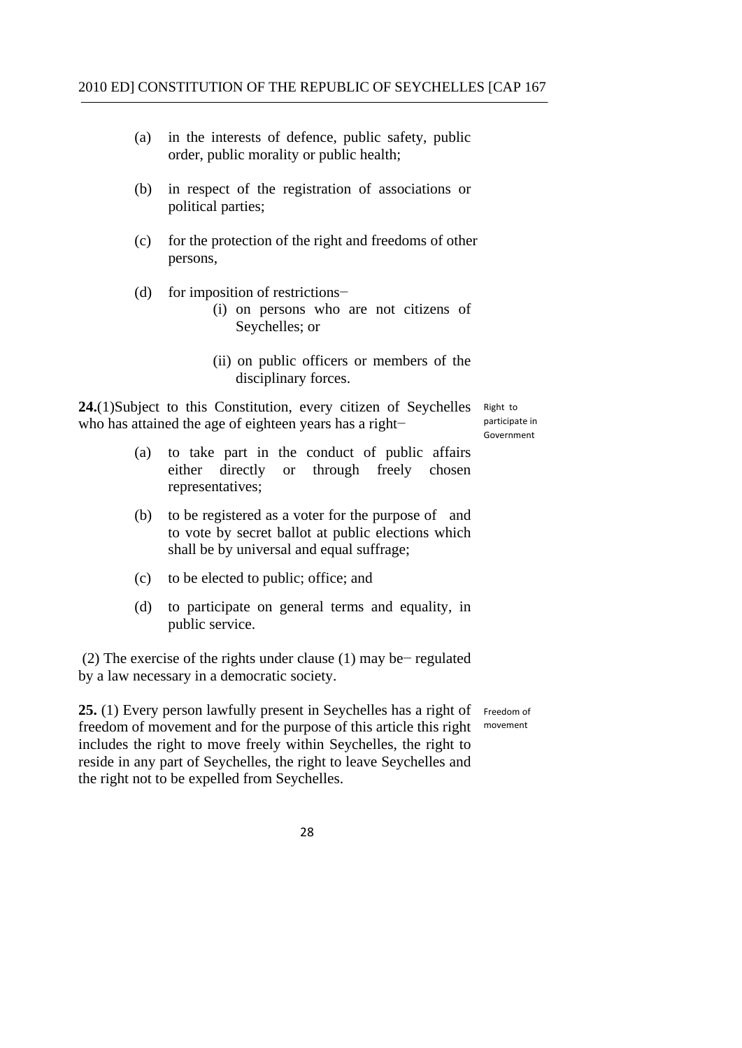- (a) in the interests of defence, public safety, public order, public morality or public health;
- (b) in respect of the registration of associations or political parties;
- (c) for the protection of the right and freedoms of other persons,
- (d) for imposition of restrictions−
	- (i) on persons who are not citizens of Seychelles; or
	- (ii) on public officers or members of the disciplinary forces.

**24.**(1)Subject to this Constitution, every citizen of Seychelles who has attained the age of eighteen years has a right− participate in experiment

Right to participate in

- (a) to take part in the conduct of public affairs either directly or through freely chosen representatives;
- (b) to be registered as a voter for the purpose of and to vote by secret ballot at public elections which shall be by universal and equal suffrage;
- (c) to be elected to public; office; and
- (d) to participate on general terms and equality, in public service.

(2) The exercise of the rights under clause (1) may be− regulated by a law necessary in a democratic society.

25. (1) Every person lawfully present in Seychelles has a right of Freedom of freedom of movement and for the purpose of this article this right movement includes the right to move freely within Seychelles, the right to reside in any part of Seychelles, the right to leave Seychelles and the right not to be expelled from Seychelles.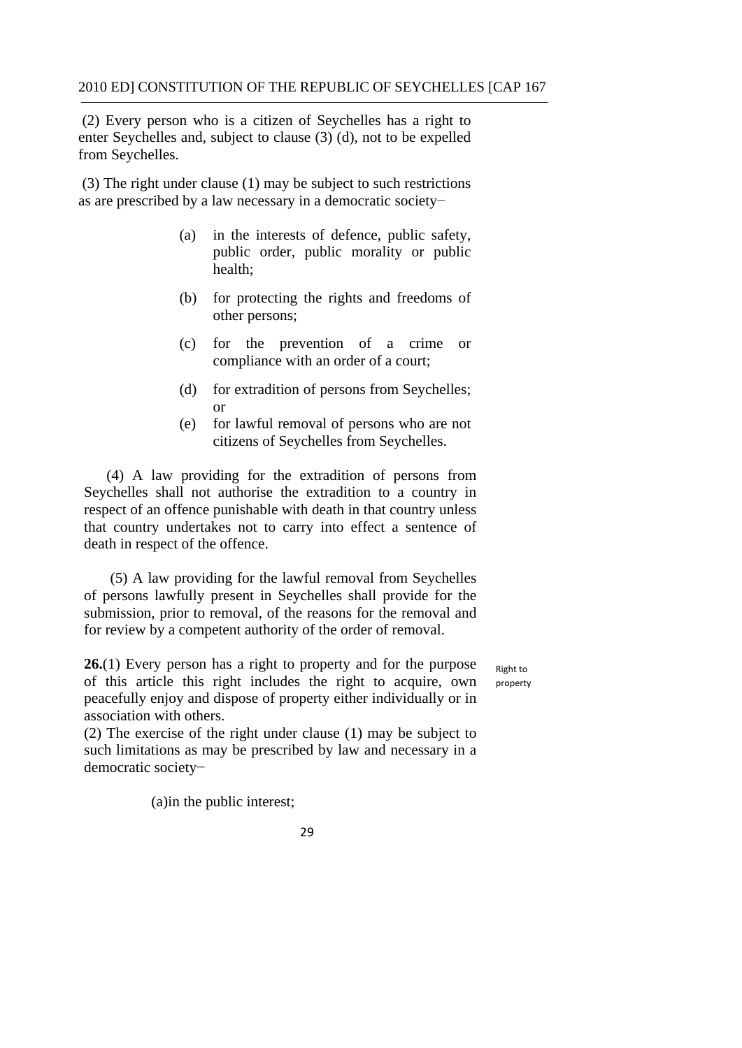(2) Every person who is a citizen of Seychelles has a right to enter Seychelles and, subject to clause (3) (d), not to be expelled from Seychelles.

(3) The right under clause (1) may be subject to such restrictions as are prescribed by a law necessary in a democratic society−

- (a) in the interests of defence, public safety, public order, public morality or public health;
- (b) for protecting the rights and freedoms of other persons;
- (c) for the prevention of a crime or compliance with an order of a court;
- (d) for extradition of persons from Seychelles; or
- (e) for lawful removal of persons who are not citizens of Seychelles from Seychelles.

(4) A law providing for the extradition of persons from Seychelles shall not authorise the extradition to a country in respect of an offence punishable with death in that country unless that country undertakes not to carry into effect a sentence of death in respect of the offence.

(5) A law providing for the lawful removal from Seychelles of persons lawfully present in Seychelles shall provide for the submission, prior to removal, of the reasons for the removal and for review by a competent authority of the order of removal.

**26.**(1) Every person has a right to property and for the purpose of this article this right includes the right to acquire, own peacefully enjoy and dispose of property either individually or in association with others.

 Right to property

(2) The exercise of the right under clause (1) may be subject to such limitations as may be prescribed by law and necessary in a democratic society−

(a)in the public interest;

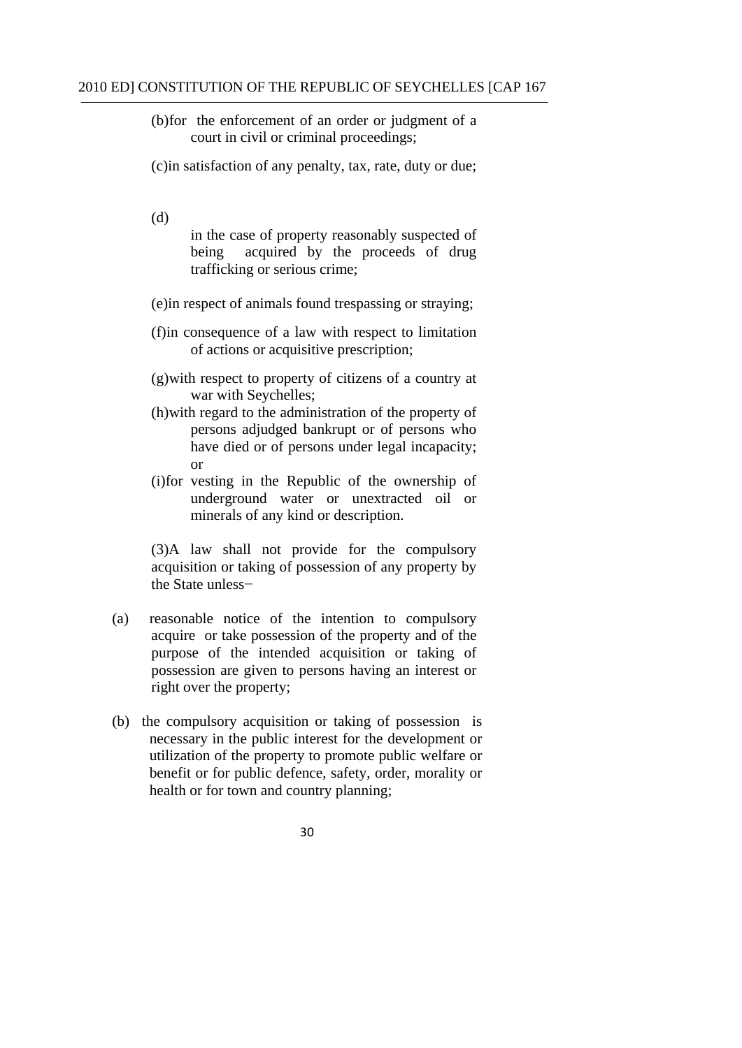- (b)for the enforcement of an order or judgment of a court in civil or criminal proceedings;
- (c)in satisfaction of any penalty, tax, rate, duty or due;
- (d)

in the case of property reasonably suspected of being acquired by the proceeds of drug trafficking or serious crime;

- (e)in respect of animals found trespassing or straying;
- (f)in consequence of a law with respect to limitation of actions or acquisitive prescription;
- (g)with respect to property of citizens of a country at war with Seychelles;
- (h)with regard to the administration of the property of persons adjudged bankrupt or of persons who have died or of persons under legal incapacity; or
- (i)for vesting in the Republic of the ownership of underground water or unextracted oil or minerals of any kind or description.

(3)A law shall not provide for the compulsory acquisition or taking of possession of any property by the State unless−

- (a) reasonable notice of the intention to compulsory acquire or take possession of the property and of the purpose of the intended acquisition or taking of possession are given to persons having an interest or right over the property;
- (b) the compulsory acquisition or taking of possession is necessary in the public interest for the development or utilization of the property to promote public welfare or benefit or for public defence, safety, order, morality or health or for town and country planning;
	- 30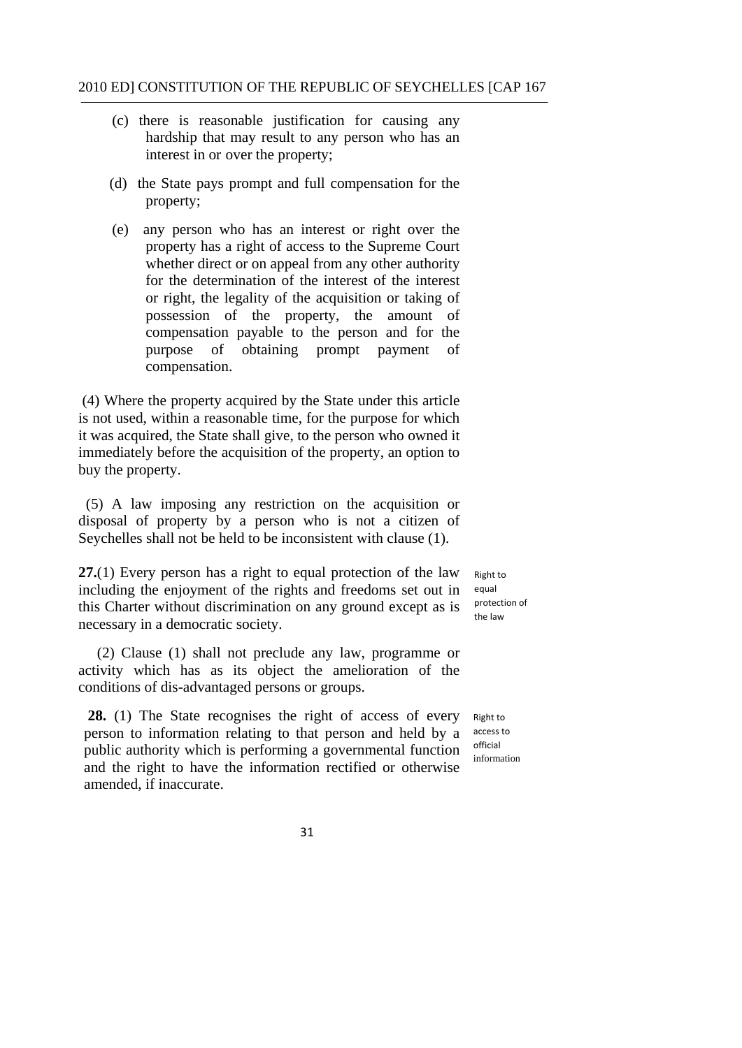- (c) there is reasonable justification for causing any hardship that may result to any person who has an interest in or over the property;
- (d) the State pays prompt and full compensation for the property;
- (e) any person who has an interest or right over the property has a right of access to the Supreme Court whether direct or on appeal from any other authority for the determination of the interest of the interest or right, the legality of the acquisition or taking of possession of the property, the amount of compensation payable to the person and for the purpose of obtaining prompt payment of compensation.

(4) Where the property acquired by the State under this article is not used, within a reasonable time, for the purpose for which it was acquired, the State shall give, to the person who owned it immediately before the acquisition of the property, an option to buy the property.

(5) A law imposing any restriction on the acquisition or disposal of property by a person who is not a citizen of Seychelles shall not be held to be inconsistent with clause (1).

**27.**(1) Every person has a right to equal protection of the law including the enjoyment of the rights and freedoms set out in this Charter without discrimination on any ground except as is necessary in a democratic society.

(2) Clause (1) shall not preclude any law, programme or activity which has as its object the amelioration of the conditions of dis-advantaged persons or groups.

28. (1) The State recognises the right of access of every person to information relating to that person and held by a public authority which is performing a governmental function and the right to have the information rectified or otherwise amended, if inaccurate.

 Right to protection of the law equal

 Right to access to official information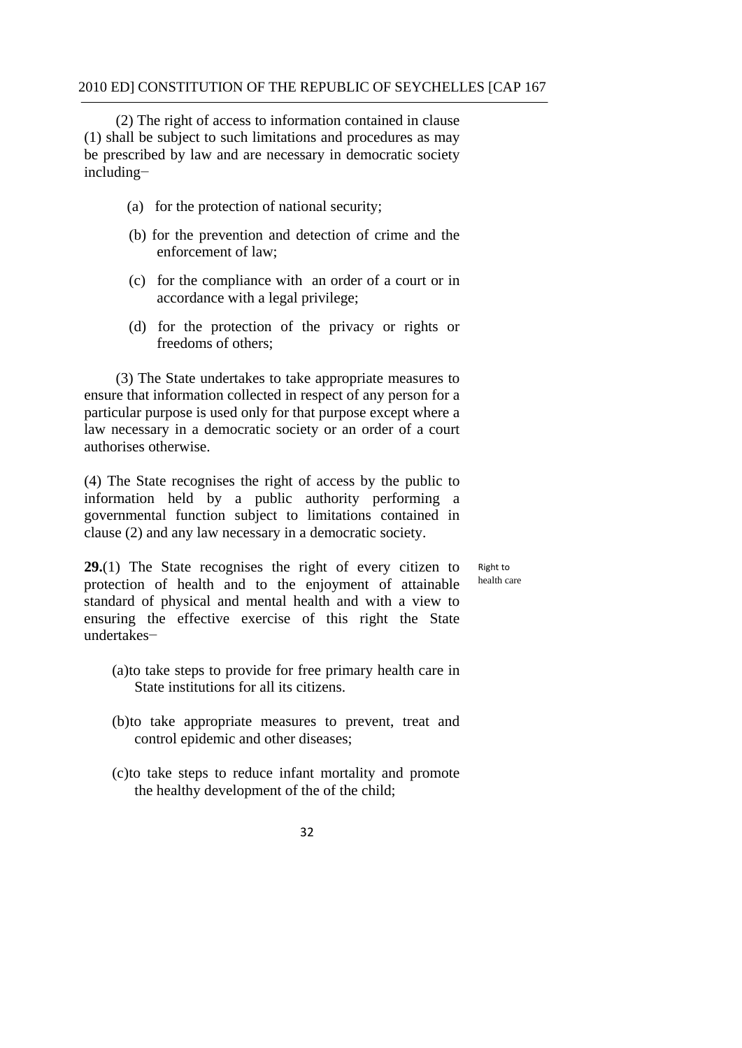(2) The right of access to information contained in clause (1) shall be subject to such limitations and procedures as may be prescribed by law and are necessary in democratic society including−

- (a) for the protection of national security;
- (b) for the prevention and detection of crime and the enforcement of law;
- (c) for the compliance with an order of a court or in accordance with a legal privilege;
- (d) for the protection of the privacy or rights or freedoms of others;

(3) The State undertakes to take appropriate measures to ensure that information collected in respect of any person for a particular purpose is used only for that purpose except where a law necessary in a democratic society or an order of a court authorises otherwise.

(4) The State recognises the right of access by the public to information held by a public authority performing a governmental function subject to limitations contained in clause (2) and any law necessary in a democratic society.

**29.**(1) The State recognises the right of every citizen to Right to protection of health and to the enjoyment of attainable health care protection of health and to the enjoyment of attainable standard of physical and mental health and with a view to ensuring the effective exercise of this right the State undertakes−

- State institutions for all its citizens. (a)to take steps to provide for free primary health care in
- (b)to take appropriate measures to prevent, treat and control epidemic and other diseases;
- (c)to take steps to reduce infant mortality and promote the healthy development of the of the child;
	- 32

Right to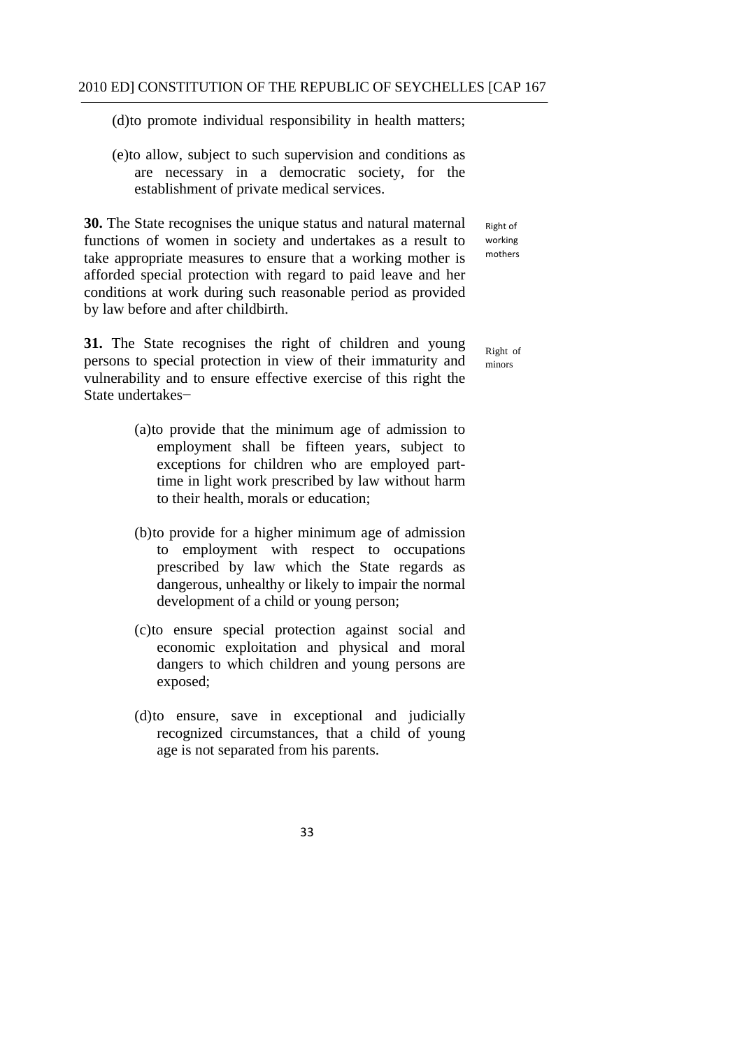(d)to promote individual responsibility in health matters;

 establishment of private medical services. (e)to allow, subject to such supervision and conditions as are necessary in a democratic society, for the

**30.** The State recognises the unique status and natural maternal functions of women in society and undertakes as a result to take appropriate measures to ensure that a working mother is afforded special protection with regard to paid leave and her conditions at work during such reasonable period as provided by law before and after childbirth.

**31.** The State recognises the right of children and young persons to special protection in view of their immaturity and vulnerability and to ensure effective exercise of this right the State undertakes−

- (a)to provide that the minimum age of admission to employment shall be fifteen years, subject to exceptions for children who are employed parttime in light work prescribed by law without harm to their health, morals or education;
- (b)to provide for a higher minimum age of admission to employment with respect to occupations prescribed by law which the State regards as dangerous, unhealthy or likely to impair the normal development of a child or young person;
- (c)to ensure special protection against social and economic exploitation and physical and moral dangers to which children and young persons are exposed;
- (d)to ensure, save in exceptional and judicially recognized circumstances, that a child of young age is not separated from his parents.

 Right of working mothers

Right of minors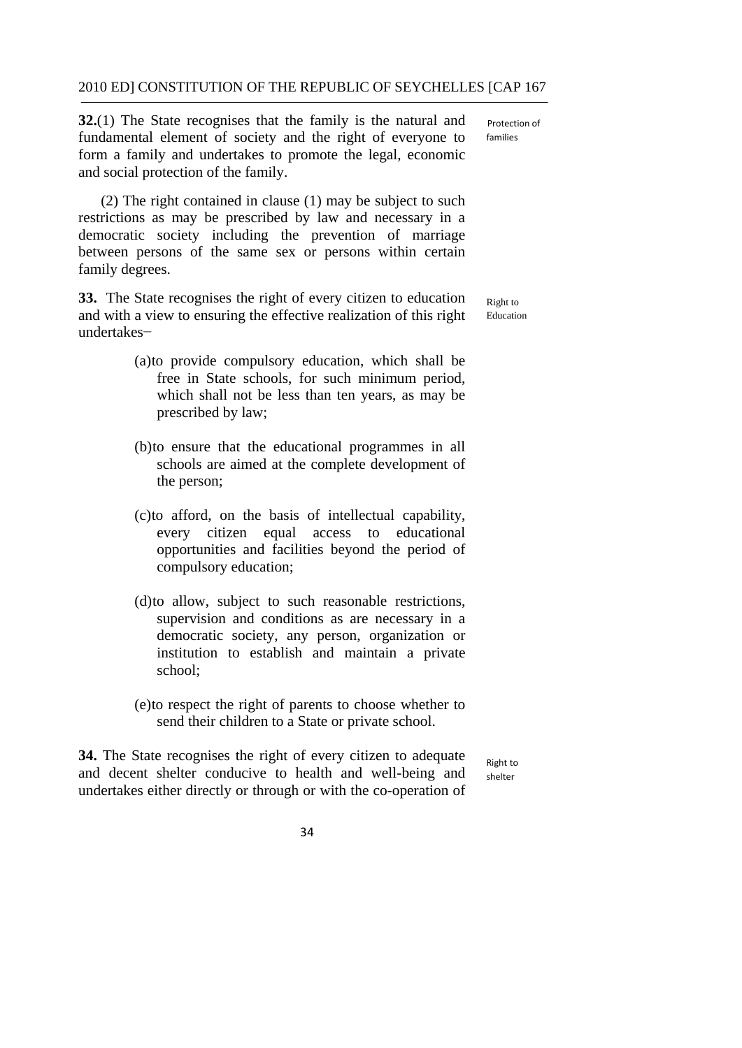**32.**(1) The State recognises that the family is the natural and fundamental element of society and the right of everyone to form a family and undertakes to promote the legal, economic and social protection of the family.

(2) The right contained in clause (1) may be subject to such restrictions as may be prescribed by law and necessary in a democratic society including the prevention of marriage between persons of the same sex or persons within certain family degrees.

**33.** The State recognises the right of every citizen to education and with a view to ensuring the effective realization of this right undertakes−

Right to Education

- (a)to provide compulsory education, which shall be free in State schools, for such minimum period, which shall not be less than ten years, as may be prescribed by law;
- (b)to ensure that the educational programmes in all schools are aimed at the complete development of the person;
- (c)to afford, on the basis of intellectual capability, every citizen equal access to educational opportunities and facilities beyond the period of compulsory education;
- (d)to allow, subject to such reasonable restrictions, supervision and conditions as are necessary in a democratic society, any person, organization or institution to establish and maintain a private school;
- (e)to respect the right of parents to choose whether to send their children to a State or private school.

**34.** The State recognises the right of every citizen to adequate and decent shelter conducive to health and well-being and undertakes either directly or through or with the co-operation of

 Right to shelter



 Protection of families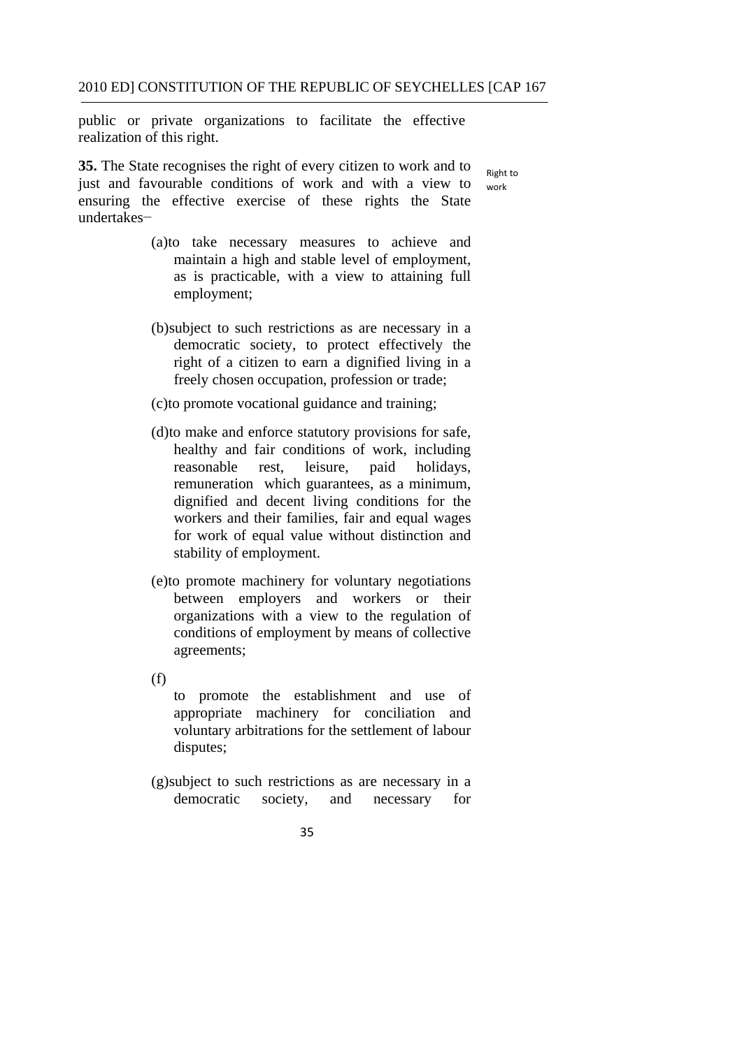public or private organizations to facilitate the effective realization of this right.

 Right to **35.** The State recognises the right of every citizen to work and to just and favourable conditions of work and with a view to ensuring the effective exercise of these rights the State undertakes− work

- (a)to take necessary measures to achieve and maintain a high and stable level of employment, as is practicable, with a view to attaining full employment;
- (b)subject to such restrictions as are necessary in a democratic society, to protect effectively the right of a citizen to earn a dignified living in a freely chosen occupation, profession or trade;
- (c)to promote vocational guidance and training;
- (d)to make and enforce statutory provisions for safe, healthy and fair conditions of work, including reasonable rest, leisure, paid holidays, remuneration which guarantees, as a minimum, dignified and decent living conditions for the workers and their families, fair and equal wages for work of equal value without distinction and stability of employment.
- (e)to promote machinery for voluntary negotiations between employers and workers or their organizations with a view to the regulation of conditions of employment by means of collective agreements;
- $(f)$

to promote the establishment and use of appropriate machinery for conciliation and voluntary arbitrations for the settlement of labour disputes;

- (g)subject to such restrictions as are necessary in a democratic society, and necessary for
	- 35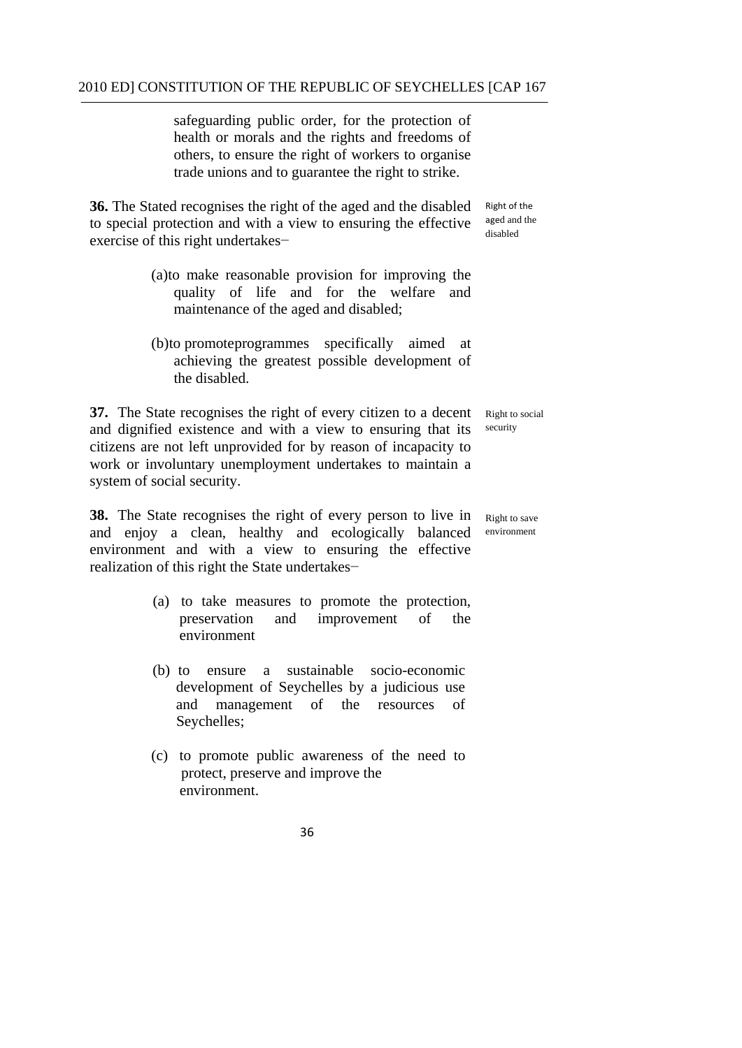safeguarding public order, for the protection of health or morals and the rights and freedoms of others, to ensure the right of workers to organise trade unions and to guarantee the right to strike.

**36.** The Stated recognises the right of the aged and the disabled to special protection and with a view to ensuring the effective exercise of this right undertakes−

 Right of the aged and the disabled

- (a)to make reasonable provision for improving the quality of life and for the welfare and maintenance of the aged and disabled;
- (b)to promoteprogrammes specifically aimed at achieving the greatest possible development of the disabled.

**37.** The State recognises the right of every citizen to a decent and dignified existence and with a view to ensuring that its citizens are not left unprovided for by reason of incapacity to work or involuntary unemployment undertakes to maintain a system of social security. Right to social security

 realization of this right the State undertakes− **38.** The State recognises the right of every person to live in and enjoy a clean, healthy and ecologically balanced environment and with a view to ensuring the effective

- (a) to take measures to promote the protection, preservation and improvement of the environment
- (b) to ensure a sustainable socio-economic development of Seychelles by a judicious use and management of the resources of Seychelles;
- protect, preserve and improve the (c) to promote public awareness of the need to environment.

36

Right to save environment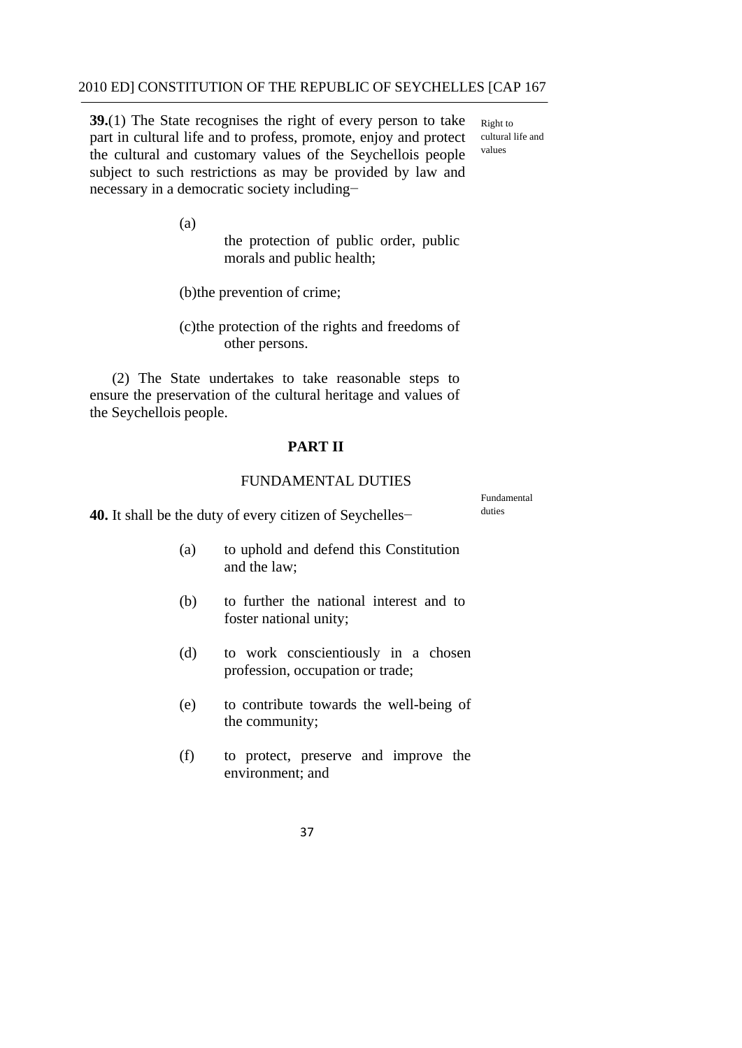**39.**(1) The State recognises the right of every person to take  $R_{\text{light to}}$ part in cultural life and to profess, promote, enjoy and protect cultural life and the cultural and expression culture of the Severhall signature values the cultural and customary values of the Seychellois people subject to such restrictions as may be provided by law and necessary in a democratic society including−

Fundamental

(a)

the protection of public order, public morals and public health;

(b)the prevention of crime;

(c)the protection of the rights and freedoms of other persons.

(2) The State undertakes to take reasonable steps to ensure the preservation of the cultural heritage and values of the Seychellois people.

## **PART II**

### FUNDAMENTAL DUTIES

**40.** It shall be the duty of every citizen of Seychelles− <sup>duties</sup>

- (a) to uphold and defend this Constitution and the law;
- (b) to further the national interest and to foster national unity;
- (d) to work conscientiously in a chosen profession, occupation or trade;
- (e) to contribute towards the well-being of the community;
- (f) to protect, preserve and improve the environment; and
	- 37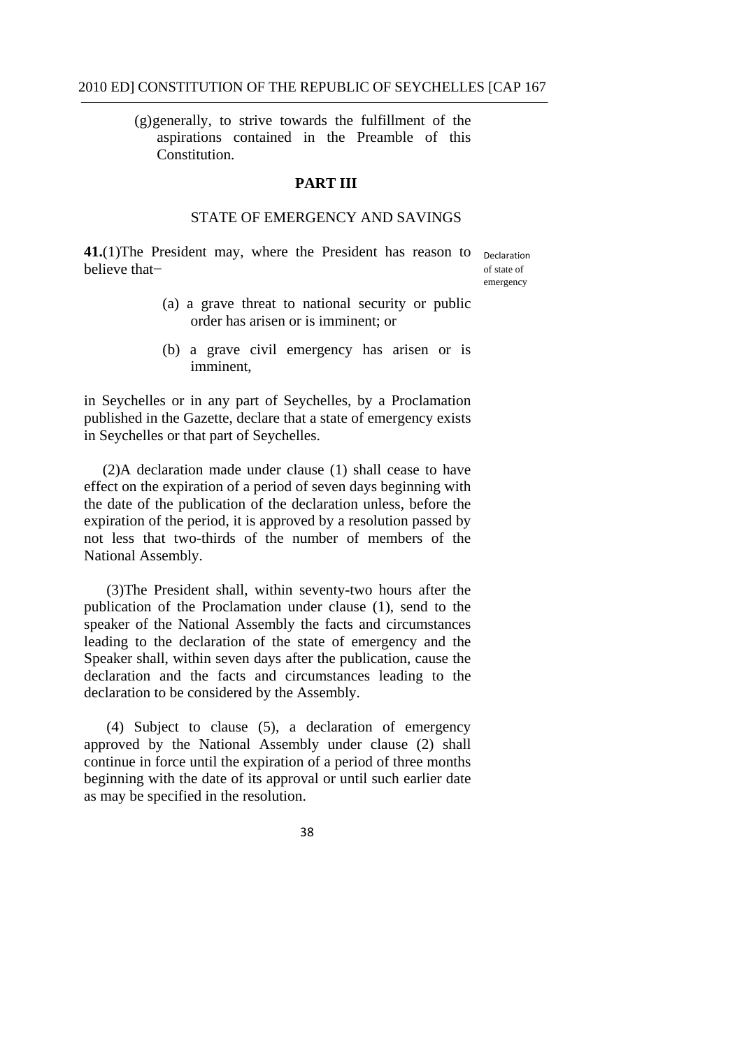(g)generally, to strive towards the fulfillment of the aspirations contained in the Preamble of this Constitution.

### **PART III**

## STATE OF EMERGENCY AND SAVINGS

 believe that− 41.(1) The President may, where the President has reason to <sub>Declaration</sub>

of state of emergency

- (a) a grave threat to national security or public order has arisen or is imminent; or
- (b) a grave civil emergency has arisen or is imminent,

in Seychelles or in any part of Seychelles, by a Proclamation published in the Gazette, declare that a state of emergency exists in Seychelles or that part of Seychelles.

(2)A declaration made under clause (1) shall cease to have effect on the expiration of a period of seven days beginning with the date of the publication of the declaration unless, before the expiration of the period, it is approved by a resolution passed by not less that two-thirds of the number of members of the National Assembly.

(3)The President shall, within seventy-two hours after the publication of the Proclamation under clause (1), send to the speaker of the National Assembly the facts and circumstances leading to the declaration of the state of emergency and the Speaker shall, within seven days after the publication, cause the declaration and the facts and circumstances leading to the declaration to be considered by the Assembly.

(4) Subject to clause (5), a declaration of emergency approved by the National Assembly under clause (2) shall continue in force until the expiration of a period of three months beginning with the date of its approval or until such earlier date as may be specified in the resolution.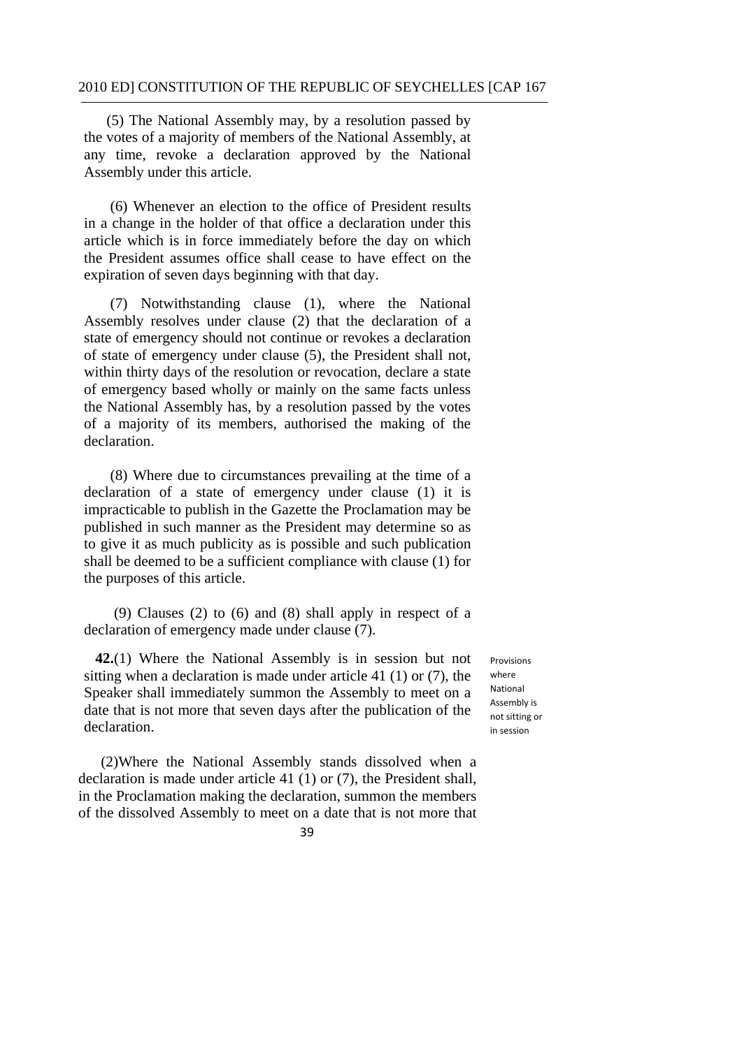Assembly under this article. (5) The National Assembly may, by a resolution passed by the votes of a majority of members of the National Assembly, at any time, revoke a declaration approved by the National

 (6) Whenever an election to the office of President results in a change in the holder of that office a declaration under this article which is in force immediately before the day on which the President assumes office shall cease to have effect on the expiration of seven days beginning with that day.

(7) Notwithstanding clause (1), where the National Assembly resolves under clause (2) that the declaration of a state of emergency should not continue or revokes a declaration of state of emergency under clause (5), the President shall not, within thirty days of the resolution or revocation, declare a state of emergency based wholly or mainly on the same facts unless the National Assembly has, by a resolution passed by the votes of a majority of its members, authorised the making of the declaration.

 (8) Where due to circumstances prevailing at the time of a declaration of a state of emergency under clause (1) it is impracticable to publish in the Gazette the Proclamation may be published in such manner as the President may determine so as to give it as much publicity as is possible and such publication shall be deemed to be a sufficient compliance with clause (1) for the purposes of this article.

(9) Clauses (2) to (6) and (8) shall apply in respect of a declaration of emergency made under clause (7).

**42.**(1) Where the National Assembly is in session but not sitting when a declaration is made under article 41 (1) or (7), the Speaker shall immediately summon the Assembly to meet on a date that is not more that seven days after the publication of the declaration.

(2)Where the National Assembly stands dissolved when a declaration is made under article 41 (1) or (7), the President shall, in the Proclamation making the declaration, summon the members of the dissolved Assembly to meet on a date that is not more that

 Assembly is not sitting or in sessionProvisions where National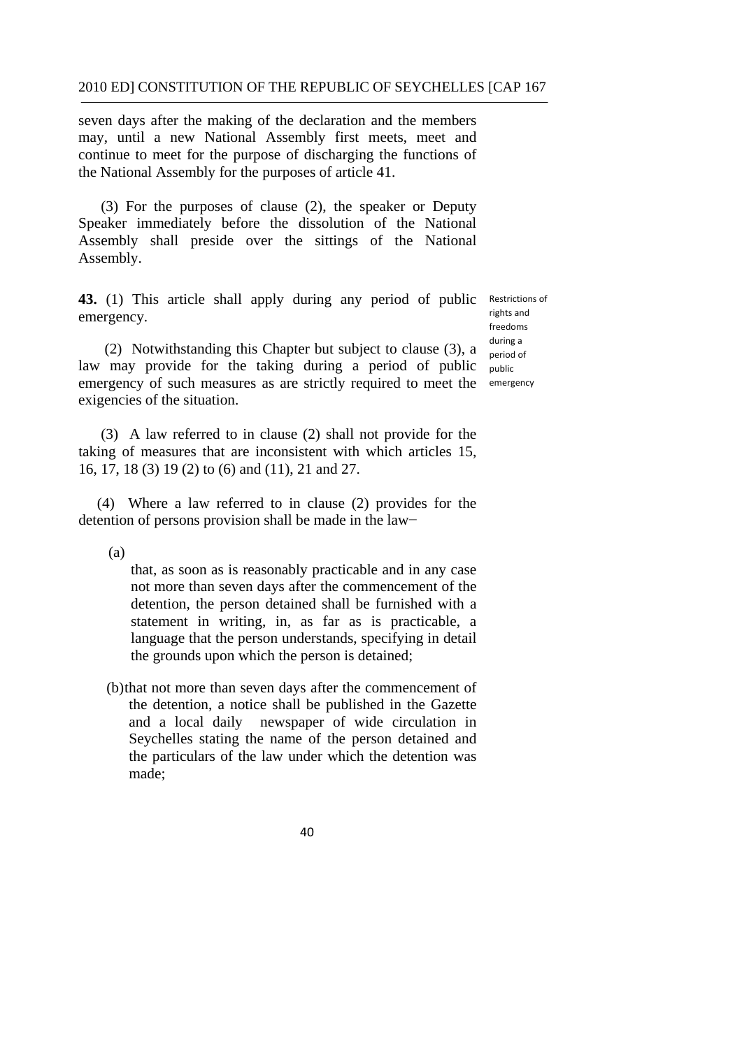seven days after the making of the declaration and the members may, until a new National Assembly first meets, meet and continue to meet for the purpose of discharging the functions of the National Assembly for the purposes of article 41.

(3) For the purposes of clause (2), the speaker or Deputy Speaker immediately before the dissolution of the National Assembly shall preside over the sittings of the National Assembly.

43. (1) This article shall apply during any period of public Restrictions of emergency.

 rights and during a period of freedoms

(2) Notwithstanding this Chapter but subject to clause (3), a law may provide for the taking during a period of public public emergency of such measures as are strictly required to meet the emergency exigencies of the situation.

(3) A law referred to in clause (2) shall not provide for the taking of measures that are inconsistent with which articles 15, 16, 17, 18 (3) 19 (2) to (6) and (11), 21 and 27.

 (4) Where a law referred to in clause (2) provides for the detention of persons provision shall be made in the law−

(a)

that, as soon as is reasonably practicable and in any case not more than seven days after the commencement of the detention, the person detained shall be furnished with a statement in writing, in, as far as is practicable, a language that the person understands, specifying in detail the grounds upon which the person is detained;

(b)that not more than seven days after the commencement of the detention, a notice shall be published in the Gazette and a local daily newspaper of wide circulation in Seychelles stating the name of the person detained and the particulars of the law under which the detention was made;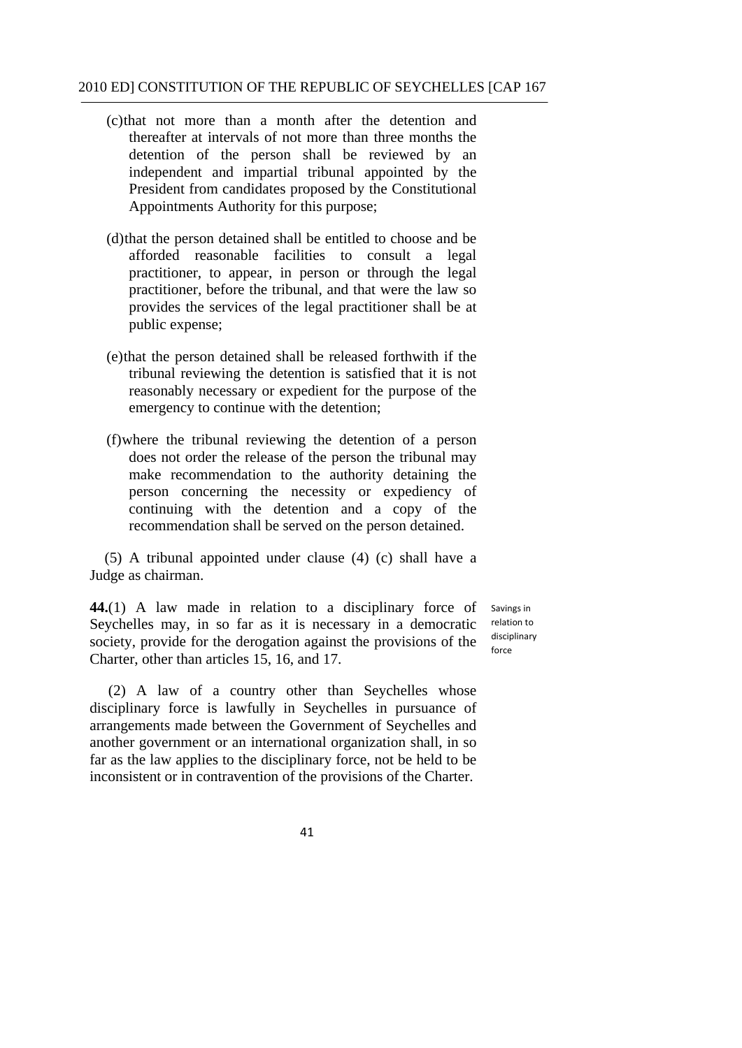- (c)that not more than a month after the detention and thereafter at intervals of not more than three months the detention of the person shall be reviewed by an independent and impartial tribunal appointed by the President from candidates proposed by the Constitutional Appointments Authority for this purpose;
- (d)that the person detained shall be entitled to choose and be afforded reasonable facilities to consult a legal practitioner, to appear, in person or through the legal practitioner, before the tribunal, and that were the law so provides the services of the legal practitioner shall be at public expense;
- (e)that the person detained shall be released forthwith if the tribunal reviewing the detention is satisfied that it is not reasonably necessary or expedient for the purpose of the emergency to continue with the detention;
- (f)where the tribunal reviewing the detention of a person does not order the release of the person the tribunal may make recommendation to the authority detaining the person concerning the necessity or expediency of continuing with the detention and a copy of the recommendation shall be served on the person detained.

(5) A tribunal appointed under clause (4) (c) shall have a Judge as chairman.

**44.**(1) A law made in relation to a disciplinary force of Seychelles may, in so far as it is necessary in a democratic society, provide for the derogation against the provisions of the Charter, other than articles 15, 16, and 17.

 Savings in relation to disciplinary force

(2) A law of a country other than Seychelles whose disciplinary force is lawfully in Seychelles in pursuance of arrangements made between the Government of Seychelles and another government or an international organization shall, in so far as the law applies to the disciplinary force, not be held to be inconsistent or in contravention of the provisions of the Charter.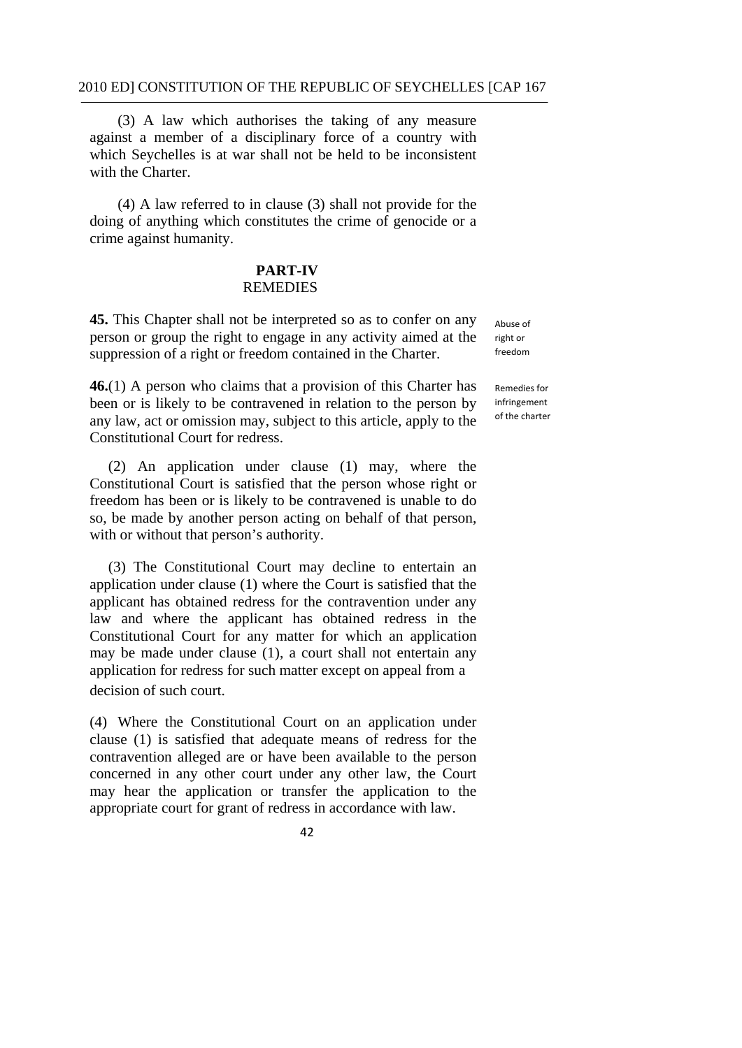(3) A law which authorises the taking of any measure against a member of a disciplinary force of a country with which Seychelles is at war shall not be held to be inconsistent with the Charter.

(4) A law referred to in clause (3) shall not provide for the doing of anything which constitutes the crime of genocide or a crime against humanity.

## **PART-IV**  REMEDIES

**45.** This Chapter shall not be interpreted so as to confer on any person or group the right to engage in any activity aimed at the suppression of a right or freedom contained in the Charter.

 Constitutional Court for redress. **46.**(1) A person who claims that a provision of this Charter has been or is likely to be contravened in relation to the person by any law, act or omission may, subject to this article, apply to the

 (2) An application under clause (1) may, where the Constitutional Court is satisfied that the person whose right or freedom has been or is likely to be contravened is unable to do so, be made by another person acting on behalf of that person, with or without that person's authority.

(3) The Constitutional Court may decline to entertain an application under clause (1) where the Court is satisfied that the applicant has obtained redress for the contravention under any law and where the applicant has obtained redress in the Constitutional Court for any matter for which an application may be made under clause (1), a court shall not entertain any application for redress for such matter except on appeal from a decision of such court.

(4) Where the Constitutional Court on an application under clause (1) is satisfied that adequate means of redress for the contravention alleged are or have been available to the person concerned in any other court under any other law, the Court may hear the application or transfer the application to the appropriate court for grant of redress in accordance with law.

 Abuse of right or freedom

 Remedies for of the charterinfringement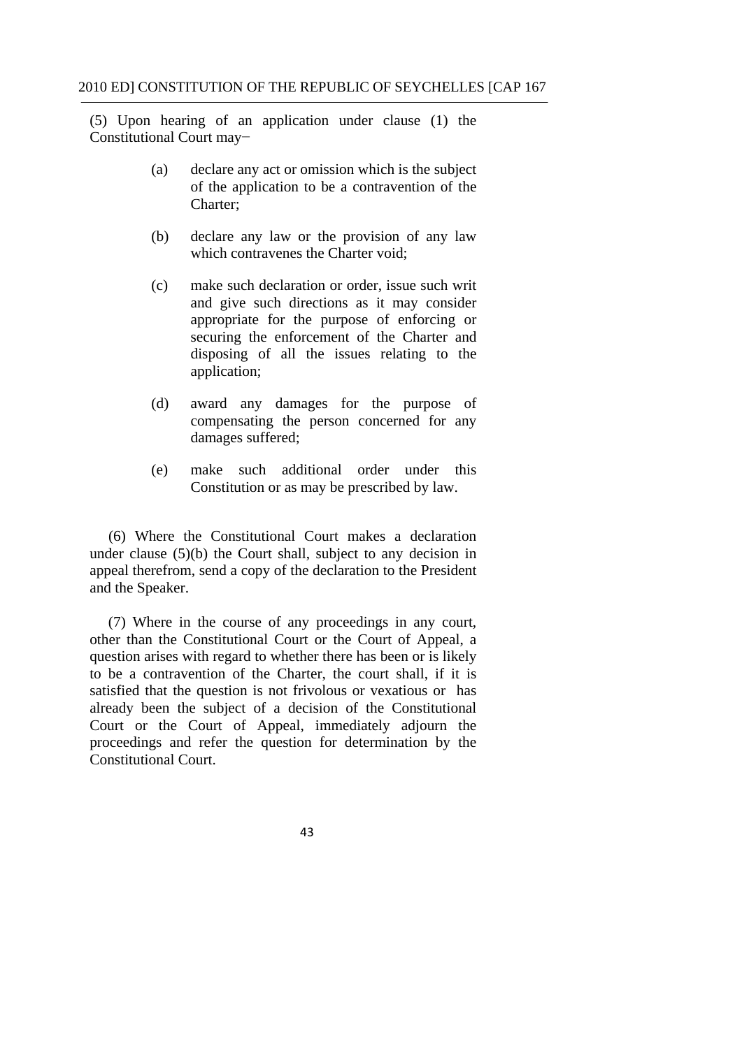(5) Upon hearing of an application under clause (1) the Constitutional Court may−

- (a) declare any act or omission which is the subject of the application to be a contravention of the Charter:
- (b) declare any law or the provision of any law which contravenes the Charter void;
- (c) make such declaration or order, issue such writ and give such directions as it may consider appropriate for the purpose of enforcing or securing the enforcement of the Charter and disposing of all the issues relating to the application;
- (d) award any damages for the purpose of compensating the person concerned for any damages suffered;
- (e) make such additional order under this Constitution or as may be prescribed by law.

(6) Where the Constitutional Court makes a declaration under clause (5)(b) the Court shall, subject to any decision in appeal therefrom, send a copy of the declaration to the President and the Speaker.

(7) Where in the course of any proceedings in any court, other than the Constitutional Court or the Court of Appeal, a question arises with regard to whether there has been or is likely to be a contravention of the Charter, the court shall, if it is satisfied that the question is not frivolous or vexatious or has already been the subject of a decision of the Constitutional Court or the Court of Appeal, immediately adjourn the proceedings and refer the question for determination by the Constitutional Court.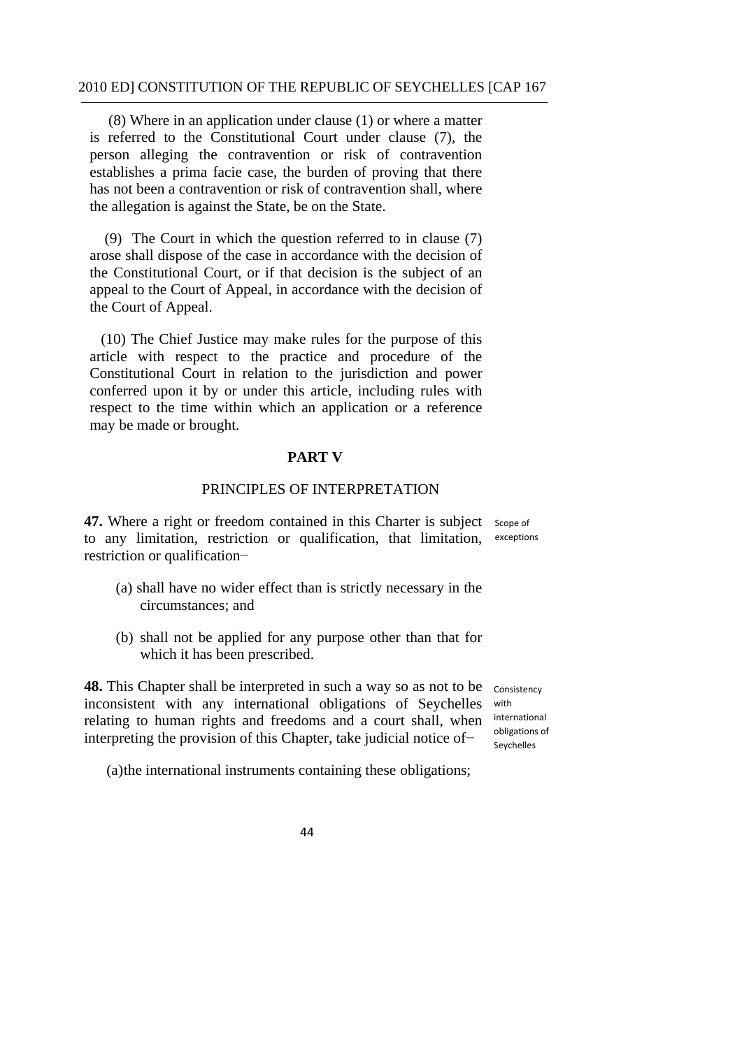(8) Where in an application under clause (1) or where a matter is referred to the Constitutional Court under clause (7), the person alleging the contravention or risk of contravention establishes a prima facie case, the burden of proving that there has not been a contravention or risk of contravention shall, where the allegation is against the State, be on the State.

(9) The Court in which the question referred to in clause (7) arose shall dispose of the case in accordance with the decision of the Constitutional Court, or if that decision is the subject of an appeal to the Court of Appeal, in accordance with the decision of the Court of Appeal.

(10) The Chief Justice may make rules for the purpose of this article with respect to the practice and procedure of the Constitutional Court in relation to the jurisdiction and power conferred upon it by or under this article, including rules with respect to the time within which an application or a reference may be made or brought.

### **PART V**

## PRINCIPLES OF INTERPRETATION

47. Where a right or freedom contained in this Charter is subject scope of to any limitation, restriction or qualification, that limitation, exceptions restriction or qualification−

- (a) shall have no wider effect than is strictly necessary in the circumstances; and
- (b) shall not be applied for any purpose other than that for which it has been prescribed.

**48.** This Chapter shall be interpreted in such a way so as not to be inconsistent with any international obligations of Seychelles relating to human rights and freedoms and a court shall, when interpreting the provision of this Chapter, take judicial notice of−

 obligations of Consistency with international Seychelles

(a)the international instruments containing these obligations;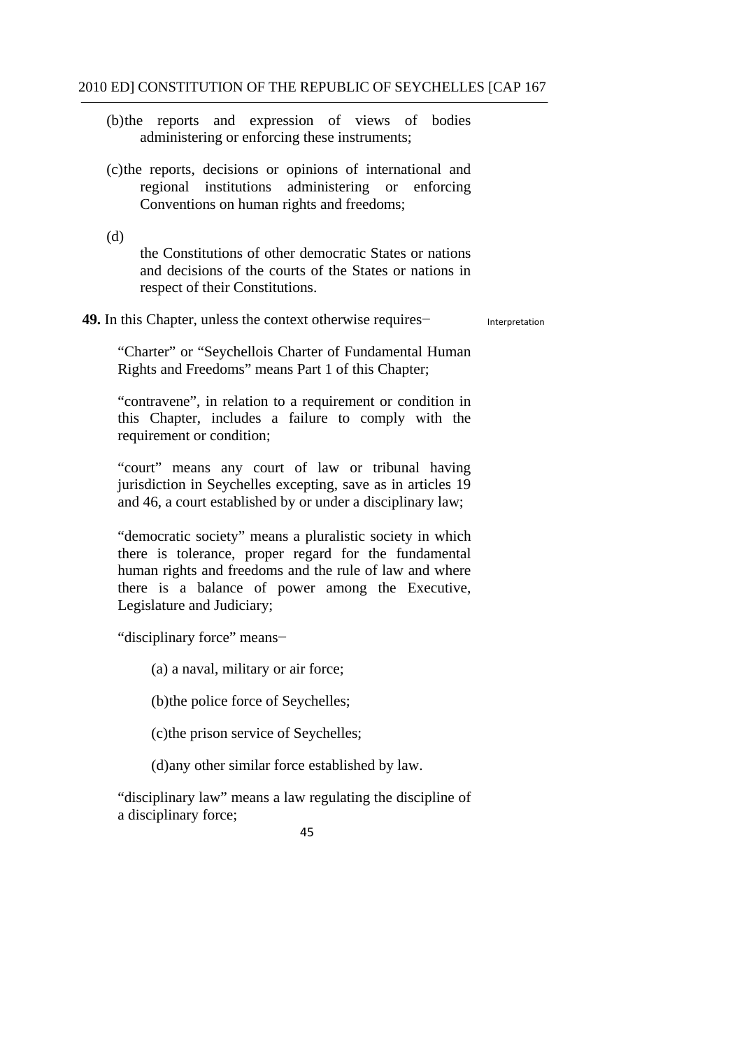- (b)the reports and expression of views of bodies administering or enforcing these instruments;
- (c)the reports, decisions or opinions of international and regional institutions administering or enforcing Conventions on human rights and freedoms;

(d)

the Constitutions of other democratic States or nations and decisions of the courts of the States or nations in respect of their Constitutions.

**49.** In this Chapter, unless the context otherwise requires− Interpretation

"Charter" or "Seychellois Charter of Fundamental Human Rights and Freedoms" means Part 1 of this Chapter;

"contravene", in relation to a requirement or condition in this Chapter, includes a failure to comply with the requirement or condition;

"court" means any court of law or tribunal having jurisdiction in Seychelles excepting, save as in articles 19 and 46, a court established by or under a disciplinary law;

"democratic society" means a pluralistic society in which there is tolerance, proper regard for the fundamental human rights and freedoms and the rule of law and where there is a balance of power among the Executive, Legislature and Judiciary;

"disciplinary force" means−

(a) a naval, military or air force;

(b)the police force of Seychelles;

(c)the prison service of Seychelles;

(d)any other similar force established by law.

"disciplinary law" means a law regulating the discipline of a disciplinary force;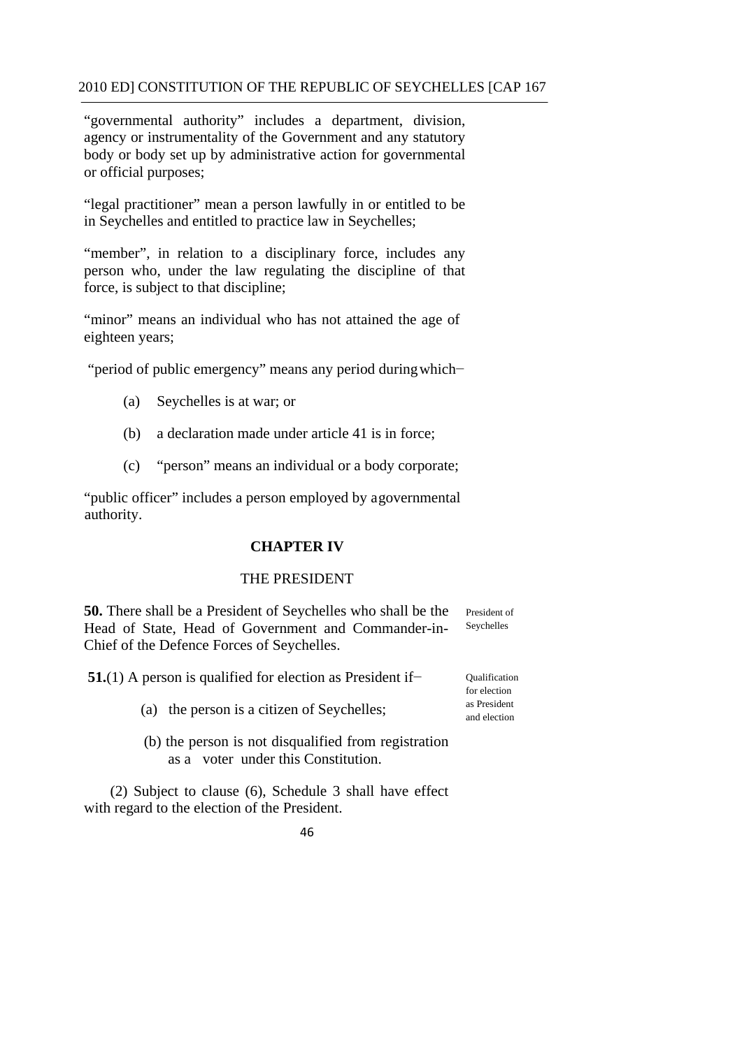"governmental authority" includes a department, division, agency or instrumentality of the Government and any statutory body or body set up by administrative action for governmental or official purposes;

"legal practitioner" mean a person lawfully in or entitled to be in Seychelles and entitled to practice law in Seychelles;

"member", in relation to a disciplinary force, includes any person who, under the law regulating the discipline of that force, is subject to that discipline;

"minor" means an individual who has not attained the age of eighteen years;

"period of public emergency" means any period during which−

- (a) Seychelles is at war; or
- (b) a declaration made under article 41 is in force;
- (c) "person" means an individual or a body corporate;

"public officer" includes a person employed by a governmental authority.

## **CHAPTER IV**

### THE PRESIDENT

**50.** There shall be a President of Seychelles who shall be the President of Head of State, Head of Government and Commander-in-Chief of the Defence Forces of Seychelles. Seychelles

**51.**(1) A person is qualified for election as President if−

- (a) the person is a citizen of Seychelles;
- as a voter under this Constitution (b) the person is not disqualified from registration

(2) Subject to clause (6), Schedule 3 shall have effect with regard to the election of the President.



Qualification for election as President and election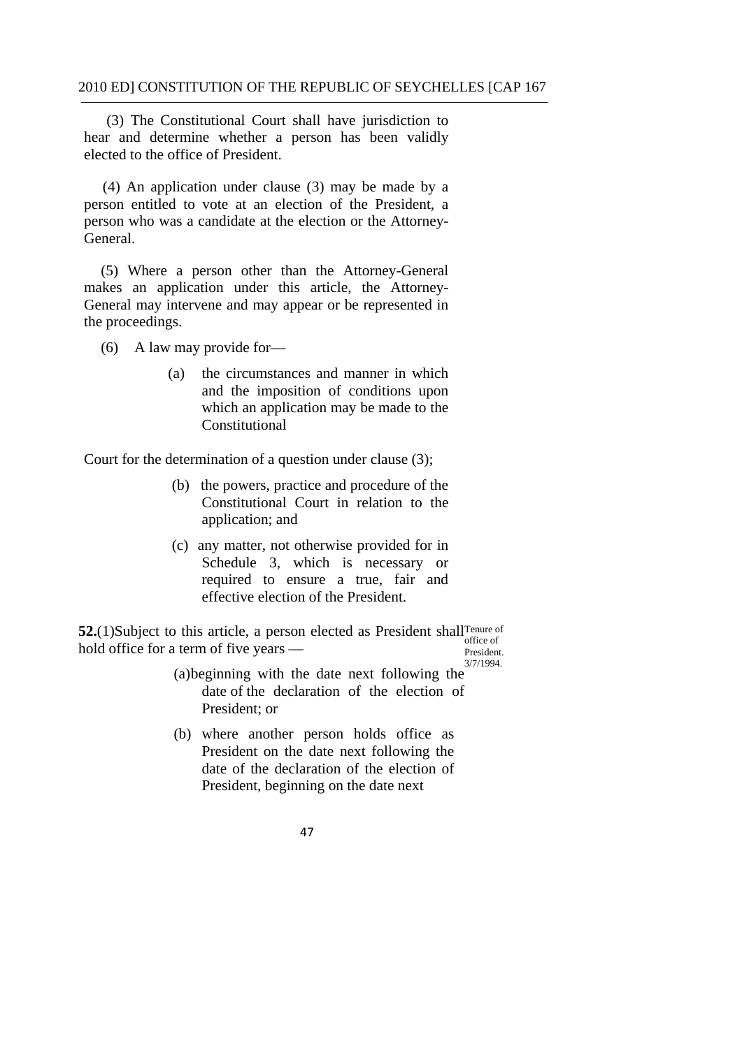(3) The Constitutional Court shall have jurisdiction to hear and determine whether a person has been validly elected to the office of President.

(4) An application under clause (3) may be made by a person entitled to vote at an election of the President, a person who was a candidate at the election or the Attorney-General.

Ĭ. (5) Where a person other than the Attorney-General makes an application under this article, the Attorney-General may intervene and may appear or be represented in the proceedings.

(6) A law may provide for—

 $(a)$ the circumstances and manner in which and the imposition of conditions upon which an application may be made to the Constitutional

Court for the determination of a question under clause (3);

- (b) the powers, practice and procedure of the Constitutional Court in relation to the application; and
- (c) any matter, not otherwise provided for in Schedule 3, which is necessary or required to ensure a true, fair and effective election of the President.

**52.** (1)Subject to this article, a person elected as President shall<sup>Tenure of office of</sup>  $\frac{a}{b}$  hold office for a term of five years —  $\frac{b}{c}$ 

3/7/1994.

- (a)beginning with the date next following the date of the declaration of the election of President; or
- (b) where another person holds office as President on the date next following the date of the declaration of the election of President, beginning on the date next
	- 47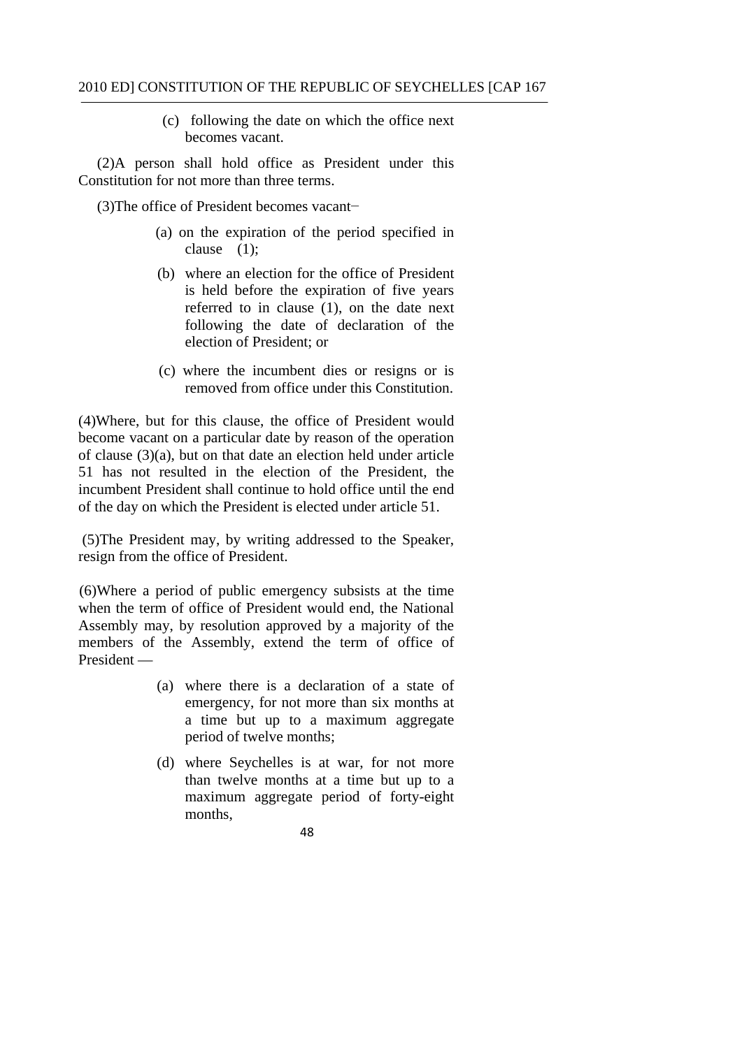(c) following the date on which the office next becomes vacant.

(2)A person shall hold office as President under this Constitution for not more than three terms.

(3)The office of President becomes vacant−

- clause (1); (a) on the expiration of the period specified in
- (b) where an election for the office of President is held before the expiration of five years referred to in clause (1), on the date next following the date of declaration of the election of President; or
- (c) where the incumbent dies or resigns or is removed from office under this Constitution.

(4)Where, but for this clause, the office of President would become vacant on a particular date by reason of the operation of clause (3)(a), but on that date an election held under article 51 has not resulted in the election of the President, the incumbent President shall continue to hold office until the end of the day on which the President is elected under article 51.

(5)The President may, by writing addressed to the Speaker, resign from the office of President.

(6)Where a period of public emergency subsists at the time when the term of office of President would end, the National Assembly may, by resolution approved by a majority of the members of the Assembly, extend the term of office of President —

- (a) where there is a declaration of a state of emergency, for not more than six months at a time but up to a maximum aggregate period of twelve months;
- (d) where Seychelles is at war, for not more than twelve months at a time but up to a maximum aggregate period of forty-eight months,
	- 48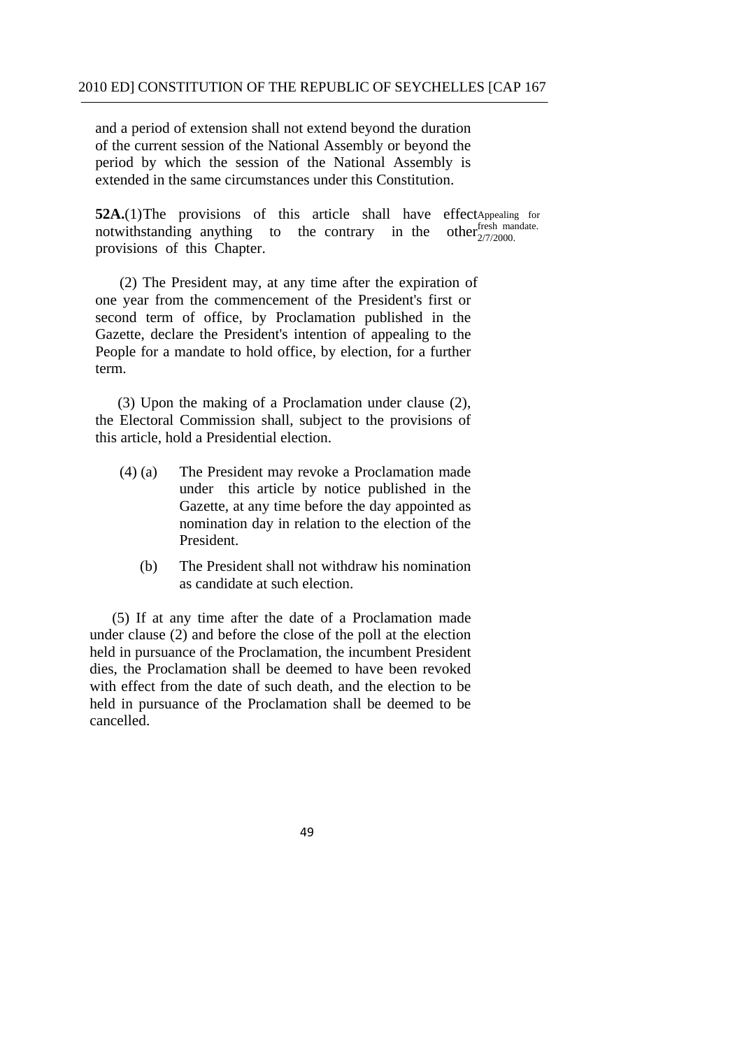extended in the same circumstances under this Constitution. and a period of extension shall not extend beyond the duration of the current session of the National Assembly or beyond the period by which the session of the National Assembly is

**52A.**(1) The provisions of this article shall have effect Appealing for notwithstanding anything to the contrary in the other  $2/7/2000$ . notwithstanding anything to the contrary in the provisions of this Chapter.

(2) The President may, at any time after the expiration of one year from the commencement of the President's first or second term of office, by Proclamation published in the Gazette, declare the President's intention of appealing to the People for a mandate to hold office, by election, for a further term.

(3) Upon the making of a Proclamation under clause (2), the Electoral Commission shall, subject to the provisions of this article, hold a Presidential election.

- (4) (a) The President may revoke a Proclamation made under this article by notice published in the Gazette, at any time before the day appointed as nomination day in relation to the election of the President.
	- (b) The President shall not withdraw his nomination as candidate at such election.

(5) If at any time after the date of a Proclamation made under clause (2) and before the close of the poll at the election held in pursuance of the Proclamation, the incumbent President dies, the Proclamation shall be deemed to have been revoked with effect from the date of such death, and the election to be held in pursuance of the Proclamation shall be deemed to be cancelled.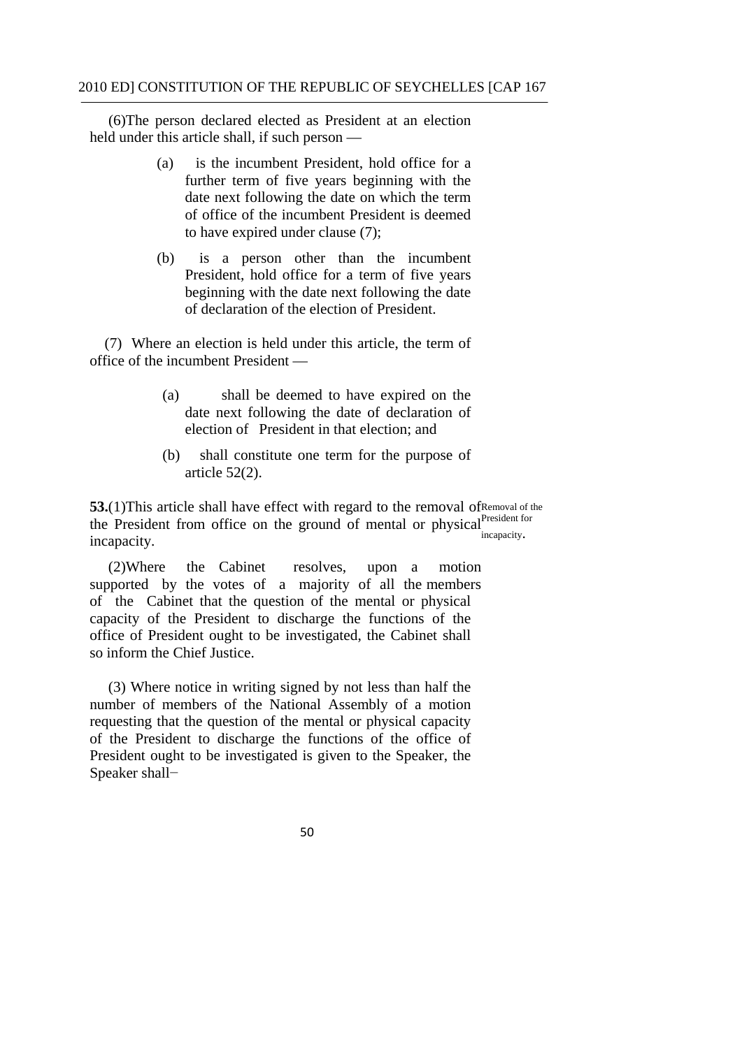(6)The person declared elected as President at an election held under this article shall, if such person —

- (a) is the incumbent President, hold office for a further term of five years beginning with the date next following the date on which the term of office of the incumbent President is deemed to have expired under clause (7);
- of declaration of the election of President. (b) is a person other than the incumbent President, hold office for a term of five years beginning with the date next following the date

 office of the incumbent President — (7) Where an election is held under this article, the term of

- (a) shall be deemed to have expired on the date next following the date of declaration of election of President in that election; and
- (b) shall constitute one term for the purpose of article 52(2).

**53.**(1)This article shall have effect with regard to the removal of Removal of the the President from office on the ground of mental or physical <sup>President for</sup> incapacity.

 (2)Where the Cabinet resolves, upon a motion supported by the votes of a majority of all the members of the Cabinet that the question of the mental or physical capacity of the President to discharge the functions of the office of President ought to be investigated, the Cabinet shall so inform the Chief Justice.

 Speaker shall− (3) Where notice in writing signed by not less than half the number of members of the National Assembly of a motion requesting that the question of the mental or physical capacity of the President to discharge the functions of the office of President ought to be investigated is given to the Speaker, the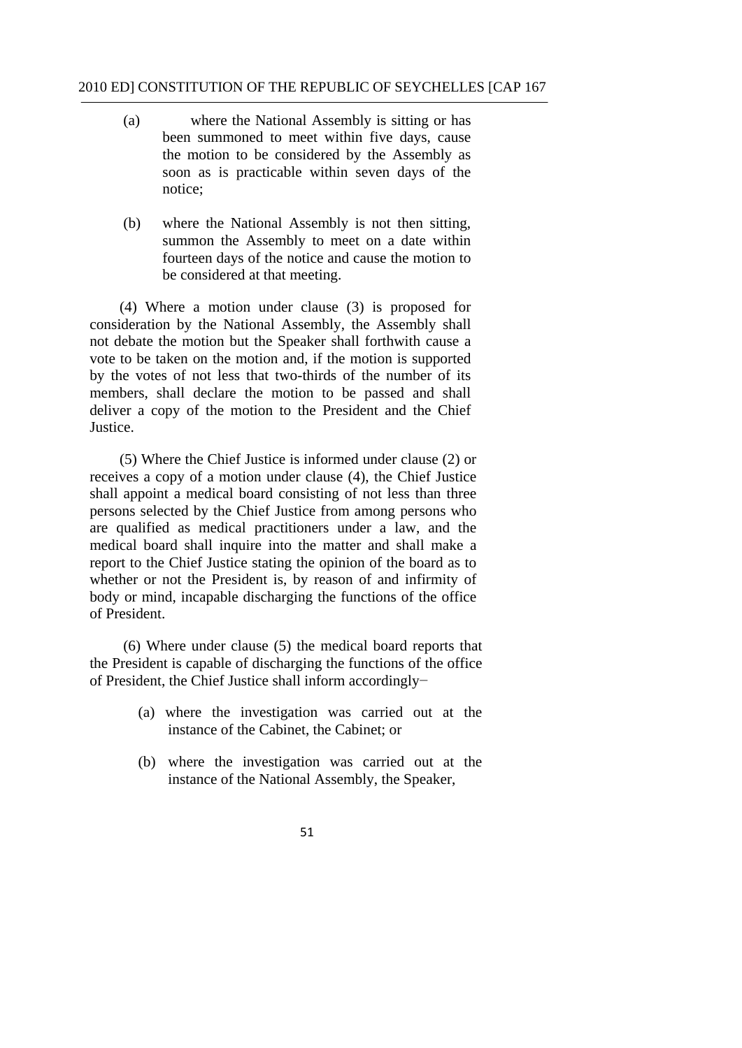- notice: (a) where the National Assembly is sitting or has been summoned to meet within five days, cause the motion to be considered by the Assembly as soon as is practicable within seven days of the
- (b) where the National Assembly is not then sitting, summon the Assembly to meet on a date within fourteen days of the notice and cause the motion to be considered at that meeting.

 (4) Where a motion under clause (3) is proposed for consideration by the National Assembly, the Assembly shall not debate the motion but the Speaker shall forthwith cause a vote to be taken on the motion and, if the motion is supported by the votes of not less that two-thirds of the number of its members, shall declare the motion to be passed and shall deliver a copy of the motion to the President and the Chief Justice.

(5) Where the Chief Justice is informed under clause (2) or receives a copy of a motion under clause (4), the Chief Justice shall appoint a medical board consisting of not less than three persons selected by the Chief Justice from among persons who are qualified as medical practitioners under a law, and the medical board shall inquire into the matter and shall make a report to the Chief Justice stating the opinion of the board as to whether or not the President is, by reason of and infirmity of body or mind, incapable discharging the functions of the office of President.

 (6) Where under clause (5) the medical board reports that the President is capable of discharging the functions of the office of President, the Chief Justice shall inform accordingly−

- instance of the Cabinet, the Cabinet: or (a) where the investigation was carried out at the
- (b) where the investigation was carried out at the instance of the National Assembly, the Speaker,
	- 51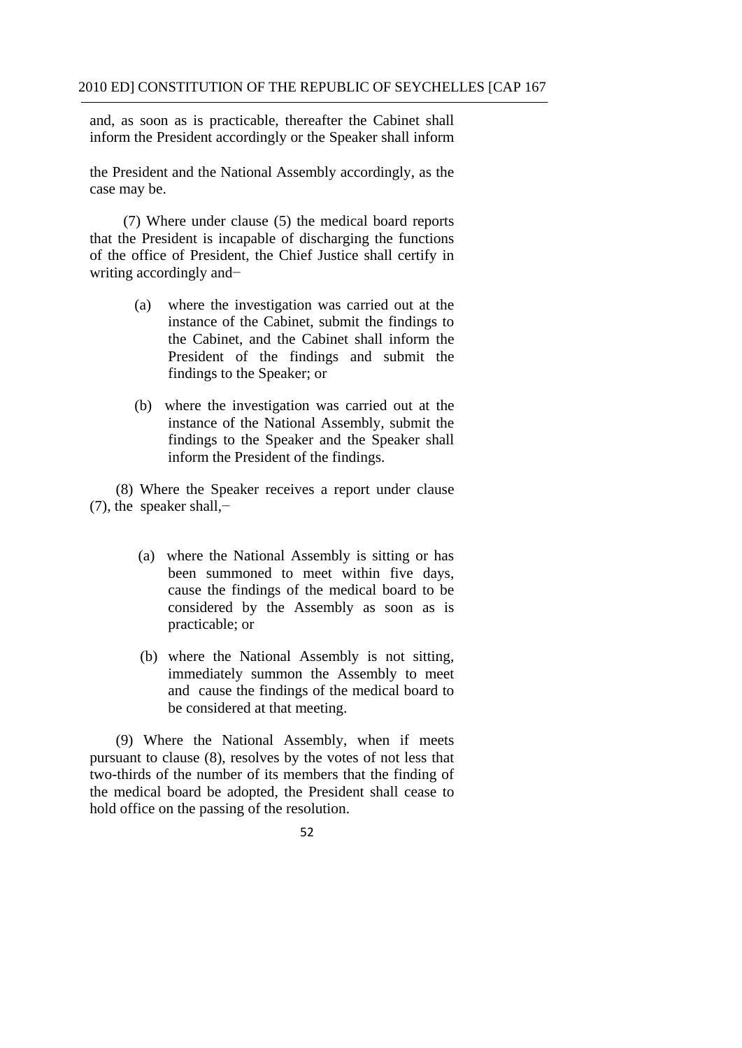and, as soon as is practicable, thereafter the Cabinet shall inform the President accordingly or the Speaker shall inform

the President and the National Assembly accordingly, as the case may be.

(7) Where under clause (5) the medical board reports that the President is incapable of discharging the functions of the office of President, the Chief Justice shall certify in writing accordingly and−

- (a) where the investigation was carried out at the instance of the Cabinet, submit the findings to the Cabinet, and the Cabinet shall inform the President of the findings and submit the findings to the Speaker; or
- (b) where the investigation was carried out at the instance of the National Assembly, submit the findings to the Speaker and the Speaker shall inform the President of the findings.

 (7), the speaker shall,− (8) Where the Speaker receives a report under clause

- (a) where the National Assembly is sitting or has been summoned to meet within five days, cause the findings of the medical board to be considered by the Assembly as soon as is practicable; or
- (b) where the National Assembly is not sitting, immediately summon the Assembly to meet and cause the findings of the medical board to be considered at that meeting.

(9) Where the National Assembly, when if meets pursuant to clause (8), resolves by the votes of not less that two-thirds of the number of its members that the finding of the medical board be adopted, the President shall cease to hold office on the passing of the resolution.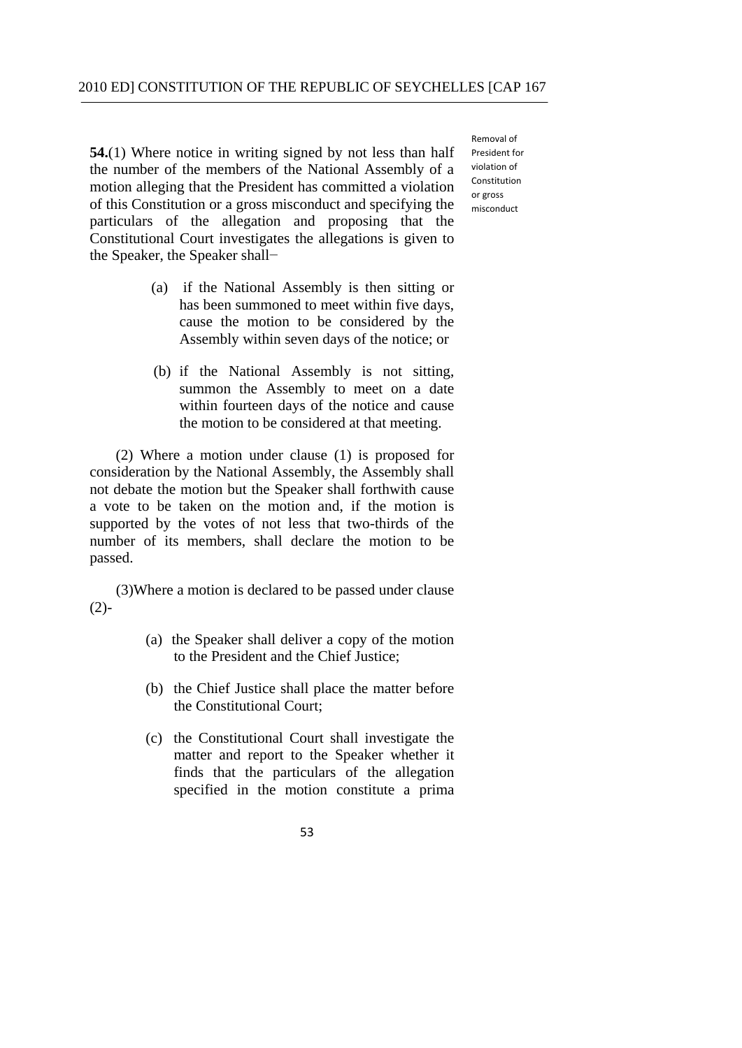**54.**(1) Where notice in writing signed by not less than half the number of the members of the National Assembly of a motion alleging that the President has committed a violation of this Constitution or a gross misconduct and specifying the particulars of the allegation and proposing that the Constitutional Court investigates the allegations is given to the Speaker, the Speaker shall−

- (a) if the National Assembly is then sitting or has been summoned to meet within five days, cause the motion to be considered by the Assembly within seven days of the notice; or
- (b) if the National Assembly is not sitting, summon the Assembly to meet on a date within fourteen days of the notice and cause the motion to be considered at that meeting.

(2) Where a motion under clause (1) is proposed for consideration by the National Assembly, the Assembly shall not debate the motion but the Speaker shall forthwith cause a vote to be taken on the motion and, if the motion is supported by the votes of not less that two-thirds of the number of its members, shall declare the motion to be passed.

 (3)Where a motion is declared to be passed under clause  $(2)$ -

- (a) the Speaker shall deliver a copy of the motion to the President and the Chief Justice;
- (b) the Chief Justice shall place the matter before the Constitutional Court;
- (c) the Constitutional Court shall investigate the matter and report to the Speaker whether it finds that the particulars of the allegation specified in the motion constitute a prima

 Removal of President for violation of or gross Constitution misconduct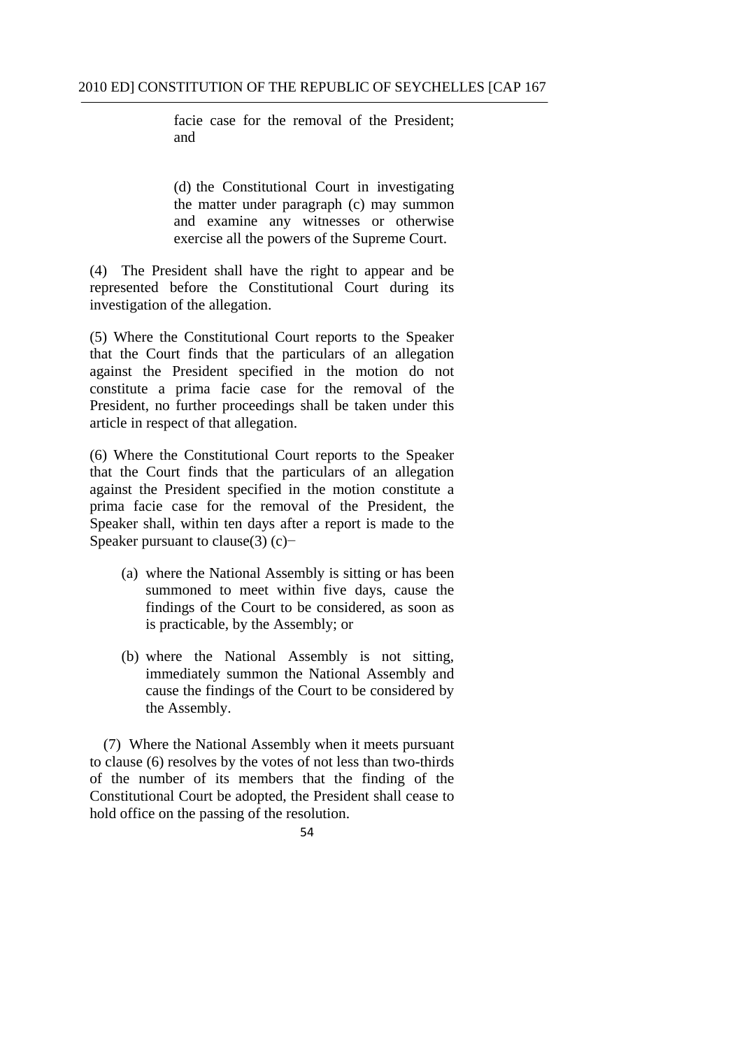facie case for the removal of the President; and

(d) the Constitutional Court in investigating the matter under paragraph (c) may summon and examine any witnesses or otherwise exercise all the powers of the Supreme Court.

(4) The President shall have the right to appear and be represented before the Constitutional Court during its investigation of the allegation.

(5) Where the Constitutional Court reports to the Speaker that the Court finds that the particulars of an allegation against the President specified in the motion do not constitute a prima facie case for the removal of the President, no further proceedings shall be taken under this article in respect of that allegation.

against the President specified in the motion constitute a (6) Where the Constitutional Court reports to the Speaker that the Court finds that the particulars of an allegation prima facie case for the removal of the President, the Speaker shall, within ten days after a report is made to the Speaker pursuant to clause(3) (c)−

- (a) where the National Assembly is sitting or has been summoned to meet within five days, cause the findings of the Court to be considered, as soon as is practicable, by the Assembly; or
- (b) where the National Assembly is not sitting, immediately summon the National Assembly and cause the findings of the Court to be considered by the Assembly.

(7) Where the National Assembly when it meets pursuant to clause (6) resolves by the votes of not less than two-thirds of the number of its members that the finding of the Constitutional Court be adopted, the President shall cease to hold office on the passing of the resolution.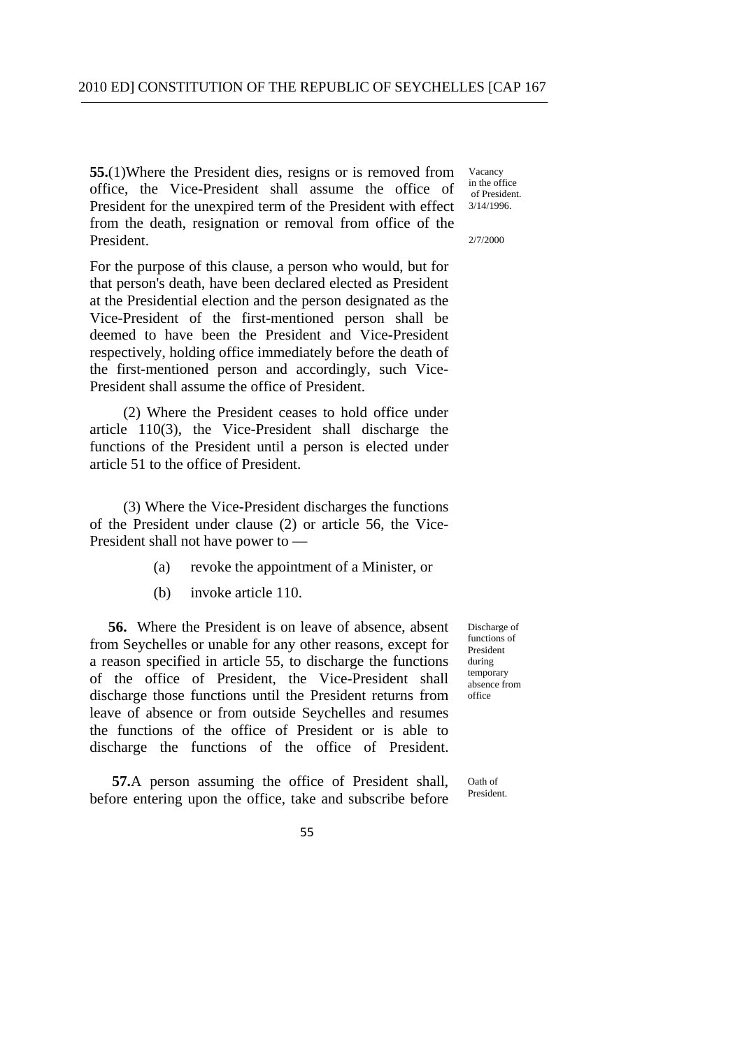**55.**(1)Where the President dies, resigns or is removed from office, the Vice-President shall assume the office of President for the unexpired term of the President with effect from the death, resignation or removal from office of the President.

For the purpose of this clause, a person who would, but for that person's death, have been declared elected as President at the Presidential election and the person designated as the Vice-President of the first-mentioned person shall be deemed to have been the President and Vice-President respectively, holding office immediately before the death of the first-mentioned person and accordingly, such Vice-President shall assume the office of President.

(2) Where the President ceases to hold office under article 110(3), the Vice-President shall discharge the functions of the President until a person is elected under article 51 to the office of President.

(3) Where the Vice-President discharges the functions of the President under clause (2) or article 56, the Vice-President shall not have power to —

- (a) revoke the appointment of a Minister, or
- (b) invoke article 110.

**56.** Where the President is on leave of absence, absent from Seychelles or unable for any other reasons, except for a reason specified in article 55, to discharge the functions of the office of President, the Vice-President shall discharge those functions until the President returns from leave of absence or from outside Seychelles and resumes the functions of the office of President or is able to discharge the functions of the office of President.

**57.**A person assuming the office of President shall, before entering upon the office, take and subscribe before

Vacancy in the office of President. 3/14/1996.

2/7/2000

Discharge of functions of President during temporary absence from office

Oath of President.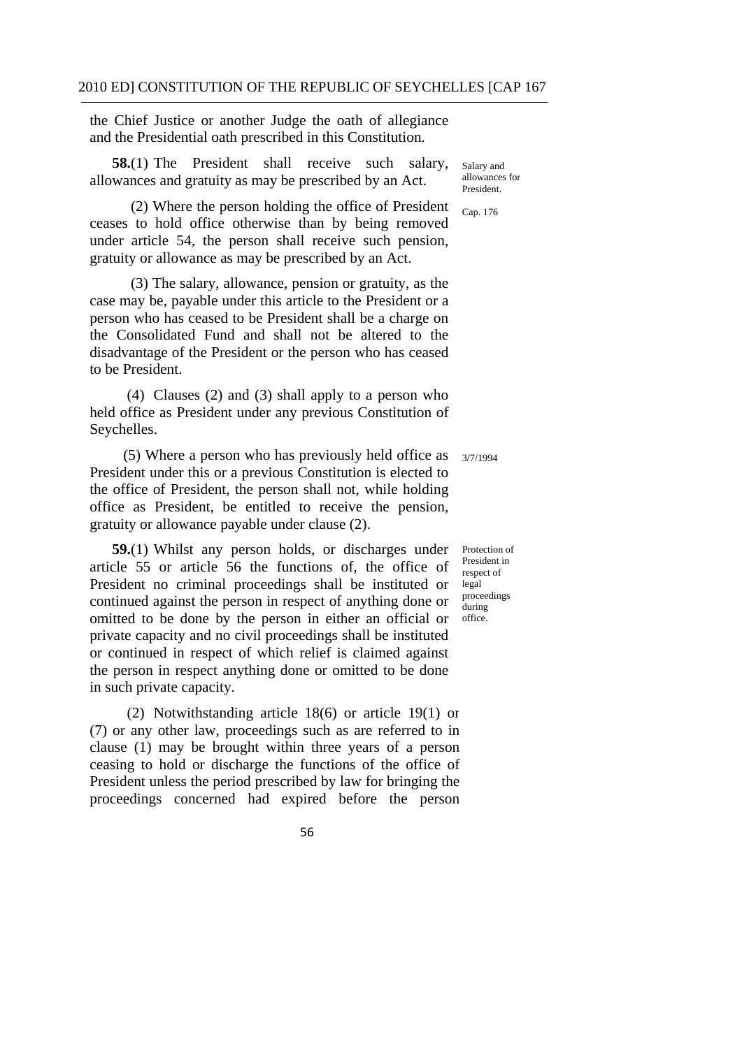the Chief Justice or another Judge the oath of allegiance and the Presidential oath prescribed in this Constitution.

**58.**(1) The President shall receive such salary, allowances and gratuity as may be prescribed by an Act.

(2) Where the person holding the office of President ceases to hold office otherwise than by being removed under article 54, the person shall receive such pension, gratuity or allowance as may be prescribed by an Act.

(3) The salary, allowance, pension or gratuity, as the case may be, payable under this article to the President or a person who has ceased to be President shall be a charge on the Consolidated Fund and shall not be altered to the disadvantage of the President or the person who has ceased to be President.

(4) Clauses (2) and (3) shall apply to a person who held office as President under any previous Constitution of Seychelles.

(5) Where a person who has previously held office as  $\frac{3}{7/1994}$ President under this or a previous Constitution is elected to the office of President, the person shall not, while holding office as President, be entitled to receive the pension, gratuity or allowance payable under clause (2).

**59.**(1) Whilst any person holds, or discharges under article 55 or article 56 the functions of, the office of President no criminal proceedings shall be instituted or continued against the person in respect of anything done or omitted to be done by the person in either an official or private capacity and no civil proceedings shall be instituted or continued in respect of which relief is claimed against the person in respect anything done or omitted to be done in such private capacity.

(2) Notwithstanding article 18(6) or article 19(1) or (7) or any other law, proceedings such as are referred to in clause (1) may be brought within three years of a person ceasing to hold or discharge the functions of the office of President unless the period prescribed by law for bringing the proceedings concerned had expired before the person

Salary and allowances for President.

Cap. 176

Protection of President in respect of legal proceedings during office.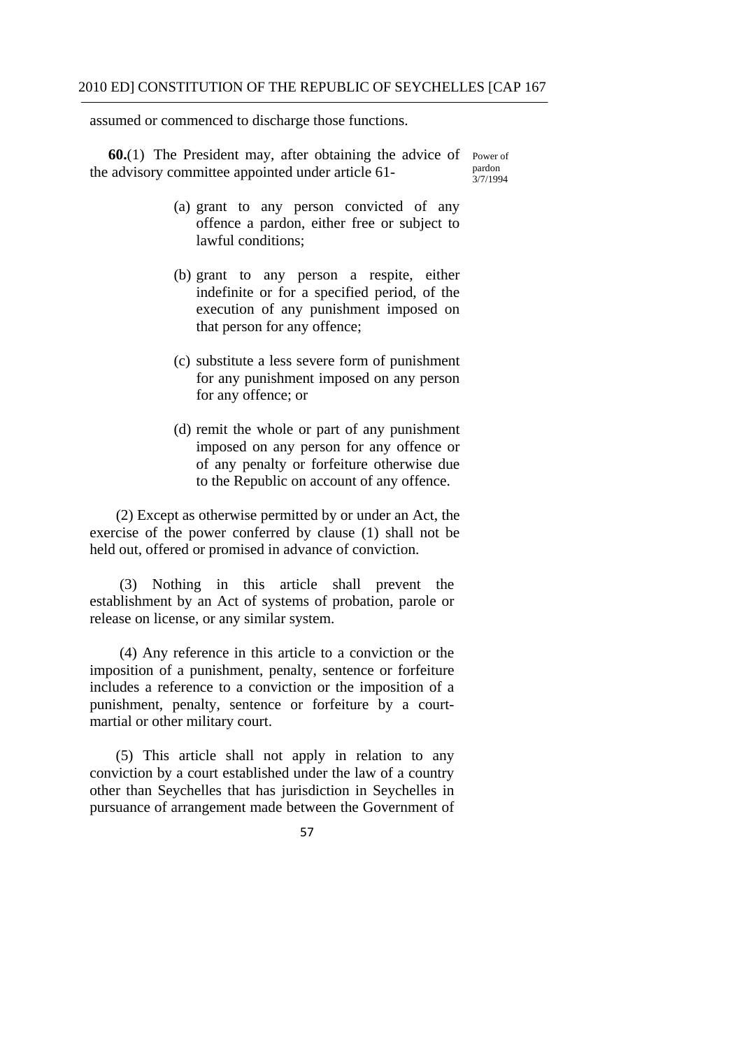assumed or commenced to discharge those functions.

**60.**(1) The President may, after obtaining the advice of Power of the advisory committee appointed under article 61 pardon  $3/7/1994$ 

- (a) grant to any person convicted of any offence a pardon, either free or subject to lawful conditions;
- (b) grant to any person a respite, either indefinite or for a specified period, of the execution of any punishment imposed on that person for any offence;
- (c) substitute a less severe form of punishment for any punishment imposed on any person for any offence; or
- (d) remit the whole or part of any punishment imposed on any person for any offence or of any penalty or forfeiture otherwise due to the Republic on account of any offence.

(2) Except as otherwise permitted by or under an Act, the exercise of the power conferred by clause (1) shall not be held out, offered or promised in advance of conviction.

(3) Nothing in this article shall prevent the establishment by an Act of systems of probation, parole or release on license, or any similar system.

(4) Any reference in this article to a conviction or the imposition of a punishment, penalty, sentence or forfeiture includes a reference to a conviction or the imposition of a punishment, penalty, sentence or forfeiture by a courtmartial or other military court.

(5) This article shall not apply in relation to any conviction by a court established under the law of a country other than Seychelles that has jurisdiction in Seychelles in pursuance of arrangement made between the Government of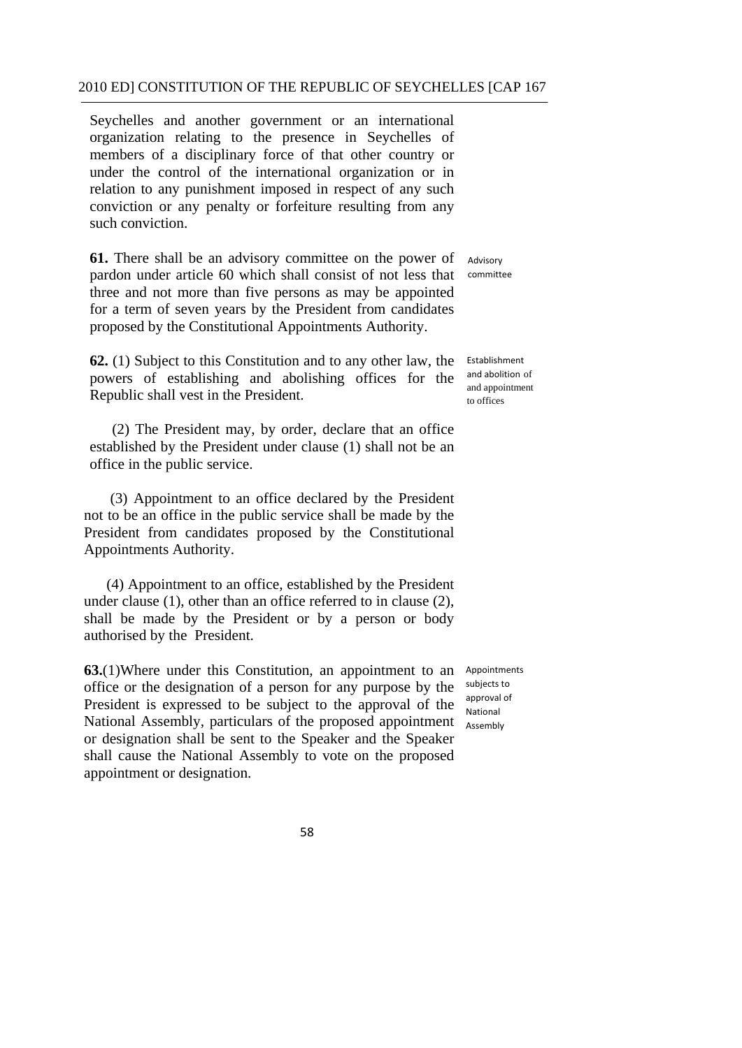Seychelles and another government or an international organization relating to the presence in Seychelles of members of a disciplinary force of that other country or under the control of the international organization or in relation to any punishment imposed in respect of any such conviction or any penalty or forfeiture resulting from any such conviction.

**61.** There shall be an advisory committee on the power of pardon under article 60 which shall consist of not less that three and not more than five persons as may be appointed for a term of seven years by the President from candidates proposed by the Constitutional Appointments Authority.

**62.** (1) Subject to this Constitution and to any other law, the Establishment powers of establishing and abolishing offices for the Republic shall vest in the President.

(2) The President may, by order, declare that an office established by the President under clause (1) shall not be an office in the public service.

(3) Appointment to an office declared by the President not to be an office in the public service shall be made by the President from candidates proposed by the Constitutional Appointments Authority.

(4) Appointment to an office, established by the President under clause (1), other than an office referred to in clause (2), shall be made by the President or by a person or body authorised by the President.

**63.**(1)Where under this Constitution, an appointment to an office or the designation of a person for any purpose by the President is expressed to be subject to the approval of the National Assembly, particulars of the proposed appointment or designation shall be sent to the Speaker and the Speaker shall cause the National Assembly to vote on the proposed appointment or designation.

Advisory committee

and abolition of and appointment to offices

Appointments subjects to approval of National Assembly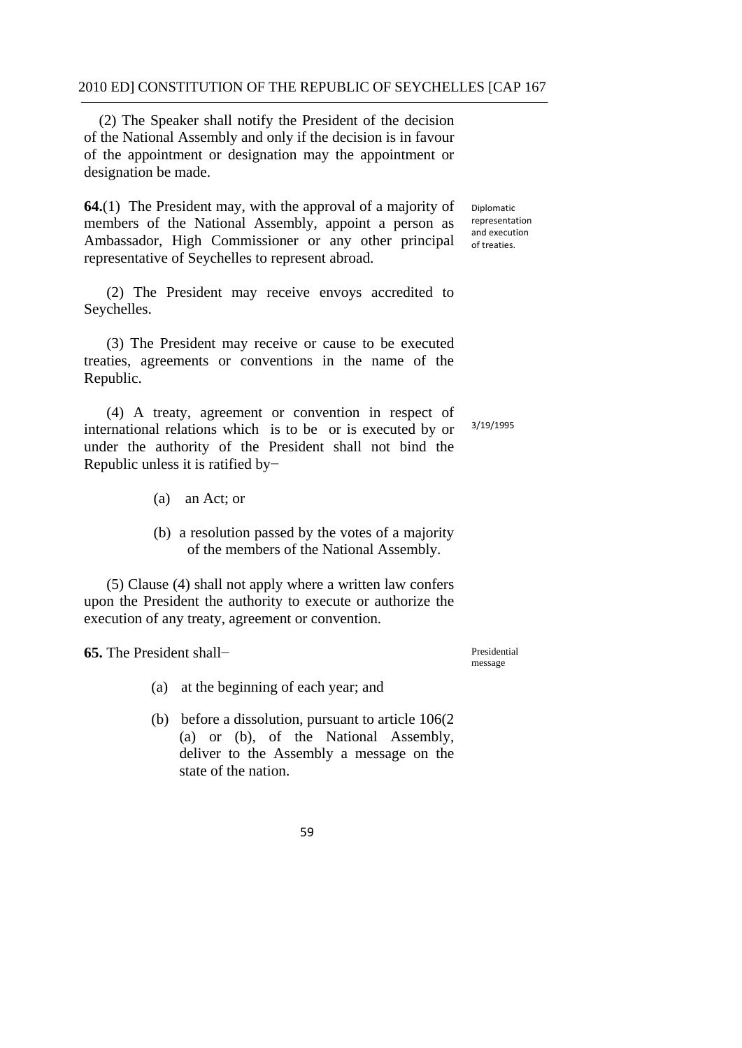(2) The Speaker shall notify the President of the decision of the National Assembly and only if the decision is in favour of the appointment or designation may the appointment or designation be made.

**64.**(1) The President may, with the approval of a majority of members of the National Assembly, appoint a person as Ambassador, High Commissioner or any other principal representative of Seychelles to represent abroad.

(2) The President may receive envoys accredited to Seychelles.

(3) The President may receive or cause to be executed treaties, agreements or conventions in the name of the Republic.

 Republic unless it is ratified by− (4) A treaty, agreement or convention in respect of international relations which is to be or is executed by or under the authority of the President shall not bind the 3/19/1995

- (a) an Act; or
- (b) a resolution passed by the votes of a majority of the members of the National Assembly.

(5) Clause (4) shall not apply where a written law confers upon the President the authority to execute or authorize the execution of any treaty, agreement or convention.

**65.** The President shall−

Presidential message

(a) at the beginning of each year; and

 (b) before a dissolution, pursuant to article 106(2 (a) or (b), of the National Assembly, deliver to the Assembly a message on the state of the nation.

59

 and execution of treaties. Diplomatic representation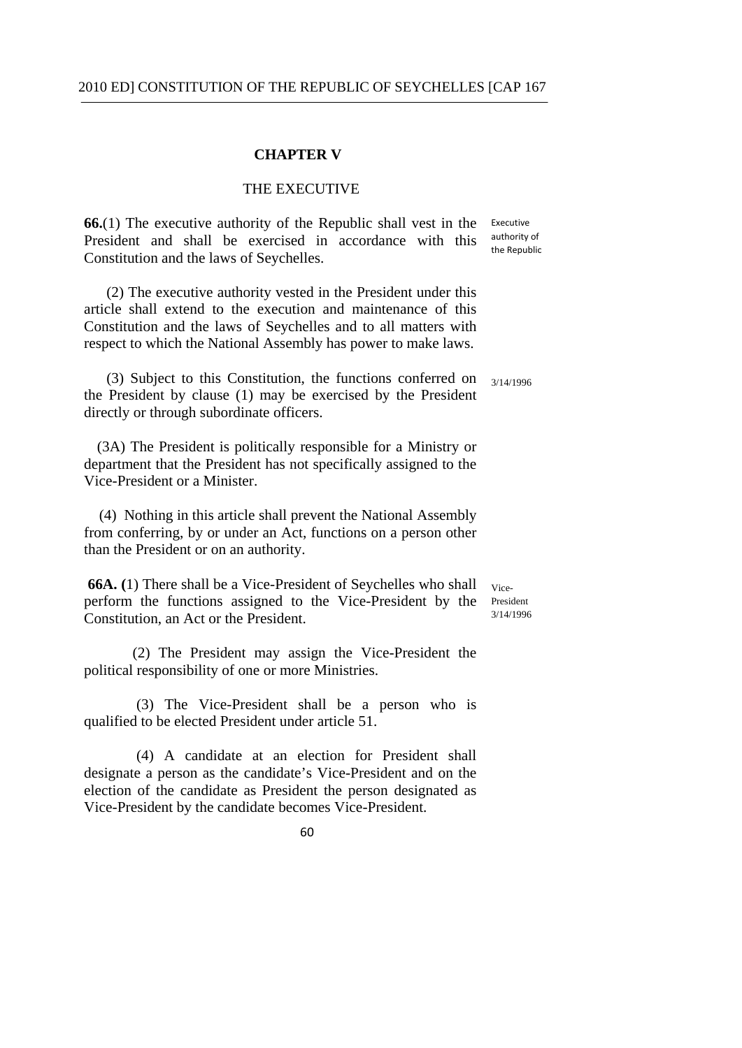### **CHAPTER V**

### THE EXECUTIVE

authority of the Republic **66.**(1) The executive authority of the Republic shall vest in the Executive President and shall be exercised in accordance with this Constitution and the laws of Seychelles.

(2) The executive authority vested in the President under this article shall extend to the execution and maintenance of this Constitution and the laws of Seychelles and to all matters with respect to which the National Assembly has power to make laws.

(3) Subject to this Constitution, the functions conferred on  $\frac{3}{14/1996}$ the President by clause (1) may be exercised by the President directly or through subordinate officers.

 (3A) The President is politically responsible for a Ministry or department that the President has not specifically assigned to the Vice-President or a Minister.

(4) Nothing in this article shall prevent the National Assembly from conferring, by or under an Act, functions on a person other than the President or on an authority.

**66A.** (1) There shall be a Vice-President of Seychelles who shall  $V_{\text{ice}}$ perform the functions assigned to the Vice-President by the  $\frac{P_{\text{resident}}}{3/14/1996}$ Constitution, an Act or the President.

(2) The President may assign the Vice-President the political responsibility of one or more Ministries.

 qualified to be elected President under article 51. (3) The Vice-President shall be a person who is

 (4) A candidate at an election for President shall designate a person as the candidate's Vice-President and on the election of the candidate as President the person designated as Vice-President by the candidate becomes Vice-President.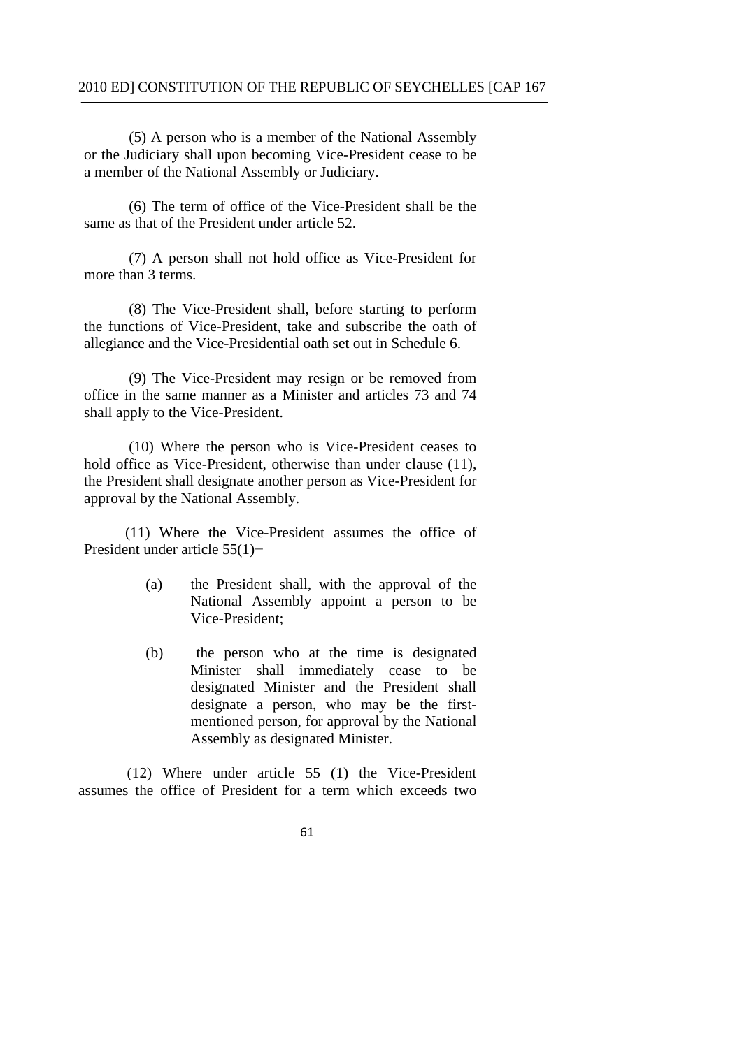(5) A person who is a member of the National Assembly or the Judiciary shall upon becoming Vice-President cease to be a member of the National Assembly or Judiciary.

(6) The term of office of the Vice-President shall be the same as that of the President under article 52.

(7) A person shall not hold office as Vice-President for more than 3 terms.

(8) The Vice-President shall, before starting to perform the functions of Vice-President, take and subscribe the oath of allegiance and the Vice-Presidential oath set out in Schedule 6.

(9) The Vice-President may resign or be removed from office in the same manner as a Minister and articles 73 and 74 shall apply to the Vice-President.

(10) Where the person who is Vice-President ceases to hold office as Vice-President, otherwise than under clause (11), the President shall designate another person as Vice-President for approval by the National Assembly.

(11) Where the Vice-President assumes the office of President under article 55(1)−

- (a) the President shall, with the approval of the National Assembly appoint a person to be Vice-President;
- (b) the person who at the time is designated Minister shall immediately cease to be designated Minister and the President shall designate a person, who may be the firstmentioned person, for approval by the National Assembly as designated Minister.

(12) Where under article 55 (1) the Vice-President assumes the office of President for a term which exceeds two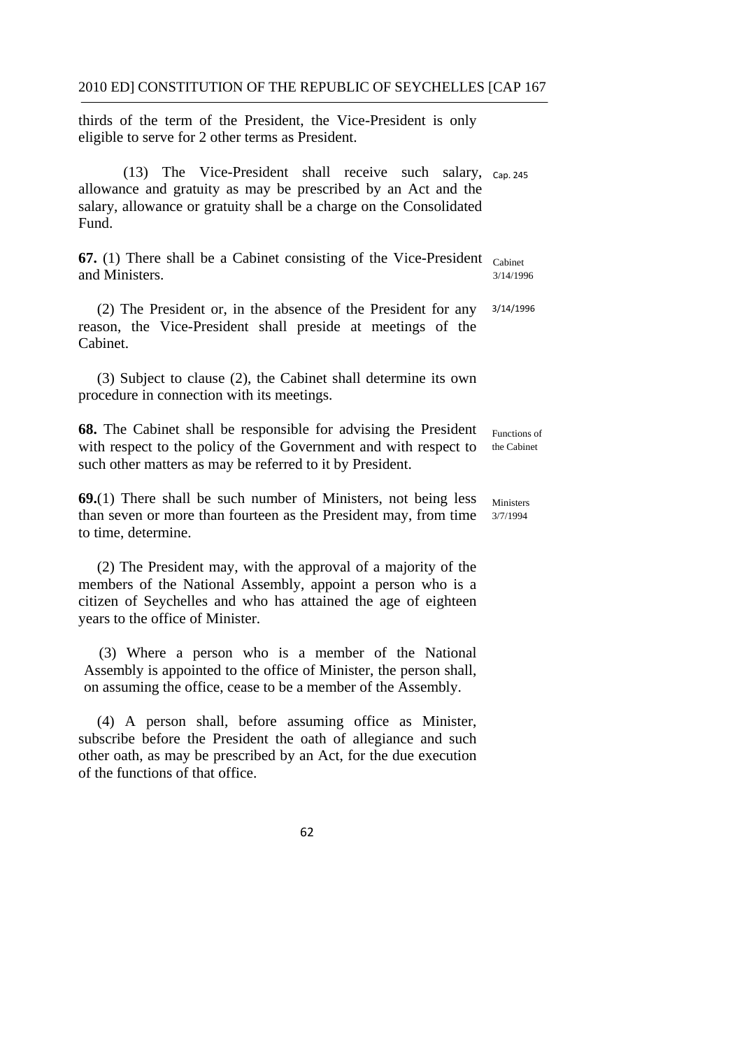thirds of the term of the President, the Vice-President is only eligible to serve for 2 other terms as President.

(13) The Vice-President shall receive such salary,  $_{cap. 245}$ allowance and gratuity as may be prescribed by an Act and the salary, allowance or gratuity shall be a charge on the Consolidated Fund.

**67.** (1) There shall be a Cabinet consisting of the Vice-President <sub>Cabinet</sub> and Ministers.  $\frac{3}{14/1996}$ 

(2) The President or, in the absence of the President for any 3/14/1996 reason, the Vice-President shall preside at meetings of the Cabinet.

(3) Subject to clause (2), the Cabinet shall determine its own procedure in connection with its meetings.

**68.** The Cabinet shall be responsible for advising the President Functions of with respect to the policy of the Government and with respect to the Cabinet such other matters as may be referred to it by President.

**69.**(1) There shall be such number of Ministers, not being less  $_{\text{Ministers}}$ than seven or more than fourteen as the President may, from time 3/7/1994 to time, determine.

(2) The President may, with the approval of a majority of the members of the National Assembly, appoint a person who is a citizen of Seychelles and who has attained the age of eighteen years to the office of Minister.

(3) Where a person who is a member of the National Assembly is appointed to the office of Minister, the person shall, on assuming the office, cease to be a member of the Assembly.

(4) A person shall, before assuming office as Minister, subscribe before the President the oath of allegiance and such other oath, as may be prescribed by an Act, for the due execution of the functions of that office.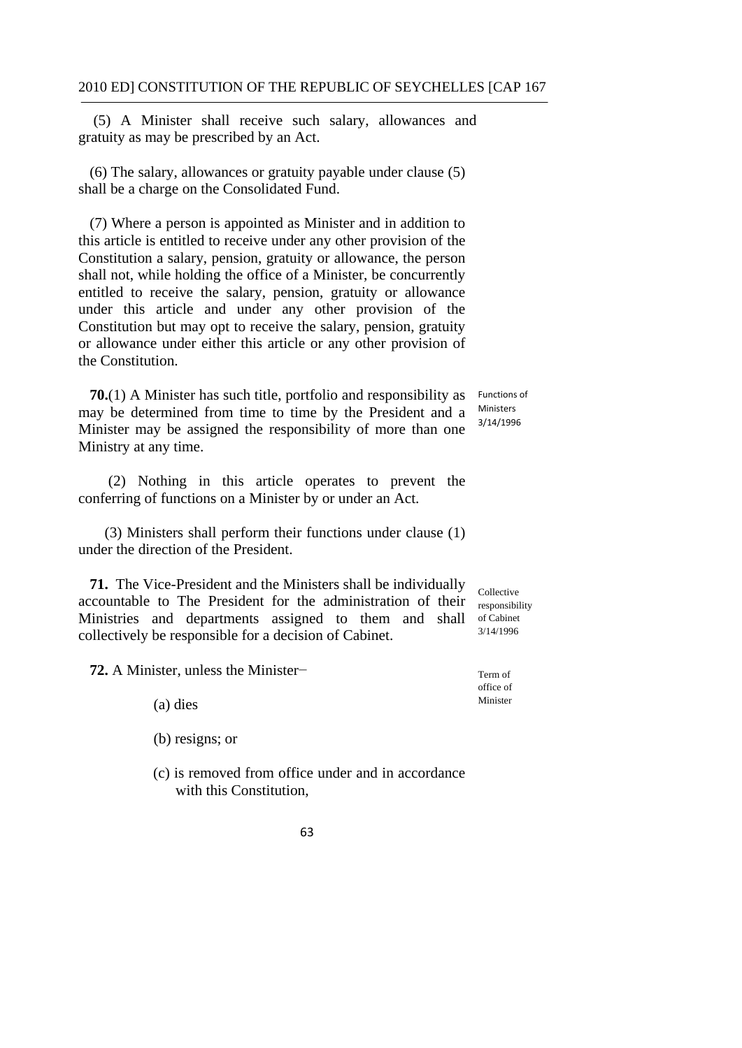(5) A Minister shall receive such salary, allowances and gratuity as may be prescribed by an Act.

(6) The salary, allowances or gratuity payable under clause (5) shall be a charge on the Consolidated Fund.

(7) Where a person is appointed as Minister and in addition to this article is entitled to receive under any other provision of the Constitution a salary, pension, gratuity or allowance, the person shall not, while holding the office of a Minister, be concurrently entitled to receive the salary, pension, gratuity or allowance under this article and under any other provision of the Constitution but may opt to receive the salary, pension, gratuity or allowance under either this article or any other provision of the Constitution.

Functions of **70.**(1) A Minister has such title, portfolio and responsibility as may be determined from time to time by the President and a  $\frac{\text{Ministers}}{3/14/1996}$ Minister may be assigned the responsibility of more than one Ministry at any time.

(2) Nothing in this article operates to prevent the conferring of functions on a Minister by or under an Act.

(3) Ministers shall perform their functions under clause (1) under the direction of the President.

**71.** The Vice-President and the Ministers shall be individually Collective accountable to The President for the administration of their responsibility Ministries and departments assigned to them and shall of Cabinet<br>collectively be assessment the form decision of Cabinet collectively be responsible for a decision of Cabinet.

**72.** A Minister, unless the Minister− Term of

office of Minister (a) dies

(b) resigns; or

 (c) is removed from office under and in accordance with this Constitution.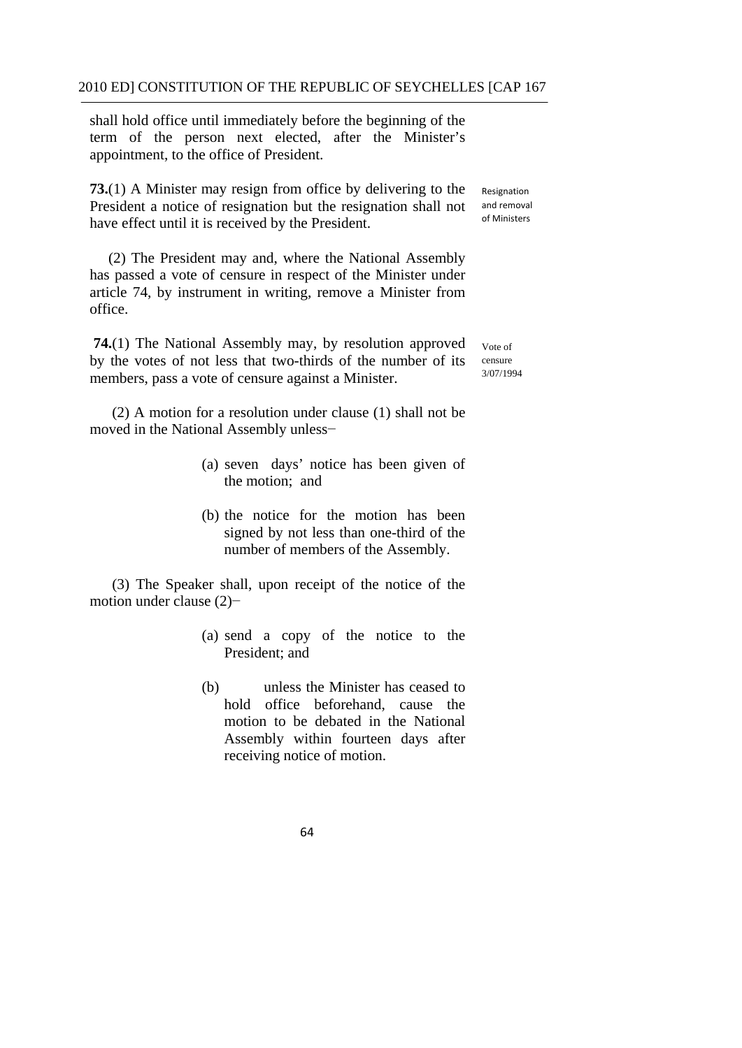shall hold office until immediately before the beginning of the term of the person next elected, after the Minister's appointment, to the office of President.

have effect until it is received by the President. and removal of Ministers **73.**(1) A Minister may resign from office by delivering to the Resignation President a notice of resignation but the resignation shall not

(2) The President may and, where the National Assembly has passed a vote of censure in respect of the Minister under article 74, by instrument in writing, remove a Minister from office.

**74.**(1) The National Assembly may, by resolution approved  $_{\text{Vote of}}$ by the votes of not less that two-thirds of the number of its censure<br>mambers, nore a vector of consume against a Minister  $\frac{3}{07/1994}$ members, pass a vote of censure against a Minister.

(2) A motion for a resolution under clause (1) shall not be moved in the National Assembly unless−

- (a) seven days' notice has been given of the motion; and
- (b) the notice for the motion has been signed by not less than one-third of the number of members of the Assembly.

(3) The Speaker shall, upon receipt of the notice of the motion under clause (2)−

- (a) send a copy of the notice to the President; and
- (b) unless the Minister has ceased to hold office beforehand, cause the motion to be debated in the National Assembly within fourteen days after receiving notice of motion.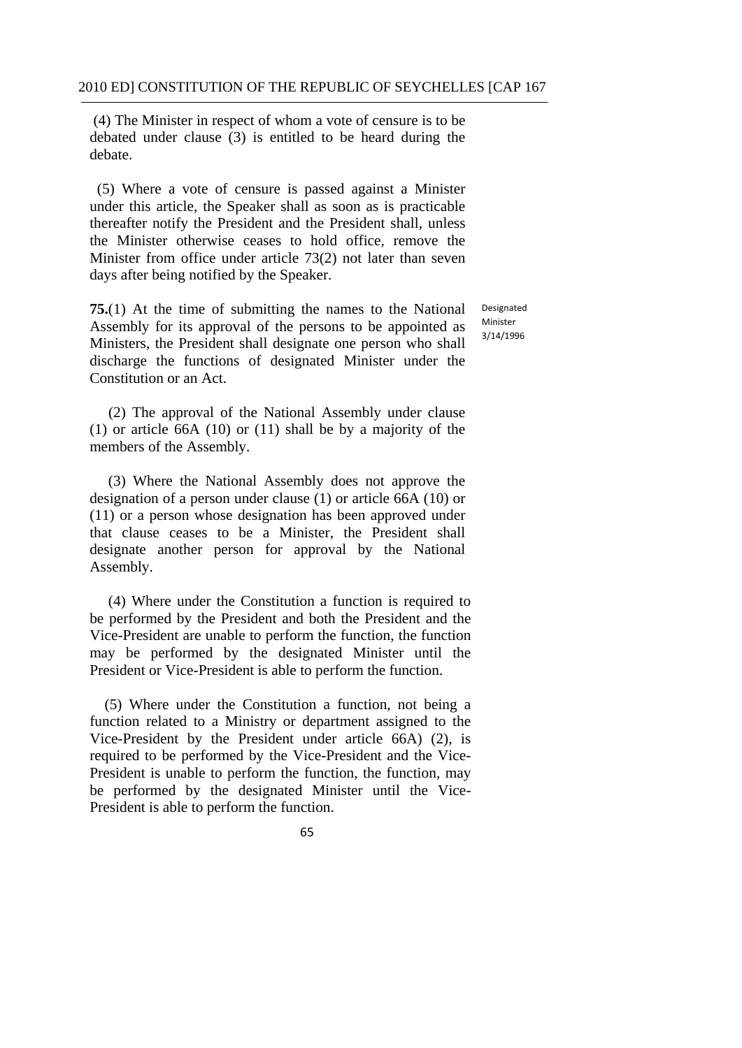(4) The Minister in respect of whom a vote of censure is to be debated under clause (3) is entitled to be heard during the debate.

(5) Where a vote of censure is passed against a Minister under this article, the Speaker shall as soon as is practicable thereafter notify the President and the President shall, unless the Minister otherwise ceases to hold office, remove the Minister from office under article 73(2) not later than seven days after being notified by the Speaker.

**75.**(1) At the time of submitting the names to the National Assembly for its approval of the persons to be appointed as Ministers, the President shall designate one person who shall discharge the functions of designated Minister under the Constitution or an Act.

(2) The approval of the National Assembly under clause (1) or article 66A (10) or (11) shall be by a majority of the members of the Assembly.

(3) Where the National Assembly does not approve the designation of a person under clause (1) or article 66A (10) or (11) or a person whose designation has been approved under that clause ceases to be a Minister, the President shall designate another person for approval by the National Assembly.

(4) Where under the Constitution a function is required to be performed by the President and both the President and the Vice-President are unable to perform the function, the function may be performed by the designated Minister until the President or Vice-President is able to perform the function.

(5) Where under the Constitution a function, not being a function related to a Ministry or department assigned to the Vice-President by the President under article 66A) (2), is required to be performed by the Vice-President and the Vice-President is unable to perform the function, the function, may be performed by the designated Minister until the Vice-President is able to perform the function.

Designated Minister 3/14/1996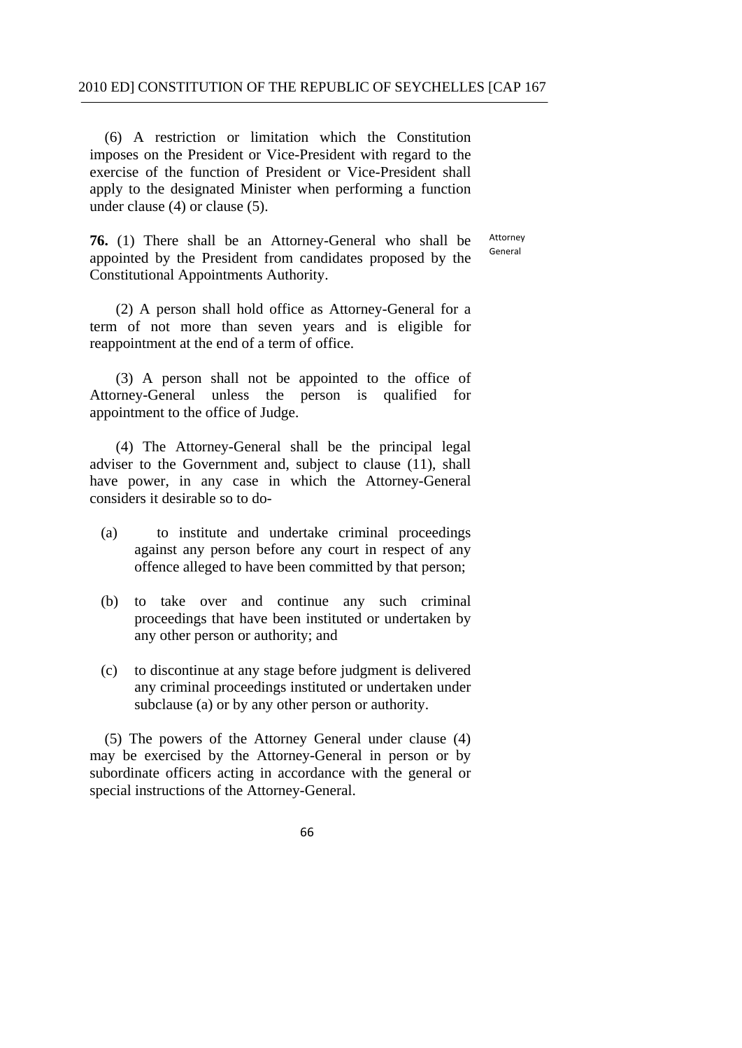(6) A restriction or limitation which the Constitution imposes on the President or Vice-President with regard to the exercise of the function of President or Vice-President shall apply to the designated Minister when performing a function under clause (4) or clause (5).

**76.** (1) There shall be an Attorney-General who shall be appointed by the President from candidates proposed by the Constitutional Appointments Authority.

Attorney General

(2) A person shall hold office as Attorney-General for a term of not more than seven years and is eligible for reappointment at the end of a term of office.

(3) A person shall not be appointed to the office of Attorney-General unless the person is qualified for appointment to the office of Judge.

(4) The Attorney-General shall be the principal legal adviser to the Government and, subject to clause (11), shall have power, in any case in which the Attorney-General considers it desirable so to do-

- (a) to institute and undertake criminal proceedings against any person before any court in respect of any offence alleged to have been committed by that person;
- (b) to take over and continue any such criminal proceedings that have been instituted or undertaken by any other person or authority; and
- $(c)$ to discontinue at any stage before judgment is delivered any criminal proceedings instituted or undertaken under subclause (a) or by any other person or authority.

(5) The powers of the Attorney General under clause (4) may be exercised by the Attorney-General in person or by subordinate officers acting in accordance with the general or special instructions of the Attorney-General.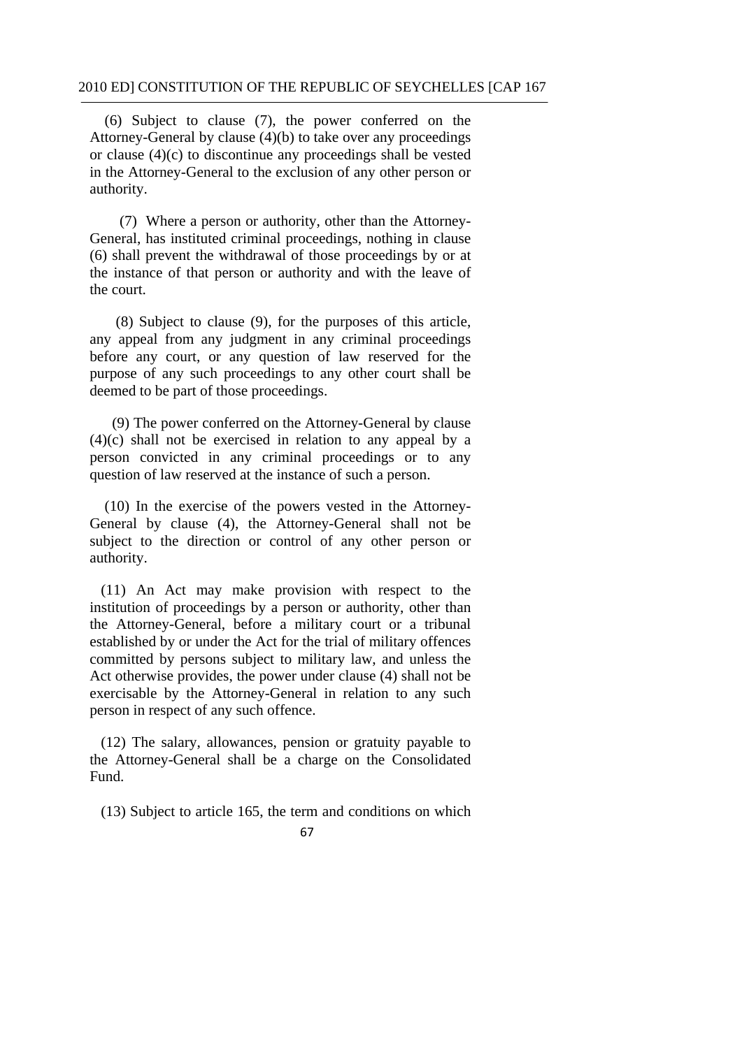(6) Subject to clause (7), the power conferred on the Attorney-General by clause (4)(b) to take over any proceedings or clause (4)(c) to discontinue any proceedings shall be vested in the Attorney-General to the exclusion of any other person or authority.

(7) Where a person or authority, other than the Attorney-General, has instituted criminal proceedings, nothing in clause (6) shall prevent the withdrawal of those proceedings by or at the instance of that person or authority and with the leave of the court.

(8) Subject to clause (9), for the purposes of this article, any appeal from any judgment in any criminal proceedings before any court, or any question of law reserved for the purpose of any such proceedings to any other court shall be deemed to be part of those proceedings.

(9) The power conferred on the Attorney-General by clause (4)(c) shall not be exercised in relation to any appeal by a person convicted in any criminal proceedings or to any question of law reserved at the instance of such a person.

(10) In the exercise of the powers vested in the Attorney-General by clause (4), the Attorney-General shall not be subject to the direction or control of any other person or authority.

(11) An Act may make provision with respect to the institution of proceedings by a person or authority, other than the Attorney-General, before a military court or a tribunal established by or under the Act for the trial of military offences committed by persons subject to military law, and unless the Act otherwise provides, the power under clause (4) shall not be exercisable by the Attorney-General in relation to any such person in respect of any such offence.

(12) The salary, allowances, pension or gratuity payable to the Attorney-General shall be a charge on the Consolidated Fund.

(13) Subject to article 165, the term and conditions on which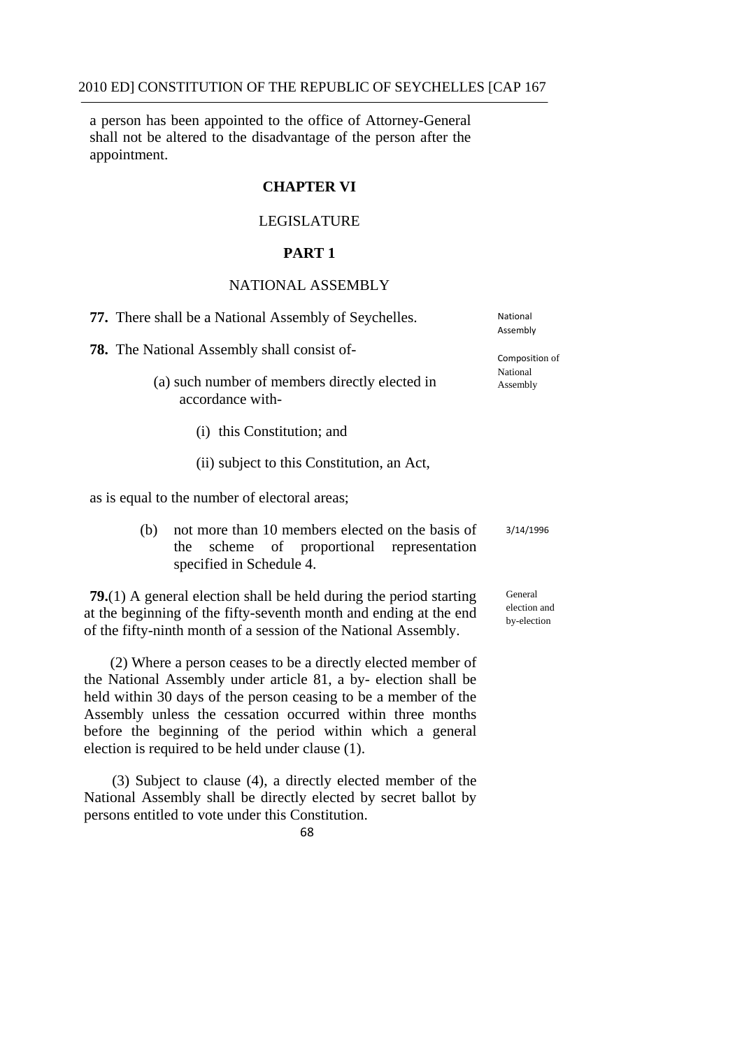a person has been appointed to the office of Attorney-General shall not be altered to the disadvantage of the person after the appointment.

# **CHAPTER VI**

## LEGISLATURE

# **PART 1**

# NATIONAL ASSEMBLY

| 77. There shall be a National Assembly of Seychelles.                                                                                                                                                                                                                                                                                                                             | National<br>Assembly                   |
|-----------------------------------------------------------------------------------------------------------------------------------------------------------------------------------------------------------------------------------------------------------------------------------------------------------------------------------------------------------------------------------|----------------------------------------|
| <b>78.</b> The National Assembly shall consist of-<br>(a) such number of members directly elected in<br>accordance with-                                                                                                                                                                                                                                                          | Composition of<br>National<br>Assembly |
| (i) this Constitution; and                                                                                                                                                                                                                                                                                                                                                        |                                        |
| (ii) subject to this Constitution, an Act,                                                                                                                                                                                                                                                                                                                                        |                                        |
| as is equal to the number of electoral areas;                                                                                                                                                                                                                                                                                                                                     |                                        |
| not more than 10 members elected on the basis of<br>(b)<br>scheme of proportional representation<br>the<br>specified in Schedule 4.                                                                                                                                                                                                                                               | 3/14/1996                              |
| <b>79.</b> (1) A general election shall be held during the period starting<br>at the beginning of the fifty-seventh month and ending at the end<br>of the fifty-ninth month of a session of the National Assembly.                                                                                                                                                                | General<br>election and<br>by-election |
| (2) Where a person ceases to be a directly elected member of<br>the National Assembly under article 81, a by-election shall be<br>held within 30 days of the person ceasing to be a member of the<br>Assembly unless the cessation occurred within three months<br>before the beginning of the period within which a general<br>election is required to be held under clause (1). |                                        |

(3) Subject to clause (4), a directly elected member of the National Assembly shall be directly elected by secret ballot by persons entitled to vote under this Constitution.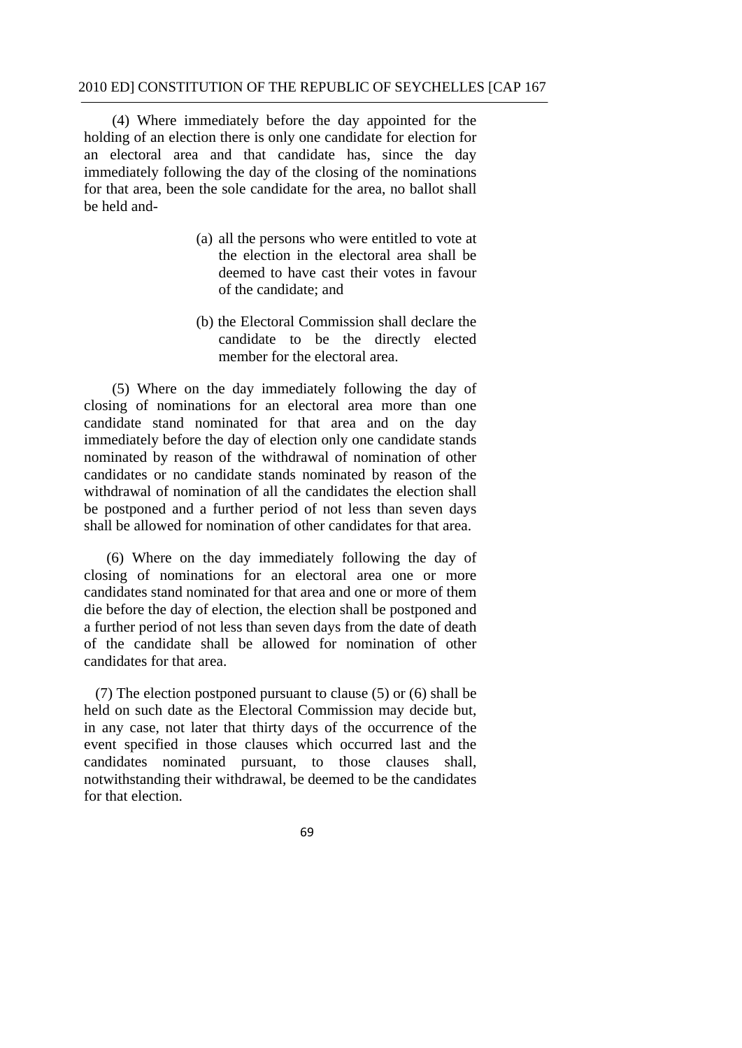(4) Where immediately before the day appointed for the holding of an election there is only one candidate for election for an electoral area and that candidate has, since the day immediately following the day of the closing of the nominations for that area, been the sole candidate for the area, no ballot shall be held and-

- (a) all the persons who were entitled to vote at the election in the electoral area shall be deemed to have cast their votes in favour of the candidate; and
- (b) the Electoral Commission shall declare the candidate to be the directly elected member for the electoral area.

(5) Where on the day immediately following the day of closing of nominations for an electoral area more than one candidate stand nominated for that area and on the day immediately before the day of election only one candidate stands nominated by reason of the withdrawal of nomination of other candidates or no candidate stands nominated by reason of the withdrawal of nomination of all the candidates the election shall be postponed and a further period of not less than seven days shall be allowed for nomination of other candidates for that area.

(6) Where on the day immediately following the day of closing of nominations for an electoral area one or more candidates stand nominated for that area and one or more of them die before the day of election, the election shall be postponed and a further period of not less than seven days from the date of death of the candidate shall be allowed for nomination of other candidates for that area.

(7) The election postponed pursuant to clause (5) or (6) shall be held on such date as the Electoral Commission may decide but, in any case, not later that thirty days of the occurrence of the event specified in those clauses which occurred last and the candidates nominated pursuant, to those clauses shall, notwithstanding their withdrawal, be deemed to be the candidates for that election.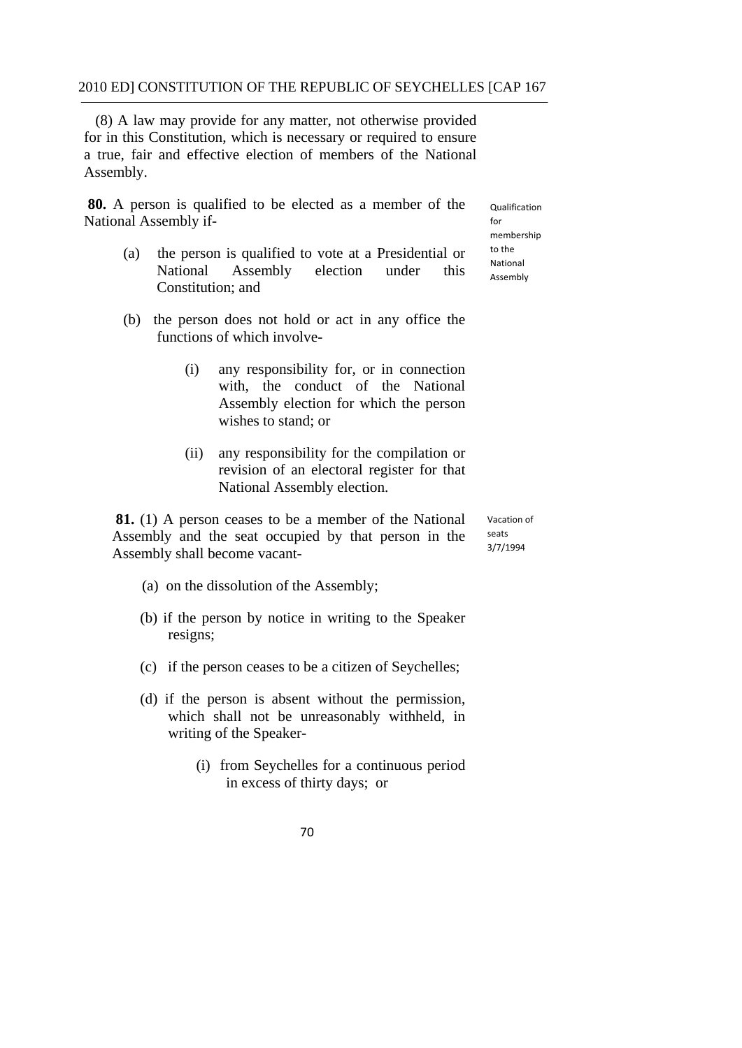(8) A law may provide for any matter, not otherwise provided for in this Constitution, which is necessary or required to ensure a true, fair and effective election of members of the National Assembly.

**80.** A person is qualified to be elected as a member of the <sub>Qualification</sub> National Assembly if-<br>
for

to the membership

- (a) the person is qualified to vote at a Presidential or  $\frac{\text{to the}}{\text{National}}$ National Assembly election under this  $A_{\text{Ssembb}}$ Constitution; and
- (b) the person does not hold or act in any office the functions of which involve-
	- (i) any responsibility for, or in connection with, the conduct of the National Assembly election for which the person wishes to stand; or
	- (ii) any responsibility for the compilation or revision of an electoral register for that National Assembly election.

**81.** (1) A person ceases to be a member of the National Assembly and the seat occupied by that person in the  $\frac{seats}{3/7/1994}$ Assembly shall become vacant-

Vacation of

- (a) on the dissolution of the Assembly;
- (b) if the person by notice in writing to the Speaker resigns;
- (c) if the person ceases to be a citizen of Seychelles;
- (d) if the person is absent without the permission, which shall not be unreasonably withheld, in writing of the Speaker-
	- (i) from Seychelles for a continuous period in excess of thirty days; or
		- 70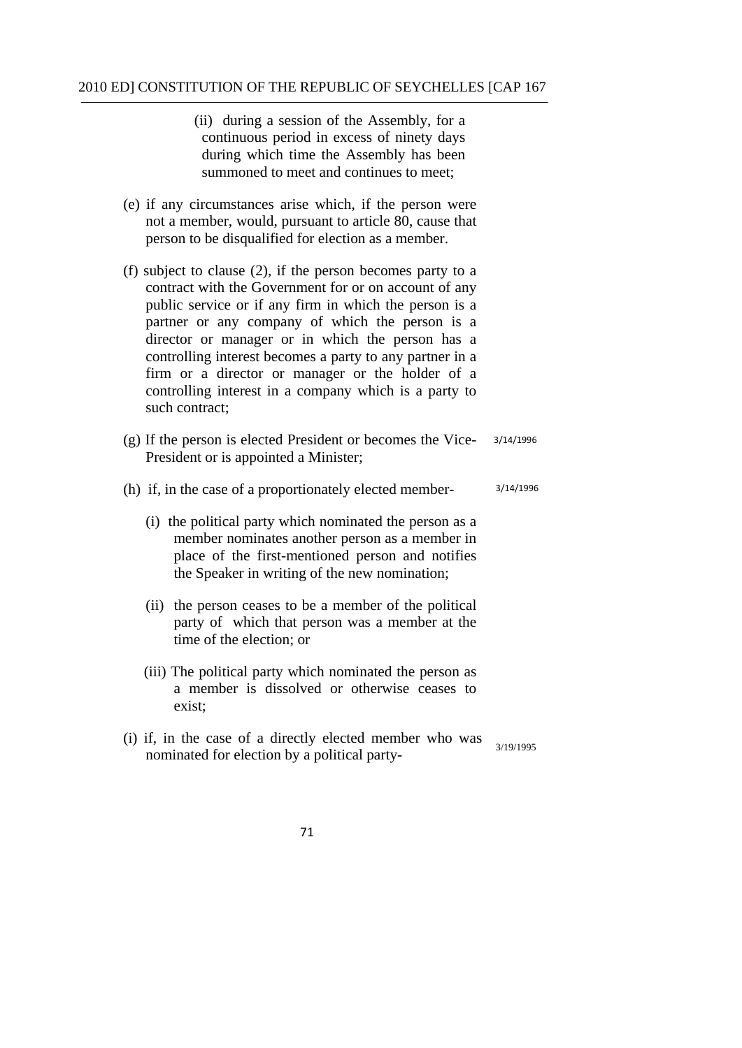(ii) during a session of the Assembly, for a continuous period in excess of ninety days during which time the Assembly has been summoned to meet and continues to meet;

- (e) if any circumstances arise which, if the person were not a member, would, pursuant to article 80, cause that person to be disqualified for election as a member.
- (f) subject to clause (2), if the person becomes party to a contract with the Government for or on account of any public service or if any firm in which the person is a partner or any company of which the person is a director or manager or in which the person has a controlling interest becomes a party to any partner in a firm or a director or manager or the holder of a controlling interest in a company which is a party to such contract;
- (g) If the person is elected President or becomes the Vice- 3/14/1996 President or is appointed a Minister;
- (h) if, in the case of a proportionately elected member- 3/14/1996
	- (i) the political party which nominated the person as a member nominates another person as a member in place of the first-mentioned person and notifies the Speaker in writing of the new nomination;
	- (ii) the person ceases to be a member of the political party of which that person was a member at the time of the election; or
	- (iii) The political party which nominated the person as a member is dissolved or otherwise ceases to exist;
- (i) if, in the case of a directly elected member who was nominated for election by a political party-
	- 71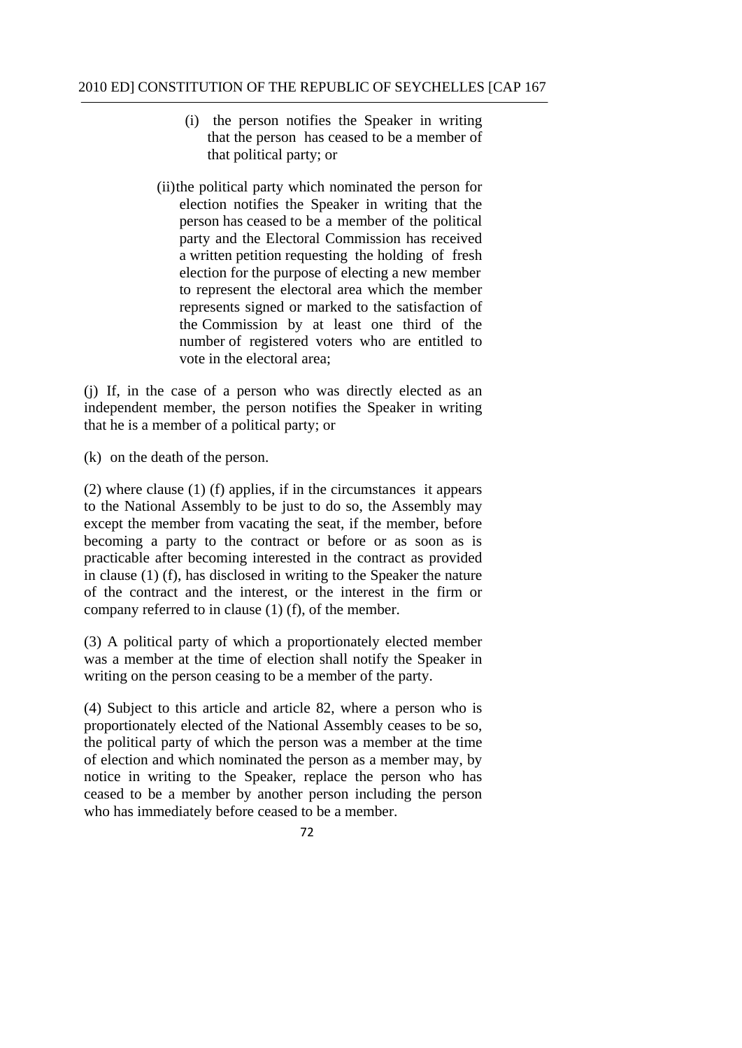- (i) the person notifies the Speaker in writing that the person has ceased to be a member of that political party; or
- number of registered voters who are entitled to (ii)the political party which nominated the person for election notifies the Speaker in writing that the person has ceased to be a member of the political party and the Electoral Commission has received a written petition requesting the holding of fresh election for the purpose of electing a new member to represent the electoral area which the member represents signed or marked to the satisfaction of the Commission by at least one third of the vote in the electoral area;

(j) If, in the case of a person who was directly elected as an independent member, the person notifies the Speaker in writing that he is a member of a political party; or

(k) on the death of the person.

(2) where clause (1) (f) applies, if in the circumstances it appears to the National Assembly to be just to do so, the Assembly may except the member from vacating the seat, if the member, before becoming a party to the contract or before or as soon as is practicable after becoming interested in the contract as provided in clause (1) (f), has disclosed in writing to the Speaker the nature of the contract and the interest, or the interest in the firm or company referred to in clause (1) (f), of the member.

(3) A political party of which a proportionately elected member was a member at the time of election shall notify the Speaker in writing on the person ceasing to be a member of the party.

(4) Subject to this article and article 82, where a person who is proportionately elected of the National Assembly ceases to be so, the political party of which the person was a member at the time of election and which nominated the person as a member may, by notice in writing to the Speaker, replace the person who has ceased to be a member by another person including the person who has immediately before ceased to be a member.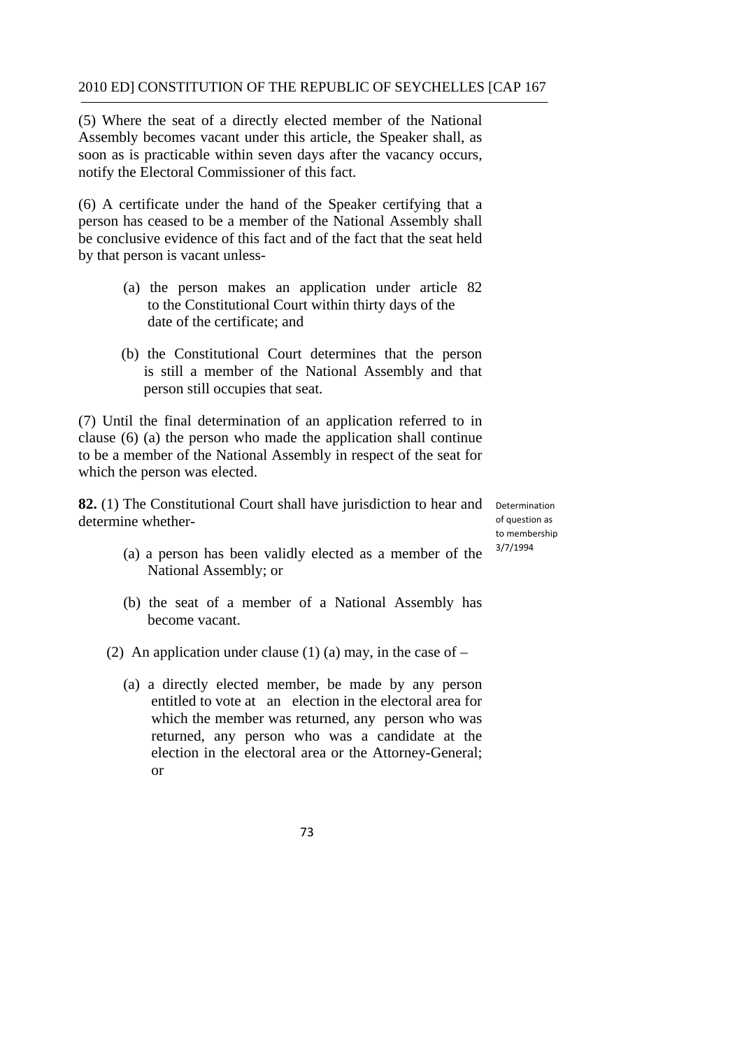(5) Where the seat of a directly elected member of the National Assembly becomes vacant under this article, the Speaker shall, as soon as is practicable within seven days after the vacancy occurs, notify the Electoral Commissioner of this fact.

(6) A certificate under the hand of the Speaker certifying that a person has ceased to be a member of the National Assembly shall be conclusive evidence of this fact and of the fact that the seat held by that person is vacant unless-

- (a) the person makes an application under article 82 to the Constitutional Court within thirty days of the date of the certificate; and
- (b) the Constitutional Court determines that the person is still a member of the National Assembly and that person still occupies that seat.

(7) Until the final determination of an application referred to in clause (6) (a) the person who made the application shall continue to be a member of the National Assembly in respect of the seat for which the person was elected.

82. (1) The Constitutional Court shall have jurisdiction to hear and Determination determine whether-

 of question as to membership 3/7/1994

- (a) a person has been validly elected as a member of the National Assembly; or
- (b) the seat of a member of a National Assembly has become vacant.
- (2) An application under clause (1) (a) may, in the case of  $-$ 
	- entitled to vote at an election in the electoral area for (a) a directly elected member, be made by any person which the member was returned, any person who was returned, any person who was a candidate at the election in the electoral area or the Attorney-General; or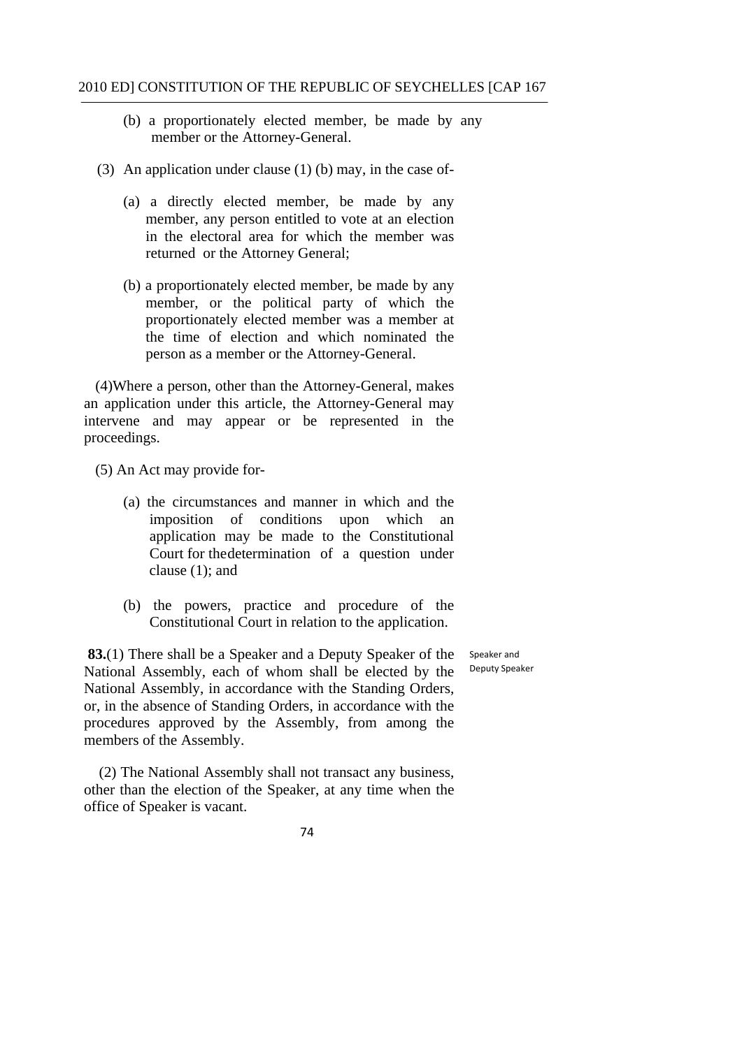- (b) a proportionately elected member, be made by any member or the Attorney-General.
- (3) An application under clause (1) (b) may, in the case of-
	- (a) a directly elected member, be made by any member, any person entitled to vote at an election in the electoral area for which the member was returned or the Attorney General;
	- (b) a proportionately elected member, be made by any member, or the political party of which the proportionately elected member was a member at the time of election and which nominated the person as a member or the Attorney-General.

 (4)Where a person, other than the Attorney-General, makes an application under this article, the Attorney-General may intervene and may appear or be represented in the proceedings.

- (5) An Act may provide for-
	- (a) the circumstances and manner in which and the imposition of conditions upon which an application may be made to the Constitutional Court for the determination of a question under clause (1); and
	- (b) the powers, practice and procedure of the Constitutional Court in relation to the application.

**83.**(1) There shall be a Speaker and a Deputy Speaker of the National Assembly, each of whom shall be elected by the Deputy Speaker National Assembly, in accordance with the Standing Orders, or, in the absence of Standing Orders, in accordance with the procedures approved by the Assembly, from among the members of the Assembly.

(2) The National Assembly shall not transact any business, other than the election of the Speaker, at any time when the office of Speaker is vacant.

Speaker and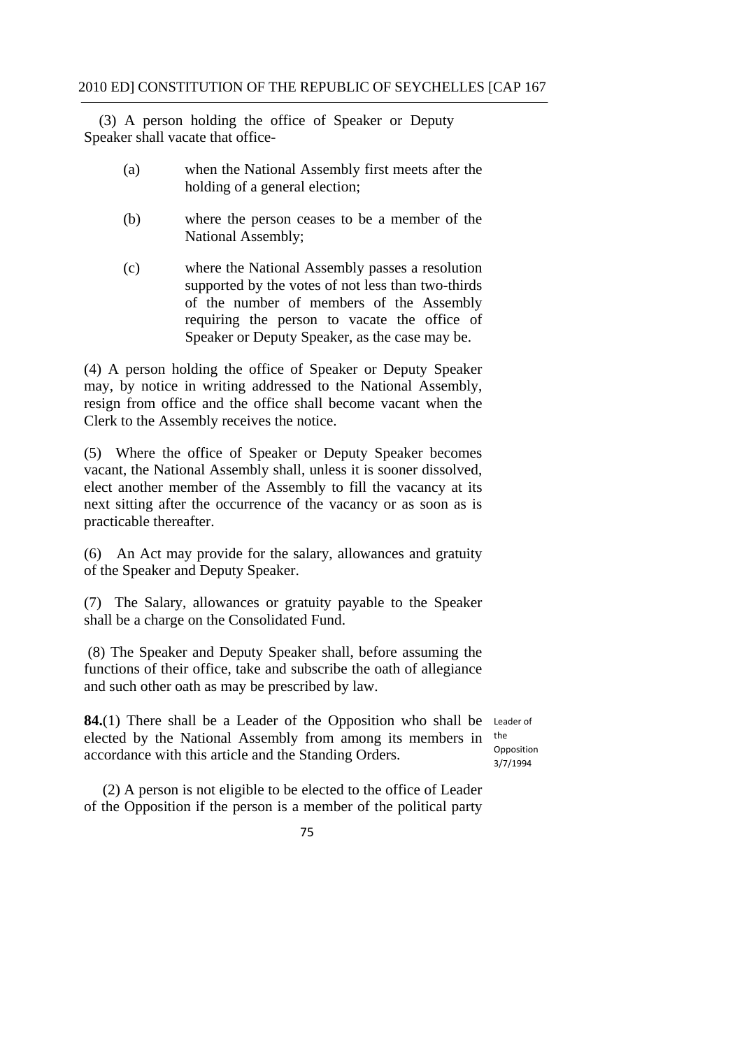(3) A person holding the office of Speaker or Deputy Speaker shall vacate that office-

- (a) when the National Assembly first meets after the holding of a general election;
- (b) where the person ceases to be a member of the National Assembly;
- (c) where the National Assembly passes a resolution supported by the votes of not less than two-thirds of the number of members of the Assembly requiring the person to vacate the office of Speaker or Deputy Speaker, as the case may be.

(4) A person holding the office of Speaker or Deputy Speaker may, by notice in writing addressed to the National Assembly, resign from office and the office shall become vacant when the Clerk to the Assembly receives the notice.

(5) Where the office of Speaker or Deputy Speaker becomes vacant, the National Assembly shall, unless it is sooner dissolved, elect another member of the Assembly to fill the vacancy at its next sitting after the occurrence of the vacancy or as soon as is practicable thereafter.

(6) An Act may provide for the salary, allowances and gratuity of the Speaker and Deputy Speaker.

(7) The Salary, allowances or gratuity payable to the Speaker shall be a charge on the Consolidated Fund.

(8) The Speaker and Deputy Speaker shall, before assuming the functions of their office, take and subscribe the oath of allegiance and such other oath as may be prescribed by law.

**84.**(1) There shall be a Leader of the Opposition who shall be Leader of elected by the National Assembly from among its members in the accordance with this article and the Standing Orders.

Opposition 3/7/1994

(2) A person is not eligible to be elected to the office of Leader of the Opposition if the person is a member of the political party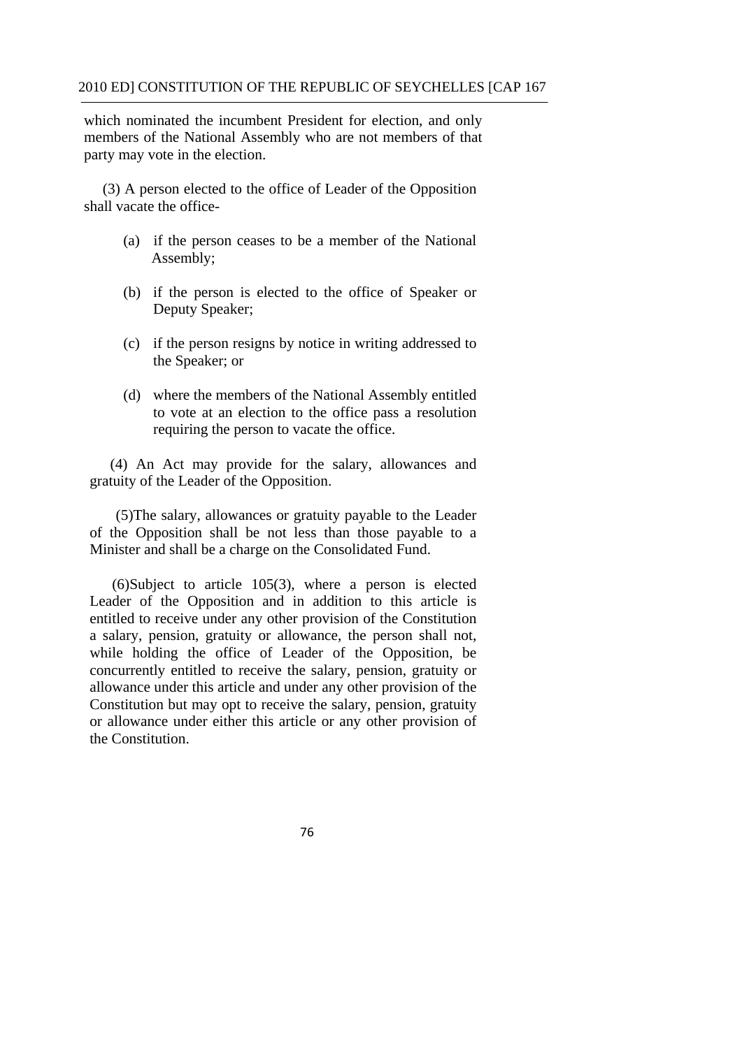which nominated the incumbent President for election, and only members of the National Assembly who are not members of that party may vote in the election.

(3) A person elected to the office of Leader of the Opposition shall vacate the office-

- (a) if the person ceases to be a member of the National Assembly;
- (b) if the person is elected to the office of Speaker or Deputy Speaker;
- (c) if the person resigns by notice in writing addressed to the Speaker; or
- (d) where the members of the National Assembly entitled to vote at an election to the office pass a resolution requiring the person to vacate the office.

(4) An Act may provide for the salary, allowances and gratuity of the Leader of the Opposition.

(5)The salary, allowances or gratuity payable to the Leader of the Opposition shall be not less than those payable to a Minister and shall be a charge on the Consolidated Fund.

(6)Subject to article 105(3), where a person is elected Leader of the Opposition and in addition to this article is entitled to receive under any other provision of the Constitution a salary, pension, gratuity or allowance, the person shall not, while holding the office of Leader of the Opposition, be concurrently entitled to receive the salary, pension, gratuity or allowance under this article and under any other provision of the Constitution but may opt to receive the salary, pension, gratuity or allowance under either this article or any other provision of the Constitution.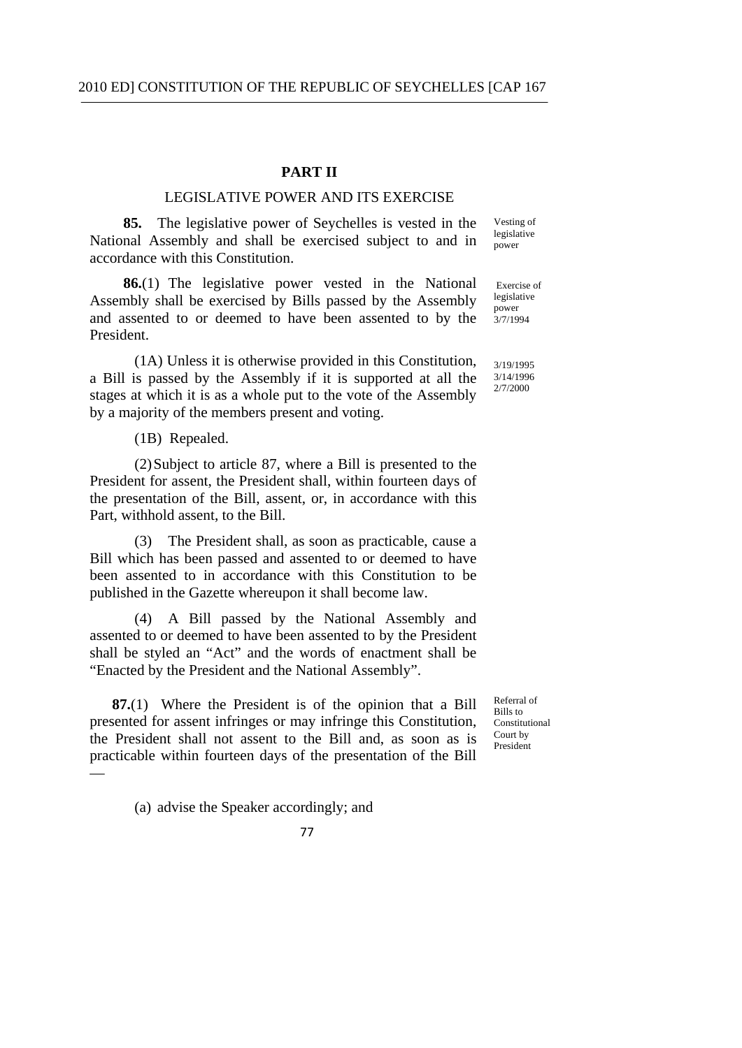### **PART II**

# LEGISLATIVE POWER AND ITS EXERCISE

**85.** The legislative power of Seychelles is vested in the National Assembly and shall be exercised subject to and in accordance with this Constitution. Vesting of legislative power

**86.**(1) The legislative power vested in the National Assembly shall be exercised by Bills passed by the Assembly and assented to or deemed to have been assented to by the President. Exercise of legislative power  $3/7/1994$ 

(1A) Unless it is otherwise provided in this Constitution, a Bill is passed by the Assembly if it is supported at all the stages at which it is as a whole put to the vote of the Assembly by a majority of the members present and voting.

(1B) Repealed.

(2)Subject to article 87, where a Bill is presented to the President for assent, the President shall, within fourteen days of the presentation of the Bill, assent, or, in accordance with this Part, withhold assent, to the Bill.

The President shall, as soon as practicable, cause a Bill which has been passed and assented to or deemed to have been assented to in accordance with this Constitution to be published in the Gazette whereupon it shall become law.

(4) A Bill passed by the National Assembly and assented to or deemed to have been assented to by the President shall be styled an "Act" and the words of enactment shall be "Enacted by the President and the National Assembly".

 **87.**(1) Where the President is of the opinion that a Bill presented for assent infringes or may infringe this Constitution, the President shall not assent to the Bill and, as soon as is practicable within fourteen days of the presentation of the Bill —

Referral of Bills to Constitutional Court by President

(a) advise the Speaker accordingly; and



3/19/1995

3/14/1996 2/7/2000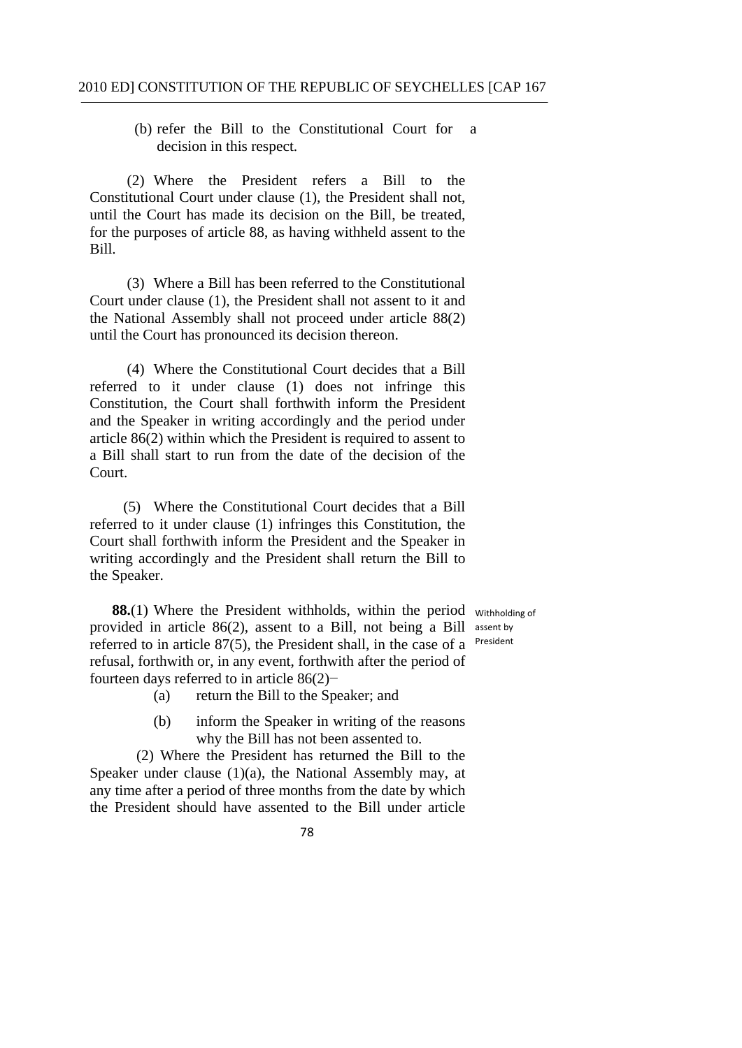(b) refer the Bill to the Constitutional Court for a decision in this respect.

Bill. (2) Where the President refers a Bill to the Constitutional Court under clause (1), the President shall not, until the Court has made its decision on the Bill, be treated, for the purposes of article 88, as having withheld assent to the

Bill. (3) Where a Bill has been referred to the Constitutional Court under clause (1), the President shall not assent to it and the National Assembly shall not proceed under article 88(2) until the Court has pronounced its decision thereon.

(4) Where the Constitutional Court decides that a Bill referred to it under clause (1) does not infringe this Constitution, the Court shall forthwith inform the President and the Speaker in writing accordingly and the period under article 86(2) within which the President is required to assent to a Bill shall start to run from the date of the decision of the Court.

 (5) Where the Constitutional Court decides that a Bill referred to it under clause (1) infringes this Constitution, the Court shall forthwith inform the President and the Speaker in writing accordingly and the President shall return the Bill to the Speaker.

**88.**(1) Where the President withholds, within the period withholding of provided in article 86(2), assent to a Bill, not being a Bill assent by referred to in article  $87(5)$ , the President shall, in the case of a President refusal, forthwith or, in any event, forthwith after the period of fourteen days referred to in article 86(2)−

- (a) return the Bill to the Speaker; and
- (b) inform the Speaker in writing of the reasons why the Bill has not been assented to.

(2) Where the President has returned the Bill to the Speaker under clause (1)(a), the National Assembly may, at any time after a period of three months from the date by which the President should have assented to the Bill under article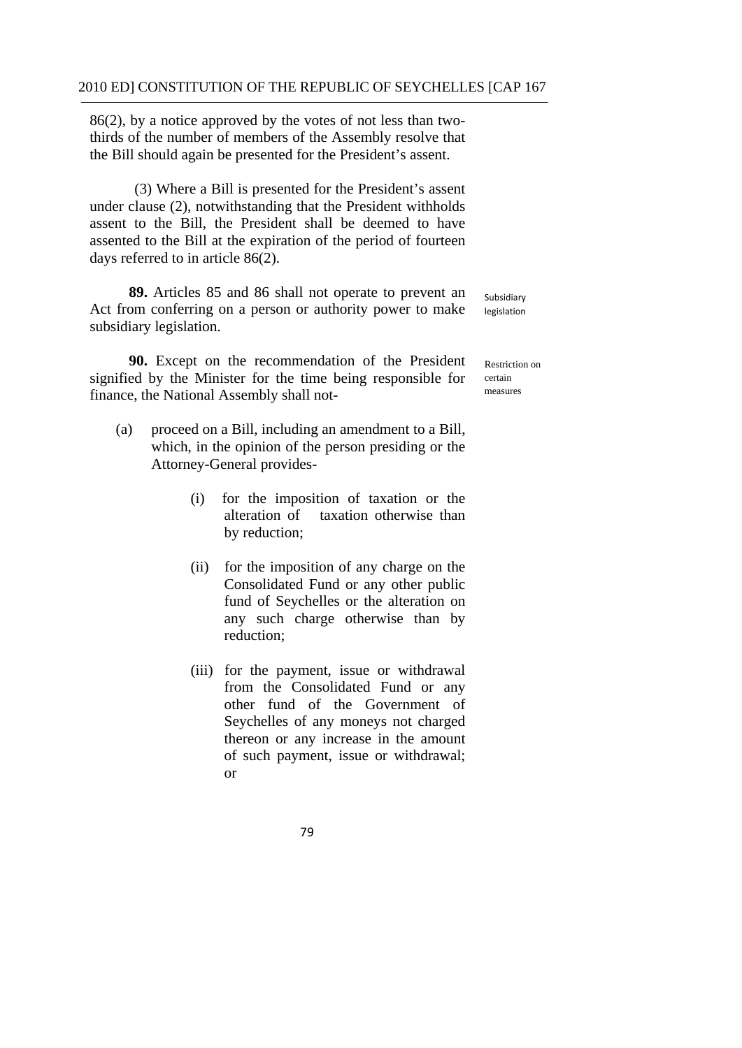86(2), by a notice approved by the votes of not less than twothirds of the number of members of the Assembly resolve that the Bill should again be presented for the President's assent.

(3) Where a Bill is presented for the President's assent under clause (2), notwithstanding that the President withholds assent to the Bill, the President shall be deemed to have assented to the Bill at the expiration of the period of fourteen days referred to in article 86(2).

**89.** Articles 85 and 86 shall not operate to prevent an Act from conferring on a person or authority power to make subsidiary legislation.

**90.** Except on the recommendation of the President signified by the Minister for the time being responsible for finance, the National Assembly shall not-

- (a) proceed on a Bill, including an amendment to a Bill, which, in the opinion of the person presiding or the Attorney-General provides-
	- (i) for the imposition of taxation or the alteration of taxation otherwise than by reduction;
	- (ii) for the imposition of any charge on the Consolidated Fund or any other public fund of Seychelles or the alteration on any such charge otherwise than by reduction;
	- (iii) for the payment, issue or withdrawal from the Consolidated Fund or any other fund of the Government of Seychelles of any moneys not charged thereon or any increase in the amount of such payment, issue or withdrawal; or

Subsidiary legislation

Restriction on certain measures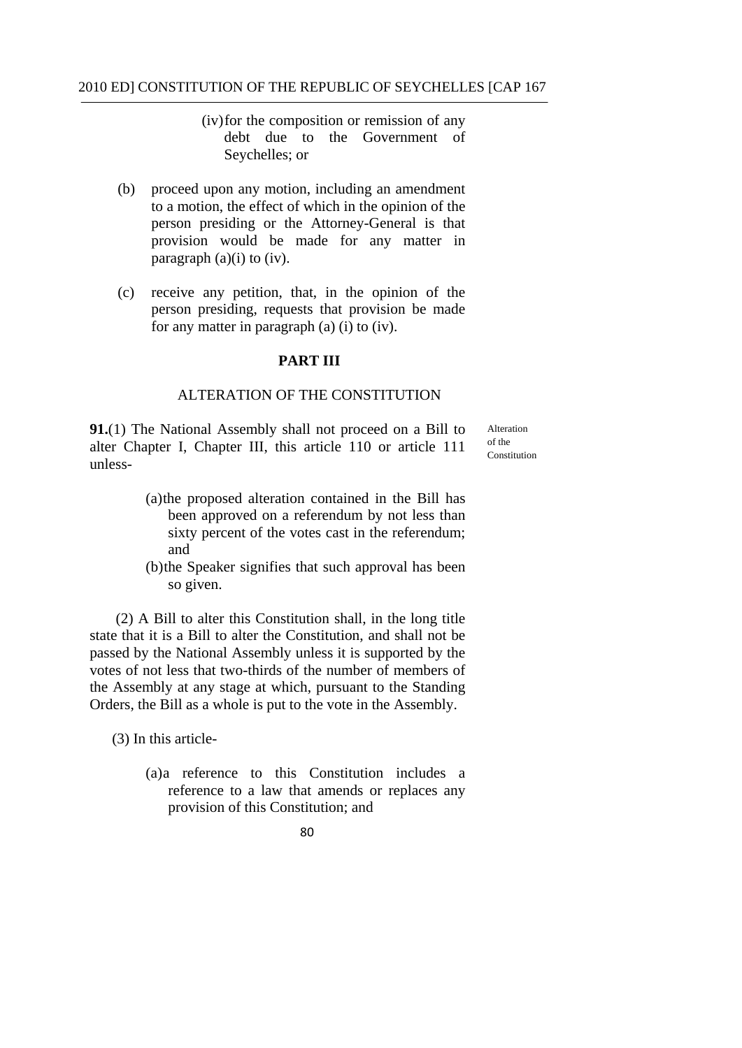(iv)for the composition or remission of any debt due to the Government of Seychelles; or

- (b) proceed upon any motion, including an amendment to a motion, the effect of which in the opinion of the person presiding or the Attorney-General is that provision would be made for any matter in paragraph  $(a)(i)$  to  $(iv)$ .
- (c) receive any petition, that, in the opinion of the person presiding, requests that provision be made for any matter in paragraph (a) (i) to (iv).

### **PART III**

## ALTERATION OF THE CONSTITUTION

**91.**(1) The National Assembly shall not proceed on a Bill to Alteration alter Chapter I, Chapter III, this article 110 or article 111  $\frac{\text{of the}}{\text{Construction}}$ unless-

- (a)the proposed alteration contained in the Bill has been approved on a referendum by not less than sixty percent of the votes cast in the referendum; and
- (b)the Speaker signifies that such approval has been so given.

(2) A Bill to alter this Constitution shall, in the long title state that it is a Bill to alter the Constitution, and shall not be passed by the National Assembly unless it is supported by the votes of not less that two-thirds of the number of members of the Assembly at any stage at which, pursuant to the Standing Orders, the Bill as a whole is put to the vote in the Assembly.

(3) In this article-

(a)a reference to this Constitution includes a reference to a law that amends or replaces any provision of this Constitution; and

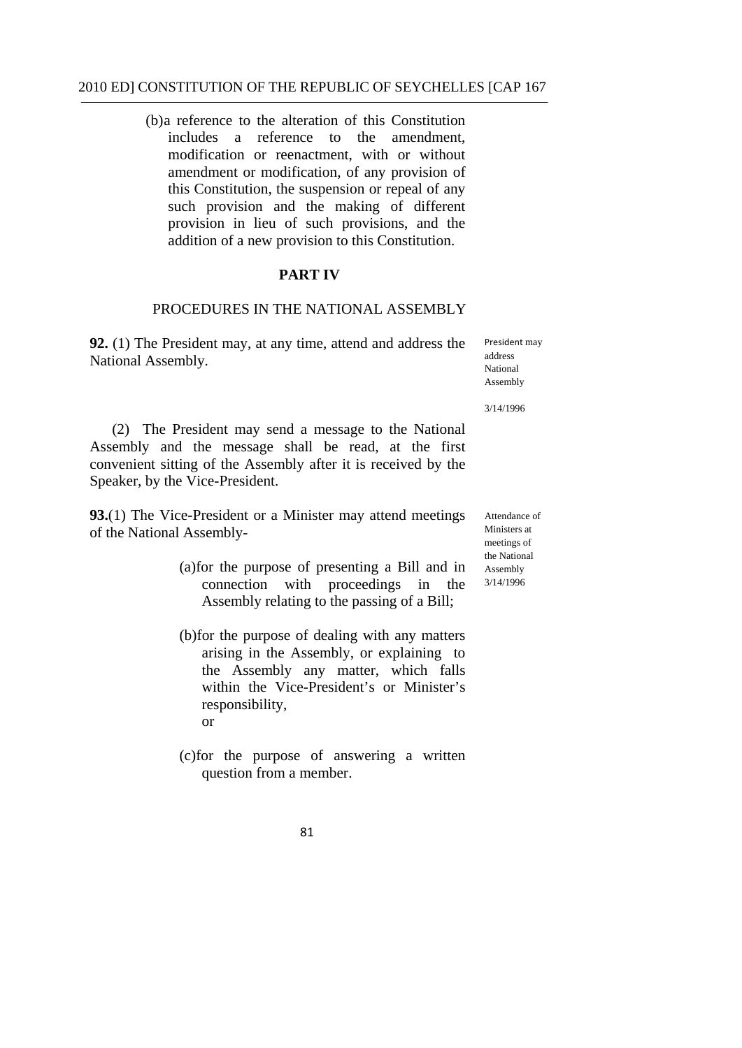(b)a reference to the alteration of this Constitution includes a reference to the amendment, modification or reenactment, with or without amendment or modification, of any provision of this Constitution, the suspension or repeal of any such provision and the making of different provision in lieu of such provisions, and the addition of a new provision to this Constitution.

## **PART IV**

# PROCEDURES IN THE NATIONAL ASSEMBLY

**92.** (1) The President may, at any time, attend and address the National Assembly.

President may address National Assembly

3/14/1996

(2) The President may send a message to the National Assembly and the message shall be read, at the first convenient sitting of the Assembly after it is received by the Speaker, by the Vice-President.

**93.**(1) The Vice-President or a Minister may attend meetings of the National Assembly-

- (a)for the purpose of presenting a Bill and in connection with proceedings in the Assembly relating to the passing of a Bill;
- (b)for the purpose of dealing with any matters arising in the Assembly, or explaining to the Assembly any matter, which falls within the Vice-President's or Minister's responsibility, or
- (c)for the purpose of answering a written question from a member.

Attendance of Ministers at meetings of the National Assembly 3/14/1996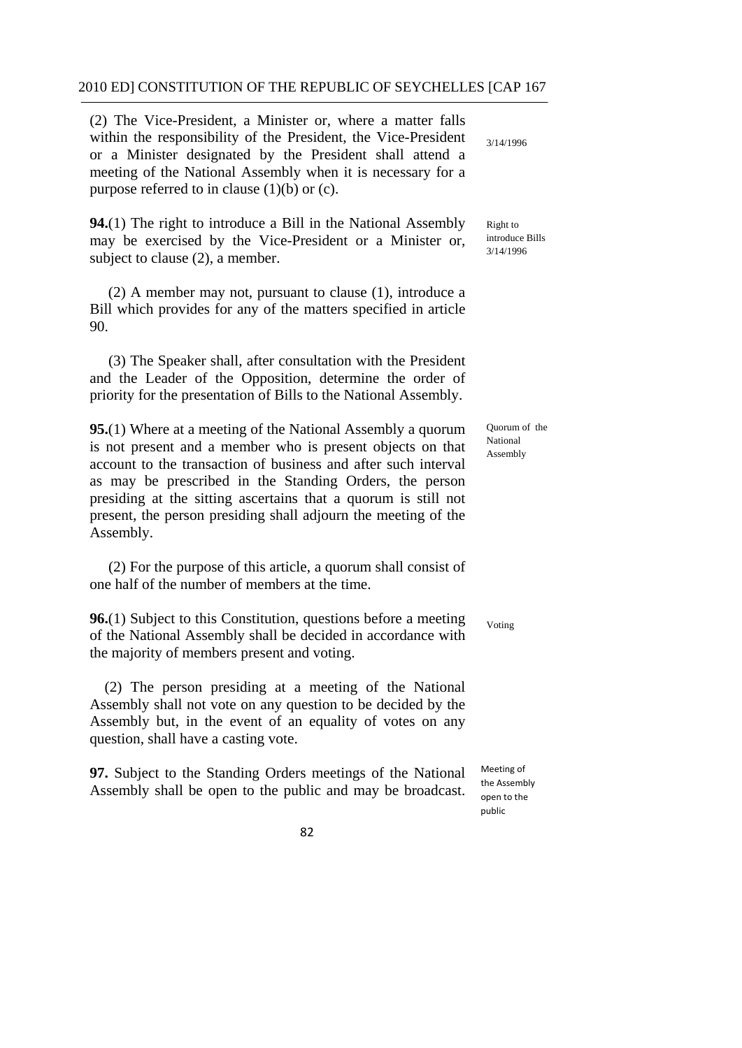(2) The Vice-President, a Minister or, where a matter falls within the responsibility of the President, the Vice-President or a Minister designated by the President shall attend a meeting of the National Assembly when it is necessary for a purpose referred to in clause (1)(b) or (c).

**94.**(1) The right to introduce a Bill in the National Assembly may be exercised by the Vice-President or a Minister or, subject to clause (2), a member.

(2) A member may not, pursuant to clause (1), introduce a Bill which provides for any of the matters specified in article 90.

(3) The Speaker shall, after consultation with the President and the Leader of the Opposition, determine the order of priority for the presentation of Bills to the National Assembly.

**95.**(1) Where at a meeting of the National Assembly a quorum is not present and a member who is present objects on that account to the transaction of business and after such interval as may be prescribed in the Standing Orders, the person presiding at the sitting ascertains that a quorum is still not present, the person presiding shall adjourn the meeting of the Assembly.

(2) For the purpose of this article, a quorum shall consist of one half of the number of members at the time.

**96.**(1) Subject to this Constitution, questions before a meeting of the National Assembly shall be decided in accordance with the majority of members present and voting.

(2) The person presiding at a meeting of the National Assembly shall not vote on any question to be decided by the Assembly but, in the event of an equality of votes on any question, shall have a casting vote.

**97.** Subject to the Standing Orders meetings of the National Assembly shall be open to the public and may be broadcast. Right to introduce Bills 3/14/1996

3/14/1996

Quorum of the National Assembly

Voting

 Meeting of the Assembly open to the public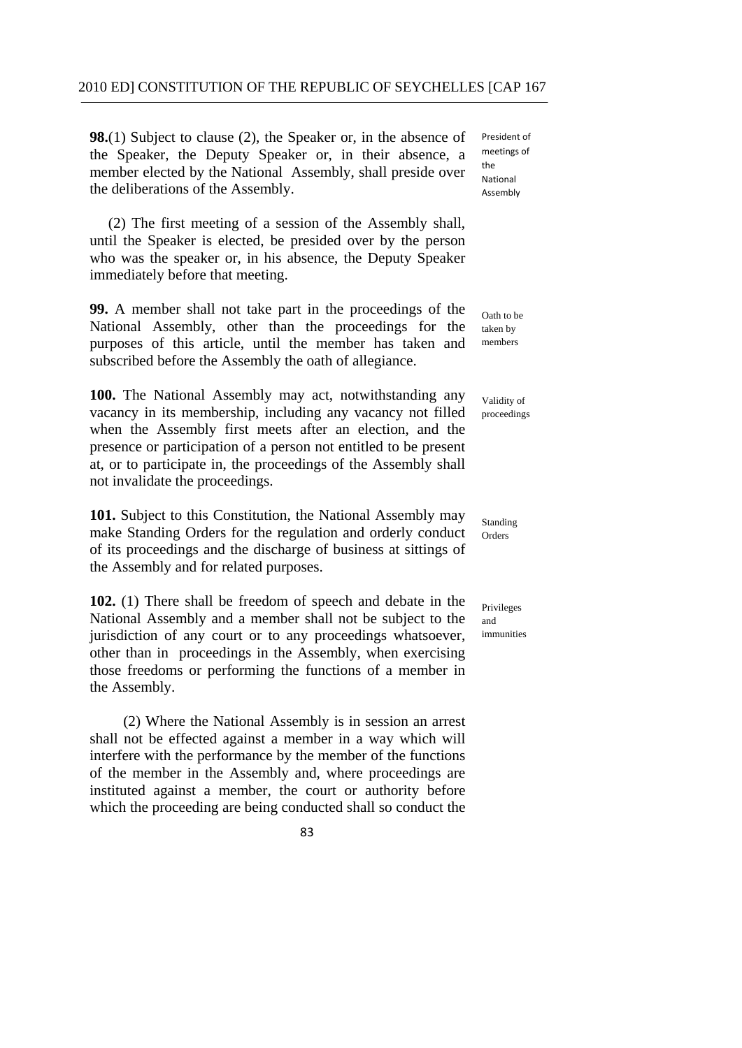**98.**(1) Subject to clause (2), the Speaker or, in the absence of the Speaker, the Deputy Speaker or, in their absence, a  $\frac{me}{the}$ member elected by the National Assembly, shall preside over the deliberations of the Assembly.

(2) The first meeting of a session of the Assembly shall, until the Speaker is elected, be presided over by the person who was the speaker or, in his absence, the Deputy Speaker immediately before that meeting.

**99.** A member shall not take part in the proceedings of the  $\alpha$ <sub>Oath to be</sub> National Assembly, other than the proceedings for the taken by purposes of this article, until the member has taken and members subscribed before the Assembly the oath of allegiance.

100. The National Assembly may act, notwithstanding any <sub>Validity of</sub> vacancy in its membership, including any vacancy not filled proceedings when the Assembly first meets after an election, and the presence or participation of a person not entitled to be present at, or to participate in, the proceedings of the Assembly shall not invalidate the proceedings.

**101.** Subject to this Constitution, the National Assembly may <sub>Standing</sub> make Standing Orders for the regulation and orderly conduct orders of its proceedings and the discharge of business at sittings of the Assembly and for related purposes.

**102.** (1) There shall be freedom of speech and debate in the Privileges National Assembly and a member shall not be subject to the and jurisdiction of any court or to any proceedings whatsoever, immunities other than in proceedings in the Assembly, when exercising those freedoms or performing the functions of a member in the Assembly.

(2) Where the National Assembly is in session an arrest shall not be effected against a member in a way which will interfere with the performance by the member of the functions of the member in the Assembly and, where proceedings are instituted against a member, the court or authority before which the proceeding are being conducted shall so conduct the

83

President of meetings of Assembly National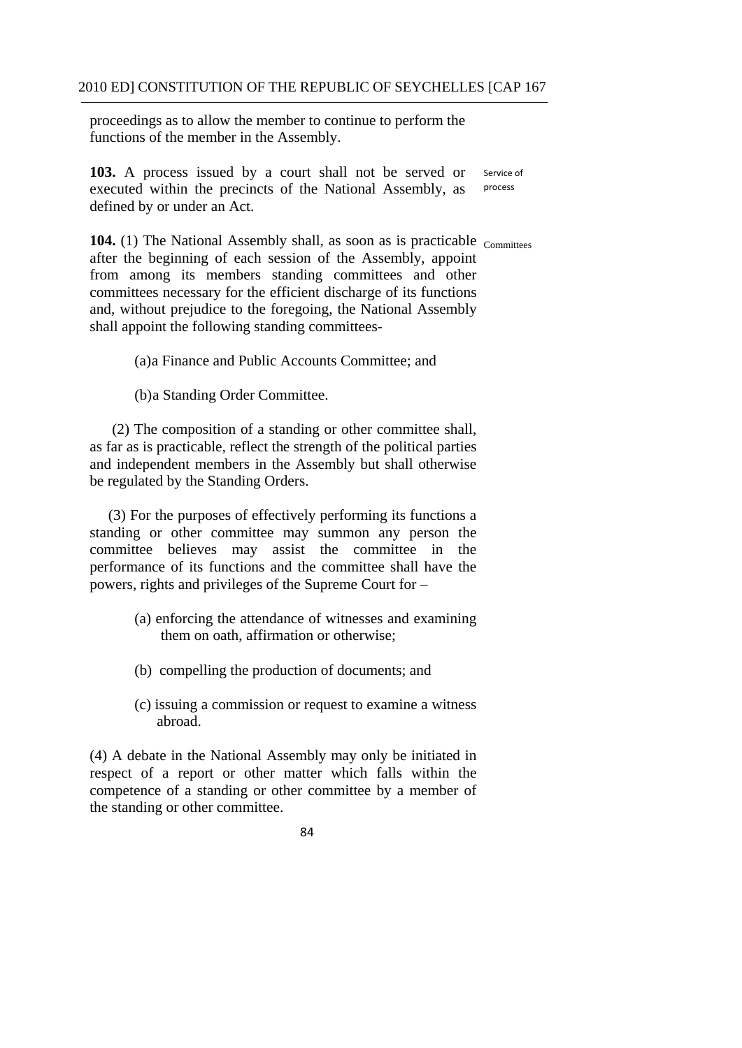proceedings as to allow the member to continue to perform the functions of the member in the Assembly.

 Service of **103.** A process issued by a court shall not be served or executed within the precincts of the National Assembly, as defined by or under an Act. process

**104.** (1) The National Assembly shall, as soon as is practicable <sub>Committees</sub> after the beginning of each session of the Assembly, appoint from among its members standing committees and other committees necessary for the efficient discharge of its functions and, without prejudice to the foregoing, the National Assembly shall appoint the following standing committees-

(a)a Finance and Public Accounts Committee; and (b)a Standing Order Committee.

(2) The composition of a standing or other committee shall, as far as is practicable, reflect the strength of the political parties and independent members in the Assembly but shall otherwise be regulated by the Standing Orders.

(3) For the purposes of effectively performing its functions a standing or other committee may summon any person the committee believes may assist the committee in the performance of its functions and the committee shall have the powers, rights and privileges of the Supreme Court for –

- (a) enforcing the attendance of witnesses and examining them on oath, affirmation or otherwise;
- (b) compelling the production of documents; and
- (c) issuing a commission or request to examine a witness abroad.

(4) A debate in the National Assembly may only be initiated in respect of a report or other matter which falls within the competence of a standing or other committee by a member of the standing or other committee.

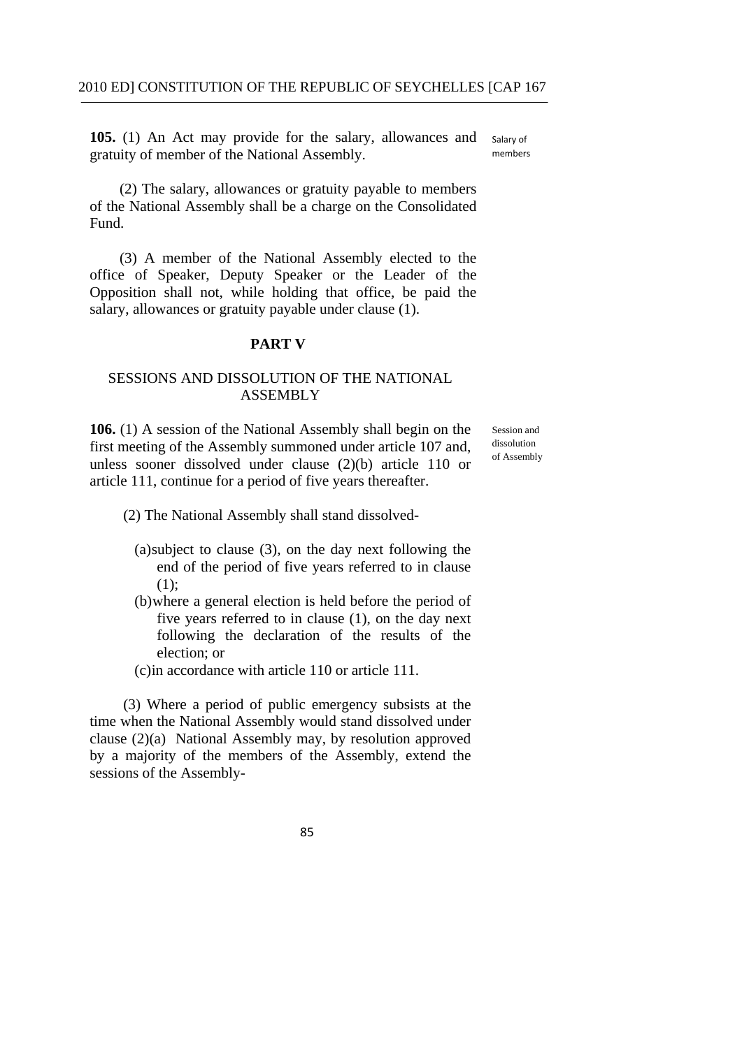Salary of members **105.** (1) An Act may provide for the salary, allowances and gratuity of member of the National Assembly.

(2) The salary, allowances or gratuity payable to members of the National Assembly shall be a charge on the Consolidated Fund.

(3) A member of the National Assembly elected to the office of Speaker, Deputy Speaker or the Leader of the Opposition shall not, while holding that office, be paid the salary, allowances or gratuity payable under clause (1).

### **PART V**

# SESSIONS AND DISSOLUTION OF THE NATIONAL ASSEMBLY

**106.** (1) A session of the National Assembly shall begin on the Session and first meeting of the Assembly summoned under article 107 and dissolution first meeting of the Assembly summoned under article 107 and, dissolution unless sooner dissolved under clause  $(2)(b)$  article 110 or article 111, continue for a period of five years thereafter.

- (2) The National Assembly shall stand dissolved-
	- (a)subject to clause (3), on the day next following the end of the period of five years referred to in clause (1);
	- (b)where a general election is held before the period of five years referred to in clause (1), on the day next following the declaration of the results of the election; or
	- (c)in accordance with article 110 or article 111.

(3) Where a period of public emergency subsists at the time when the National Assembly would stand dissolved under clause (2)(a) National Assembly may, by resolution approved by a majority of the members of the Assembly, extend the sessions of the Assembly-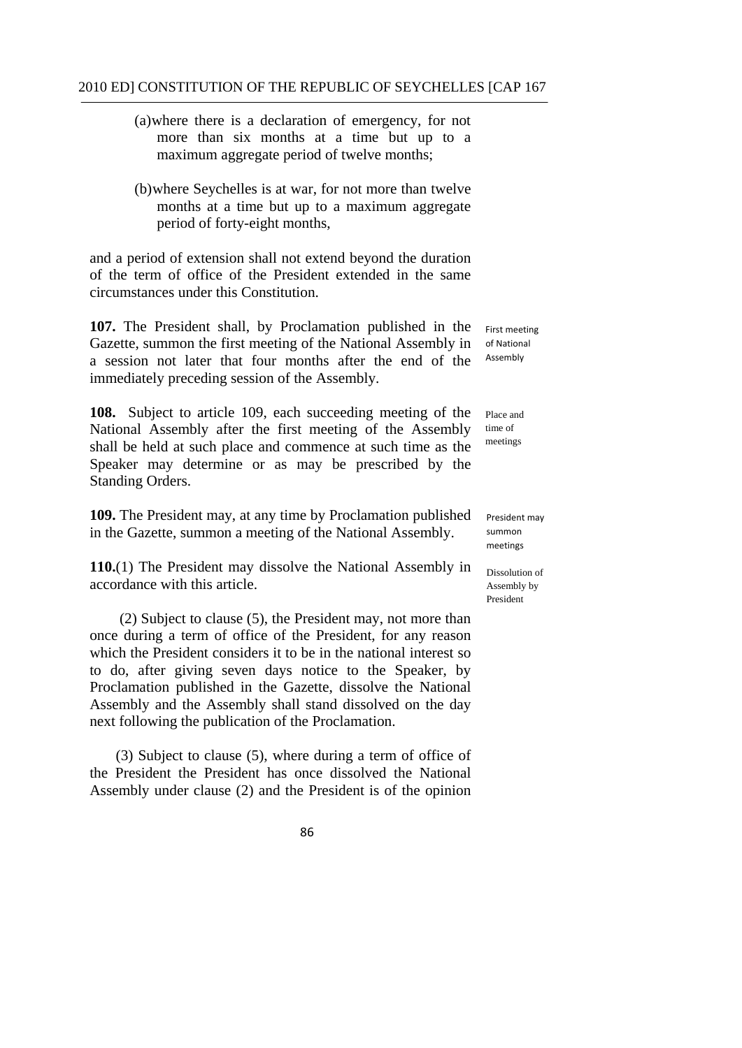- (a)where there is a declaration of emergency, for not more than six months at a time but up to a maximum aggregate period of twelve months;
- (b)where Seychelles is at war, for not more than twelve months at a time but up to a maximum aggregate period of forty-eight months,

and a period of extension shall not extend beyond the duration of the term of office of the President extended in the same circumstances under this Constitution.

**107.** The President shall, by Proclamation published in the Gazette, summon the first meeting of the National Assembly in a session not later that four months after the end of the immediately preceding session of the Assembly.

**108.** Subject to article 109, each succeeding meeting of the National Assembly after the first meeting of the Assembly shall be held at such place and commence at such time as the Speaker may determine or as may be prescribed by the Standing Orders.

**109.** The President may, at any time by Proclamation published in the Gazette, summon a meeting of the National Assembly.

**110.**(1) The President may dissolve the National Assembly in accordance with this article.

(2) Subject to clause (5), the President may, not more than once during a term of office of the President, for any reason which the President considers it to be in the national interest so to do, after giving seven days notice to the Speaker, by Proclamation published in the Gazette, dissolve the National Assembly and the Assembly shall stand dissolved on the day next following the publication of the Proclamation.

(3) Subject to clause (5), where during a term of office of the President the President has once dissolved the National Assembly under clause (2) and the President is of the opinion

 First meeting of National Assembly

Place and time of meetings

 President may summon meetings

Dissolution of Assembly by President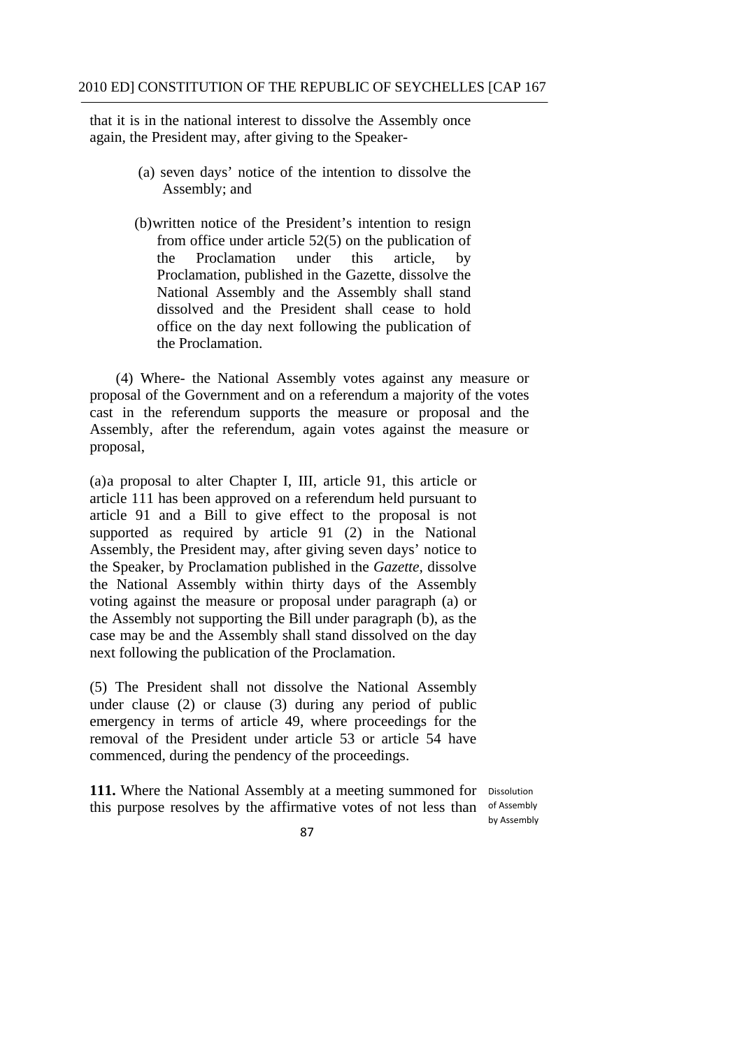that it is in the national interest to dissolve the Assembly once again, the President may, after giving to the Speaker-

- (a) seven days' notice of the intention to dissolve the Assembly; and
- (b)written notice of the President's intention to resign from office under article 52(5) on the publication of the Proclamation under this article, by Proclamation, published in the Gazette, dissolve the National Assembly and the Assembly shall stand dissolved and the President shall cease to hold office on the day next following the publication of the Proclamation.

(4) Where- the National Assembly votes against any measure or proposal of the Government and on a referendum a majority of the votes cast in the referendum supports the measure or proposal and the Assembly, after the referendum, again votes against the measure or proposal,

(a)a proposal to alter Chapter I, III, article 91, this article or article 111 has been approved on a referendum held pursuant to article 91 and a Bill to give effect to the proposal is not supported as required by article 91 (2) in the National Assembly, the President may, after giving seven days' notice to the Speaker, by Proclamation published in the *Gazette,* dissolve the National Assembly within thirty days of the Assembly voting against the measure or proposal under paragraph (a) or the Assembly not supporting the Bill under paragraph (b), as the case may be and the Assembly shall stand dissolved on the day next following the publication of the Proclamation.

(5) The President shall not dissolve the National Assembly under clause (2) or clause (3) during any period of public emergency in terms of article 49, where proceedings for the removal of the President under article 53 or article 54 have commenced, during the pendency of the proceedings.

this purpose resolves by the affirmative votes of not less than of Assembly 111. Where the National Assembly at a meeting summoned for Dissolution

by Assembly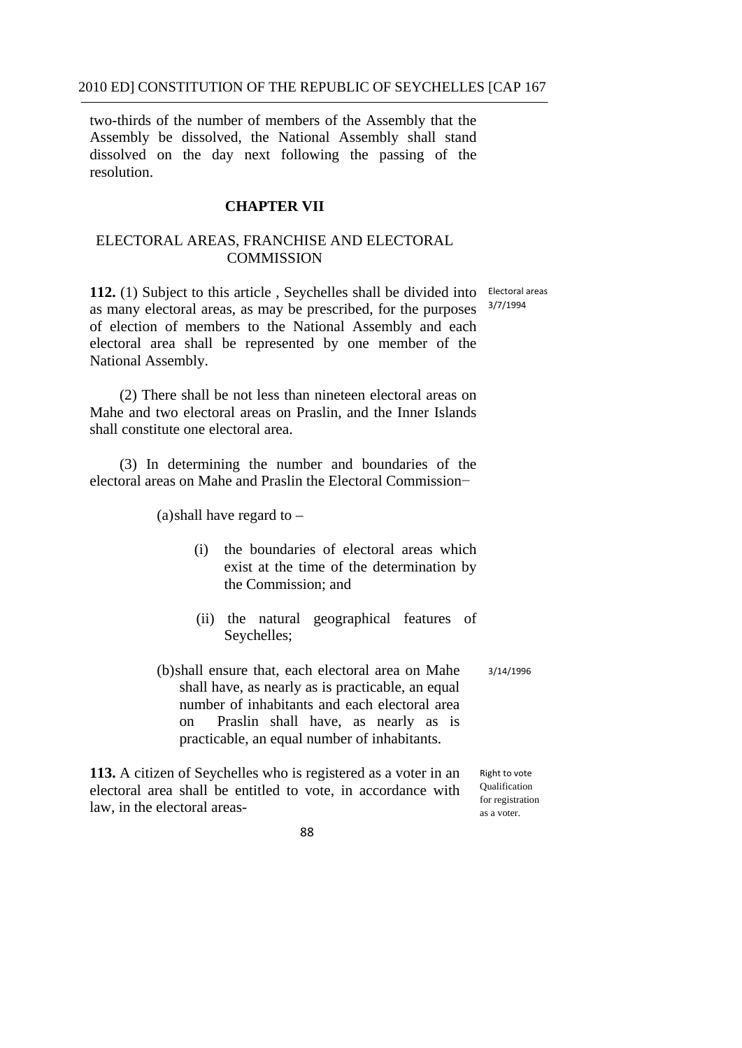two-thirds of the number of members of the Assembly that the Assembly be dissolved, the National Assembly shall stand dissolved on the day next following the passing of the resolution.

### **CHAPTER VII**

# ELECTORAL AREAS, FRANCHISE AND ELECTORAL **COMMISSION**

112. (1) Subject to this article, Seychelles shall be divided into Electoral areas as many electoral areas, as may be prescribed, for the purposes of election of members to the National Assembly and each electoral area shall be represented by one member of the National Assembly. 3/7/1994

(2) There shall be not less than nineteen electoral areas on Mahe and two electoral areas on Praslin, and the Inner Islands shall constitute one electoral area.

(3) In determining the number and boundaries of the electoral areas on Mahe and Praslin the Electoral Commission−

(a)shall have regard to –

- (i) the boundaries of electoral areas which exist at the time of the determination by the Commission; and
- (ii) the natural geographical features of Seychelles;
- (b)shall ensure that, each electoral area on Mahe shall have, as nearly as is practicable, an equal number of inhabitants and each electoral area on Praslin shall have, as nearly as is practicable, an equal number of inhabitants. 3/14/1996

**113.** A citizen of Seychelles who is registered as a voter in an electoral area shall be entitled to vote, in accordance with law, in the electoral areas-

 Right to vote Qualification for registration as a voter.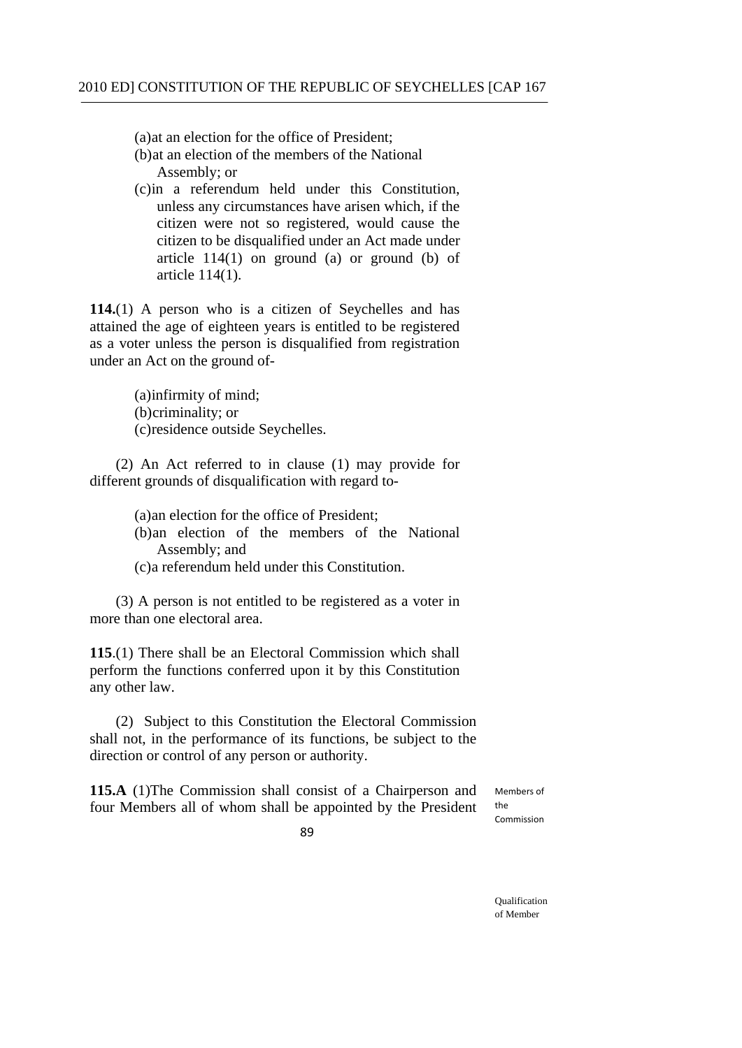(a)at an election for the office of President;

- (b)at an election of the members of the National Assembly; or
- (c)in a referendum held under this Constitution, unless any circumstances have arisen which, if the citizen were not so registered, would cause the citizen to be disqualified under an Act made under article  $114(1)$  on ground (a) or ground (b) of article 114(1).

**114.**(1) A person who is a citizen of Seychelles and has attained the age of eighteen years is entitled to be registered as a voter unless the person is disqualified from registration under an Act on the ground of-

> (a)infirmity of mind; (b)criminality; or (c)residence outside Seychelles.

(2) An Act referred to in clause (1) may provide for different grounds of disqualification with regard to-

> (a)an election for the office of President; (b)an election of the members of the National Assembly; and (c)a referendum held under this Constitution.

 (3) A person is not entitled to be registered as a voter in more than one electoral area.

**115**.(1) There shall be an Electoral Commission which shall perform the functions conferred upon it by this Constitution any other law.

 (2) Subject to this Constitution the Electoral Commission shall not, in the performance of its functions, be subject to the direction or control of any person or authority.

**115.A** (1)The Commission shall consist of a Chairperson and four Members all of whom shall be appointed by the President the

Momhors of Commission

89

Qualification of Member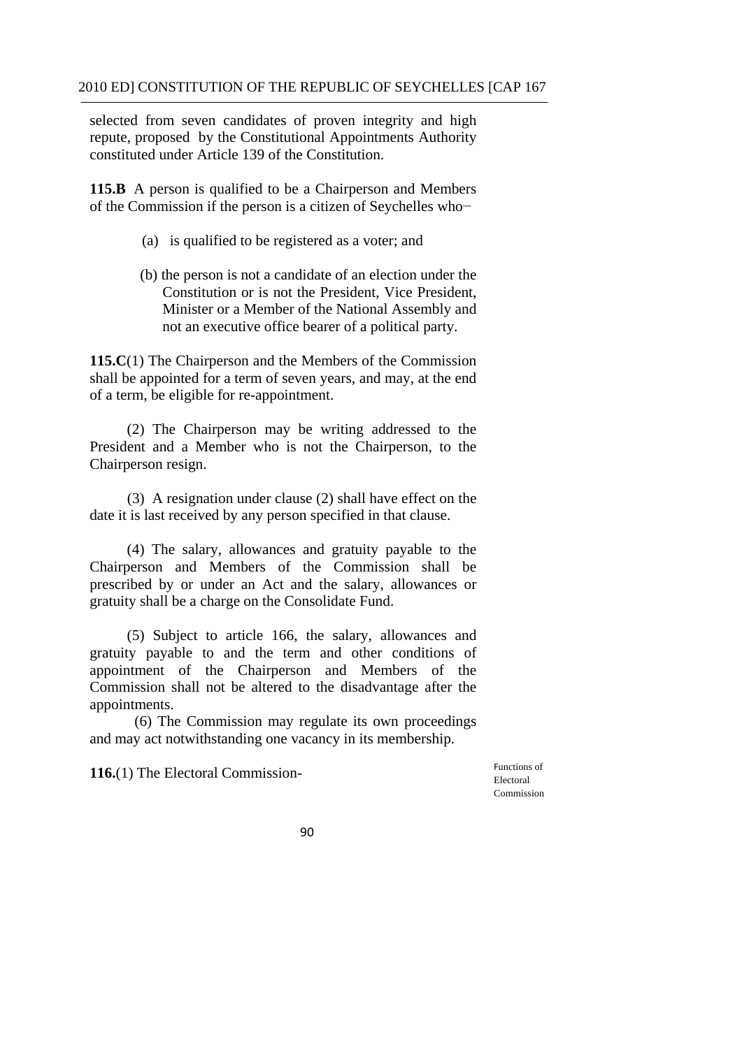constituted under Article 139 of the Constitution. selected from seven candidates of proven integrity and high repute, proposed by the Constitutional Appointments Authority

 of the Commission if the person is a citizen of Seychelles who− **115.B** A person is qualified to be a Chairperson and Members

- (a) is qualified to be registered as a voter; and
- (b) the person is not a candidate of an election under the Constitution or is not the President, Vice President, Minister or a Member of the National Assembly and not an executive office bearer of a political party.

 of a term, be eligible for re-appointment. **115.C**(1) The Chairperson and the Members of the Commission shall be appointed for a term of seven years, and may, at the end

 (2) The Chairperson may be writing addressed to the President and a Member who is not the Chairperson, to the Chairperson resign.

(3) A resignation under clause (2) shall have effect on the date it is last received by any person specified in that clause.

(4) The salary, allowances and gratuity payable to the Chairperson and Members of the Commission shall be prescribed by or under an Act and the salary, allowances or gratuity shall be a charge on the Consolidate Fund.

(5) Subject to article 166, the salary, allowances and gratuity payable to and the term and other conditions of appointment of the Chairperson and Members of the Commission shall not be altered to the disadvantage after the appointments.

(6) The Commission may regulate its own proceedings and may act notwithstanding one vacancy in its membership.

**116.**(1) The Electoral Commission-<br>
Functions of Electoral

Commission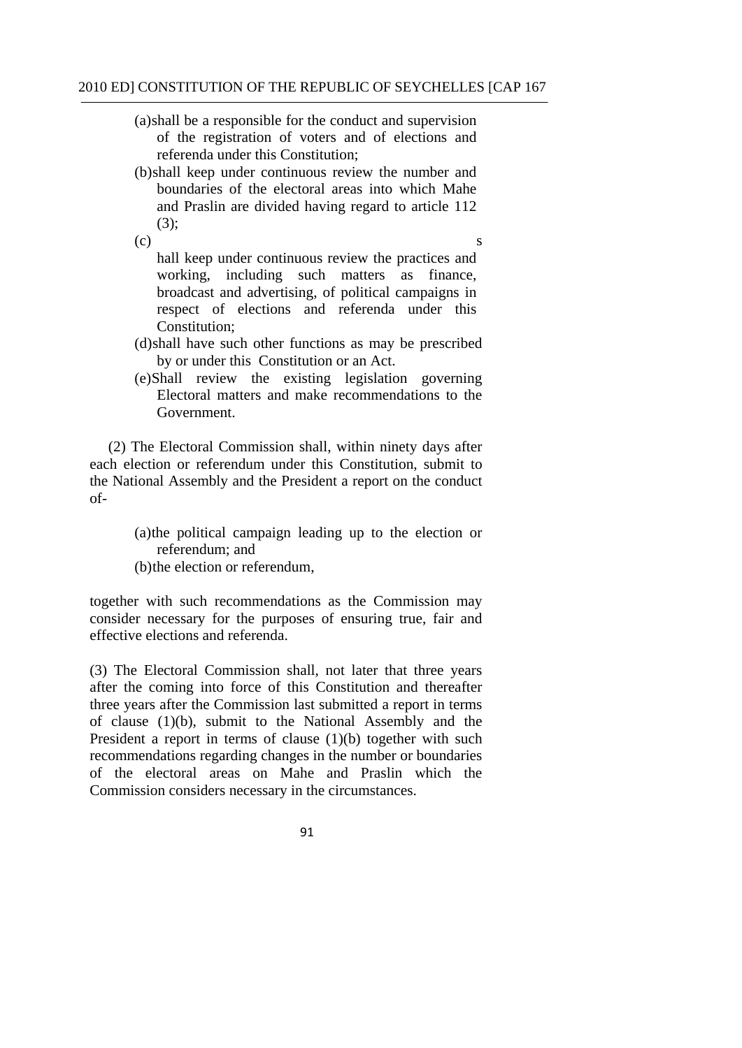(a)shall be a responsible for the conduct and supervision of the registration of voters and of elections and referenda under this Constitution;

- (b)shall keep under continuous review the number and boundaries of the electoral areas into which Mahe and Praslin are divided having regard to article 112 (3);
- $(c)$  s hall keep under continuous review the practices and working, including such matters as finance, broadcast and advertising, of political campaigns in respect of elections and referenda under this Constitution;
- (d)shall have such other functions as may be prescribed by or under this Constitution or an Act.
- (e)Shall review the existing legislation governing Electoral matters and make recommendations to the Government.

(2) The Electoral Commission shall, within ninety days after each election or referendum under this Constitution, submit to the National Assembly and the President a report on the conduct of-

- (a)the political campaign leading up to the election or referendum; and
- (b)the election or referendum,

together with such recommendations as the Commission may consider necessary for the purposes of ensuring true, fair and effective elections and referenda.

(3) The Electoral Commission shall, not later that three years after the coming into force of this Constitution and thereafter three years after the Commission last submitted a report in terms of clause (1)(b), submit to the National Assembly and the President a report in terms of clause  $(1)(b)$  together with such recommendations regarding changes in the number or boundaries of the electoral areas on Mahe and Praslin which the Commission considers necessary in the circumstances.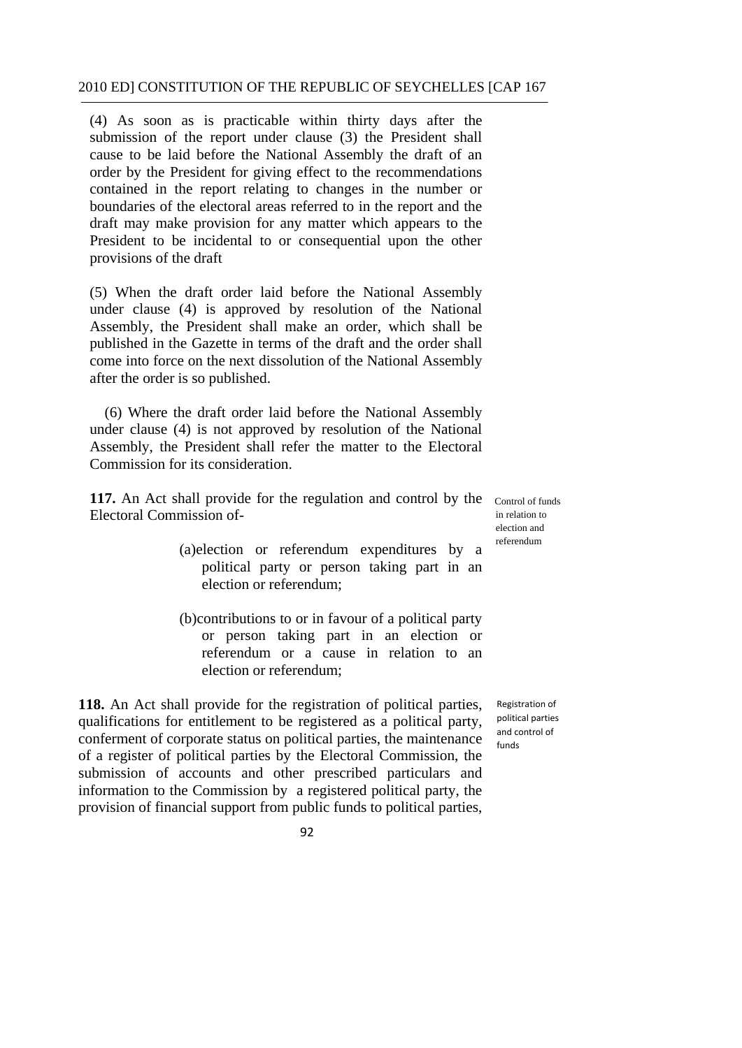(4) As soon as is practicable within thirty days after the submission of the report under clause (3) the President shall cause to be laid before the National Assembly the draft of an order by the President for giving effect to the recommendations contained in the report relating to changes in the number or boundaries of the electoral areas referred to in the report and the draft may make provision for any matter which appears to the President to be incidental to or consequential upon the other provisions of the draft

(5) When the draft order laid before the National Assembly under clause (4) is approved by resolution of the National Assembly, the President shall make an order, which shall be published in the Gazette in terms of the draft and the order shall come into force on the next dissolution of the National Assembly after the order is so published.

(6) Where the draft order laid before the National Assembly under clause (4) is not approved by resolution of the National Assembly, the President shall refer the matter to the Electoral Commission for its consideration.

**117.** An Act shall provide for the regulation and control by the Electoral Commission of-

Control of funds in relation to election and referendum

- election or referendum: (a)election or referendum expenditures by a political party or person taking part in an
- election or referendum; (b)contributions to or in favour of a political party or person taking part in an election or referendum or a cause in relation to an

**118.** An Act shall provide for the registration of political parties, qualifications for entitlement to be registered as a political party, conferment of corporate status on political parties, the maintenance of a register of political parties by the Electoral Commission, the submission of accounts and other prescribed particulars and information to the Commission by a registered political party, the provision of financial support from public funds to political parties,

 Registration of political parties and control of funds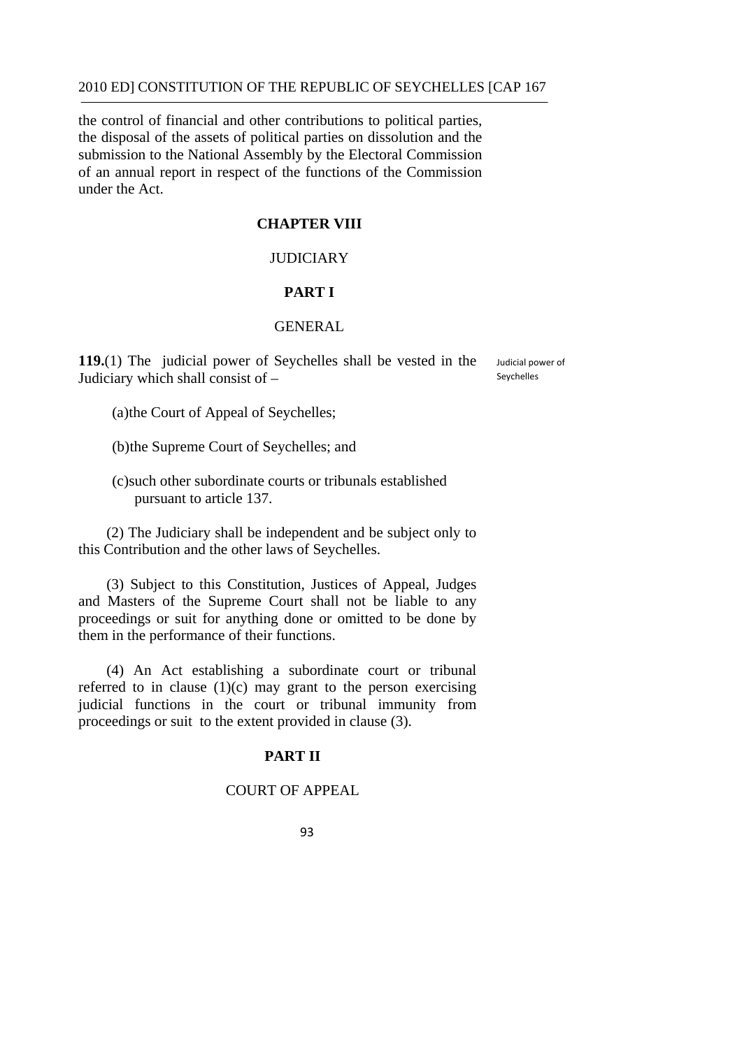the control of financial and other contributions to political parties, the disposal of the assets of political parties on dissolution and the submission to the National Assembly by the Electoral Commission of an annual report in respect of the functions of the Commission under the Act.

## **CHAPTER VIII**

## JUDICIARY

## **PART I**

## GENERAL

**119.**(1) The judicial power of Seychelles shall be vested in the Judiciary which shall consist of –

 Judicial power of Seychelles

(a)the Court of Appeal of Seychelles;

(b)the Supreme Court of Seychelles; and

(c)such other subordinate courts or tribunals established pursuant to article 137.

(2) The Judiciary shall be independent and be subject only to this Contribution and the other laws of Seychelles.

(3) Subject to this Constitution, Justices of Appeal, Judges and Masters of the Supreme Court shall not be liable to any proceedings or suit for anything done or omitted to be done by them in the performance of their functions.

(4) An Act establishing a subordinate court or tribunal referred to in clause  $(1)(c)$  may grant to the person exercising judicial functions in the court or tribunal immunity from proceedings or suit to the extent provided in clause (3).

## **PART II**

# COURT OF APPEAL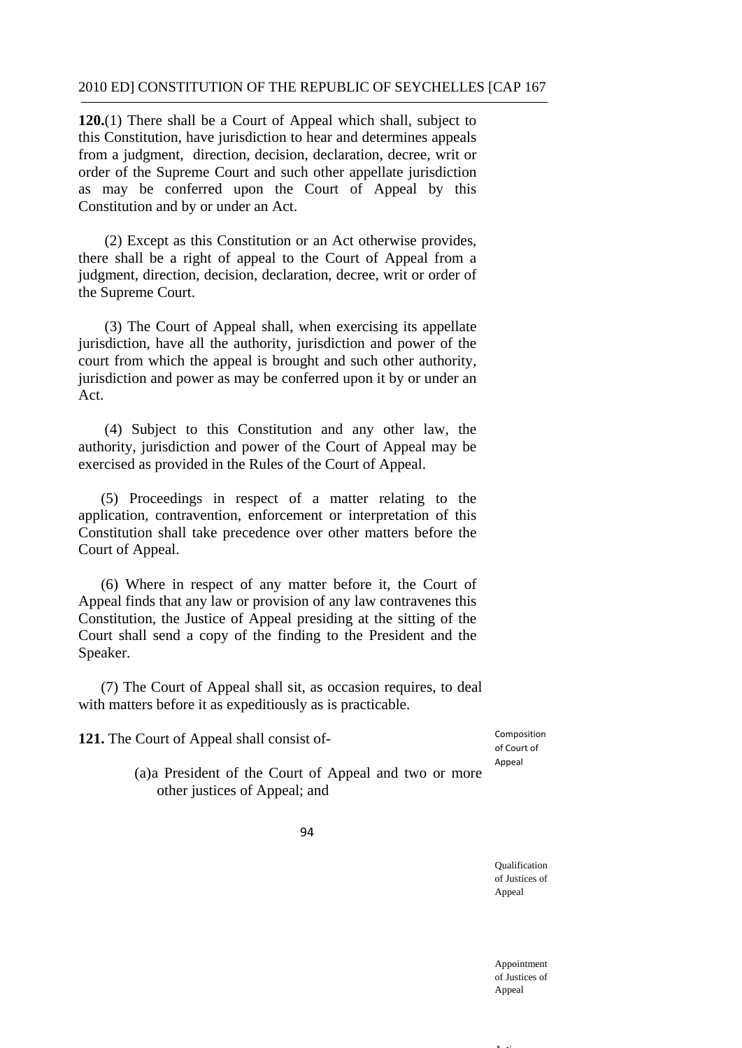**120.**(1) There shall be a Court of Appeal which shall, subject to this Constitution, have jurisdiction to hear and determines appeals from a judgment, direction, decision, declaration, decree, writ or order of the Supreme Court and such other appellate jurisdiction as may be conferred upon the Court of Appeal by this Constitution and by or under an Act.

(2) Except as this Constitution or an Act otherwise provides, there shall be a right of appeal to the Court of Appeal from a judgment, direction, decision, declaration, decree, writ or order of the Supreme Court.

(3) The Court of Appeal shall, when exercising its appellate jurisdiction, have all the authority, jurisdiction and power of the court from which the appeal is brought and such other authority, jurisdiction and power as may be conferred upon it by or under an Act.

(4) Subject to this Constitution and any other law, the authority, jurisdiction and power of the Court of Appeal may be exercised as provided in the Rules of the Court of Appeal.

(5) Proceedings in respect of a matter relating to the application, contravention, enforcement or interpretation of this Constitution shall take precedence over other matters before the Court of Appeal.

(6) Where in respect of any matter before it, the Court of Appeal finds that any law or provision of any law contravenes this Constitution, the Justice of Appeal presiding at the sitting of the Court shall send a copy of the finding to the President and the Speaker.

(7) The Court of Appeal shall sit, as occasion requires, to deal with matters before it as expeditiously as is practicable.

**121.** The Court of Appeal shall consist of- Composition

of Court of Appeal

(a)a President of the Court of Appeal and two or more other justices of Appeal; and

94

Qualification of Justices of Appeal

Appointment of Justices of **Appeal** 

A time of the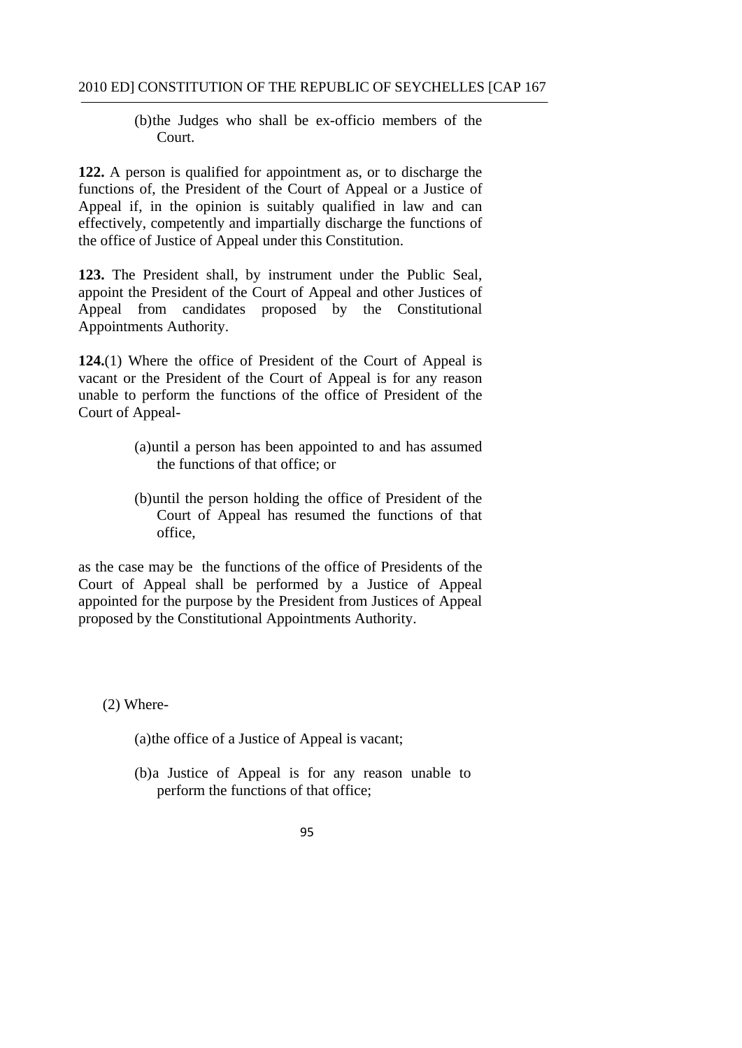# (b)the Judges who shall be ex-officio members of the Court.

**122.** A person is qualified for appointment as, or to discharge the functions of, the President of the Court of Appeal or a Justice of Appeal if, in the opinion is suitably qualified in law and can effectively, competently and impartially discharge the functions of the office of Justice of Appeal under this Constitution.

**123.** The President shall, by instrument under the Public Seal, appoint the President of the Court of Appeal and other Justices of Appeal from candidates proposed by the Constitutional Appointments Authority.

**124.**(1) Where the office of President of the Court of Appeal is vacant or the President of the Court of Appeal is for any reason unable to perform the functions of the office of President of the Court of Appeal-

- (a)until a person has been appointed to and has assumed the functions of that office; or
- (b)until the person holding the office of President of the Court of Appeal has resumed the functions of that office,

as the case may be the functions of the office of Presidents of the Court of Appeal shall be performed by a Justice of Appeal appointed for the purpose by the President from Justices of Appeal proposed by the Constitutional Appointments Authority.

(2) Where-

(a)the office of a Justice of Appeal is vacant;

- (b)a Justice of Appeal is for any reason unable to perform the functions of that office;
	- 95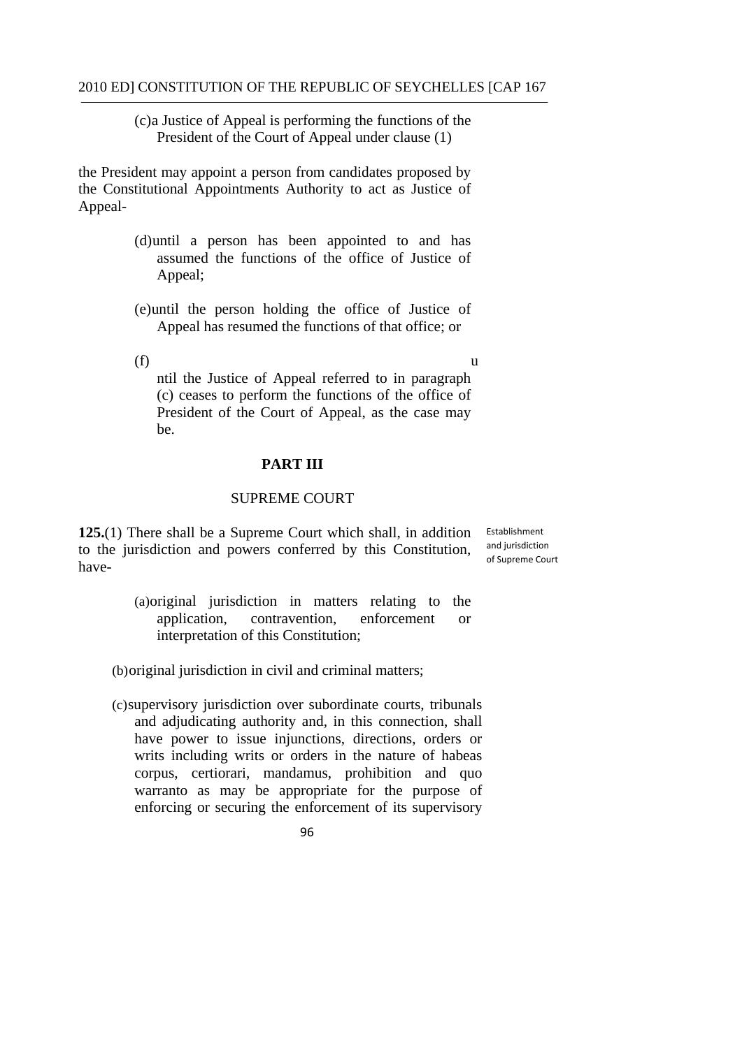(c)a Justice of Appeal is performing the functions of the President of the Court of Appeal under clause (1)

the President may appoint a person from candidates proposed by the Constitutional Appointments Authority to act as Justice of Appeal-

- (d)until a person has been appointed to and has assumed the functions of the office of Justice of Appeal;
- (e)until the person holding the office of Justice of Appeal has resumed the functions of that office; or
- 

 $(f)$  u ntil the Justice of Appeal referred to in paragraph (c) ceases to perform the functions of the office of President of the Court of Appeal, as the case may be.

### **PART III**

## SUPREME COURT

125.(1) There shall be a Supreme Court which shall, in addition **Establishment** to the jurisdiction and powers conferred by this Constitution, have-

 and jurisdiction of Supreme Court

interpretation of this Constitution: (a)original jurisdiction in matters relating to the application, contravention, enforcement or interpretation of this Constitution; application, contravention, enforcement or

(b)original jurisdiction in civil and criminal matters;

(c)supervisory jurisdiction over subordinate courts, tribunals and adjudicating authority and, in this connection, shall have power to issue injunctions, directions, orders or writs including writs or orders in the nature of habeas corpus, certiorari, mandamus, prohibition and quo warranto as may be appropriate for the purpose of enforcing or securing the enforcement of its supervisory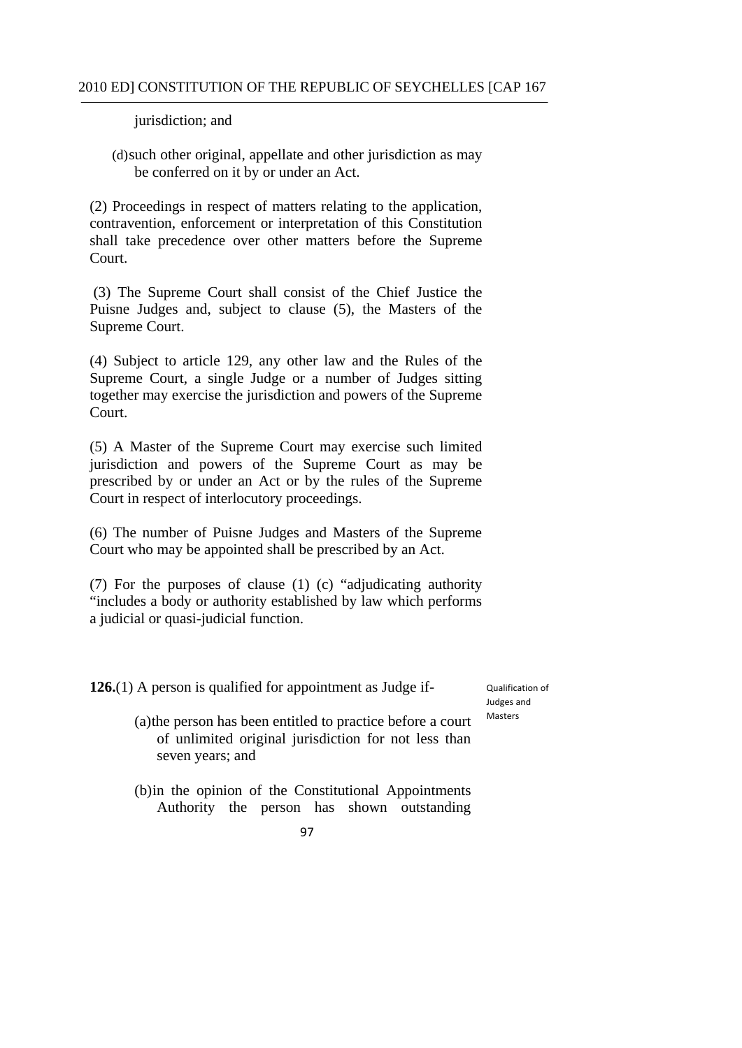jurisdiction; and

(d)such other original, appellate and other jurisdiction as may be conferred on it by or under an Act.

(2) Proceedings in respect of matters relating to the application, contravention, enforcement or interpretation of this Constitution shall take precedence over other matters before the Supreme Court.

(3) The Supreme Court shall consist of the Chief Justice the Puisne Judges and, subject to clause (5), the Masters of the Supreme Court.

(4) Subject to article 129, any other law and the Rules of the Supreme Court, a single Judge or a number of Judges sitting together may exercise the jurisdiction and powers of the Supreme Court.

(5) A Master of the Supreme Court may exercise such limited jurisdiction and powers of the Supreme Court as may be prescribed by or under an Act or by the rules of the Supreme Court in respect of interlocutory proceedings.

(6) The number of Puisne Judges and Masters of the Supreme Court who may be appointed shall be prescribed by an Act.

(7) For the purposes of clause (1) (c) "adjudicating authority "includes a body or authority established by law which performs a judicial or quasi-judicial function.

**126.**(1) A person is qualified for appointment as Judge if-

 Qualification of Judges and Masters

- (a)the person has been entitled to practice before a court of unlimited original jurisdiction for not less than seven years; and
- (b)in the opinion of the Constitutional Appointments Authority the person has shown outstanding
	- 97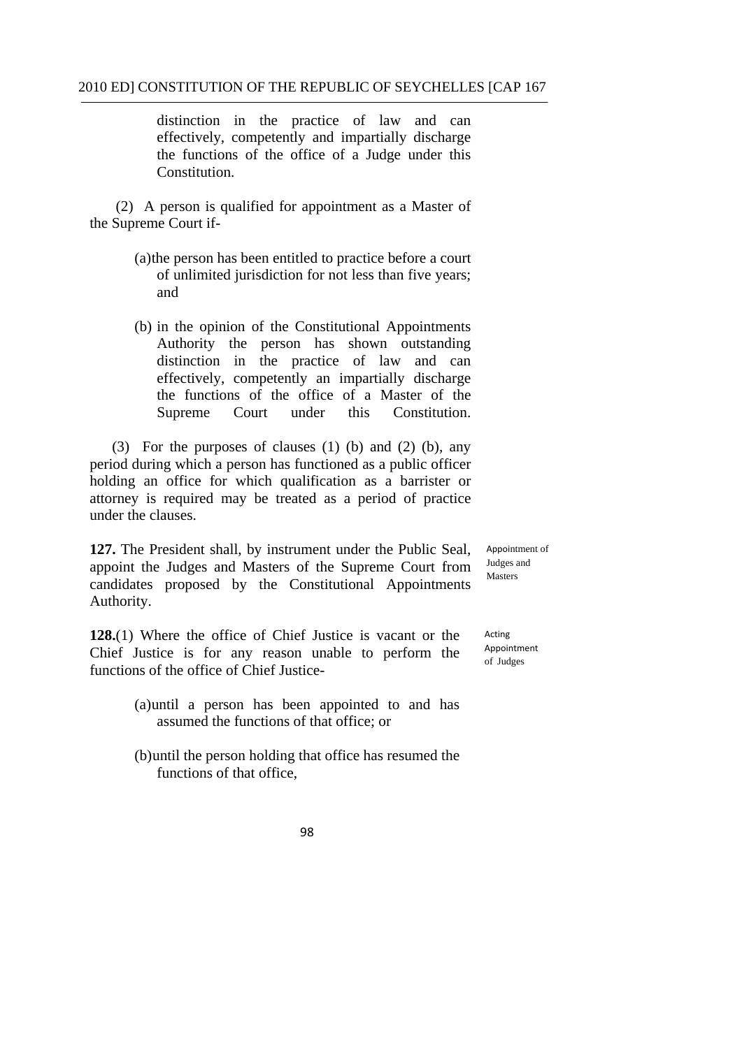distinction in the practice of law and can effectively, competently and impartially discharge the functions of the office of a Judge under this Constitution.

 (2) A person is qualified for appointment as a Master of the Supreme Court if-

- (a)the person has been entitled to practice before a court of unlimited jurisdiction for not less than five years; and
- (b) in the opinion of the Constitutional Appointments Authority the person has shown outstanding distinction in the practice of law and can effectively, competently an impartially discharge the functions of the office of a Master of the Supreme Court under this Constitution.

(3) For the purposes of clauses (1) (b) and (2) (b), any period during which a person has functioned as a public officer holding an office for which qualification as a barrister or attorney is required may be treated as a period of practice under the clauses.

**127.** The President shall, by instrument under the Public Seal, appoint the Judges and Masters of the Supreme Court from candidates proposed by the Constitutional Appointments Authority.

**128.**(1) Where the office of Chief Justice is vacant or the Chief Justice is for any reason unable to perform the functions of the office of Chief Justice-

- (a)until a person has been appointed to and has assumed the functions of that office; or
- (b)until the person holding that office has resumed the functions of that office,

Appointment of Judges and Masters

 of Judges Acting Appointment

<sup>98</sup>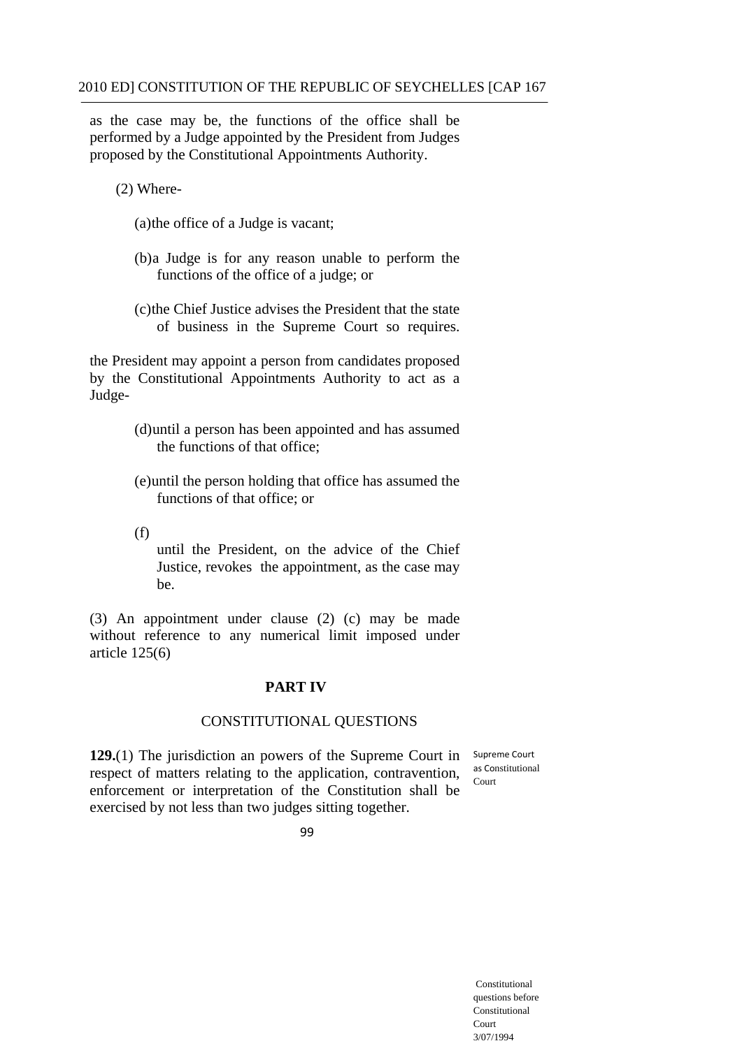as the case may be, the functions of the office shall be performed by a Judge appointed by the President from Judges proposed by the Constitutional Appointments Authority.

(2) Where-

(a)the office of a Judge is vacant;

- (b)a Judge is for any reason unable to perform the functions of the office of a judge; or
- (c)the Chief Justice advises the President that the state of business in the Supreme Court so requires.

the President may appoint a person from candidates proposed by the Constitutional Appointments Authority to act as a Judge-

- (d)until a person has been appointed and has assumed the functions of that office;
- (e)until the person holding that office has assumed the functions of that office; or
- (f)

until the President, on the advice of the Chief Justice, revokes the appointment, as the case may be.

(3) An appointment under clause (2) (c) may be made without reference to any numerical limit imposed under article 125(6)

### **PART IV**

#### CONSTITUTIONAL QUESTIONS

**129.**(1) The jurisdiction an powers of the Supreme Court in respect of matters relating to the application, contravention, enforcement or interpretation of the Constitution shall be exercised by not less than two judges sitting together. Court

 Supreme Court as Constitutional

99

Constitutional questions before Constitutional Court 3/07/1994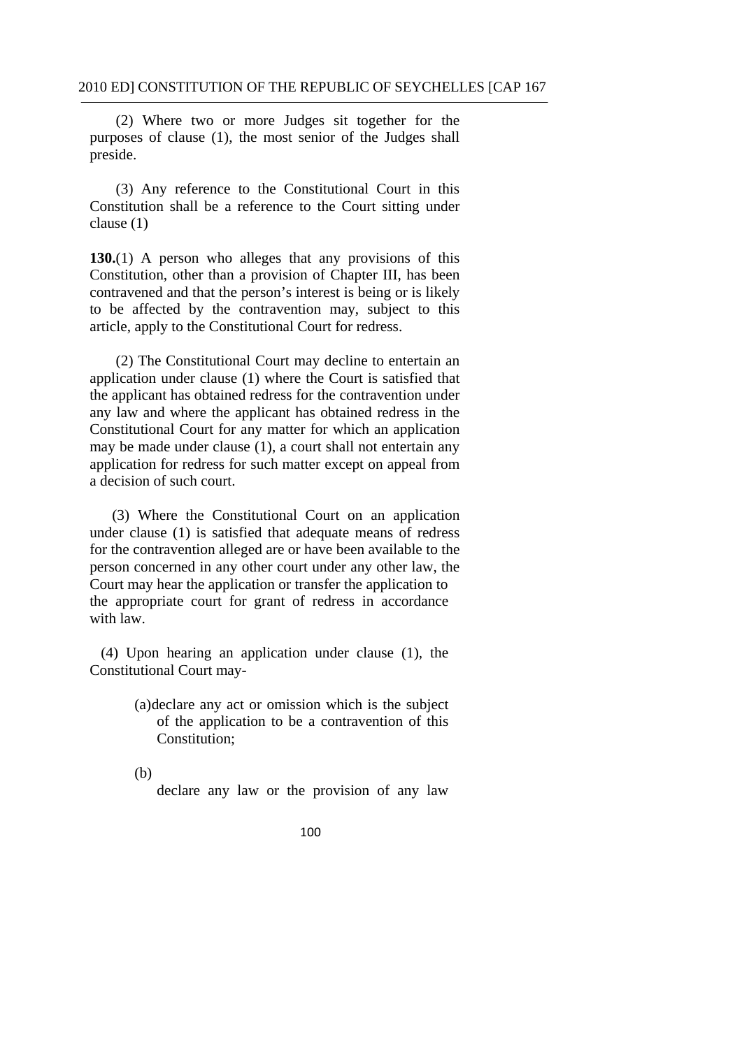(2) Where two or more Judges sit together for the purposes of clause (1), the most senior of the Judges shall preside.

(3) Any reference to the Constitutional Court in this Constitution shall be a reference to the Court sitting under clause (1)

**130.**(1) A person who alleges that any provisions of this Constitution, other than a provision of Chapter III, has been contravened and that the person's interest is being or is likely to be affected by the contravention may, subject to this article, apply to the Constitutional Court for redress.

(2) The Constitutional Court may decline to entertain an application under clause (1) where the Court is satisfied that the applicant has obtained redress for the contravention under any law and where the applicant has obtained redress in the Constitutional Court for any matter for which an application may be made under clause (1), a court shall not entertain any application for redress for such matter except on appeal from a decision of such court.

(3) Where the Constitutional Court on an application under clause (1) is satisfied that adequate means of redress for the contravention alleged are or have been available to the person concerned in any other court under any other law, the Court may hear the application or transfer the application to the appropriate court for grant of redress in accordance with law.

(4) Upon hearing an application under clause (1), the Constitutional Court may-

> (a)declare any act or omission which is the subject of the application to be a contravention of this Constitution;

(b)

declare any law or the provision of any law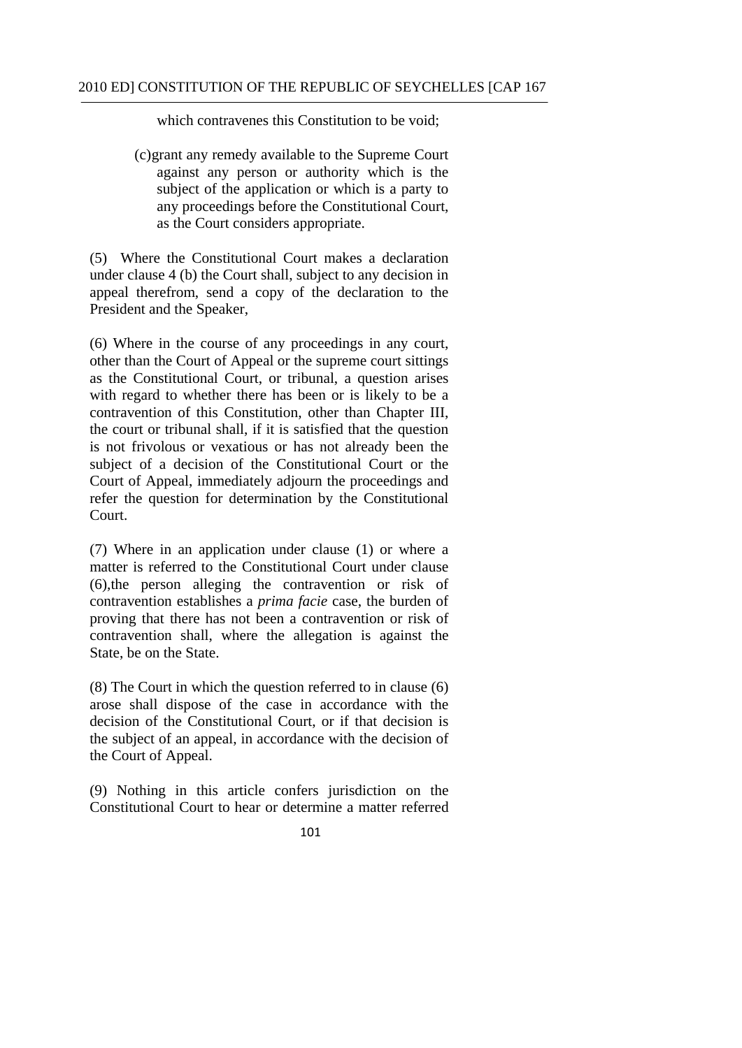which contravenes this Constitution to be void:

(c)grant any remedy available to the Supreme Court against any person or authority which is the subject of the application or which is a party to any proceedings before the Constitutional Court, as the Court considers appropriate.

(5) Where the Constitutional Court makes a declaration under clause 4 (b) the Court shall, subject to any decision in appeal therefrom, send a copy of the declaration to the President and the Speaker,

(6) Where in the course of any proceedings in any court, other than the Court of Appeal or the supreme court sittings as the Constitutional Court, or tribunal, a question arises with regard to whether there has been or is likely to be a contravention of this Constitution, other than Chapter III, the court or tribunal shall, if it is satisfied that the question is not frivolous or vexatious or has not already been the subject of a decision of the Constitutional Court or the Court of Appeal, immediately adjourn the proceedings and refer the question for determination by the Constitutional Court.

(7) Where in an application under clause (1) or where a matter is referred to the Constitutional Court under clause (6),the person alleging the contravention or risk of contravention establishes a *prima facie* case, the burden of proving that there has not been a contravention or risk of contravention shall, where the allegation is against the State, be on the State.

(8) The Court in which the question referred to in clause (6) arose shall dispose of the case in accordance with the decision of the Constitutional Court, or if that decision is the subject of an appeal, in accordance with the decision of the Court of Appeal.

(9) Nothing in this article confers jurisdiction on the Constitutional Court to hear or determine a matter referred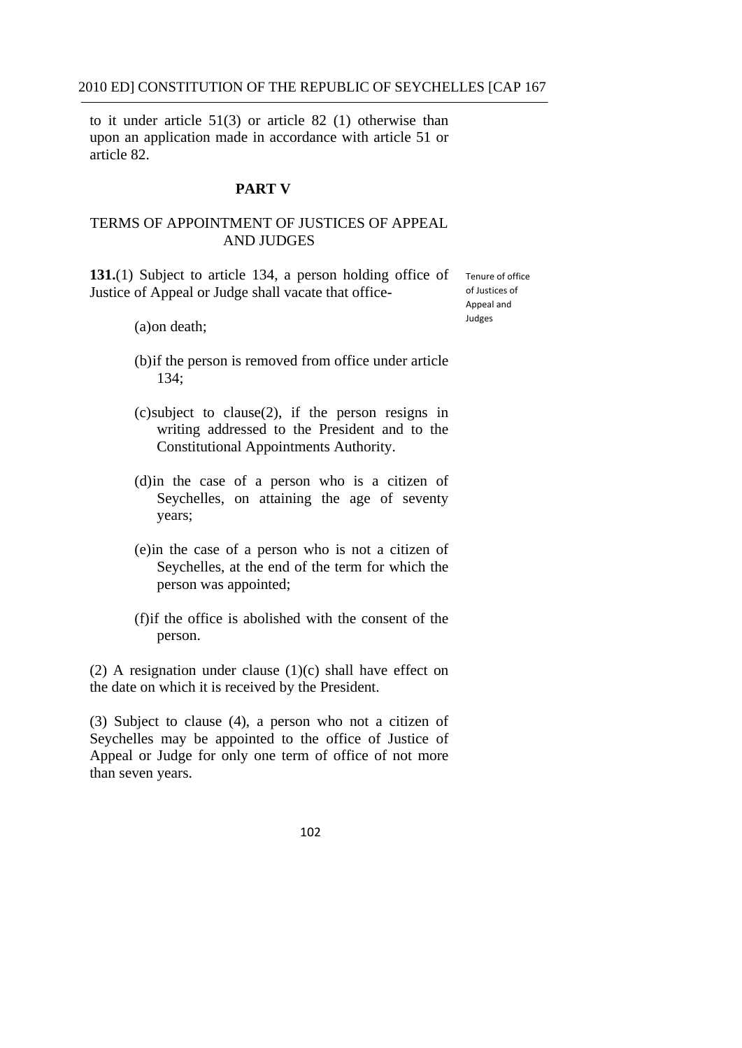article 82. to it under article 51(3) or article 82 (1) otherwise than upon an application made in accordance with article 51 or

### **PART V**

## TERMS OF APPOINTMENT OF JUSTICES OF APPEAL AND JUDGES

**131.**(1) Subject to article 134, a person holding office of Justice of Appeal or Judge shall vacate that office-

 Tenure of office of Justices of Appeal and Judges

(a)on death;

- (b)if the person is removed from office under article 134;
- (c)subject to clause(2), if the person resigns in writing addressed to the President and to the Constitutional Appointments Authority.
- (d)in the case of a person who is a citizen of Seychelles, on attaining the age of seventy years;
- (e)in the case of a person who is not a citizen of Seychelles, at the end of the term for which the person was appointed;
- (f)if the office is abolished with the consent of the person.

(2) A resignation under clause  $(1)(c)$  shall have effect on the date on which it is received by the President.

(3) Subject to clause (4), a person who not a citizen of Seychelles may be appointed to the office of Justice of Appeal or Judge for only one term of office of not more than seven years.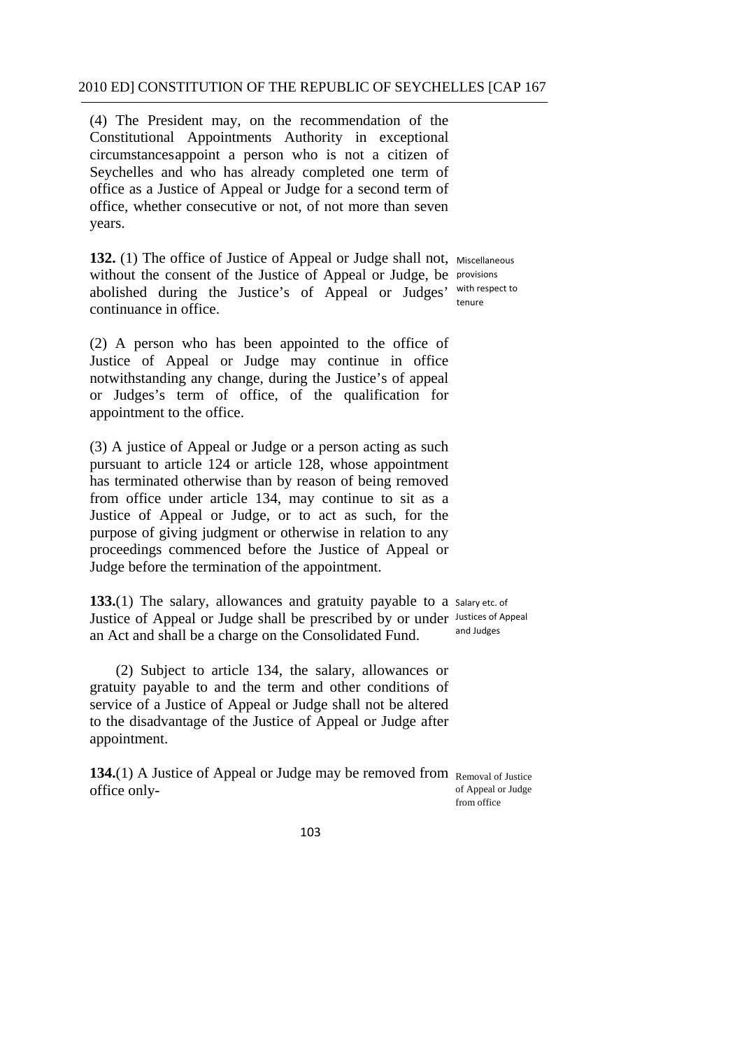(4) The President may, on the recommendation of the Constitutional Appointments Authority in exceptional circumstances appoint a person who is not a citizen of Seychelles and who has already completed one term of office as a Justice of Appeal or Judge for a second term of office, whether consecutive or not, of not more than seven years.

132. (1) The office of Justice of Appeal or Judge shall not, Miscellaneous without the consent of the Justice of Appeal or Judge, be provisions abolished during the Justice's of Appeal or Judges' continuance in office. tenure

with respect to

(2) A person who has been appointed to the office of Justice of Appeal or Judge may continue in office notwithstanding any change, during the Justice's of appeal or Judges's term of office, of the qualification for appointment to the office.

(3) A justice of Appeal or Judge or a person acting as such pursuant to article 124 or article 128, whose appointment has terminated otherwise than by reason of being removed from office under article 134, may continue to sit as a Justice of Appeal or Judge, or to act as such, for the purpose of giving judgment or otherwise in relation to any proceedings commenced before the Justice of Appeal or Judge before the termination of the appointment.

133.(1) The salary, allowances and gratuity payable to a salary etc. of Justice of Appeal or Judge shall be prescribed by or under Justices of Appeal an Act and shall be a charge on the Consolidated Fund. and Judges

(2) Subject to article 134, the salary, allowances or gratuity payable to and the term and other conditions of service of a Justice of Appeal or Judge shall not be altered to the disadvantage of the Justice of Appeal or Judge after appointment.

134.(1) A Justice of Appeal or Judge may be removed from Removal of Justice office onlyof Appeal or Judge from office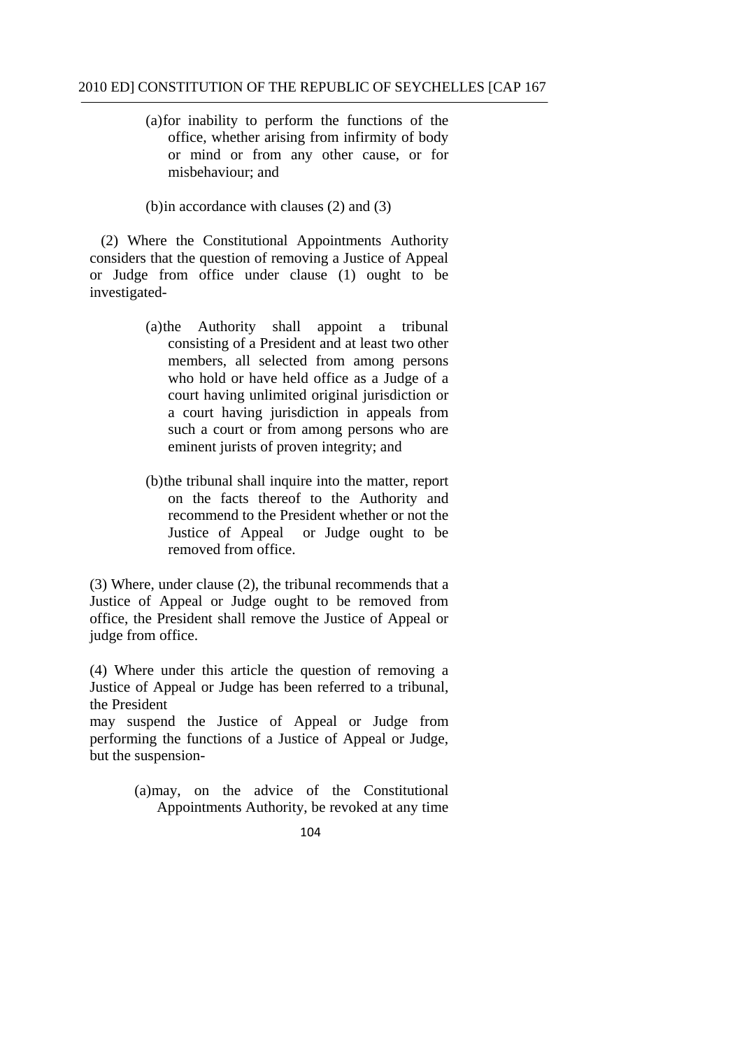mishehaviour: and (a)for inability to perform the functions of the office, whether arising from infirmity of body or mind or from any other cause, or for

(b) in accordance with clauses  $(2)$  and  $(3)$ 

(2) Where the Constitutional Appointments Authority considers that the question of removing a Justice of Appeal or Judge from office under clause (1) ought to be investigated-

- (a)the Authority shall appoint a tribunal consisting of a President and at least two other members, all selected from among persons who hold or have held office as a Judge of a court having unlimited original jurisdiction or a court having jurisdiction in appeals from such a court or from among persons who are eminent jurists of proven integrity; and
- (b)the tribunal shall inquire into the matter, report on the facts thereof to the Authority and recommend to the President whether or not the Justice of Appeal or Judge ought to be removed from office.

(3) Where, under clause (2), the tribunal recommends that a Justice of Appeal or Judge ought to be removed from office, the President shall remove the Justice of Appeal or judge from office.

(4) Where under this article the question of removing a Justice of Appeal or Judge has been referred to a tribunal, the President

may suspend the Justice of Appeal or Judge from performing the functions of a Justice of Appeal or Judge, but the suspension-

> (a)may, on the advice of the Constitutional Appointments Authority, be revoked at any time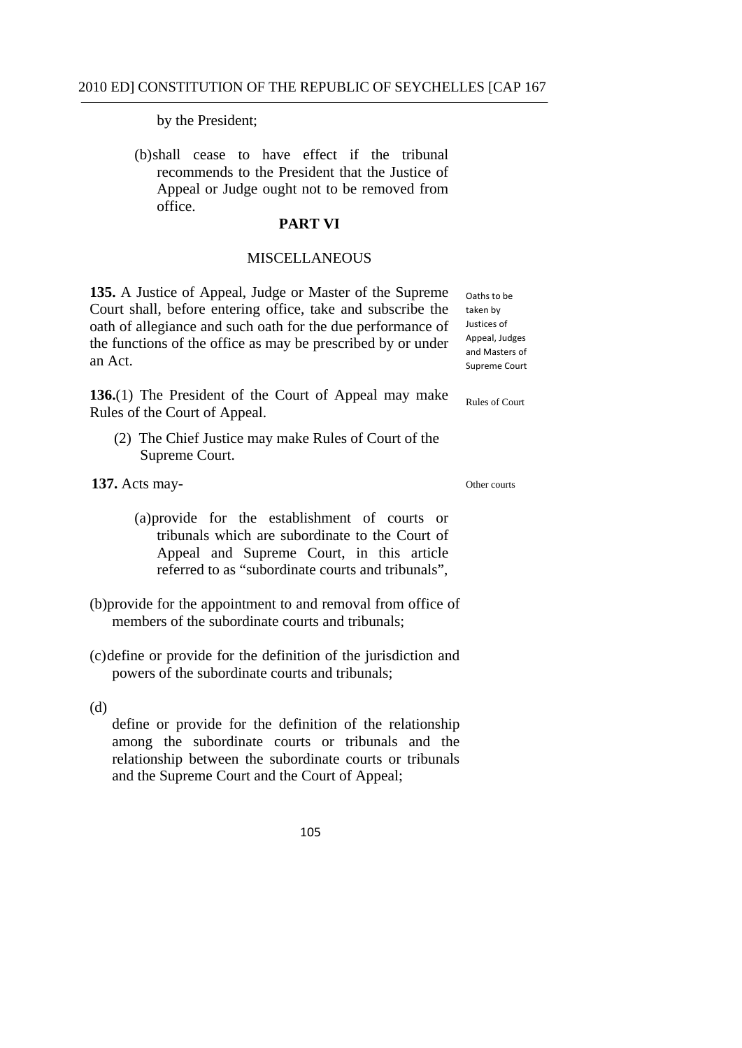by the President;

(b)shall cease to have effect if the tribunal recommends to the President that the Justice of Appeal or Judge ought not to be removed from office.

### **PART VI**

### MISCELLANEOUS

**135.** A Justice of Appeal, Judge or Master of the Supreme Court shall, before entering office, take and subscribe the oath of allegiance and such oath for the due performance of the functions of the office as may be prescribed by or under an Act.

 taken by Justices of Appeal, Judges and Masters of Supreme Court

Rules of Court

Oaths to be

**136.**(1) The President of the Court of Appeal may make Rules of the Court of Appeal.

(2) The Chief Justice may make Rules of Court of the Supreme Court.

 **137.** Acts may-

Other courts

- (a)provide for the establishment of courts or tribunals which are subordinate to the Court of Appeal and Supreme Court, in this article referred to as "subordinate courts and tribunals",
- (b)provide for the appointment to and removal from office of members of the subordinate courts and tribunals:
- (c)define or provide for the definition of the jurisdiction and powers of the subordinate courts and tribunals;

(d)

define or provide for the definition of the relationship among the subordinate courts or tribunals and the relationship between the subordinate courts or tribunals and the Supreme Court and the Court of Appeal;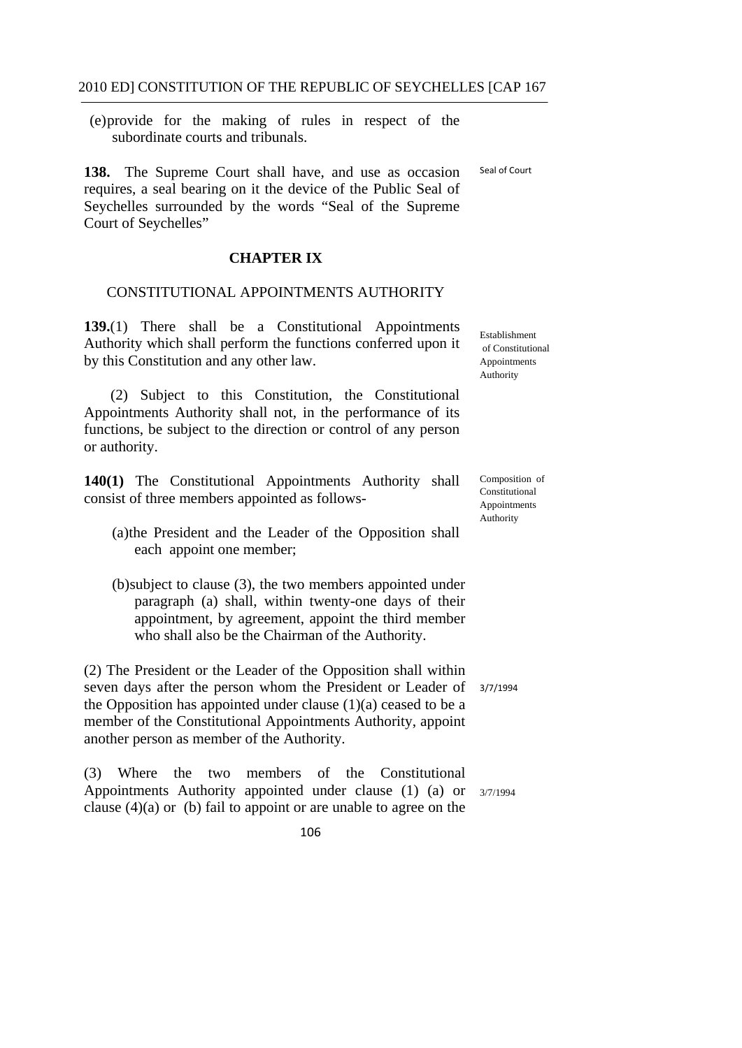(e)provide for the making of rules in respect of the subordinate courts and tribunals.

 Seal of Court **138.** The Supreme Court shall have, and use as occasion requires, a seal bearing on it the device of the Public Seal of Seychelles surrounded by the words "Seal of the Supreme" Court of Seychelles"

# **CHAPTER IX**

### CONSTITUTIONAL APPOINTMENTS AUTHORITY

**139.**(1) There shall be a Constitutional Appointments Authority which shall perform the functions conferred upon it by this Constitution and any other law.

(2) Subject to this Constitution, the Constitutional Appointments Authority shall not, in the performance of its functions, be subject to the direction or control of any person or authority.

**140(1)** The Constitutional Appointments Authority shall consist of three members appointed as follows-

- (a)the President and the Leader of the Opposition shall each appoint one member;
- (b)subject to clause (3), the two members appointed under paragraph (a) shall, within twenty-one days of their appointment, by agreement, appoint the third member who shall also be the Chairman of the Authority.

(2) The President or the Leader of the Opposition shall within seven days after the person whom the President or Leader of the Opposition has appointed under clause  $(1)(a)$  ceased to be a member of the Constitutional Appointments Authority, appoint another person as member of the Authority.

(3) Where the two members of the Constitutional Appointments Authority appointed under clause (1) (a) or  $3/7/1994$ clause  $(4)(a)$  or (b) fail to appoint or are unable to agree on the

Establishment of Constitutional Appointments Authority

Composition of Constitutional Appointments Authority

3/7/1994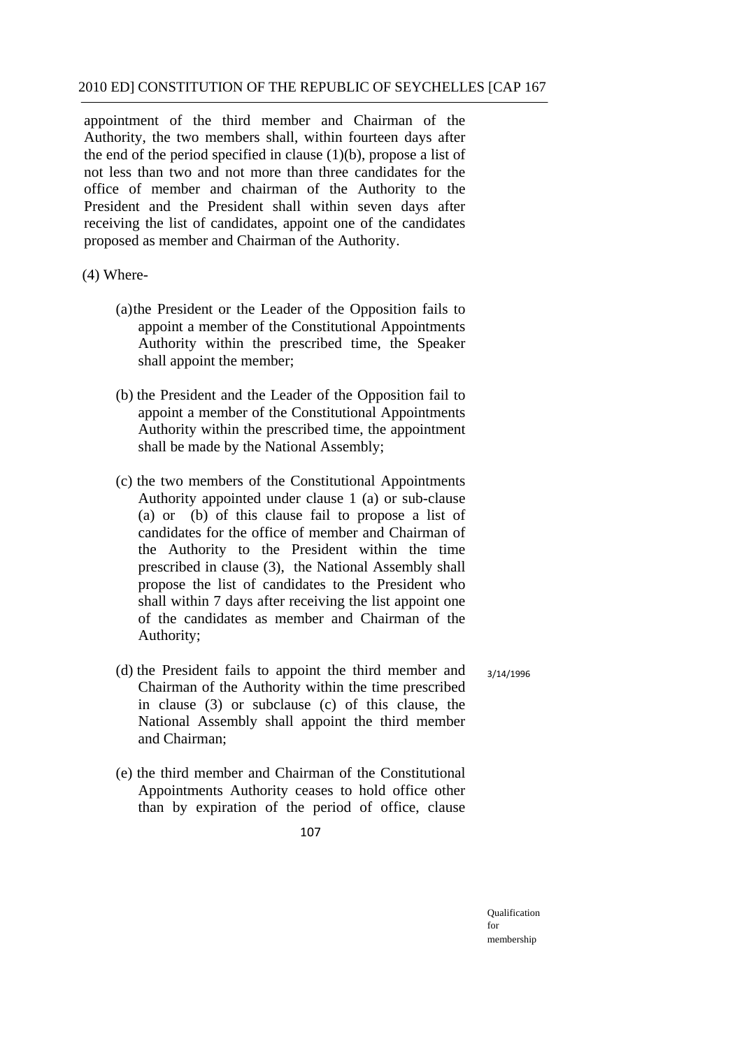appointment of the third member and Chairman of the Authority, the two members shall, within fourteen days after the end of the period specified in clause  $(1)(b)$ , propose a list of not less than two and not more than three candidates for the office of member and chairman of the Authority to the President and the President shall within seven days after receiving the list of candidates, appoint one of the candidates proposed as member and Chairman of the Authority.

(4) Where-

- (a)the President or the Leader of the Opposition fails to appoint a member of the Constitutional Appointments Authority within the prescribed time, the Speaker shall appoint the member;
- (b) the President and the Leader of the Opposition fail to appoint a member of the Constitutional Appointments Authority within the prescribed time, the appointment shall be made by the National Assembly;
- (c) the two members of the Constitutional Appointments Authority appointed under clause 1 (a) or sub-clause (a) or (b) of this clause fail to propose a list of candidates for the office of member and Chairman of the Authority to the President within the time prescribed in clause (3), the National Assembly shall propose the list of candidates to the President who shall within 7 days after receiving the list appoint one of the candidates as member and Chairman of the Authority;
- (d) the President fails to appoint the third member and Chairman of the Authority within the time prescribed in clause (3) or subclause (c) of this clause, the National Assembly shall appoint the third member and Chairman; 3/14/1996
- (e) the third member and Chairman of the Constitutional Appointments Authority ceases to hold office other than by expiration of the period of office, clause
	- 107

Qualification for membership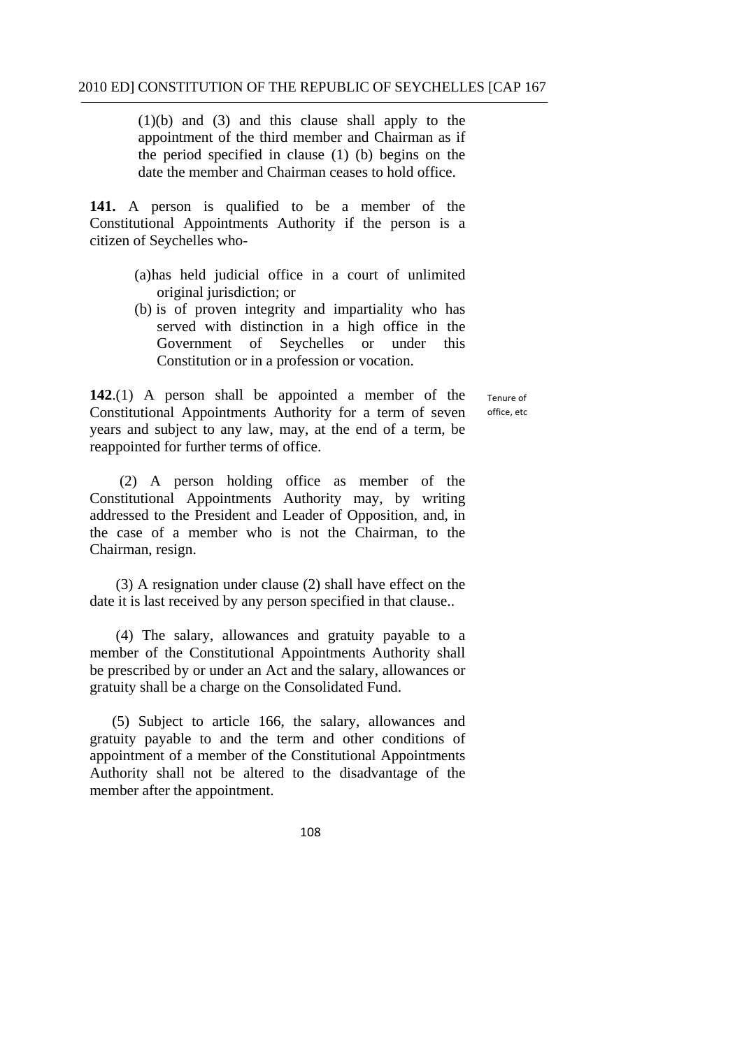(1)(b) and (3) and this clause shall apply to the appointment of the third member and Chairman as if the period specified in clause (1) (b) begins on the date the member and Chairman ceases to hold office.

**141.** A person is qualified to be a member of the Constitutional Appointments Authority if the person is a citizen of Seychelles who-

- (a)has held judicial office in a court of unlimited original jurisdiction; or
- (b) is of proven integrity and impartiality who has served with distinction in a high office in the Government of Seychelles or under this Constitution or in a profession or vocation.

**142**.(1) A person shall be appointed a member of the Constitutional Appointments Authority for a term of seven years and subject to any law, may, at the end of a term, be reappointed for further terms of office.

 Tenure of office, etc

(2) A person holding office as member of the Constitutional Appointments Authority may, by writing addressed to the President and Leader of Opposition, and, in the case of a member who is not the Chairman, to the Chairman, resign.

(3) A resignation under clause (2) shall have effect on the date it is last received by any person specified in that clause..

 (4) The salary, allowances and gratuity payable to a member of the Constitutional Appointments Authority shall be prescribed by or under an Act and the salary, allowances or gratuity shall be a charge on the Consolidated Fund.

(5) Subject to article 166, the salary, allowances and gratuity payable to and the term and other conditions of appointment of a member of the Constitutional Appointments Authority shall not be altered to the disadvantage of the member after the appointment.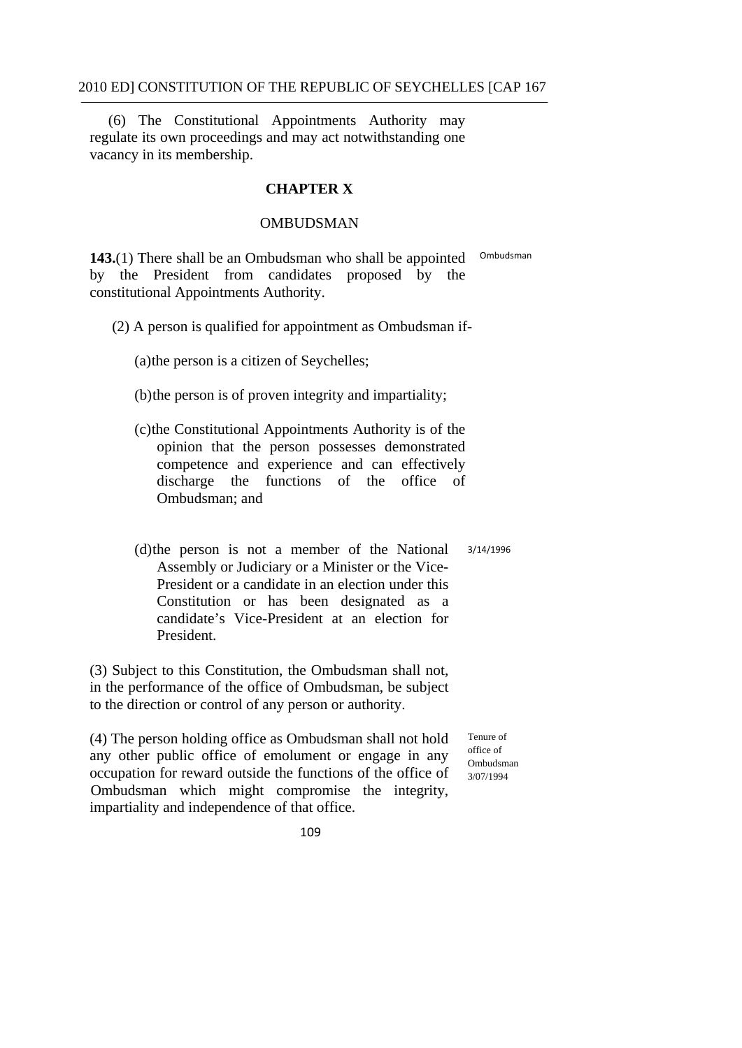(6) The Constitutional Appointments Authority may regulate its own proceedings and may act notwithstanding one vacancy in its membership.

#### **CHAPTER X**

#### OMBUDSMAN

**143.** (1) There shall be an Ombudsman who shall be appointed <sup>Ombudsman</sup> by the President from candidates proposed by the constitutional Appointments Authority.

(2) A person is qualified for appointment as Ombudsman if-

(a)the person is a citizen of Seychelles;

(b)the person is of proven integrity and impartiality;

- (c)the Constitutional Appointments Authority is of the opinion that the person possesses demonstrated competence and experience and can effectively discharge the functions of the office of Ombudsman; and
- 3/14/1996  $(d)$ the person is not a member of the National Assembly or Judiciary or a Minister or the Vice-President or a candidate in an election under this Constitution or has been designated as a candidate's Vice-President at an election for President.

(3) Subject to this Constitution, the Ombudsman shall not, in the performance of the office of Ombudsman, be subject to the direction or control of any person or authority.

(4) The person holding office as Ombudsman shall not hold Tenure of any other nuclear as  $\frac{1}{2}$  office of any other public office of emolument or engage in any  $\sigma_{\text{m}$ budsman occupation for reward outside the functions of the office of  $\frac{3/07}{13/07/1994}$ Ombudsman which might compromise the integrity, impartiality and independence of that office.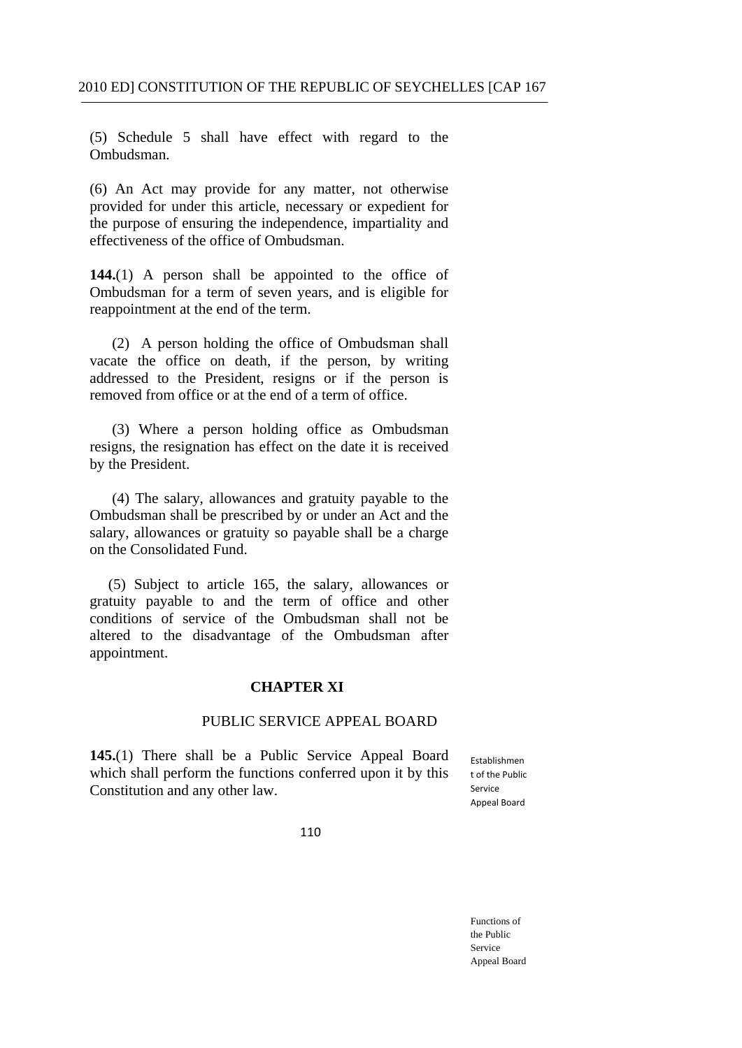(5) Schedule 5 shall have effect with regard to the Ombudsman.

(6) An Act may provide for any matter, not otherwise provided for under this article, necessary or expedient for the purpose of ensuring the independence, impartiality and effectiveness of the office of Ombudsman.

**144.**(1) A person shall be appointed to the office of Ombudsman for a term of seven years, and is eligible for reappointment at the end of the term.

(2) A person holding the office of Ombudsman shall vacate the office on death, if the person, by writing addressed to the President, resigns or if the person is removed from office or at the end of a term of office.

 (3) Where a person holding office as Ombudsman resigns, the resignation has effect on the date it is received by the President.

 (4) The salary, allowances and gratuity payable to the Ombudsman shall be prescribed by or under an Act and the salary, allowances or gratuity so payable shall be a charge on the Consolidated Fund.

 (5) Subject to article 165, the salary, allowances or gratuity payable to and the term of office and other conditions of service of the Ombudsman shall not be altered to the disadvantage of the Ombudsman after appointment.

#### **CHAPTER XI**

#### PUBLIC SERVICE APPEAL BOARD

**145.**(1) There shall be a Public Service Appeal Board Establishmen which shall perform the functions conferred upon it by this Constitution and any other law. Service

t of the Public Appeal Board

110

Functions of the Public Service Appeal Board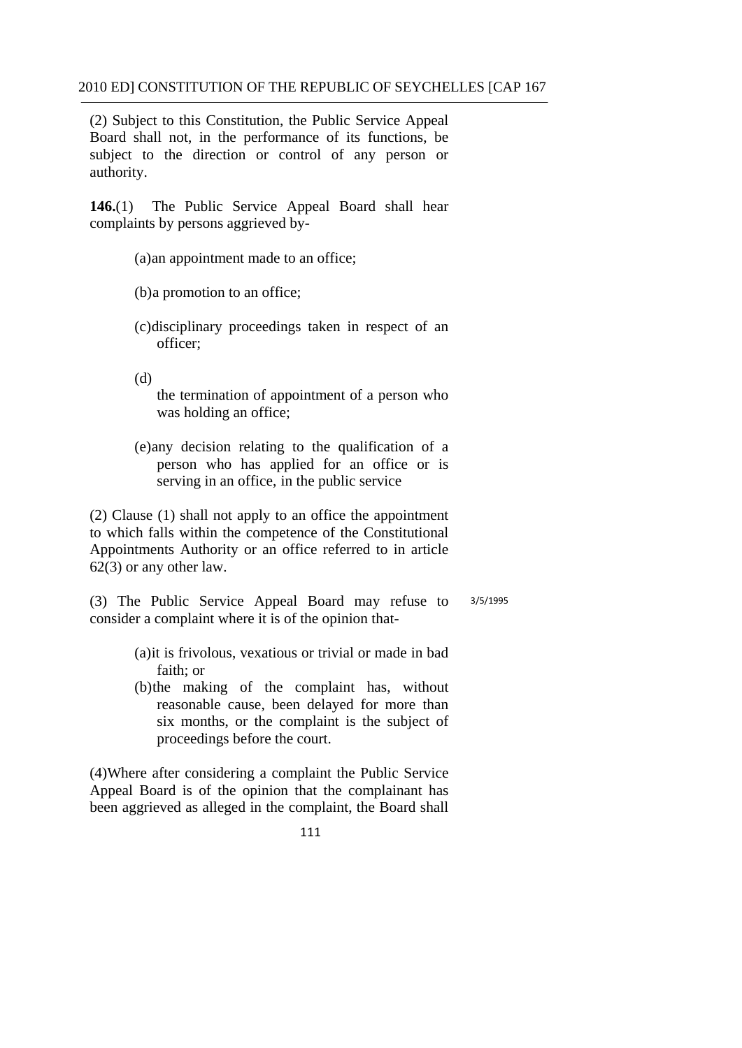(2) Subject to this Constitution, the Public Service Appeal Board shall not, in the performance of its functions, be subject to the direction or control of any person or authority.

**146.**(1) The Public Service Appeal Board shall hear complaints by persons aggrieved by-

- (a)an appointment made to an office;
- (b)a promotion to an office;
- (c)disciplinary proceedings taken in respect of an officer;

(d)

the termination of appointment of a person who was holding an office;

(e)any decision relating to the qualification of a person who has applied for an office or is serving in an office, in the public service

(2) Clause (1) shall not apply to an office the appointment to which falls within the competence of the Constitutional Appointments Authority or an office referred to in article 62(3) or any other law.

(3) The Public Service Appeal Board may refuse to 3/5/1995 consider a complaint where it is of the opinion that-

- (a)it is frivolous, vexatious or trivial or made in bad faith; or
- (b)the making of the complaint has, without reasonable cause, been delayed for more than six months, or the complaint is the subject of proceedings before the court.

(4)Where after considering a complaint the Public Service Appeal Board is of the opinion that the complainant has been aggrieved as alleged in the complaint, the Board shall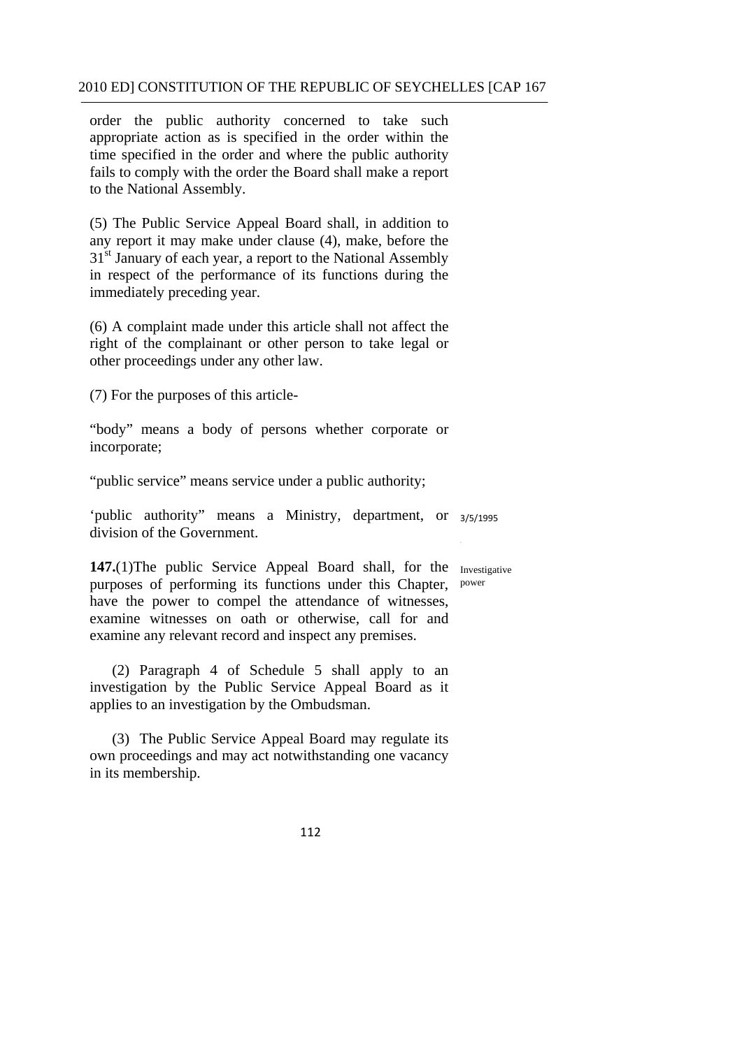order the public authority concerned to take such appropriate action as is specified in the order within the time specified in the order and where the public authority fails to comply with the order the Board shall make a report to the National Assembly.

(5) The Public Service Appeal Board shall, in addition to any report it may make under clause (4), make, before the 31<sup>st</sup> January of each year, a report to the National Assembly in respect of the performance of its functions during the immediately preceding year.

(6) A complaint made under this article shall not affect the right of the complainant or other person to take legal or other proceedings under any other law.

(7) For the purposes of this article-

"body" means a body of persons whether corporate or incorporate;

"public service" means service under a public authority;

'public authority" means a Ministry, department, or 3/5/1995 division of the Government.

147.(1)The public Service Appeal Board shall, for the Investigative purposes of performing its functions under this Chapter, power have the power to compel the attendance of witnesses, examine witnesses on oath or otherwise, call for and examine any relevant record and inspect any premises.

(2) Paragraph 4 of Schedule 5 shall apply to an investigation by the Public Service Appeal Board as it applies to an investigation by the Ombudsman.

(3) The Public Service Appeal Board may regulate its own proceedings and may act notwithstanding one vacancy in its membership.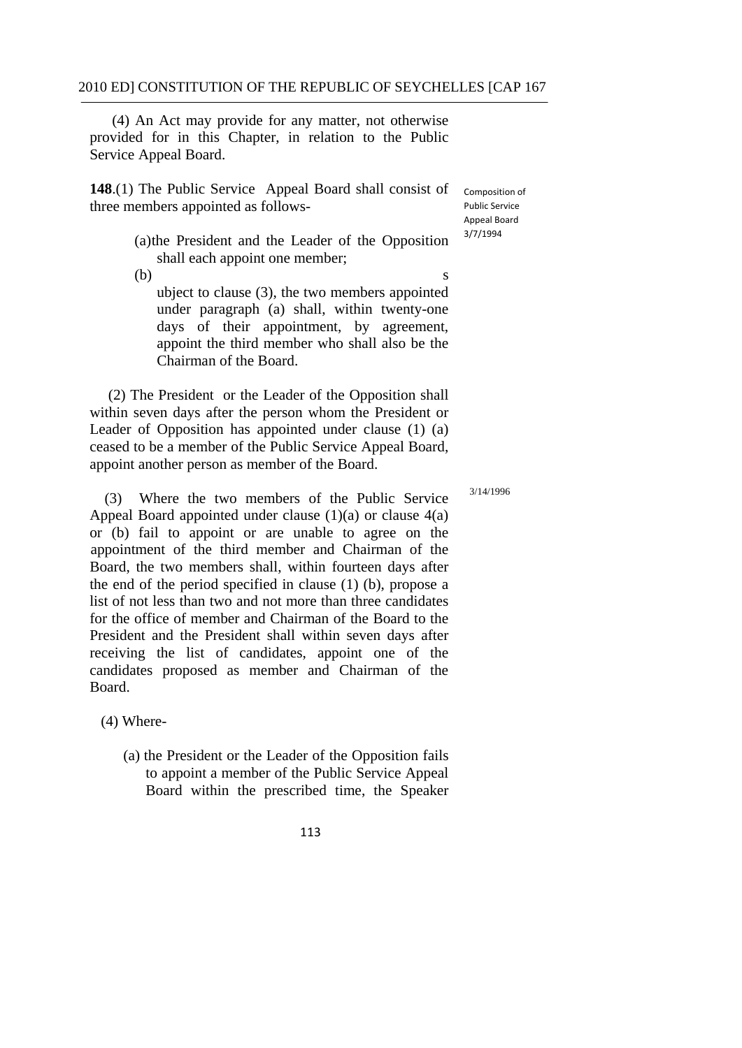(4) An Act may provide for any matter, not otherwise provided for in this Chapter, in relation to the Public Service Appeal Board.

**148**.(1) The Public Service Appeal Board shall consist of three members appointed as follows-

 Composition of Public Service Appeal Board 3/7/1994

(a)the President and the Leader of the Opposition shall each appoint one member;

 $(b)$  s ubject to clause (3), the two members appointed under paragraph (a) shall, within twenty-one days of their appointment, by agreement, appoint the third member who shall also be the Chairman of the Board.

(2) The President or the Leader of the Opposition shall within seven days after the person whom the President or Leader of Opposition has appointed under clause (1) (a) ceased to be a member of the Public Service Appeal Board, appoint another person as member of the Board.

Where the two members of the Public Service Appeal Board appointed under clause  $(1)(a)$  or clause  $4(a)$ or (b) fail to appoint or are unable to agree on the appointment of the third member and Chairman of the Board, the two members shall, within fourteen days after the end of the period specified in clause (1) (b), propose a list of not less than two and not more than three candidates for the office of member and Chairman of the Board to the President and the President shall within seven days after receiving the list of candidates, appoint one of the candidates proposed as member and Chairman of the Board.

(4) Where-

- (a) the President or the Leader of the Opposition fails to appoint a member of the Public Service Appeal Board within the prescribed time, the Speaker
	- 113

3/14/1996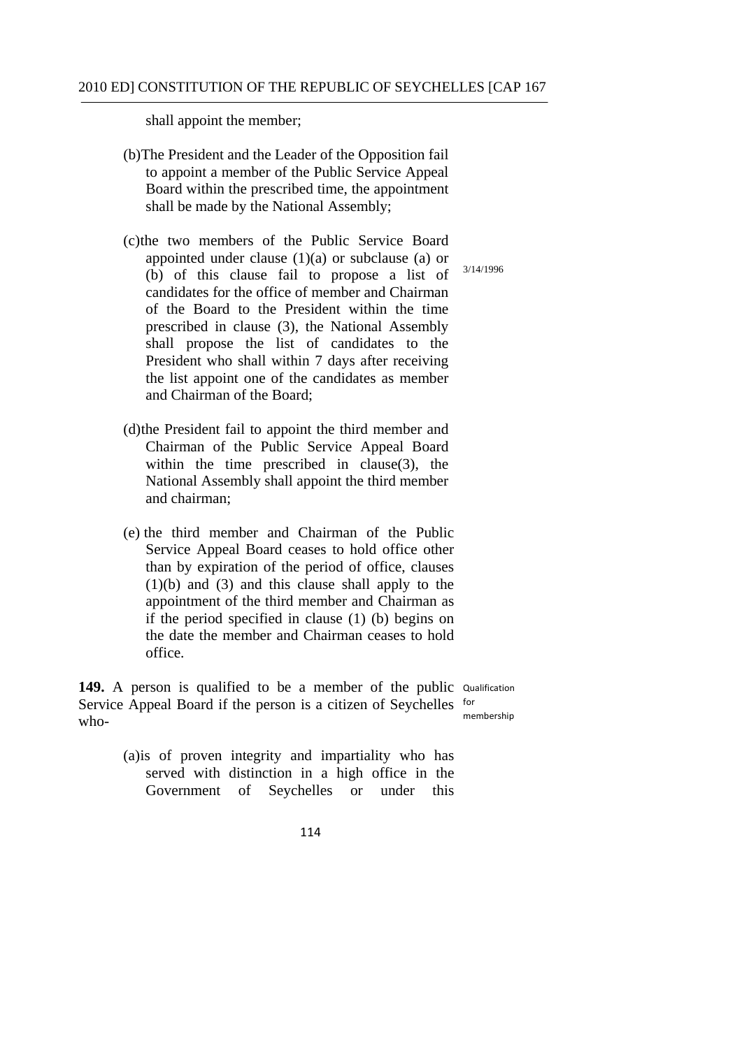shall appoint the member;

- (b)The President and the Leader of the Opposition fail to appoint a member of the Public Service Appeal Board within the prescribed time, the appointment shall be made by the National Assembly;
- (c)the two members of the Public Service Board appointed under clause  $(1)(a)$  or subclause  $(a)$  or (b) of this clause fail to propose a list of candidates for the office of member and Chairman of the Board to the President within the time prescribed in clause (3), the National Assembly shall propose the list of candidates to the President who shall within 7 days after receiving the list appoint one of the candidates as member and Chairman of the Board;
- (d)the President fail to appoint the third member and Chairman of the Public Service Appeal Board within the time prescribed in clause $(3)$ , the National Assembly shall appoint the third member and chairman;
- (e) the third member and Chairman of the Public Service Appeal Board ceases to hold office other than by expiration of the period of office, clauses  $(1)(b)$  and  $(3)$  and this clause shall apply to the appointment of the third member and Chairman as if the period specified in clause (1) (b) begins on the date the member and Chairman ceases to hold office.

149. A person is qualified to be a member of the public Qualification Service Appeal Board if the person is a citizen of Seychelles for who membership

> (a)is of proven integrity and impartiality who has served with distinction in a high office in the Government of Seychelles or under this

> > 114

3/14/1996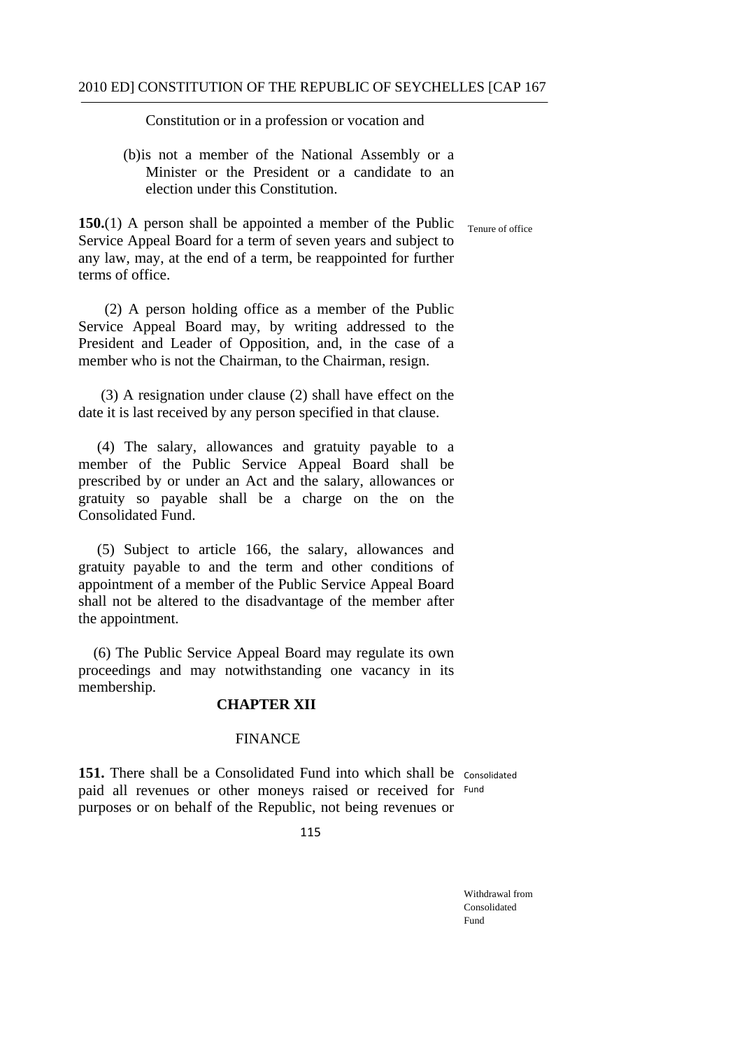Constitution or in a profession or vocation and

(b)is not a member of the National Assembly or a Minister or the President or a candidate to an election under this Constitution.

**150.**(1) A person shall be appointed a member of the Public Service Appeal Board for a term of seven years and subject to any law, may, at the end of a term, be reappointed for further terms of office.

(2) A person holding office as a member of the Public Service Appeal Board may, by writing addressed to the President and Leader of Opposition, and, in the case of a member who is not the Chairman, to the Chairman, resign.

(3) A resignation under clause (2) shall have effect on the date it is last received by any person specified in that clause.

(4) The salary, allowances and gratuity payable to a member of the Public Service Appeal Board shall be prescribed by or under an Act and the salary, allowances or gratuity so payable shall be a charge on the on the Consolidated Fund.

(5) Subject to article 166, the salary, allowances and gratuity payable to and the term and other conditions of appointment of a member of the Public Service Appeal Board shall not be altered to the disadvantage of the member after the appointment.

(6) The Public Service Appeal Board may regulate its own proceedings and may notwithstanding one vacancy in its membership.

### **CHAPTER XII**

#### FINANCE

151. There shall be a Consolidated Fund into which shall be consolidated paid all revenues or other moneys raised or received for Fund purposes or on behalf of the Republic, not being revenues or

115

Withdrawal from Consolidated Fund

Tenure of office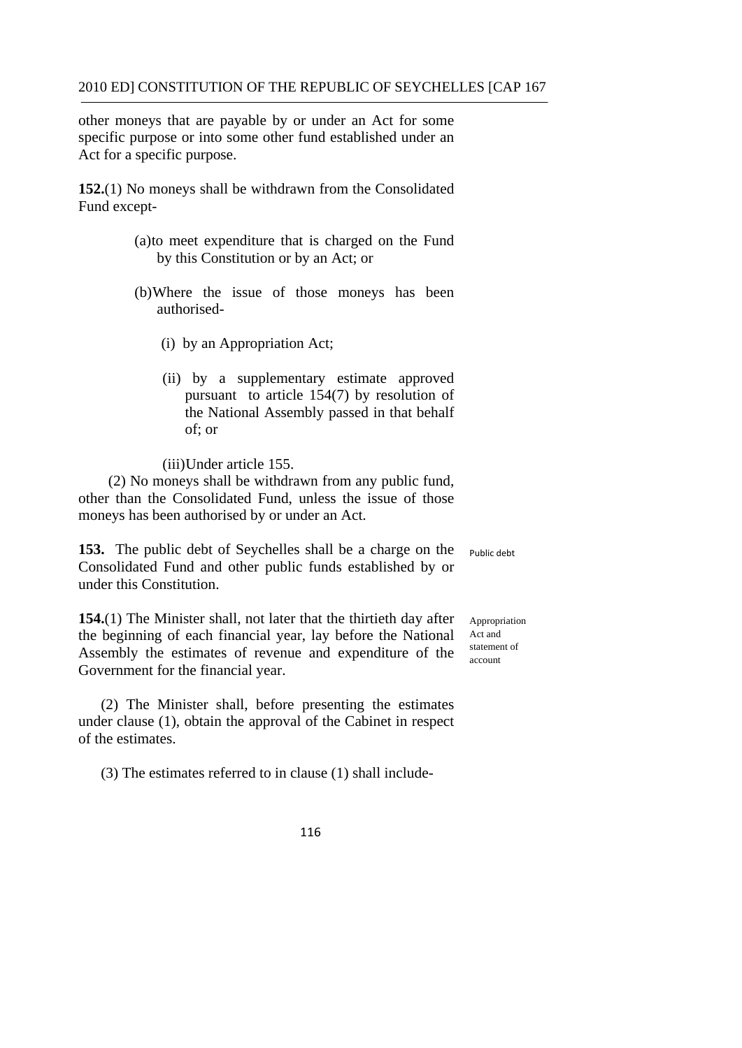other moneys that are payable by or under an Act for some specific purpose or into some other fund established under an Act for a specific purpose.

**152.**(1) No moneys shall be withdrawn from the Consolidated Fund except-

- (a)to meet expenditure that is charged on the Fund by this Constitution or by an Act; or
- (b)Where the issue of those moneys has been authorised-
	- (i) by an Appropriation Act;
	- (ii) by a supplementary estimate approved pursuant to article 154(7) by resolution of the National Assembly passed in that behalf of; or

(iii)Under article 155.

(2) No moneys shall be withdrawn from any public fund, other than the Consolidated Fund, unless the issue of those moneys has been authorised by or under an Act.

 Public debt **153.** The public debt of Seychelles shall be a charge on the Consolidated Fund and other public funds established by or under this Constitution.

**154.**(1) The Minister shall, not later that the thirtieth day after the beginning of each financial year, lay before the National Act and Assembly the estimates of revenue and expenditure of the Government for the financial year.

(2) The Minister shall, before presenting the estimates under clause (1), obtain the approval of the Cabinet in respect of the estimates.

(3) The estimates referred to in clause (1) shall include-

Appropriation statement of account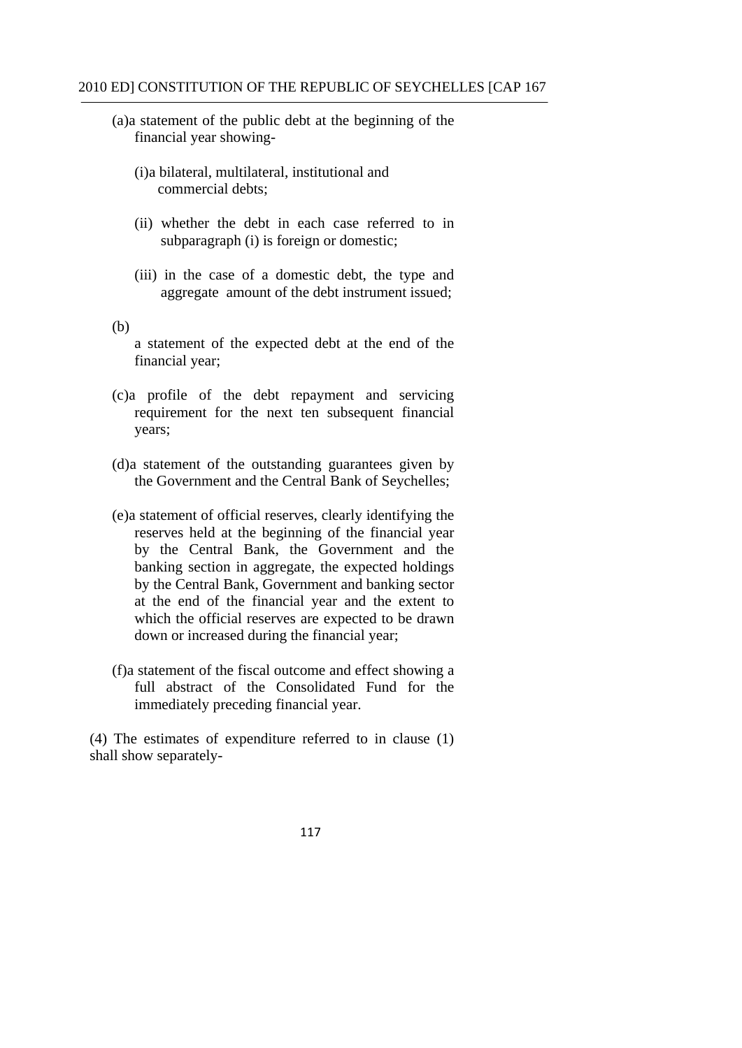- (a)a statement of the public debt at the beginning of the financial year showing-
	- (i)a bilateral, multilateral, institutional and commercial debts;
	- (ii) whether the debt in each case referred to in subparagraph (i) is foreign or domestic;
	- (iii) in the case of a domestic debt, the type and aggregate amount of the debt instrument issued;

(b)

- a statement of the expected debt at the end of the financial year;
- (c)a profile of the debt repayment and servicing requirement for the next ten subsequent financial years;
- (d)a statement of the outstanding guarantees given by the Government and the Central Bank of Seychelles;
- (e)a statement of official reserves, clearly identifying the reserves held at the beginning of the financial year by the Central Bank, the Government and the banking section in aggregate, the expected holdings by the Central Bank, Government and banking sector at the end of the financial year and the extent to which the official reserves are expected to be drawn down or increased during the financial year;
- (f)a statement of the fiscal outcome and effect showing a full abstract of the Consolidated Fund for the immediately preceding financial year.

(4) The estimates of expenditure referred to in clause (1) shall show separately-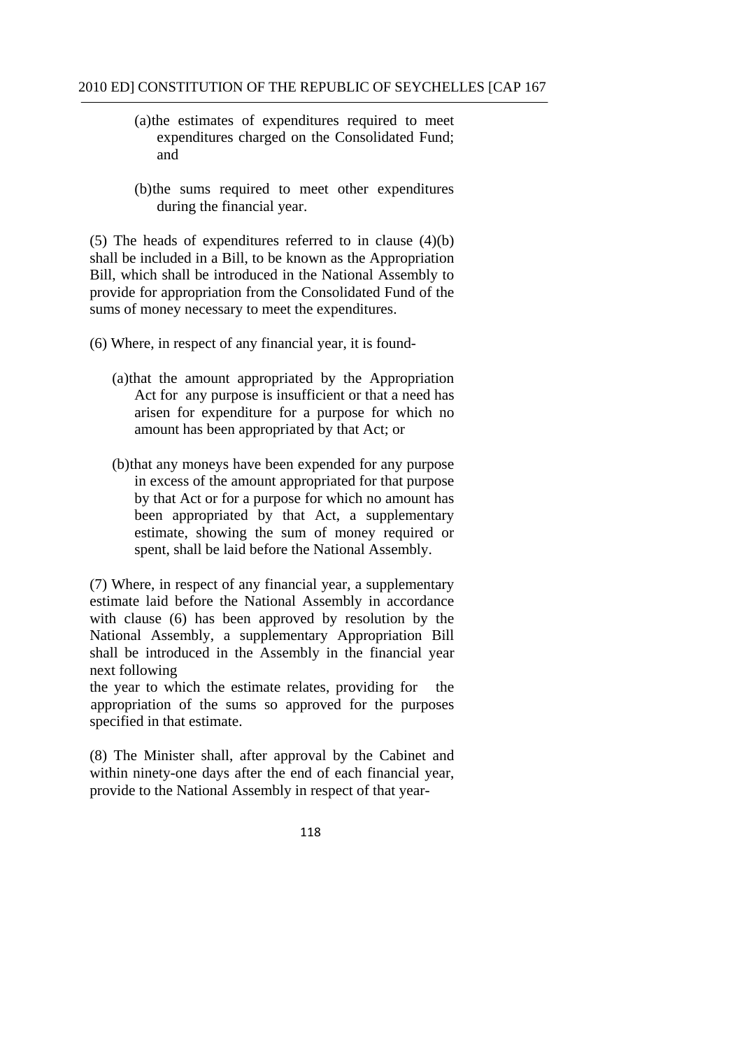- (a)the estimates of expenditures required to meet expenditures charged on the Consolidated Fund; and
- (b)the sums required to meet other expenditures during the financial year.

(5) The heads of expenditures referred to in clause (4)(b) shall be included in a Bill, to be known as the Appropriation Bill, which shall be introduced in the National Assembly to provide for appropriation from the Consolidated Fund of the sums of money necessary to meet the expenditures.

- (6) Where, in respect of any financial year, it is found-
	- (a)that the amount appropriated by the Appropriation Act for any purpose is insufficient or that a need has arisen for expenditure for a purpose for which no amount has been appropriated by that Act; or
	- (b)that any moneys have been expended for any purpose in excess of the amount appropriated for that purpose by that Act or for a purpose for which no amount has been appropriated by that Act, a supplementary estimate, showing the sum of money required or spent, shall be laid before the National Assembly.

(7) Where, in respect of any financial year, a supplementary estimate laid before the National Assembly in accordance with clause (6) has been approved by resolution by the National Assembly, a supplementary Appropriation Bill shall be introduced in the Assembly in the financial year next following

the year to which the estimate relates, providing for the appropriation of the sums so approved for the purposes specified in that estimate.

(8) The Minister shall, after approval by the Cabinet and within ninety-one days after the end of each financial year, provide to the National Assembly in respect of that year-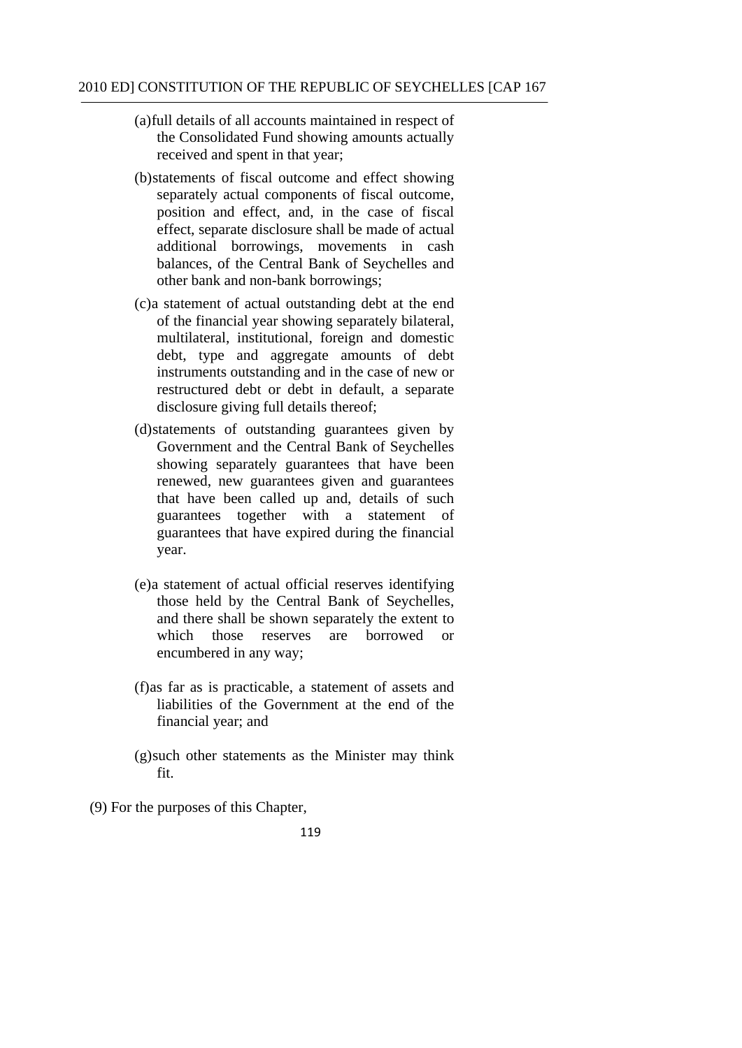- (a)full details of all accounts maintained in respect of the Consolidated Fund showing amounts actually received and spent in that year;
- (b)statements of fiscal outcome and effect showing separately actual components of fiscal outcome, position and effect, and, in the case of fiscal effect, separate disclosure shall be made of actual additional borrowings, movements in cash balances, of the Central Bank of Seychelles and other bank and non-bank borrowings;
- (c)a statement of actual outstanding debt at the end of the financial year showing separately bilateral, multilateral, institutional, foreign and domestic debt, type and aggregate amounts of debt instruments outstanding and in the case of new or restructured debt or debt in default, a separate disclosure giving full details thereof;
- (d)statements of outstanding guarantees given by Government and the Central Bank of Seychelles showing separately guarantees that have been renewed, new guarantees given and guarantees that have been called up and, details of such guarantees together with a statement of guarantees that have expired during the financial year.
- (e)a statement of actual official reserves identifying those held by the Central Bank of Seychelles, and there shall be shown separately the extent to which those reserves are borrowed or encumbered in any way;
- financial year; and (f)as far as is practicable, a statement of assets and liabilities of the Government at the end of the
- $(g)$ such other statements as the Minister may think fit.
- (9) For the purposes of this Chapter,
	- 119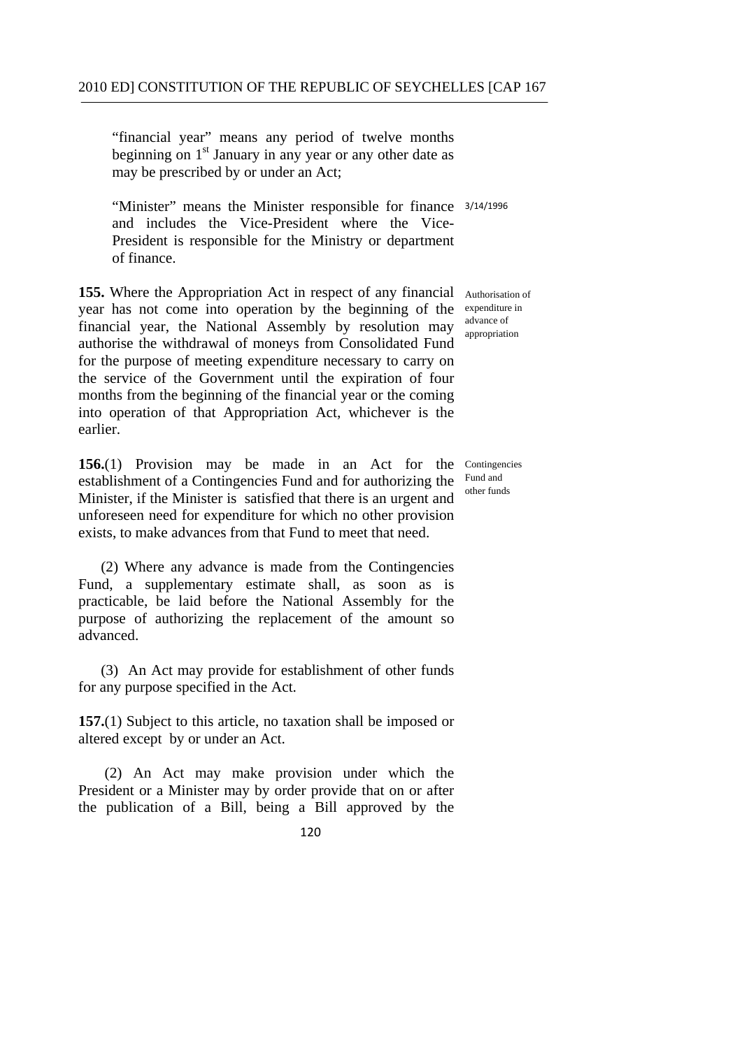"financial year" means any period of twelve months beginning on  $1<sup>st</sup>$  January in any year or any other date as may be prescribed by or under an Act;

"Minister" means the Minister responsible for finance 3/14/1996 and includes the Vice-President where the Vice-President is responsible for the Ministry or department of finance.

155. Where the Appropriation Act in respect of any financial Authorisation of year has not come into operation by the beginning of the expenditure in financial year, the National Assembly by resolution may authorise the withdrawal of moneys from Consolidated Fund for the purpose of meeting expenditure necessary to carry on the service of the Government until the expiration of four months from the beginning of the financial year or the coming into operation of that Appropriation Act, whichever is the earlier.

156.(1) Provision may be made in an Act for the Contingencies establishment of a Contingencies Fund and for authorizing the Minister, if the Minister is satisfied that there is an urgent and unforeseen need for expenditure for which no other provision exists, to make advances from that Fund to meet that need.

(2) Where any advance is made from the Contingencies Fund, a supplementary estimate shall, as soon as is practicable, be laid before the National Assembly for the purpose of authorizing the replacement of the amount so advanced.

(3) An Act may provide for establishment of other funds for any purpose specified in the Act.

**157.**(1) Subject to this article, no taxation shall be imposed or altered except by or under an Act.

(2) An Act may make provision under which the President or a Minister may by order provide that on or after the publication of a Bill, being a Bill approved by the

advance of appropriation

Fund and other funds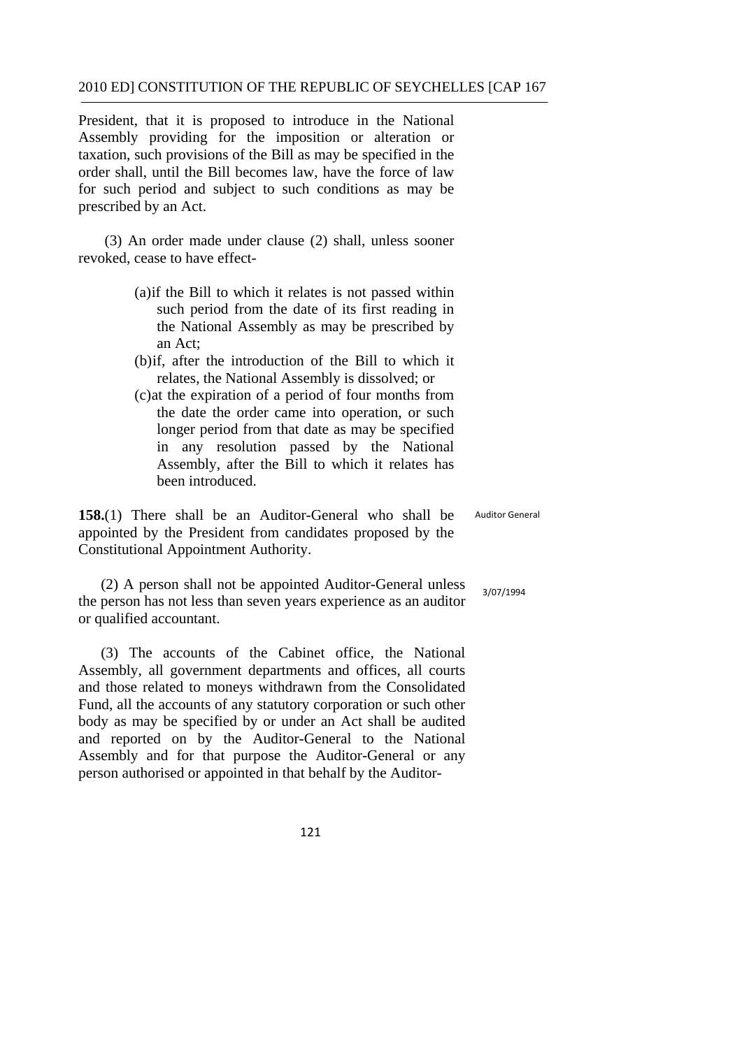President, that it is proposed to introduce in the National Assembly providing for the imposition or alteration or taxation, such provisions of the Bill as may be specified in the order shall, until the Bill becomes law, have the force of law for such period and subject to such conditions as may be prescribed by an Act.

(3) An order made under clause (2) shall, unless sooner revoked, cease to have effect-

- (a)if the Bill to which it relates is not passed within such period from the date of its first reading in the National Assembly as may be prescribed by an Act;
- (b)if, after the introduction of the Bill to which it relates, the National Assembly is dissolved; or
- (c)at the expiration of a period of four months from the date the order came into operation, or such longer period from that date as may be specified in any resolution passed by the National Assembly, after the Bill to which it relates has been introduced.

**158.**(1) There shall be an Auditor-General who shall be appointed by the President from candidates proposed by the Constitutional Appointment Authority.

(2) A person shall not be appointed Auditor-General unless the person has not less than seven years experience as an auditor or qualified accountant.

(3) The accounts of the Cabinet office, the National Assembly, all government departments and offices, all courts and those related to moneys withdrawn from the Consolidated Fund, all the accounts of any statutory corporation or such other body as may be specified by or under an Act shall be audited and reported on by the Auditor-General to the National Assembly and for that purpose the Auditor-General or any person authorised or appointed in that behalf by the Auditor-

Auditor General

3/07/1994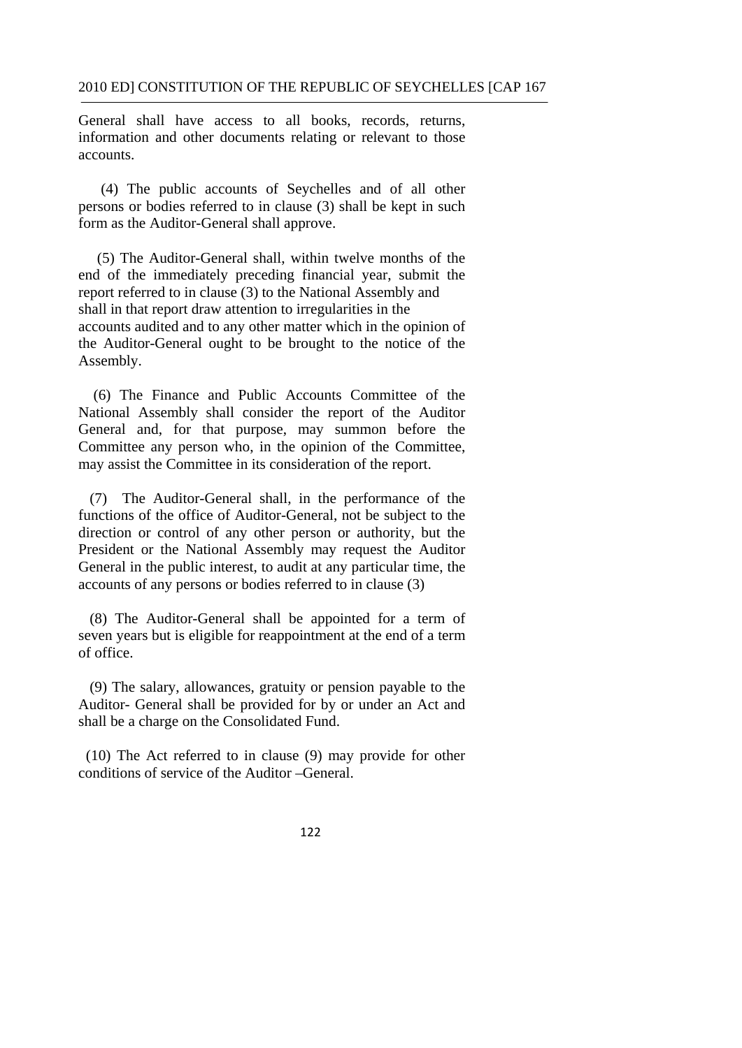General shall have access to all books, records, returns, information and other documents relating or relevant to those accounts.

(4) The public accounts of Seychelles and of all other persons or bodies referred to in clause (3) shall be kept in such form as the Auditor-General shall approve.

 shall in that report draw attention to irregularities in the (5) The Auditor-General shall, within twelve months of the end of the immediately preceding financial year, submit the report referred to in clause (3) to the National Assembly and accounts audited and to any other matter which in the opinion of the Auditor-General ought to be brought to the notice of the Assembly.

(6) The Finance and Public Accounts Committee of the National Assembly shall consider the report of the Auditor General and, for that purpose, may summon before the Committee any person who, in the opinion of the Committee, may assist the Committee in its consideration of the report.

(7) The Auditor-General shall, in the performance of the functions of the office of Auditor-General, not be subject to the direction or control of any other person or authority, but the President or the National Assembly may request the Auditor General in the public interest, to audit at any particular time, the accounts of any persons or bodies referred to in clause (3)

(8) The Auditor-General shall be appointed for a term of seven years but is eligible for reappointment at the end of a term of office.

(9) The salary, allowances, gratuity or pension payable to the Auditor- General shall be provided for by or under an Act and shall be a charge on the Consolidated Fund.

(10) The Act referred to in clause (9) may provide for other conditions of service of the Auditor –General.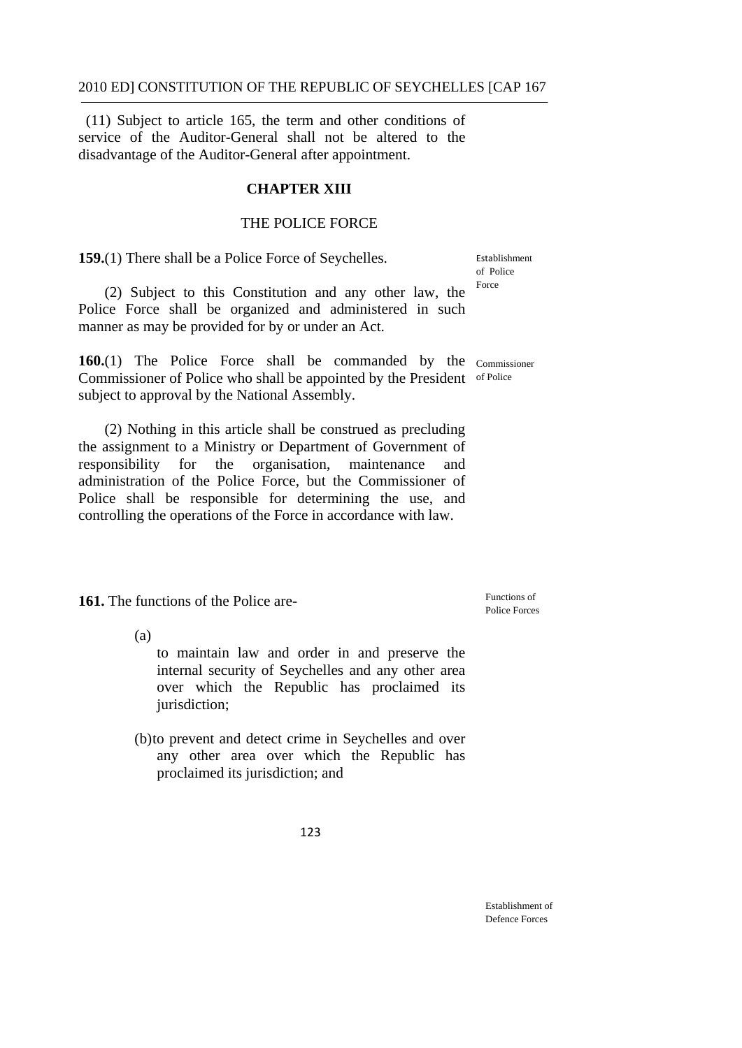(11) Subject to article 165, the term and other conditions of service of the Auditor-General shall not be altered to the disadvantage of the Auditor-General after appointment.

#### **CHAPTER XIII**

#### THE POLICE FORCE

**159.**(1) There shall be a Police Force of Seychelles.

Establishment of Police Force

 (2) Subject to this Constitution and any other law, the Police Force shall be organized and administered in such manner as may be provided for by or under an Act.

160.(1) The Police Force shall be commanded by the Commissioner Commissioner of Police who shall be appointed by the President of Police subject to approval by the National Assembly.

 the assignment to a Ministry or Department of Government of responsibility for the organisation, maintenance and (2) Nothing in this article shall be construed as precluding administration of the Police Force, but the Commissioner of Police shall be responsible for determining the use, and controlling the operations of the Force in accordance with law.

**161.** The functions of the Police are-

Eunctions of Police Forces

(a)

to maintain law and order in and preserve the internal security of Seychelles and any other area over which the Republic has proclaimed its jurisdiction;

 proclaimed its jurisdiction; and (b)to prevent and detect crime in Seychelles and over any other area over which the Republic has

123

Establishment of Defence Forces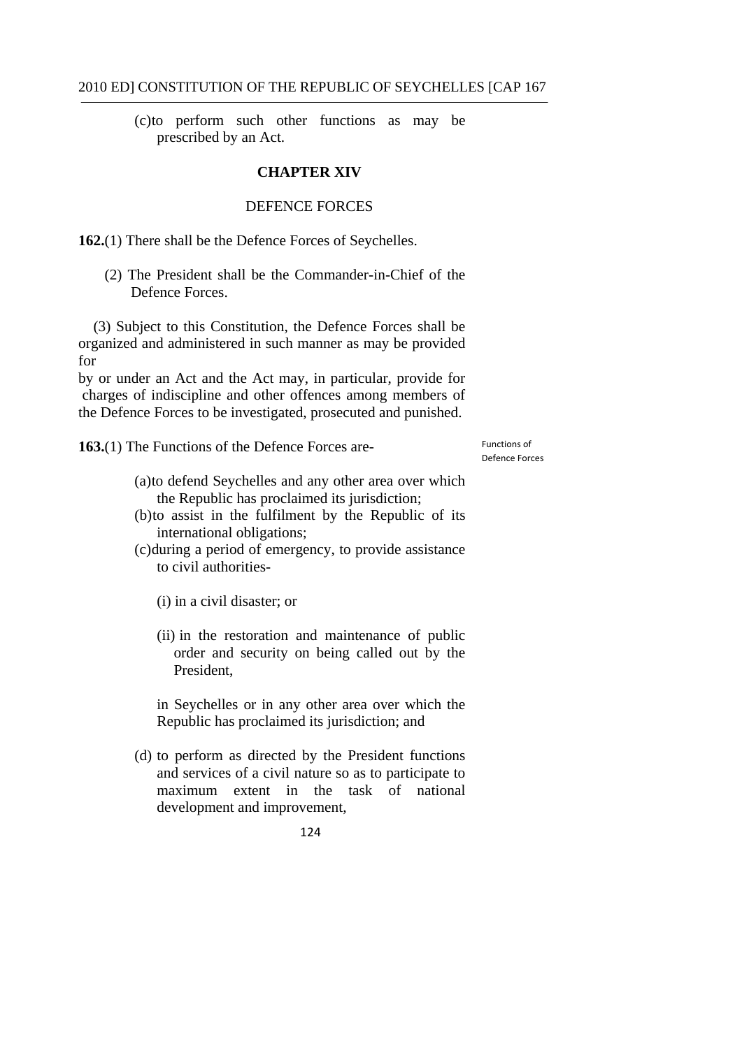(c)to perform such other functions as may be prescribed by an Act.

#### **CHAPTER XIV**

#### DEFENCE FORCES

**162.**(1) There shall be the Defence Forces of Seychelles.

(2) The President shall be the Commander-in-Chief of the Defence Forces.

(3) Subject to this Constitution, the Defence Forces shall be organized and administered in such manner as may be provided for

by or under an Act and the Act may, in particular, provide for charges of indiscipline and other offences among members of the Defence Forces to be investigated, prosecuted and punished.

**163.**(1) The Functions of the Defence Forces are-

 Functions of Defence Forces

- (a)to defend Seychelles and any other area over which the Republic has proclaimed its jurisdiction;
- (b)to assist in the fulfilment by the Republic of its international obligations;
- (c)during a period of emergency, to provide assistance to civil authorities
	- (i) in a civil disaster; or
	- (ii) in the restoration and maintenance of public order and security on being called out by the President,

in Seychelles or in any other area over which the Republic has proclaimed its jurisdiction; and

(d) to perform as directed by the President functions and services of a civil nature so as to participate to maximum extent in the task of national development and improvement,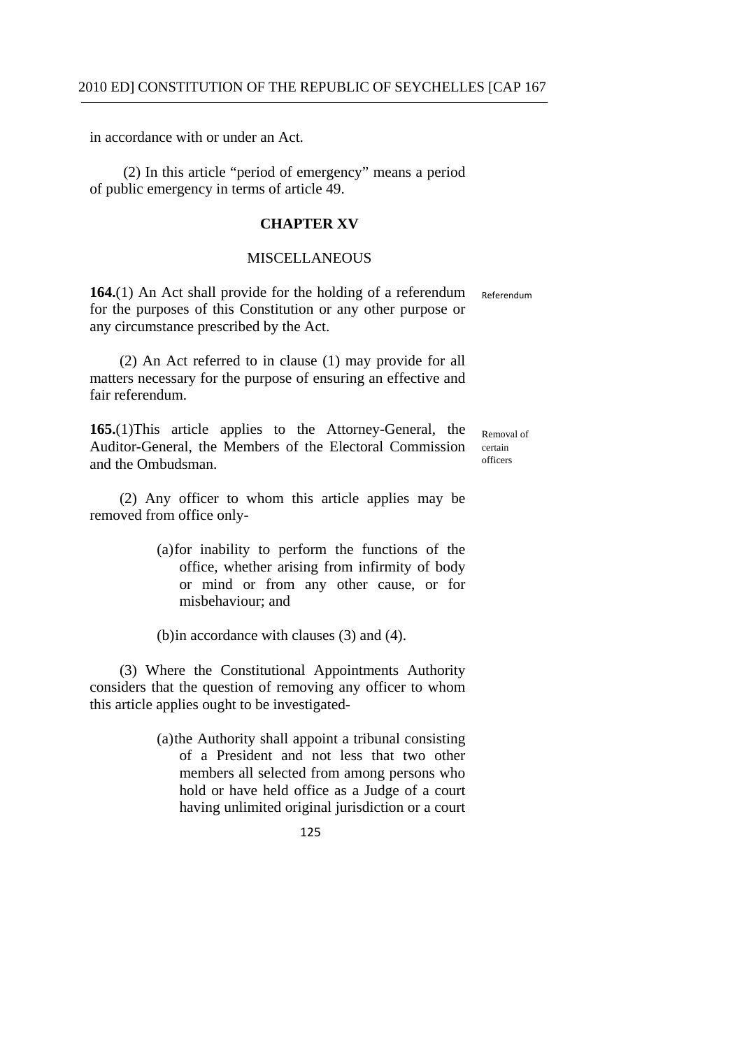in accordance with or under an Act.

(2) In this article "period of emergency" means a period of public emergency in terms of article 49.

#### **CHAPTER XV**

#### **MISCELLANEOUS**

**164.**(1) An Act shall provide for the holding of a referendum Referendum for the purposes of this Constitution or any other purpose or any circumstance prescribed by the Act.

(2) An Act referred to in clause (1) may provide for all matters necessary for the purpose of ensuring an effective and fair referendum.

**165.**(1)This article applies to the Attorney-General, the  $_{\text{Removal of}}$ Auditor-General, the Members of the Electoral Commission certain and the Ombudsman

(2) Any officer to whom this article applies may be removed from office only-

> (a)for inability to perform the functions of the office, whether arising from infirmity of body or mind or from any other cause, or for misbehaviour; and

(b)in accordance with clauses (3) and (4).

(3) Where the Constitutional Appointments Authority considers that the question of removing any officer to whom this article applies ought to be investigated-

> (a)the Authority shall appoint a tribunal consisting of a President and not less that two other members all selected from among persons who hold or have held office as a Judge of a court having unlimited original jurisdiction or a court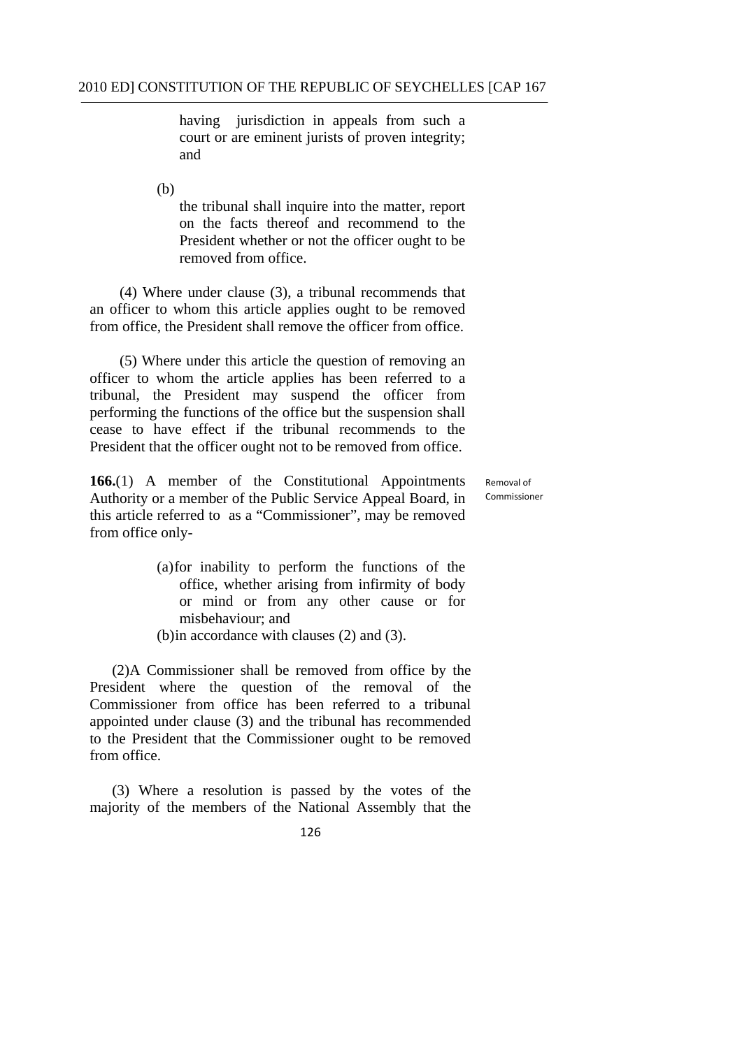having jurisdiction in appeals from such a court or are eminent jurists of proven integrity; and

(b)

the tribunal shall inquire into the matter, report on the facts thereof and recommend to the President whether or not the officer ought to be removed from office.

(4) Where under clause (3), a tribunal recommends that an officer to whom this article applies ought to be removed from office, the President shall remove the officer from office.

(5) Where under this article the question of removing an officer to whom the article applies has been referred to a tribunal, the President may suspend the officer from performing the functions of the office but the suspension shall cease to have effect if the tribunal recommends to the President that the officer ought not to be removed from office.

**166.**(1) A member of the Constitutional Appointments Authority or a member of the Public Service Appeal Board, in this article referred to as a "Commissioner", may be removed from office only-

 Removal of Commissioner

- (a)for inability to perform the functions of the office, whether arising from infirmity of body or mind or from any other cause or for misbehaviour; and
- (b)in accordance with clauses (2) and (3).

(2)A Commissioner shall be removed from office by the President where the question of the removal of the Commissioner from office has been referred to a tribunal appointed under clause (3) and the tribunal has recommended to the President that the Commissioner ought to be removed from office.

(3) Where a resolution is passed by the votes of the majority of the members of the National Assembly that the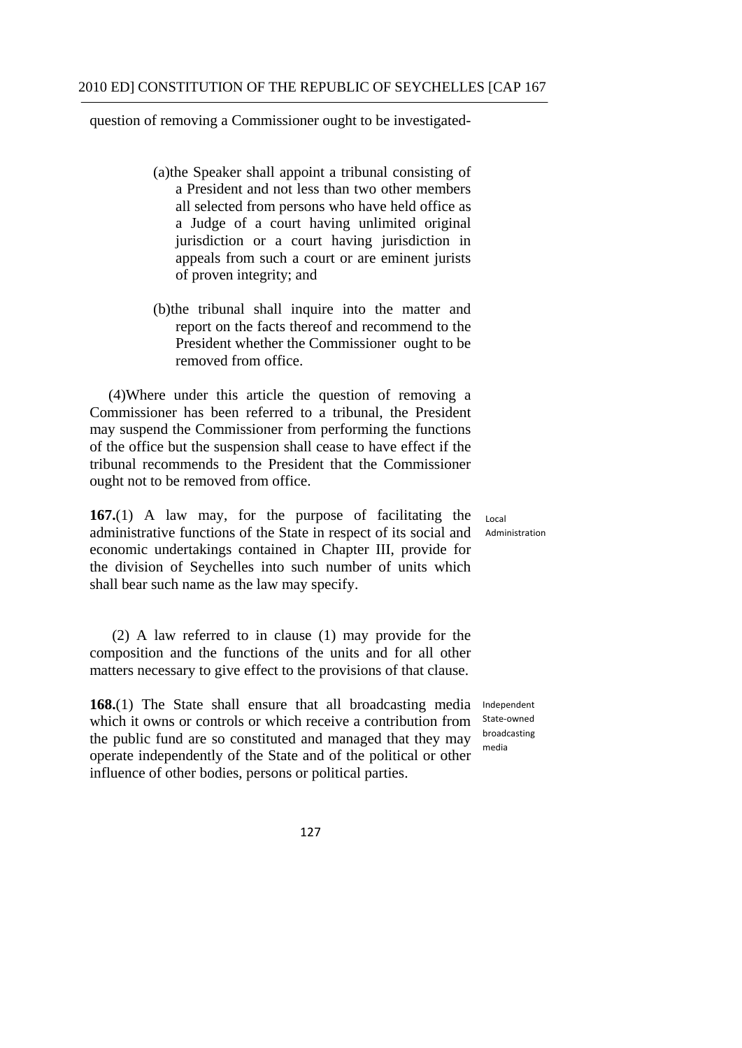question of removing a Commissioner ought to be investigated

- (a)the Speaker shall appoint a tribunal consisting of a President and not less than two other members all selected from persons who have held office as a Judge of a court having unlimited original jurisdiction or a court having jurisdiction in appeals from such a court or are eminent jurists of proven integrity; and
- (b)the tribunal shall inquire into the matter and report on the facts thereof and recommend to the President whether the Commissioner ought to be removed from office.

(4)Where under this article the question of removing a Commissioner has been referred to a tribunal, the President may suspend the Commissioner from performing the functions of the office but the suspension shall cease to have effect if the tribunal recommends to the President that the Commissioner ought not to be removed from office.

**167.**(1) A law may, for the purpose of facilitating the administrative functions of the State in respect of its social and economic undertakings contained in Chapter III, provide for the division of Seychelles into such number of units which shall bear such name as the law may specify.

(2) A law referred to in clause (1) may provide for the composition and the functions of the units and for all other matters necessary to give effect to the provisions of that clause.

**168.**(1) The State shall ensure that all broadcasting media which it owns or controls or which receive a contribution from the public fund are so constituted and managed that they may operate independently of the State and of the political or other influence of other bodies, persons or political parties.

Independent State‐owned broadcasting media

127

Administration

Local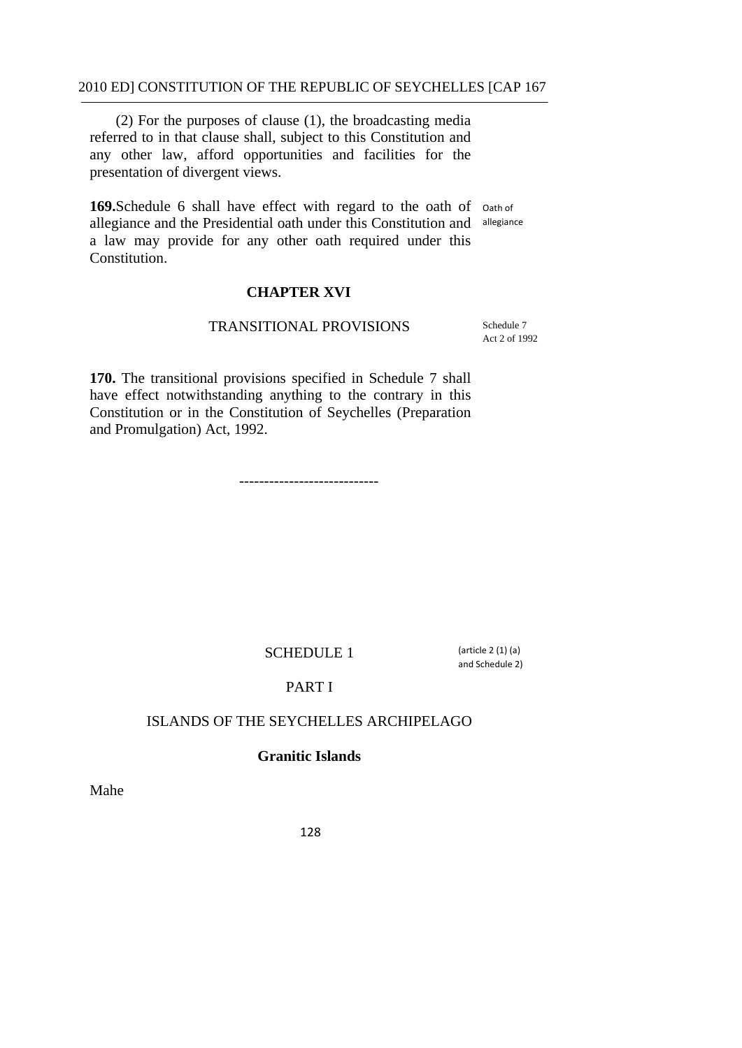(2) For the purposes of clause (1), the broadcasting media referred to in that clause shall, subject to this Constitution and any other law, afford opportunities and facilities for the presentation of divergent views.

169. Schedule 6 shall have effect with regard to the oath of oath of allegiance and the Presidential oath under this Constitution and allegiance a law may provide for any other oath required under this Constitution.

#### **CHAPTER XVI**

#### TRANSITIONAL PROVISIONS

Schedule 7 Act 2 of 1992

**170.** The transitional provisions specified in Schedule 7 shall have effect notwithstanding anything to the contrary in this Constitution or in the Constitution of Seychelles (Preparation and Promulgation) Act, 1992.

----------------------------

#### SCHEDULE 1

 $(\text{article } 2 (1) (a))$ and Schedule 2)

### PART I

#### ISLANDS OF THE SEYCHELLES ARCHIPELAGO

#### **Granitic Islands**

Mahe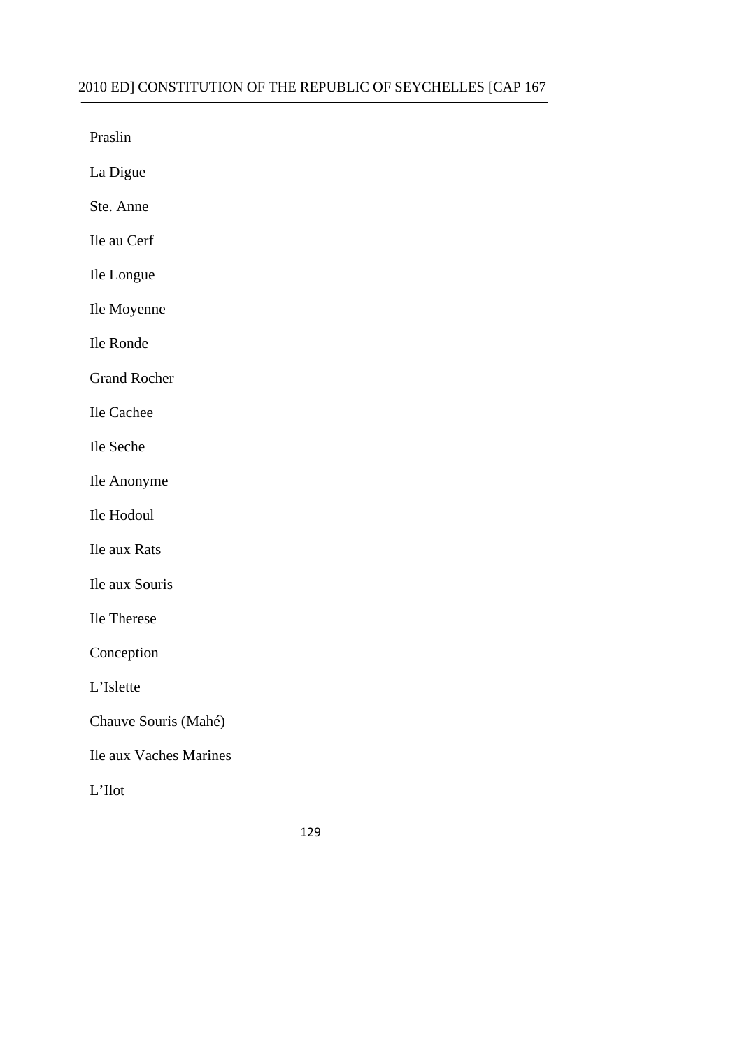Praslin

La Digue

Ste. Anne

Ile au Cerf

Ile Longue

Ile Moyenne

Ile Ronde

Grand Rocher

Ile Cachee

Ile Seche

Ile Anonyme

Ile Hodoul

Ile aux Rats

Ile aux Souris

Ile Therese

Conception

L'Islette

Chauve Souris (Mahé)

Ile aux Vaches Marines

L'Ilot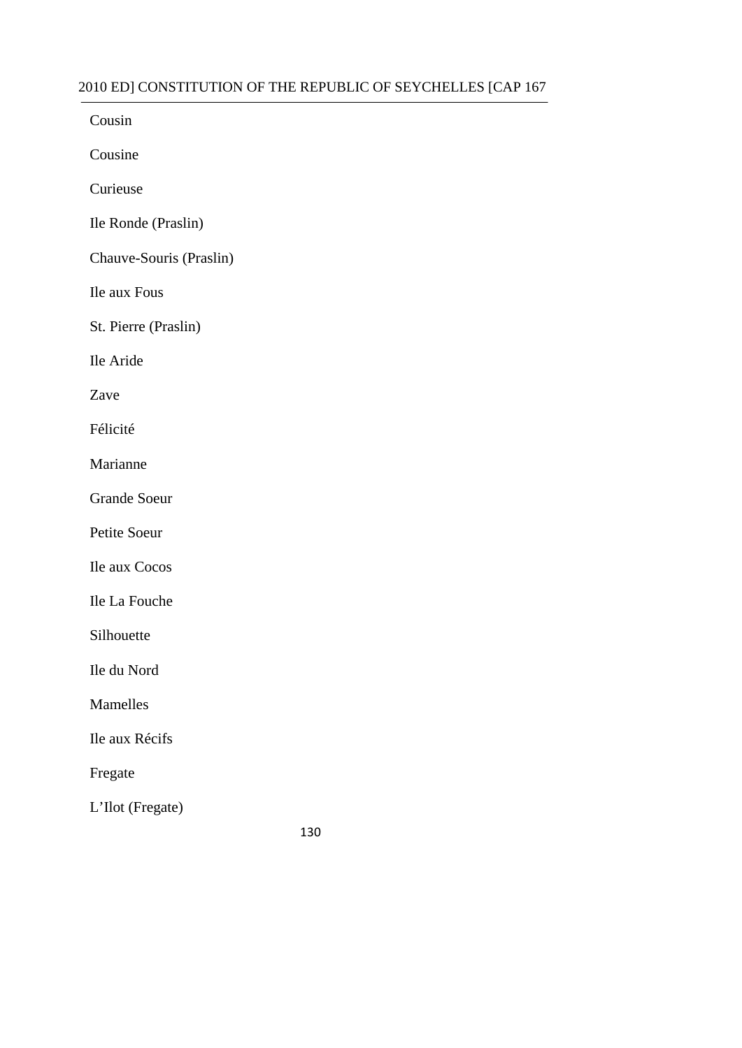#### 2010 ED] CONSTITUTION OF THE REPUBLIC OF SEYCHELLES [CAP 167  $\frac{1}{1}$

| Cousin                  |
|-------------------------|
| Cousine                 |
| Curieuse                |
| Ile Ronde (Praslin)     |
| Chauve-Souris (Praslin) |
| Ile aux Fous            |
| St. Pierre (Praslin)    |
| Ile Aride               |
| Zave                    |
| Félicité                |
| Marianne                |
| <b>Grande Soeur</b>     |
| Petite Soeur            |
| Ile aux Cocos           |
| Ile La Fouche           |
| Silhouette              |
| Ile du Nord             |
| Mamelles                |
| Ile aux Récifs          |
| Fregate                 |
| L'Ilot (Fregate)        |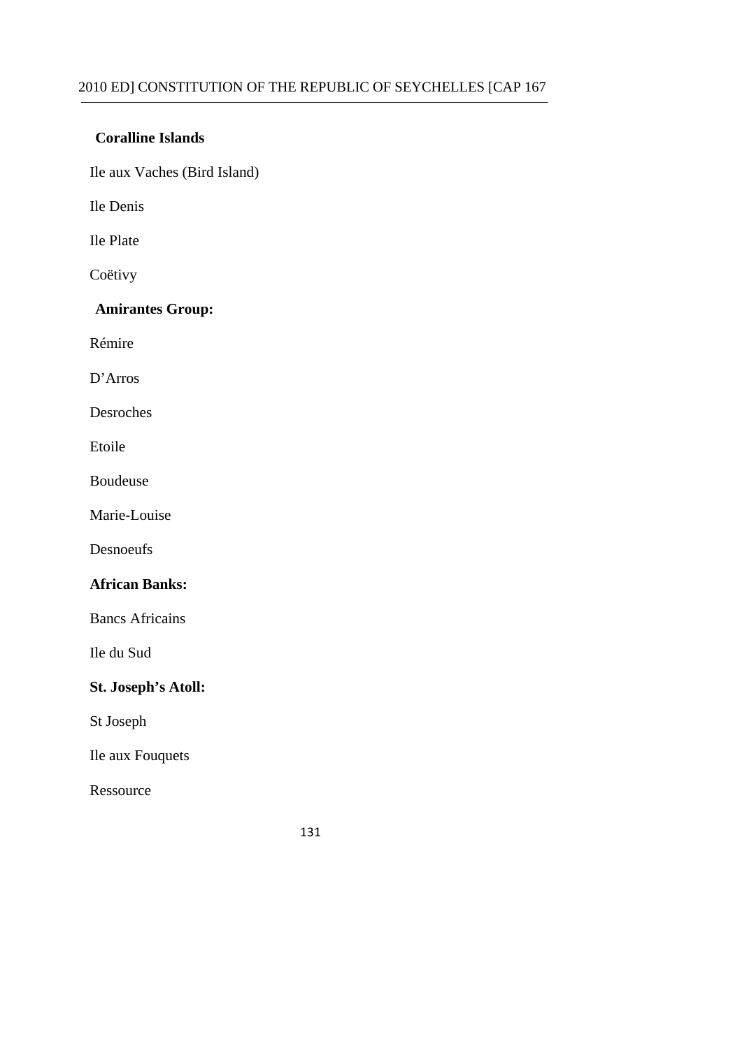#### **Coralline Islands**

Ile aux Vaches (Bird Island)

Ile Denis

Ile Plate

Coëtivy

# **Amirantes Group:**

Rémire

D'Arros

Desroches

Etoile

Boudeuse

Marie-Louise

Desnoeufs

### **African Banks:**

Bancs Africains

Ile du Sud

#### **St. Joseph's Atoll:**

St Joseph

Ile aux Fouquets

Ressource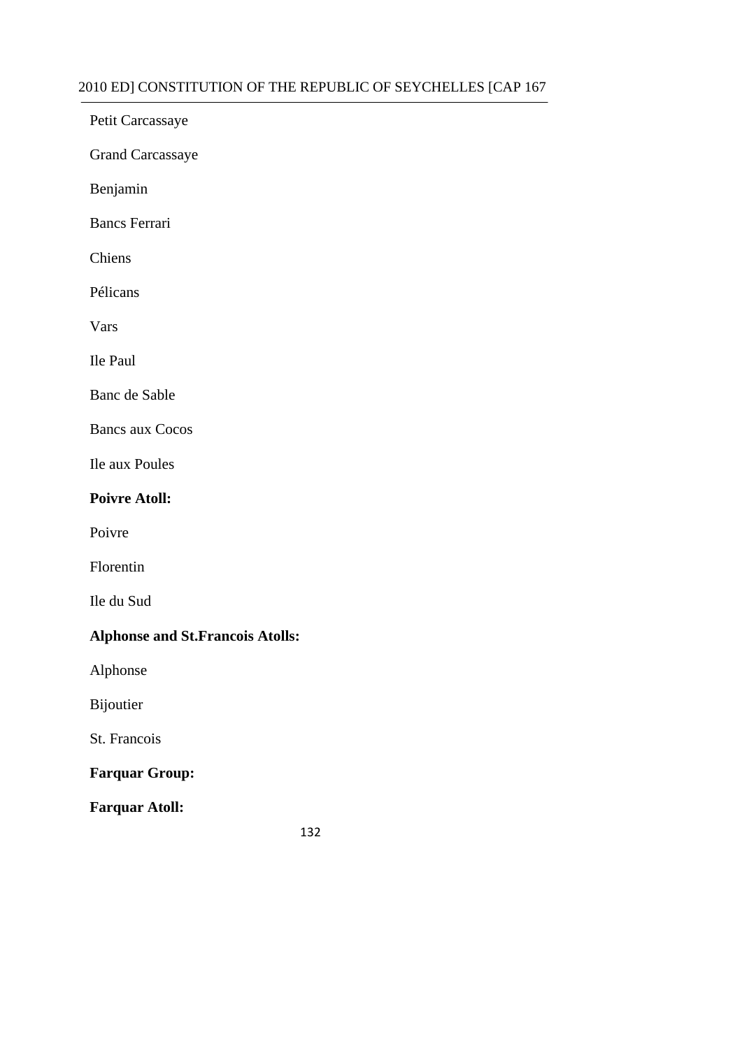Petit Carcassaye

Grand Carcassaye

Benjamin

Bancs Ferrari

Chiens

Pélicans

Vars

Ile Paul

Banc de Sable

Bancs aux Cocos

Ile aux Poules

### **Poivre Atoll:**

Poivre

Florentin

Ile du Sud

# **Alphonse and St.Francois Atolls:**

Alphonse

Bijoutier

St. Francois

# **Farquar Group:**

**Farquar Atoll:**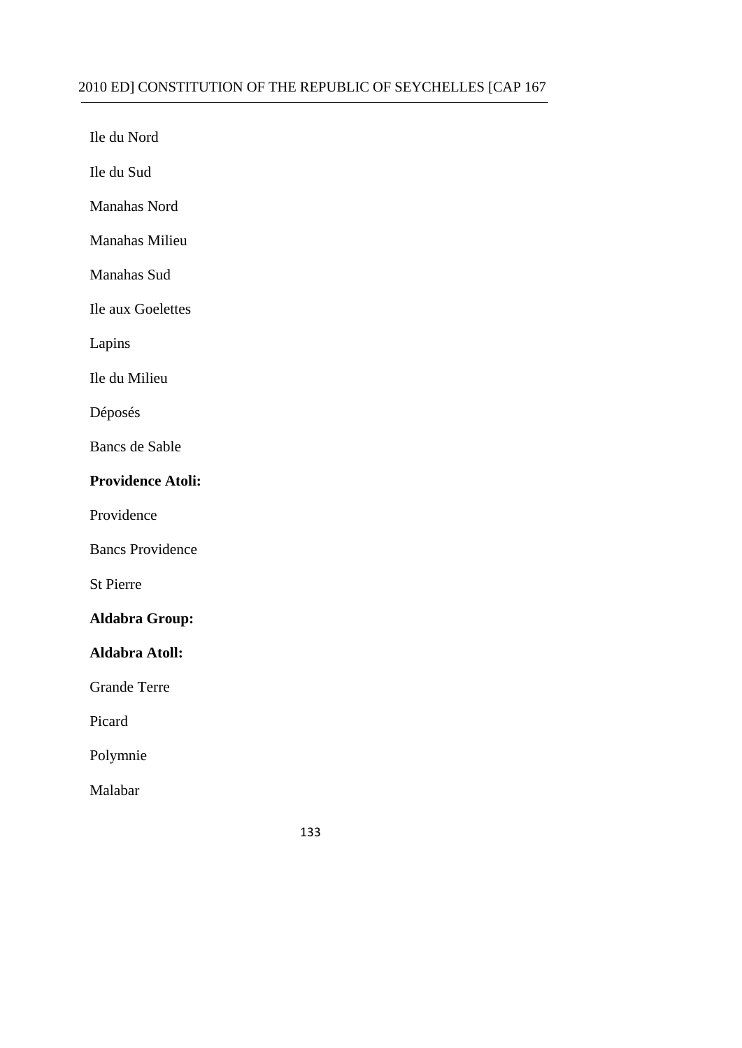Ile du Nord

Ile du Sud

Manahas Nord

Manahas Milieu

Manahas Sud

Ile aux Goelettes

Lapins

Ile du Milieu

Déposés

Bancs de Sable

#### **Providence Atoli:**

Providence

Bancs Providence

St Pierre

# **Aldabra Group:**

**Aldabra Atoll:** 

Grande Terre

Picard

Polymnie

Malabar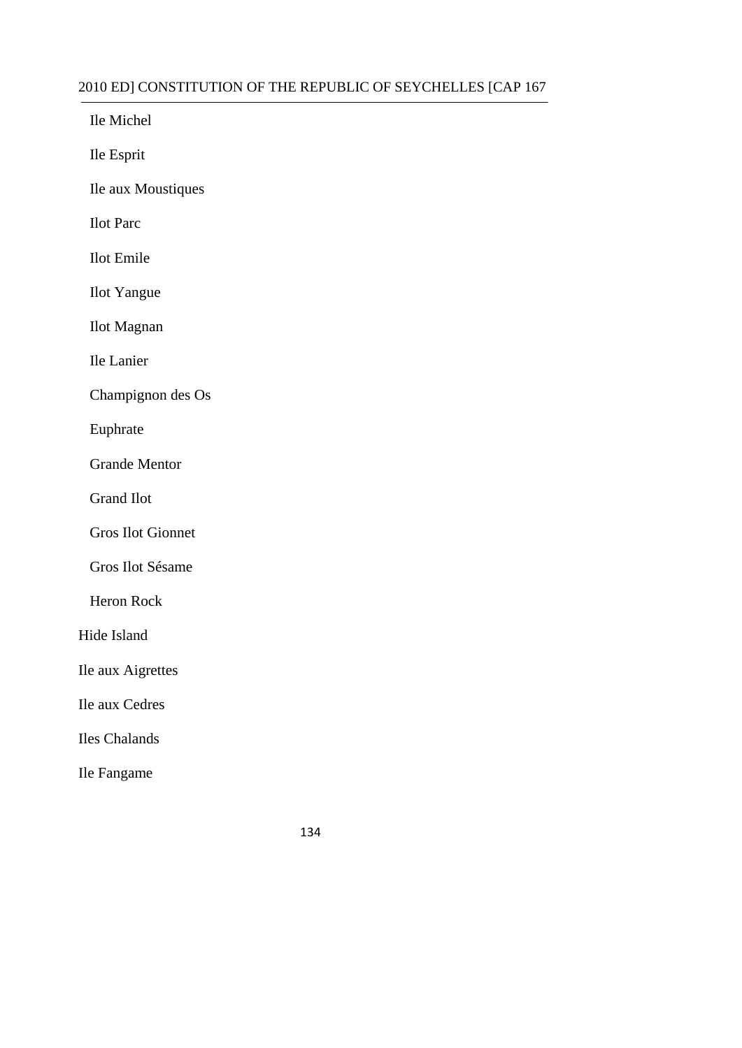| 2010 ED] CONSTITUTION OF THE |
|------------------------------|
| Ile Michel                   |
| Ile Esprit                   |
| Ile aux Moustiques           |
| <b>Ilot</b> Parc             |
| <b>Ilot</b> Emile            |
| <b>Ilot</b> Yangue           |
| <b>Ilot Magnan</b>           |
| Ile Lanier                   |
| Champignon des Os            |
| Euphrate                     |
| <b>Grande Mentor</b>         |
| <b>Grand Ilot</b>            |
| <b>Gros Ilot Gionnet</b>     |
| Gros Ilot Sésame             |
| <b>Heron Rock</b>            |
| Hide Island                  |
| Ile aux Aigrettes            |
| Ile aux Cedres               |
| Iles Chalands                |
| Ile Fangame                  |
|                              |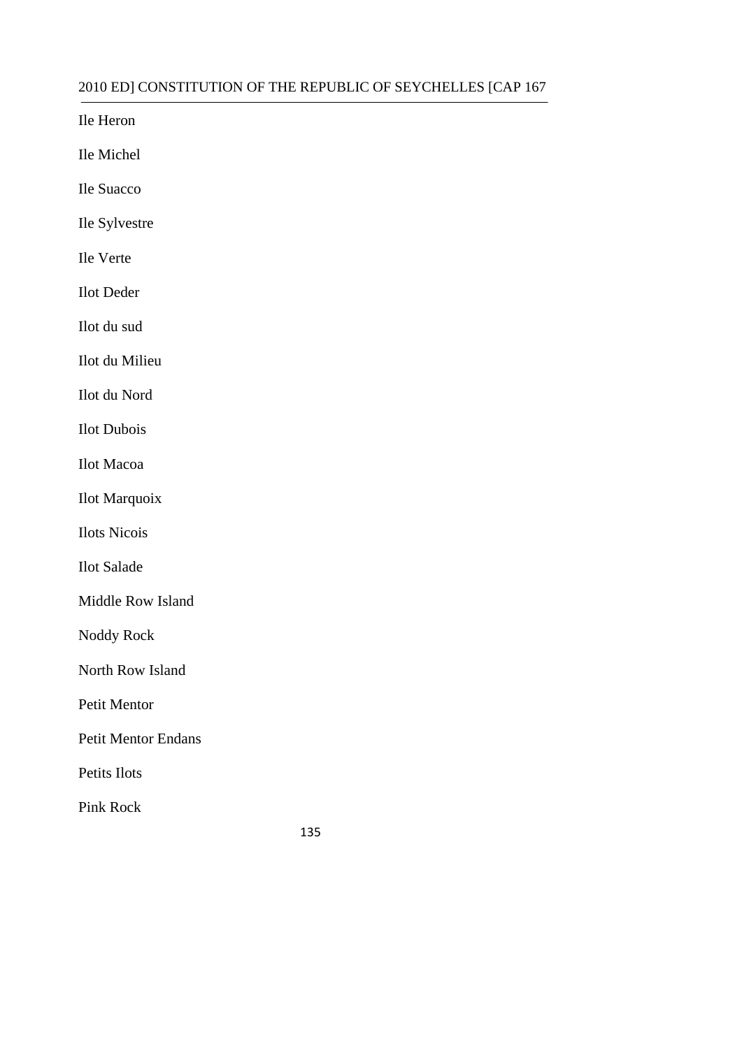Ile Heron

Ile Michel

Ile Suacco

Ile Sylvestre

Ile Verte

Ilot Deder

Ilot du sud

Ilot du Milieu

Ilot du Nord

Ilot Dubois

Ilot Macoa

Ilot Marquoix

Ilots Nicois

Ilot Salade

Middle Row Island

Noddy Rock

North Row Island

Petit Mentor

Petit Mentor Endans

Petits Ilots

Pink Rock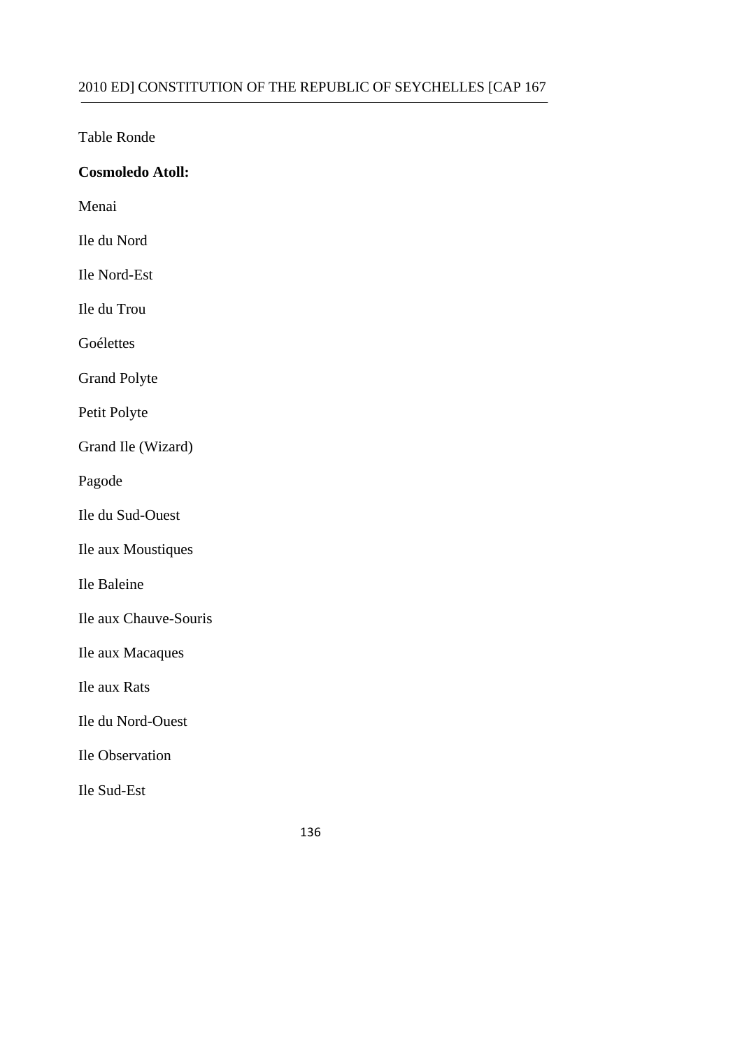Table Ronde

# **Cosmoledo Atoll:**

Menai

Ile du Nord

Ile Nord-Est

Ile du Trou

Goélettes

Grand Polyte

Petit Polyte

Grand Ile (Wizard)

Pagode

Ile du Sud-Ouest

Ile aux Moustiques

Ile Baleine

Ile aux Chauve-Souris

Ile aux Macaques

Ile aux Rats

Ile du Nord-Ouest

Ile Observation

Ile Sud-Est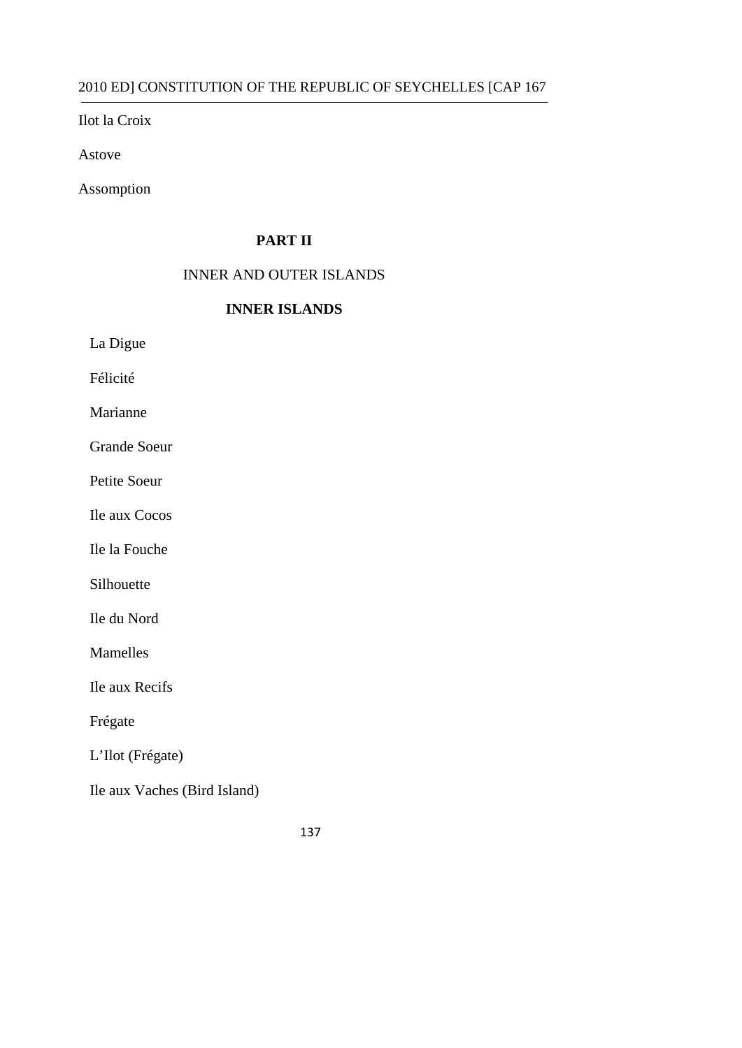Ilot la Croix

Astove

Assomption

# **PART II**

#### INNER AND OUTER ISLANDS

#### **INNER ISLANDS**

La Digue

Félicité

Marianne

Grande Soeur

Petite Soeur

Ile aux Cocos

Ile la Fouche

Silhouette

Ile du Nord

Mamelles

Ile aux Recifs

Frégate

L'Ilot (Frégate)

Ile aux Vaches (Bird Island)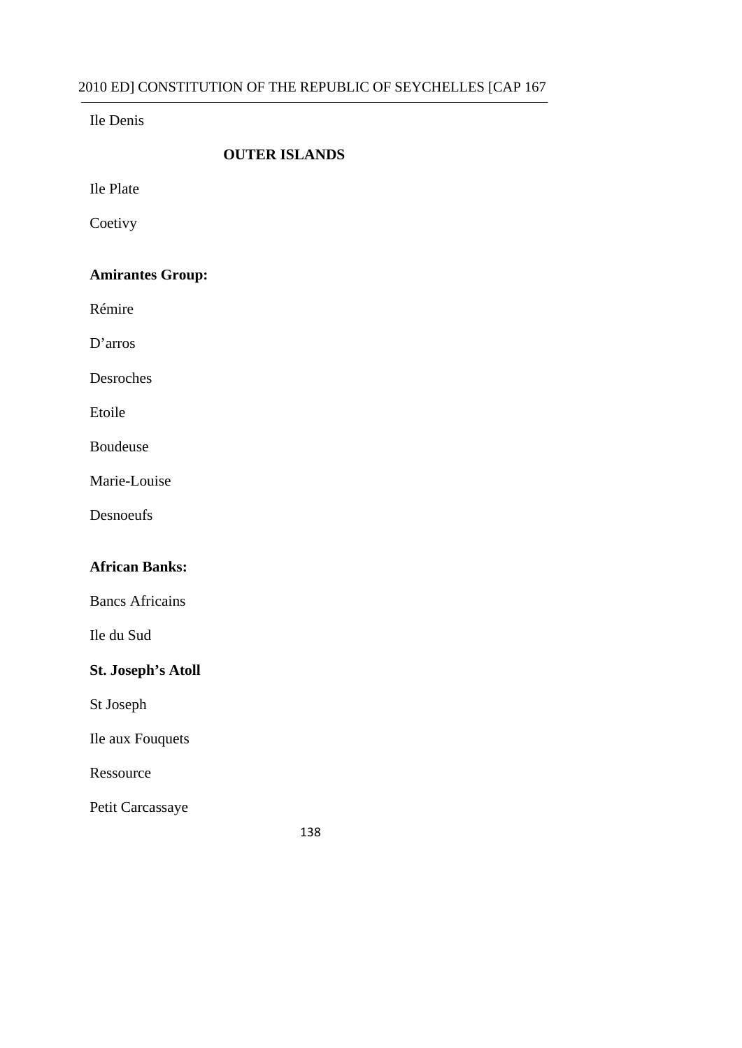Ile Denis

#### **OUTER ISLANDS**

Ile Plate

**Coetivy** 

# **Amirantes Group:**

Rémire

D'arros

Desroches

Etoile

Boudeuse

Marie-Louise

Desnoeufs

### **African Banks:**

Bancs Africains

Ile du Sud

# **St. Joseph's Atoll**

St Joseph

Ile aux Fouquets

Ressource

Petit Carcassaye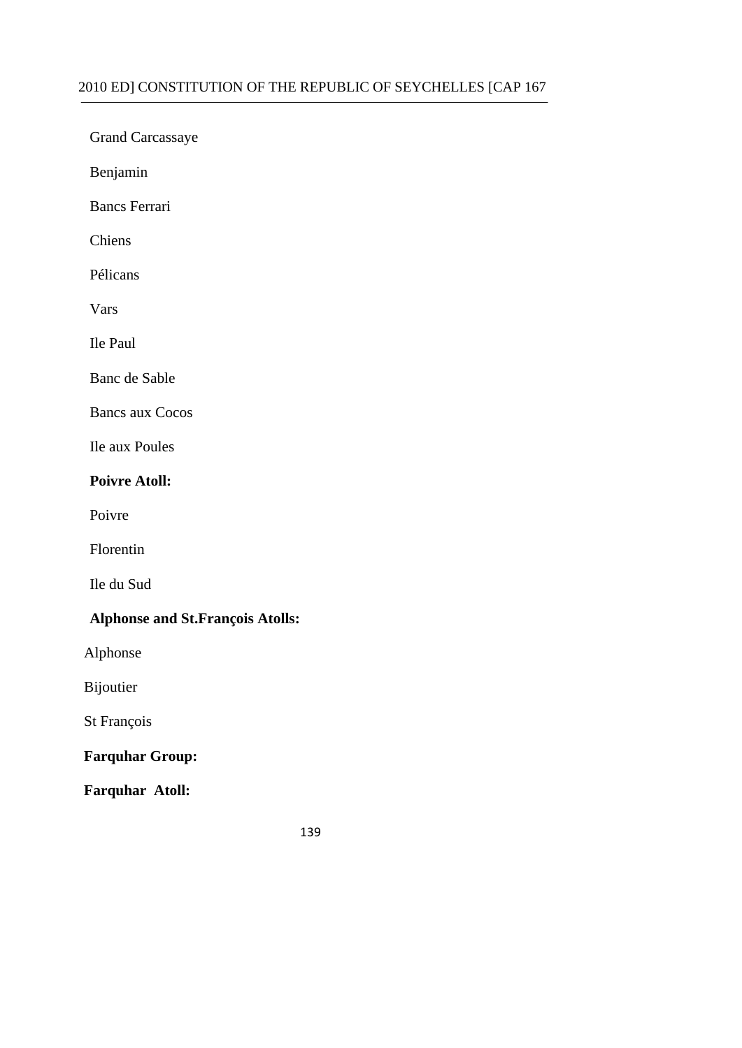Grand Carcassaye

Benjamin

Bancs Ferrari

Chiens

Pélicans

Vars

Ile Paul

Banc de Sable

Bancs aux Cocos

Ile aux Poules

#### **Poivre Atoll:**

Poivre

Florentin

Ile du Sud

### **Alphonse and St.François Atolls:**

Alphonse

Bijoutier

St François

# **Farquhar Group:**

**Farquhar Atoll:**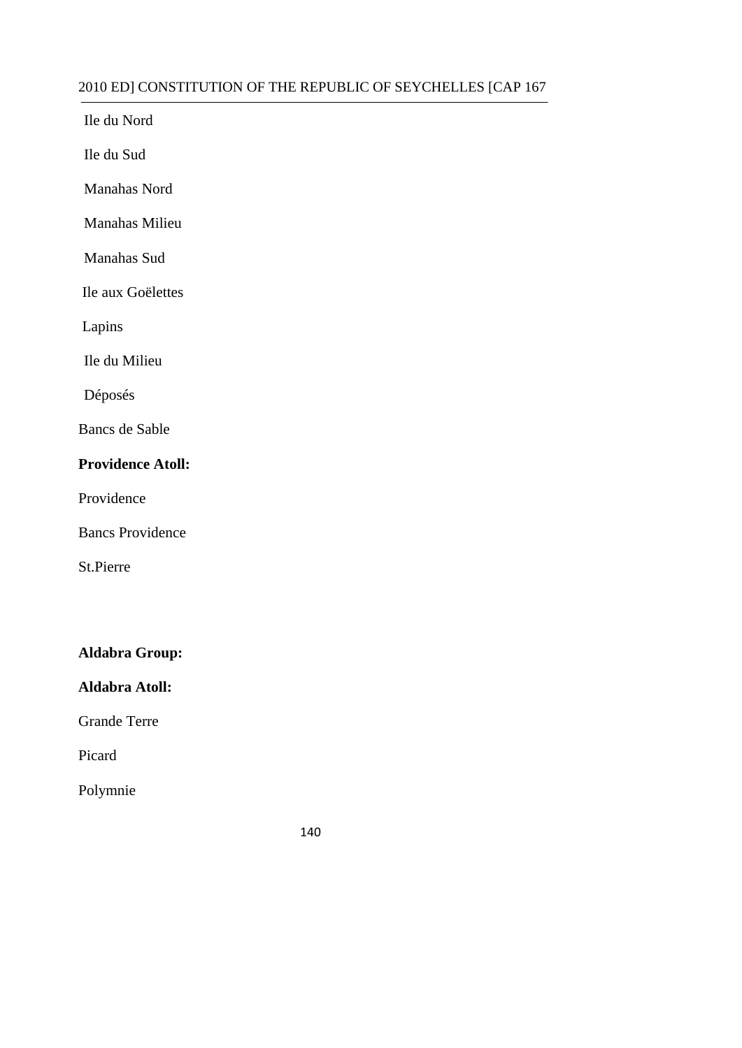Ile du Nord

Ile du Sud

Manahas Nord

Manahas Milieu

Manahas Sud

Ile aux Goëlettes

Lapins

Ile du Milieu

Déposés

Bancs de Sable

# **Providence Atoll:**

Providence

Bancs Providence

St.Pierre

# **Aldabra Group:**

**Aldabra Atoll:** 

Grande Terre

Picard

Polymnie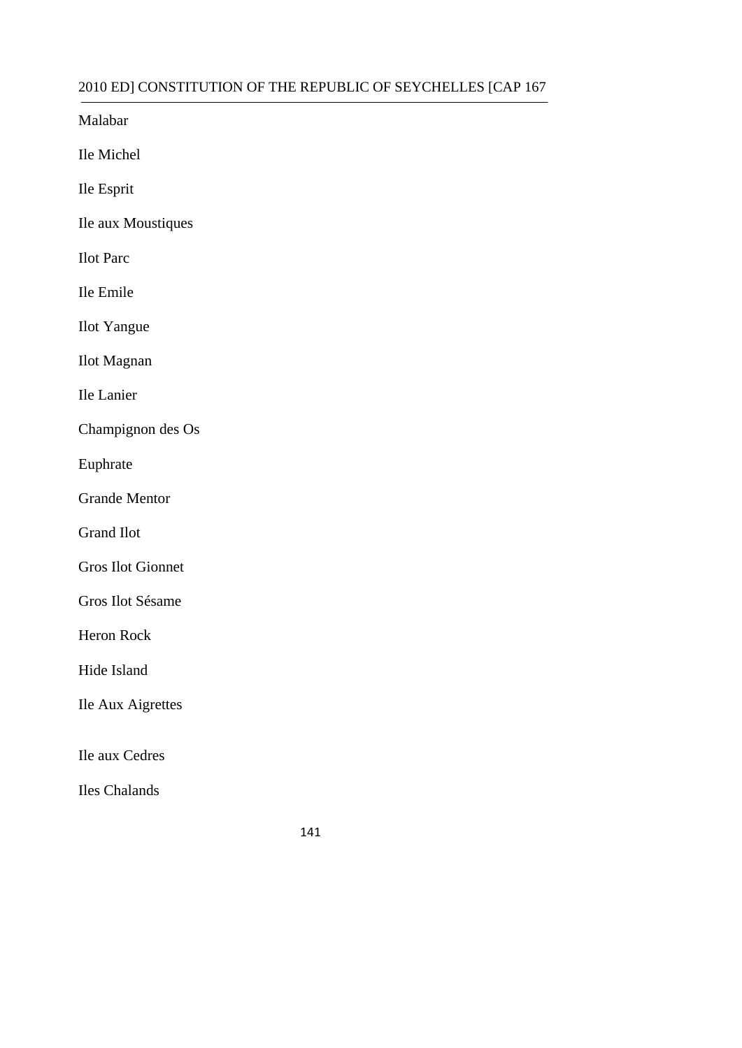Malabar

Ile Michel

Ile Esprit

Ile aux Moustiques

Ilot Parc

Ile Emile

Ilot Yangue

Ilot Magnan

Ile Lanier

Champignon des Os

Euphrate

Grande Mentor

Grand Ilot

Gros Ilot Gionnet

Gros Ilot Sésame

Heron Rock

Hide Island

Ile Aux Aigrettes

Ile aux Cedres

Iles Chalands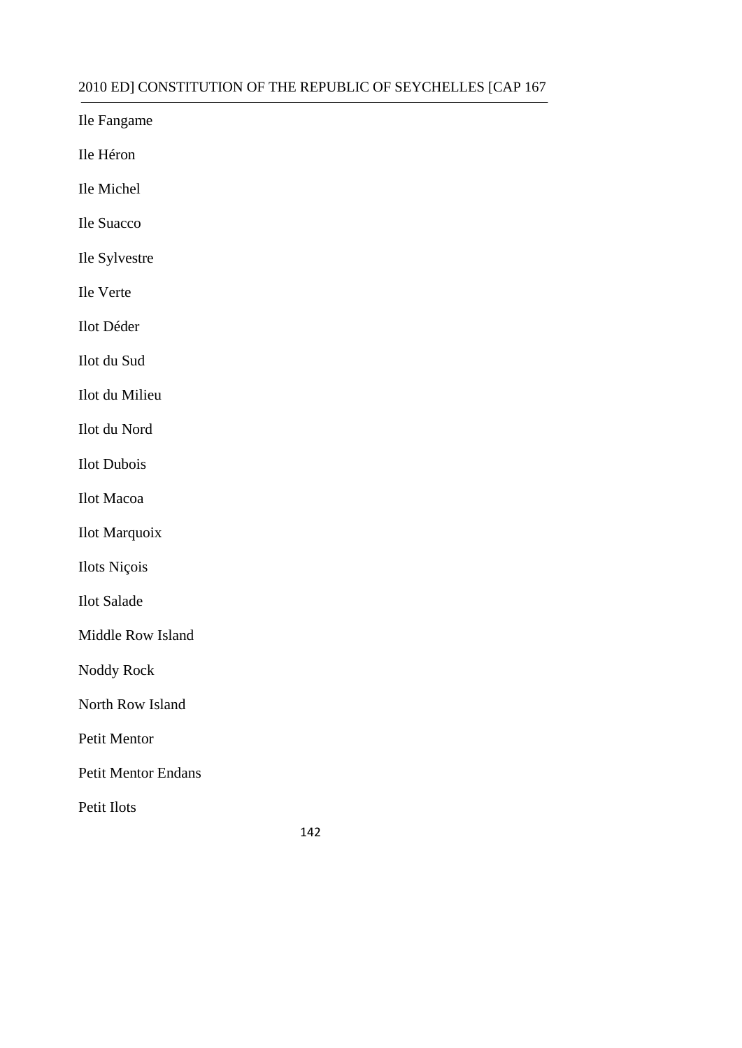Ile Fangame

Ile Héron

Ile Michel

Ile Suacco

Ile Sylvestre

Ile Verte

Ilot Déder

Ilot du Sud

Ilot du Milieu

Ilot du Nord

Ilot Dubois

Ilot Macoa

Ilot Marquoix

Ilots Niçois

Ilot Salade

Middle Row Island

Noddy Rock

North Row Island

Petit Mentor

Petit Mentor Endans

Petit Ilots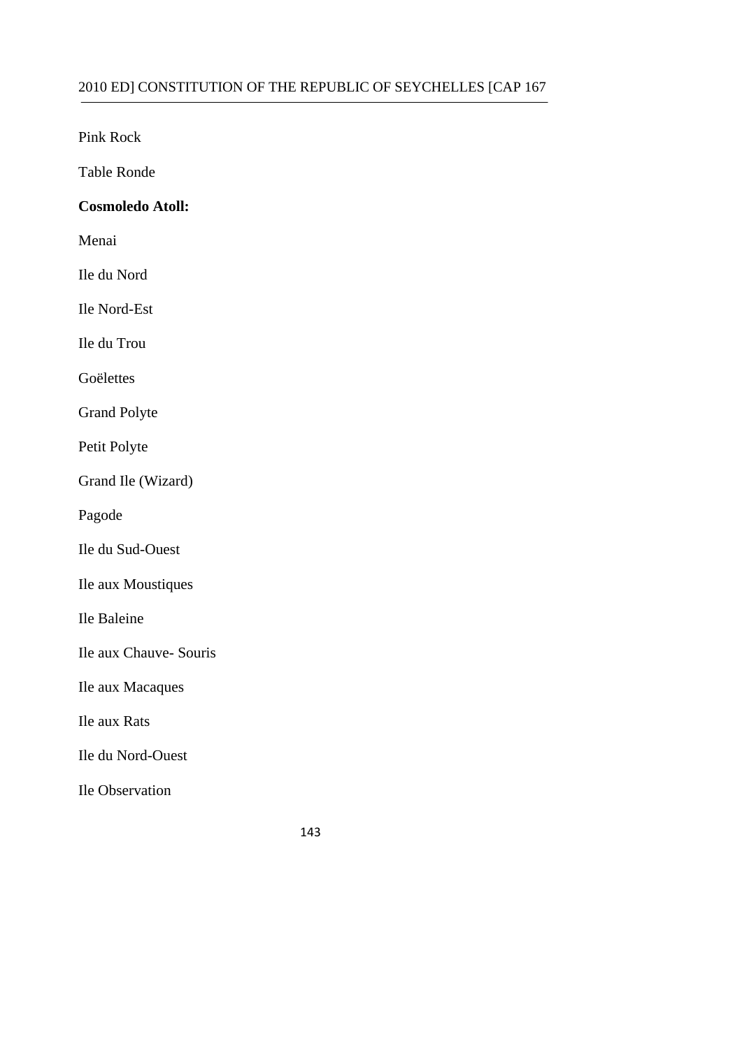Pink Rock

Table Ronde

### **Cosmoledo Atoll:**

Menai

Ile du Nord

Ile Nord-Est

Ile du Trou

Goëlettes

Grand Polyte

Petit Polyte

Grand Ile (Wizard)

Pagode

Ile du Sud-Ouest

Ile aux Moustiques

Ile Baleine

Ile aux Chauve- Souris

Ile aux Macaques

Ile aux Rats

Ile du Nord-Ouest

Ile Observation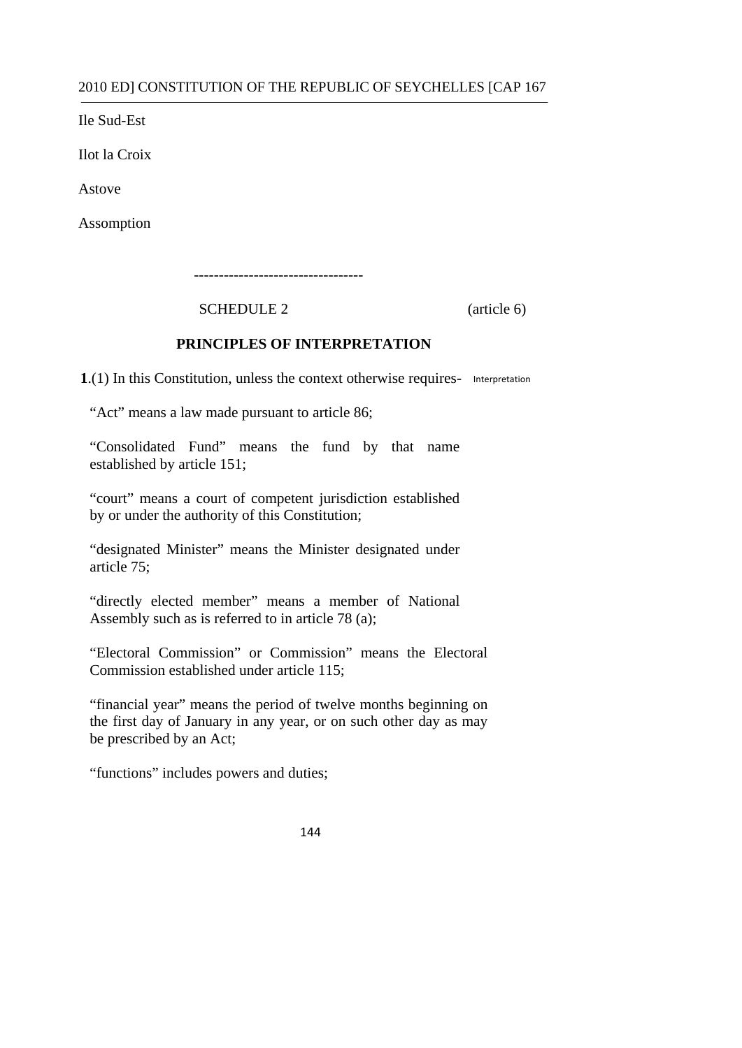Ile Sud-Est

Ilot la Croix

Astove

Assomption

----------------------------------

SCHEDULE 2 (article 6)

#### **PRINCIPLES OF INTERPRETATION**

**1**.(1) In this Constitution, unless the context otherwise requires- Interpretation

"Act" means a law made pursuant to article 86;

"Consolidated Fund" means the fund by that name established by article 151;

"court" means a court of competent jurisdiction established by or under the authority of this Constitution;

 "designated Minister" means the Minister designated under article 75;

"directly elected member" means a member of National Assembly such as is referred to in article 78 (a);

 "Electoral Commission" or Commission" means the Electoral Commission established under article 115;

> "financial year" means the period of twelve months beginning on the first day of January in any year, or on such other day as may be prescribed by an Act;

"functions" includes powers and duties;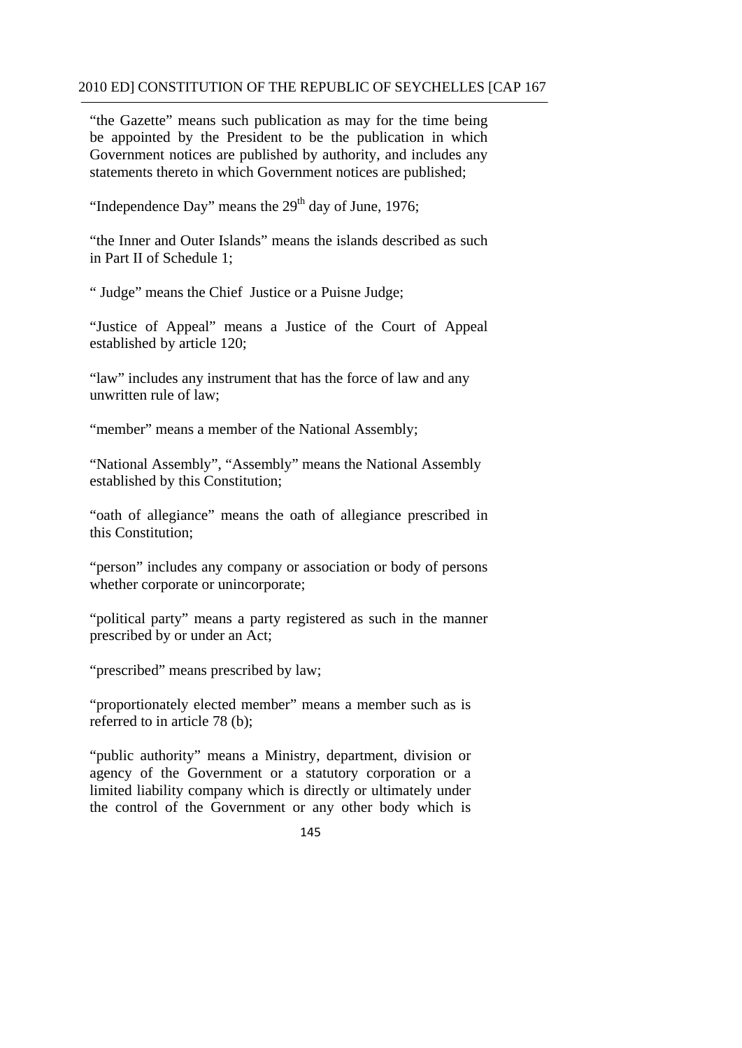"the Gazette" means such publication as may for the time being be appointed by the President to be the publication in which Government notices are published by authority, and includes any statements thereto in which Government notices are published;

"Independence Day" means the  $29<sup>th</sup>$  day of June, 1976;

"the Inner and Outer Islands" means the islands described as such in Part II of Schedule 1;

" Judge" means the Chief Justice or a Puisne Judge;

"Justice of Appeal" means a Justice of the Court of Appeal established by article 120;

"law" includes any instrument that has the force of law and any unwritten rule of law;

"member" means a member of the National Assembly;

"National Assembly", "Assembly" means the National Assembly established by this Constitution;

"oath of allegiance" means the oath of allegiance prescribed in this Constitution;

"person" includes any company or association or body of persons whether corporate or unincorporate;

"political party" means a party registered as such in the manner prescribed by or under an Act;

"prescribed" means prescribed by law;

"proportionately elected member" means a member such as is referred to in article 78 (b);

"public authority" means a Ministry, department, division or agency of the Government or a statutory corporation or a limited liability company which is directly or ultimately under the control of the Government or any other body which is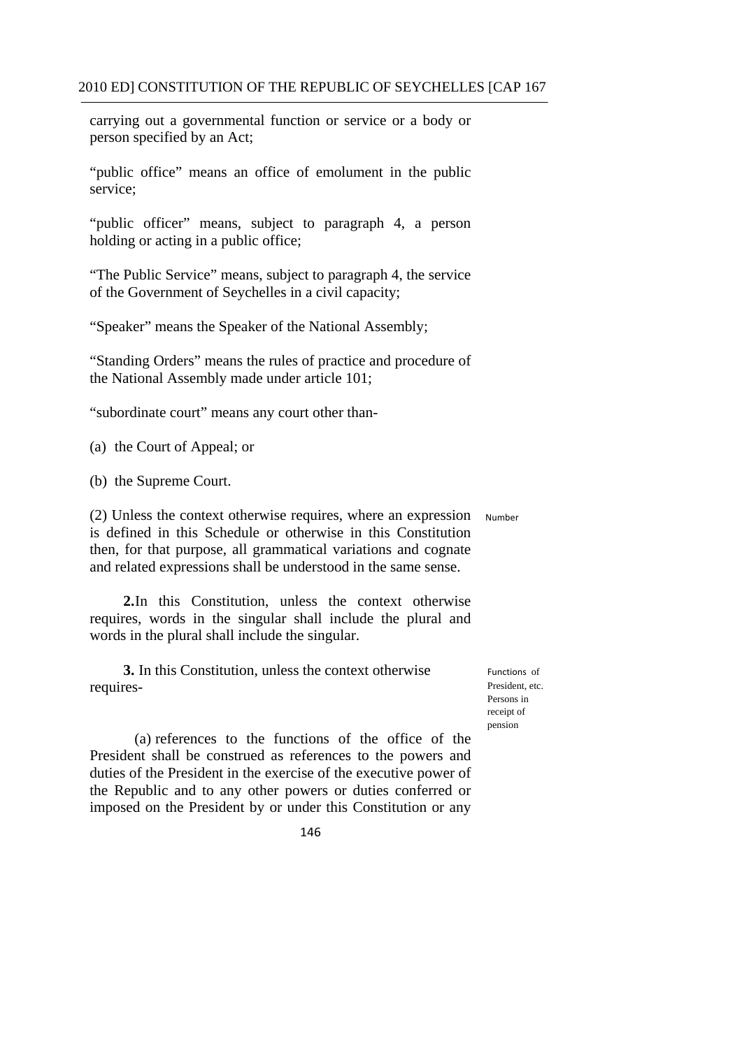carrying out a governmental function or service or a body or person specified by an Act;

"public office" means an office of emolument in the public service;

"public officer" means, subject to paragraph 4, a person holding or acting in a public office;

"The Public Service" means, subject to paragraph 4, the service of the Government of Seychelles in a civil capacity;

"Speaker" means the Speaker of the National Assembly;

"Standing Orders" means the rules of practice and procedure of the National Assembly made under article 101;

"subordinate court" means any court other than-

(a) the Court of Appeal; or

(b) the Supreme Court.

(2) Unless the context otherwise requires, where an expression Number is defined in this Schedule or otherwise in this Constitution then, for that purpose, all grammatical variations and cognate and related expressions shall be understood in the same sense.

**2.**In this Constitution, unless the context otherwise requires, words in the singular shall include the plural and words in the plural shall include the singular.

**3.** In this Constitution, unless the context otherwise requires

Functions of President, etc. Persons in receipt of pension

(a) references to the functions of the office of the President shall be construed as references to the powers and duties of the President in the exercise of the executive power of the Republic and to any other powers or duties conferred or imposed on the President by or under this Constitution or any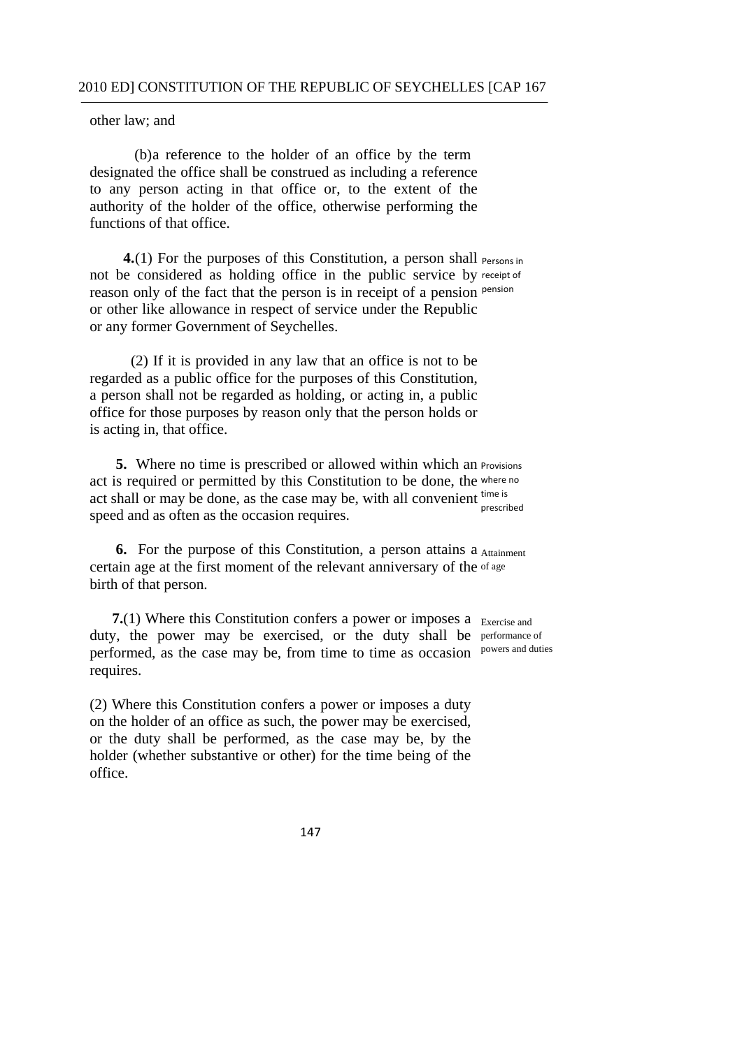other law; and

(b)a reference to the holder of an office by the term designated the office shall be construed as including a reference to any person acting in that office or, to the extent of the authority of the holder of the office, otherwise performing the functions of that office.

**4.**(1) For the purposes of this Constitution, a person shall <sub>Persons in</sub> not be considered as holding office in the public service by receipt of reason only of the fact that the person is in receipt of a pension pension or other like allowance in respect of service under the Republic or any former Government of Seychelles.

 (2) If it is provided in any law that an office is not to be regarded as a public office for the purposes of this Constitution, a person shall not be regarded as holding, or acting in, a public office for those purposes by reason only that the person holds or is acting in, that office.

**5.** Where no time is prescribed or allowed within which an Provisions act is required or permitted by this Constitution to be done, the where no act shall or may be done, as the case may be, with all convenient  $\frac{time}{i}$ speed and as often as the occasion requires. prescribed

**6.** For the purpose of this Constitution, a person attains a Attainment certain age at the first moment of the relevant anniversary of the of age birth of that person.

**7.**(1) Where this Constitution confers a power or imposes a Exercise and duty, the power may be exercised, or the duty shall be performance of performed, as the case may be, from time to time as occasion powers and duties requires.

(2) Where this Constitution confers a power or imposes a duty on the holder of an office as such, the power may be exercised, or the duty shall be performed, as the case may be, by the holder (whether substantive or other) for the time being of the office.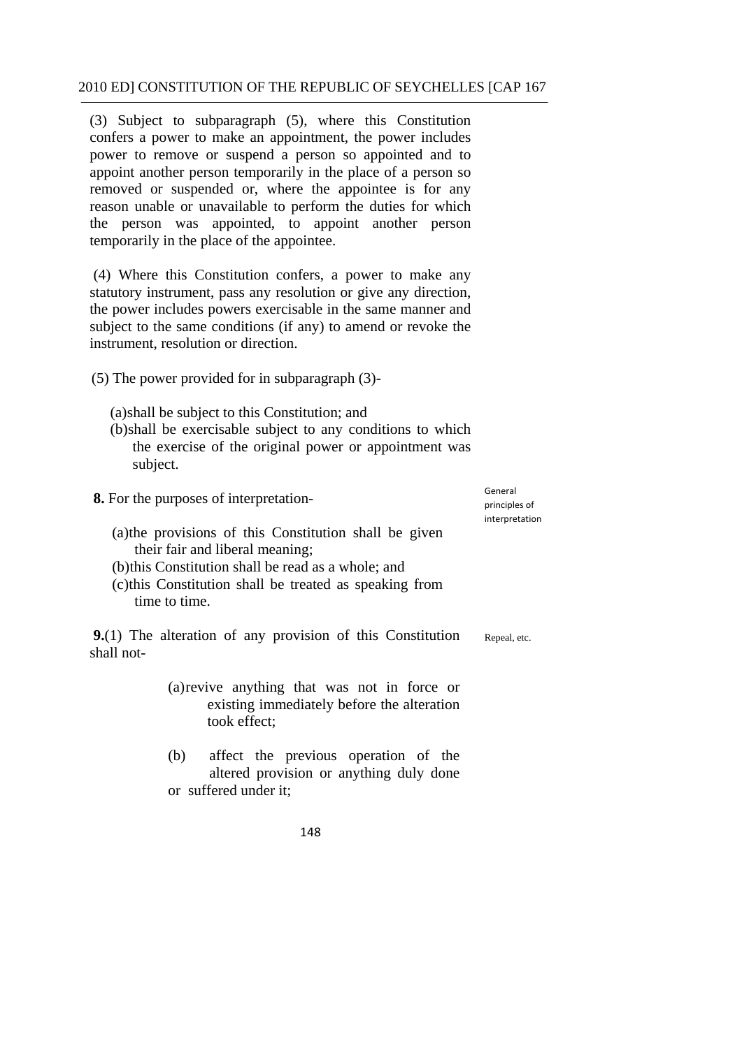(3) Subject to subparagraph (5), where this Constitution confers a power to make an appointment, the power includes power to remove or suspend a person so appointed and to appoint another person temporarily in the place of a person so removed or suspended or, where the appointee is for any reason unable or unavailable to perform the duties for which the person was appointed, to appoint another person temporarily in the place of the appointee.

(4) Where this Constitution confers, a power to make any statutory instrument, pass any resolution or give any direction, the power includes powers exercisable in the same manner and subject to the same conditions (if any) to amend or revoke the instrument, resolution or direction.

(5) The power provided for in subparagraph (3)-

(a)shall be subject to this Constitution; and

(b)shall be exercisable subject to any conditions to which the exercise of the original power or appointment was subject.

**8.** For the purposes of interpretation

 principles of General interpretation

Repeal, etc.

- (a)the provisions of this Constitution shall be given their fair and liberal meaning;
- (b)this Constitution shall be read as a whole; and

took effect;

(c)this Constitution shall be treated as speaking from time to time.

**9.**(1) The alteration of any provision of this Constitution shall not-

- (a)revive anything that was not in force or existing immediately before the alteration
- (b) affect the previous operation of the altered provision or anything duly done or suffered under it;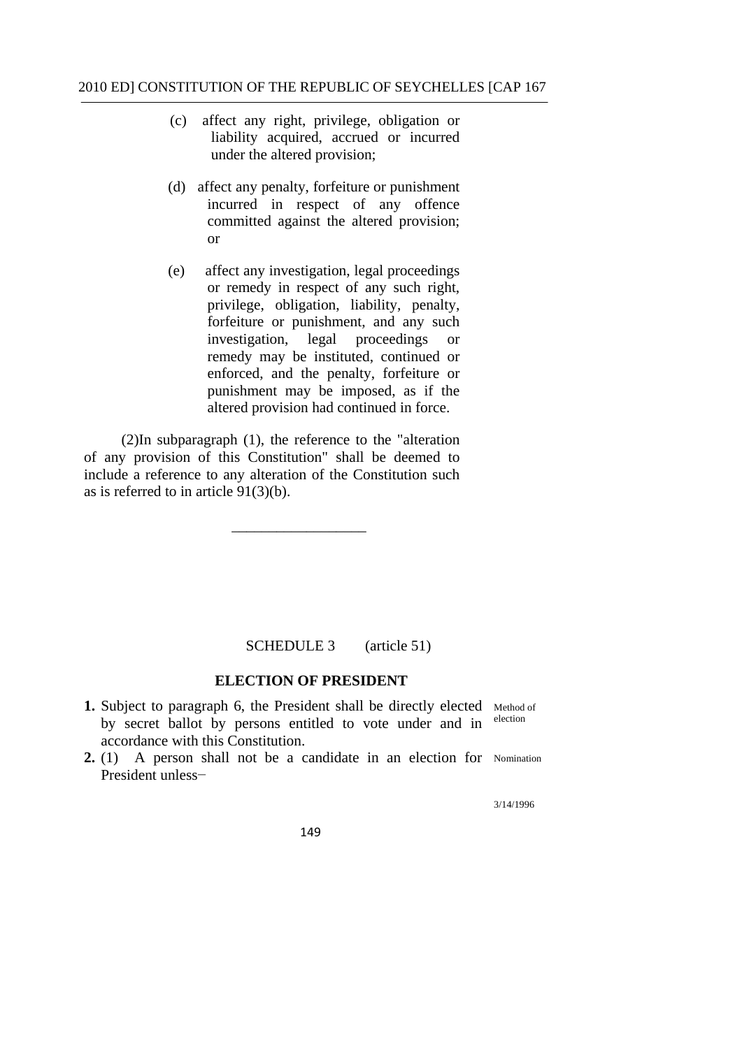- (c) affect any right, privilege, obligation or liability acquired, accrued or incurred under the altered provision;
- (d) affect any penalty, forfeiture or punishment incurred in respect of any offence committed against the altered provision; or
- $(e)$ affect any investigation, legal proceedings or remedy in respect of any such right, privilege, obligation, liability, penalty, forfeiture or punishment, and any such investigation, legal proceedings or remedy may be instituted, continued or enforced, and the penalty, forfeiture or punishment may be imposed, as if the altered provision had continued in force.

 (2)In subparagraph (1), the reference to the "alteration of any provision of this Constitution" shall be deemed to include a reference to any alteration of the Constitution such as is referred to in article 91(3)(b).

\_\_\_\_\_\_\_\_\_\_\_\_\_\_\_\_\_\_

#### (article 51) SCHEDULE 3

# **ELECTION OF PRESIDENT**

- **1.** Subject to paragraph 6, the President shall be directly elected Method of by secret ballot by parsons entitled to vote under and in election by secret ballot by persons entitled to vote under and in accordance with this Constitution.
- **2.** (1) A person shall not be a candidate in an election for Nomination President unless−

3/14/1996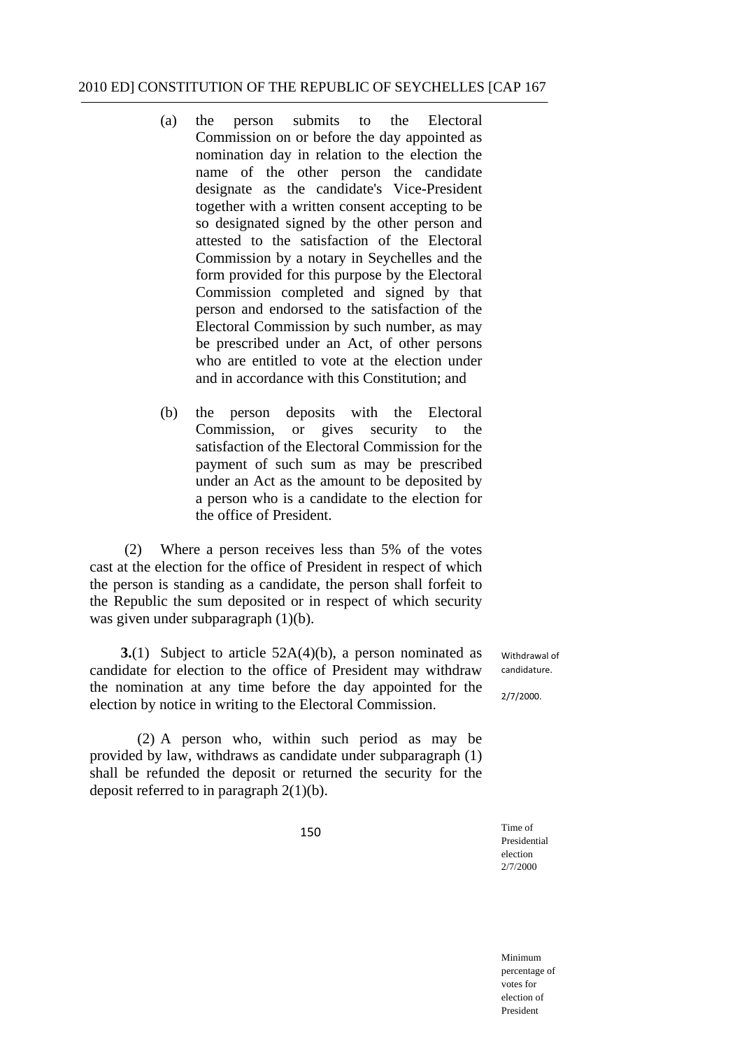- (a) the person submits to the Electoral Commission on or before the day appointed as nomination day in relation to the election the name of the other person the candidate designate as the candidate's Vice-President together with a written consent accepting to be so designated signed by the other person and attested to the satisfaction of the Electoral Commission by a notary in Seychelles and the form provided for this purpose by the Electoral Commission completed and signed by that person and endorsed to the satisfaction of the Electoral Commission by such number, as may be prescribed under an Act, of other persons who are entitled to vote at the election under and in accordance with this Constitution; and
- (b) the person deposits with the Electoral Commission, or gives security to the satisfaction of the Electoral Commission for the payment of such sum as may be prescribed under an Act as the amount to be deposited by a person who is a candidate to the election for the office of President.

(2) Where a person receives less than 5% of the votes cast at the election for the office of President in respect of which the person is standing as a candidate, the person shall forfeit to the Republic the sum deposited or in respect of which security was given under subparagraph (1)(b).

**3.**(1) Subject to article 52A(4)(b), a person nominated as candidate for election to the office of President may withdraw the nomination at any time before the day appointed for the election by notice in writing to the Electoral Commission.

(2) A person who, within such period as may be provided by law, withdraws as candidate under subparagraph (1) shall be refunded the deposit or returned the security for the deposit referred to in paragraph 2(1)(b).

150

 Withdrawal of candidature.

2/7/2000.

Time of Presidential election 2/7/2000

Minimum percentage of votes for election of President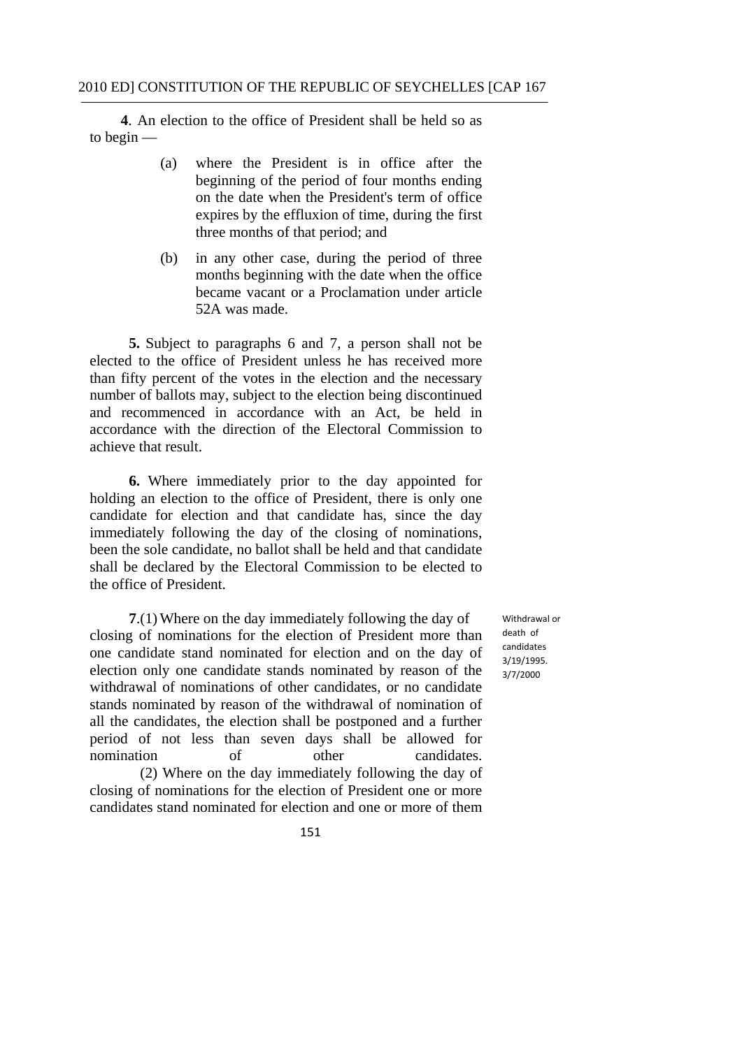Ì **4**. An election to the office of President shall be held so as to begin —

- (a) where the President is in office after the beginning of the period of four months ending on the date when the President's term of office expires by the effluxion of time, during the first three months of that period; and
- (b) in any other case, during the period of three months beginning with the date when the office became vacant or a Proclamation under article 52A was made.

 **5.** Subject to paragraphs 6 and 7, a person shall not be elected to the office of President unless he has received more than fifty percent of the votes in the election and the necessary number of ballots may, subject to the election being discontinued and recommenced in accordance with an Act, be held in accordance with the direction of the Electoral Commission to achieve that result.

**6.** Where immediately prior to the day appointed for holding an election to the office of President, there is only one candidate for election and that candidate has, since the day immediately following the day of the closing of nominations, been the sole candidate, no ballot shall be held and that candidate shall be declared by the Electoral Commission to be elected to the office of President.

**7**.(1) Where on the day immediately following the day of closing of nominations for the election of President more than one candidate stand nominated for election and on the day of election only one candidate stands nominated by reason of the withdrawal of nominations of other candidates, or no candidate stands nominated by reason of the withdrawal of nomination of all the candidates, the election shall be postponed and a further period of not less than seven days shall be allowed for nomination of other candidates. (2) Where on the day immediately following the day of closing of nominations for the election of President one or more candidates stand nominated for election and one or more of them

 Withdrawal or death of candidates 3/19/1995. 3/7/2000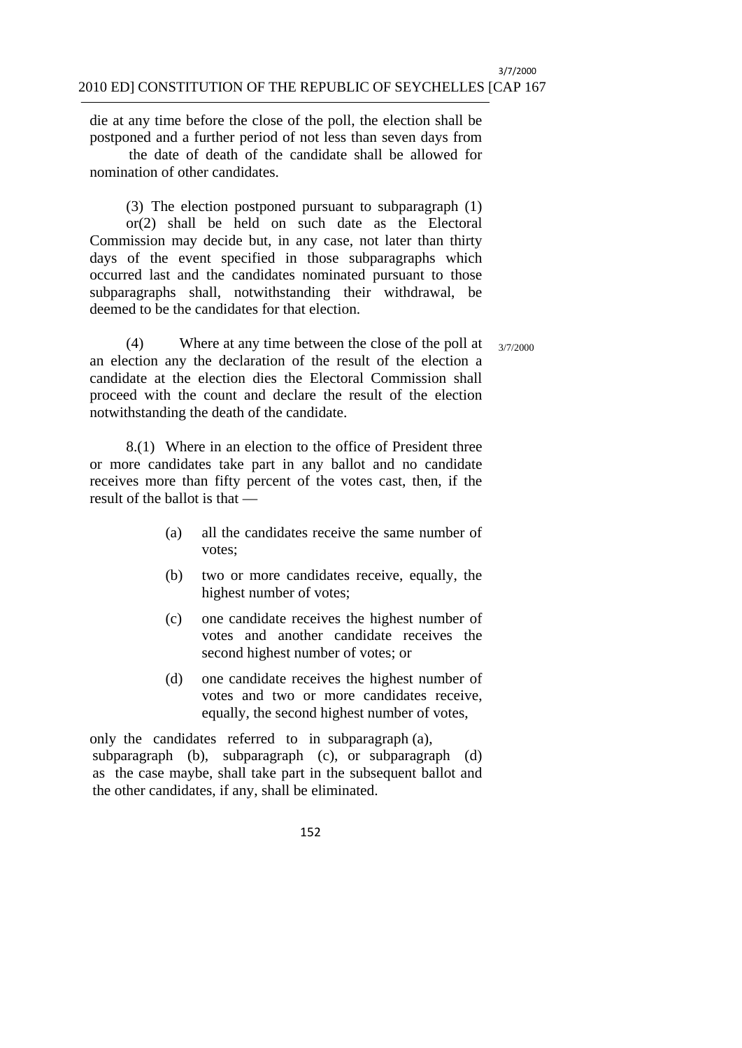die at any time before the close of the poll, the election shall be postponed and a further period of not less than seven days from

the date of death of the candidate shall be allowed for nomination of other candidates.

(3) The election postponed pursuant to subparagraph (1) or(2) shall be held on such date as the Electoral Commission may decide but, in any case, not later than thirty days of the event specified in those subparagraphs which occurred last and the candidates nominated pursuant to those subparagraphs shall, notwithstanding their withdrawal, be deemed to be the candidates for that election.

(4) Where at any time between the close of the poll at  $\frac{3}{77/2000}$ an election any the declaration of the result of the election a candidate at the election dies the Electoral Commission shall proceed with the count and declare the result of the election notwithstanding the death of the candidate.

8.(1) Where in an election to the office of President three or more candidates take part in any ballot and no candidate receives more than fifty percent of the votes cast, then, if the result of the ballot is that —

- (a) all the candidates receive the same number of votes;
- (b) two or more candidates receive, equally, the highest number of votes;
- (c) one candidate receives the highest number of votes and another candidate receives the second highest number of votes; or
- (d) one candidate receives the highest number of votes and two or more candidates receive, equally, the second highest number of votes,

 only the candidates referred to in subparagraph (a), subparagraph (b), subparagraph (c), or subparagraph (d) as the case maybe, shall take part in the subsequent ballot and the other candidates, if any, shall be eliminated.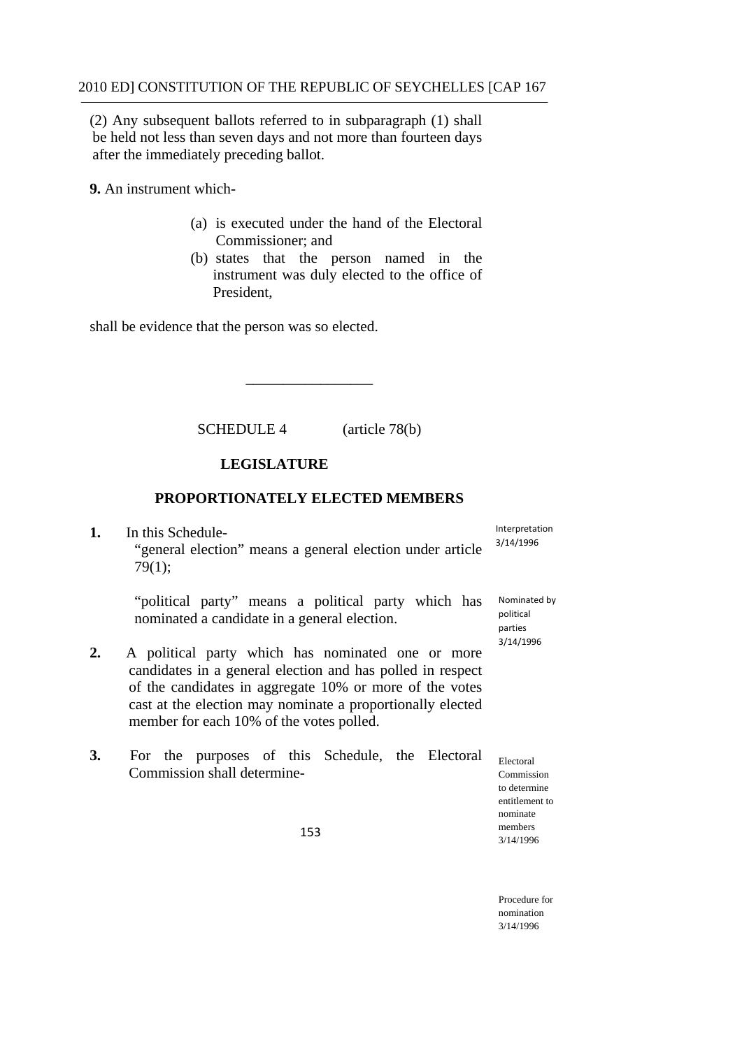(2) Any subsequent ballots referred to in subparagraph (1) shall be held not less than seven days and not more than fourteen days after the immediately preceding ballot.

**9.** An instrument which-

- (a) is executed under the hand of the Electoral Commissioner; and
- President. (b) states that the person named in the instrument was duly elected to the office of

shall be evidence that the person was so elected.

SCHEDULE 4 (article 78(b)

\_\_\_\_\_\_\_\_\_\_\_\_\_\_\_\_\_

# **LEGISLATURE**

# **PROPORTIONATELY ELECTED MEMBERS**

1. In this Schedule-

Interpretation 3/14/1996

"general election" means a general election under article 79(1);

"political party" means a political party which has nominated a candidate in a general election.

- member for each 10% of the votes polled. **2.** A political party which has nominated one or more candidates in a general election and has polled in respect of the candidates in aggregate 10% or more of the votes cast at the election may nominate a proportionally elected
- **3.** For the purposes of this Schedule, the Electoral Commission shall determine-

 Nominated by political parties 3/14/1996

Electoral Commission to determine entitlement to nominate members 3/14/1996

153

Procedure for nomination 3/14/1996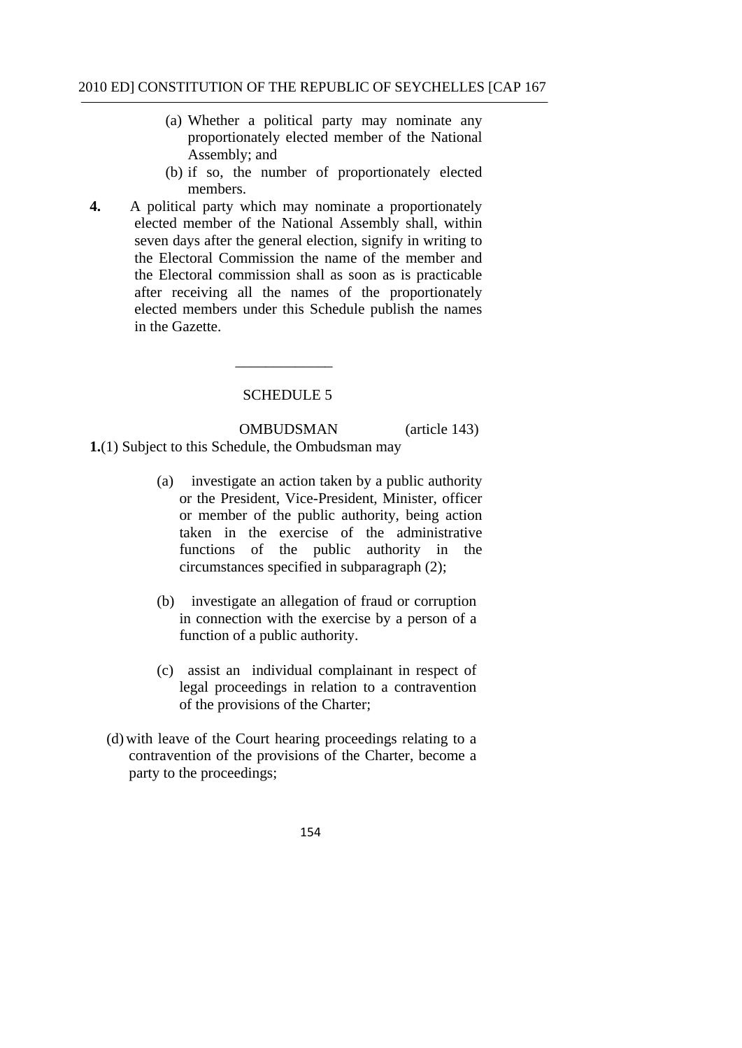- (a) Whether a political party may nominate any proportionately elected member of the National Assembly; and
- (b) if so, the number of proportionately elected members.
- **4.** A political party which may nominate a proportionately elected member of the National Assembly shall, within seven days after the general election, signify in writing to the Electoral Commission the name of the member and the Electoral commission shall as soon as is practicable after receiving all the names of the proportionately elected members under this Schedule publish the names in the Gazette.

SCHEDULE 5

 $\overline{\phantom{a}}$   $\overline{\phantom{a}}$   $\overline{\phantom{a}}$   $\overline{\phantom{a}}$   $\overline{\phantom{a}}$   $\overline{\phantom{a}}$   $\overline{\phantom{a}}$   $\overline{\phantom{a}}$   $\overline{\phantom{a}}$   $\overline{\phantom{a}}$   $\overline{\phantom{a}}$   $\overline{\phantom{a}}$   $\overline{\phantom{a}}$   $\overline{\phantom{a}}$   $\overline{\phantom{a}}$   $\overline{\phantom{a}}$   $\overline{\phantom{a}}$   $\overline{\phantom{a}}$   $\overline{\$ 

OMBUDSMAN (article 143) **1.**(1) Subject to this Schedule, the Ombudsman may

- (a) investigate an action taken by a public authority or the President, Vice-President, Minister, officer or member of the public authority, being action taken in the exercise of the administrative functions of the public authority in the circumstances specified in subparagraph (2);
- (b) investigate an allegation of fraud or corruption in connection with the exercise by a person of a function of a public authority.
- (c) assist an individual complainant in respect of legal proceedings in relation to a contravention of the provisions of the Charter;
- (d) with leave of the Court hearing proceedings relating to a contravention of the provisions of the Charter, become a party to the proceedings;
	- 154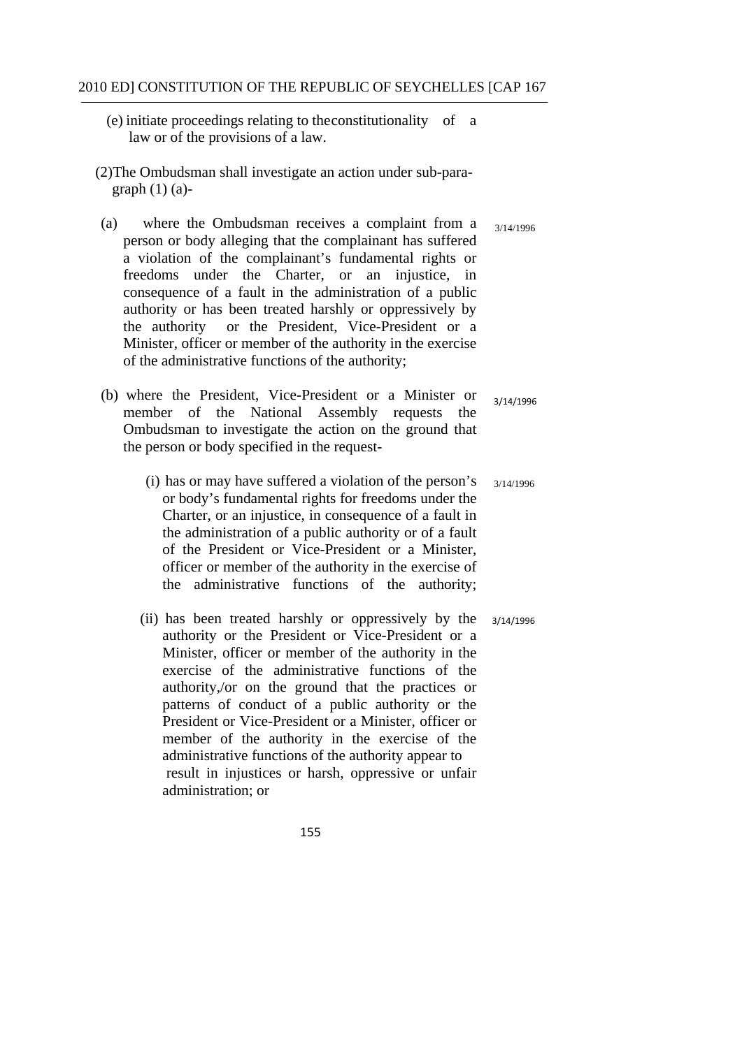- (e) initiate proceedings relating to the constitutionality of a law or of the provisions of a law.
- (2)The Ombudsman shall investigate an action under sub-para graph  $(1)$   $(a)$ -
- (a) where the Ombudsman receives a complaint from a person or body alleging that the complainant has suffered a violation of the complainant's fundamental rights or freedoms under the Charter, or an injustice, in consequence of a fault in the administration of a public authority or has been treated harshly or oppressively by the authority or the President, Vice-President or a Minister, officer or member of the authority in the exercise of the administrative functions of the authority; 3/14/1996
- (b) where the President, Vice-President or a Minister or member of the National Assembly requests the Ombudsman to investigate the action on the ground that the person or body specified in the request- 3/14/1996
	- (i) has or may have suffered a violation of the person's or body's fundamental rights for freedoms under the Charter, or an injustice, in consequence of a fault in the administration of a public authority or of a fault of the President or Vice-President or a Minister, officer or member of the authority in the exercise of the administrative functions of the authority; 3/14/1996
	- (ii) has been treated harshly or oppressively by the authority or the President or Vice-President or a Minister, officer or member of the authority in the exercise of the administrative functions of the authority,/or on the ground that the practices or patterns of conduct of a public authority or the President or Vice-President or a Minister, officer or member of the authority in the exercise of the administrative functions of the authority appear to result in injustices or harsh, oppressive or unfair administration; or 3/14/1996
		- 155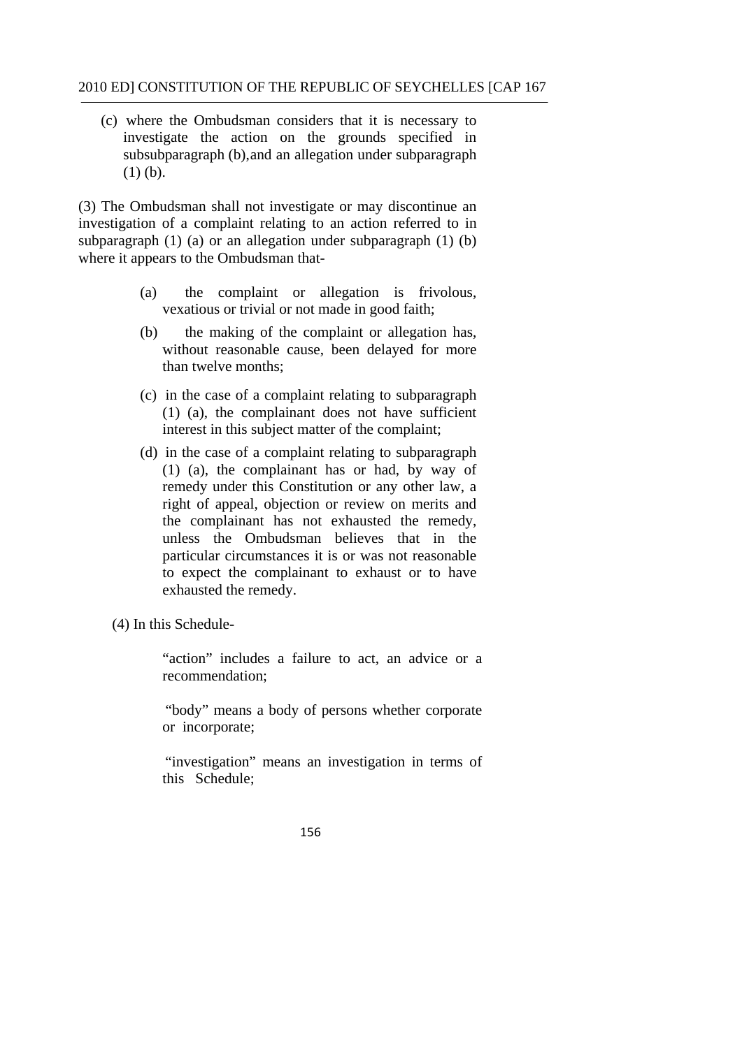(c) where the Ombudsman considers that it is necessary to investigate the action on the grounds specified in subsubparagraph (b), and an allegation under subparagraph (1) (b).

(3) The Ombudsman shall not investigate or may discontinue an investigation of a complaint relating to an action referred to in subparagraph (1) (a) or an allegation under subparagraph (1) (b) where it appears to the Ombudsman that-

- (a) the complaint or allegation is frivolous, vexatious or trivial or not made in good faith;
- (b) the making of the complaint or allegation has, without reasonable cause, been delayed for more than twelve months;
- (c) in the case of a complaint relating to subparagraph (1) (a), the complainant does not have sufficient interest in this subject matter of the complaint;
- (d) in the case of a complaint relating to subparagraph (1) (a), the complainant has or had, by way of remedy under this Constitution or any other law, a right of appeal, objection or review on merits and the complainant has not exhausted the remedy, unless the Ombudsman believes that in the particular circumstances it is or was not reasonable to expect the complainant to exhaust or to have exhausted the remedy.
- (4) In this Schedule-

"action" includes a failure to act, an advice or a recommendation;

"body" means a body of persons whether corporate or incorporate;

 "investigation" means an investigation in terms of this Schedule;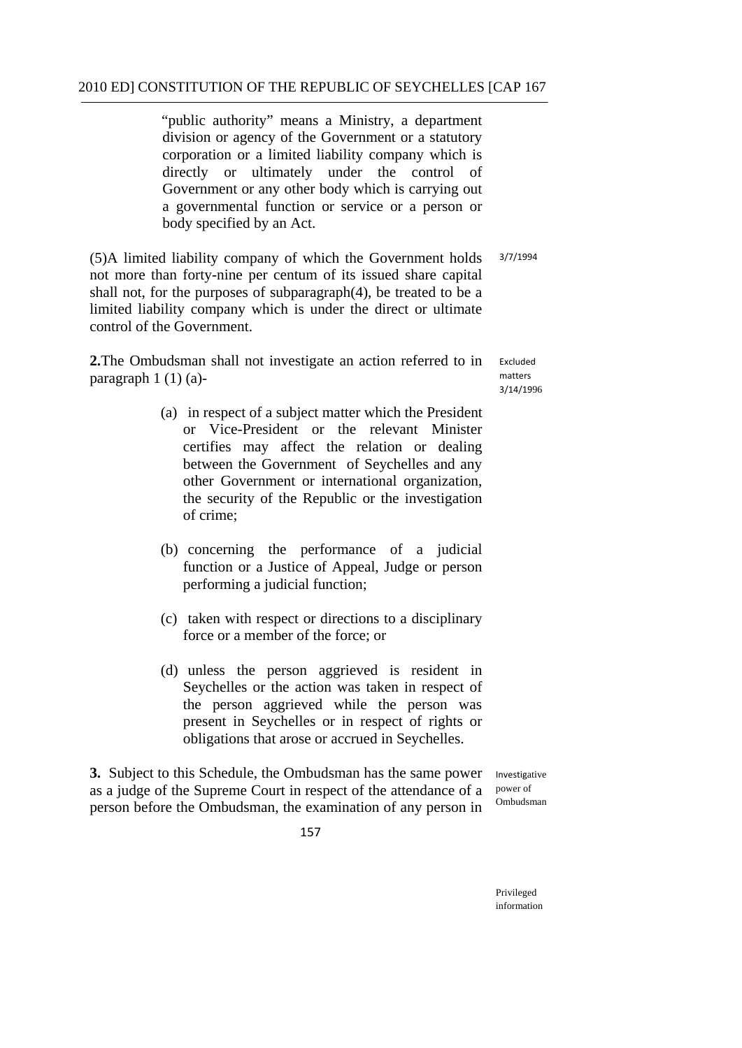"public authority" means a Ministry, a department division or agency of the Government or a statutory corporation or a limited liability company which is directly or ultimately under the control of Government or any other body which is carrying out a governmental function or service or a person or body specified by an Act.

(5)A limited liability company of which the Government holds 3/7/1994 not more than forty-nine per centum of its issued share capital shall not, for the purposes of subparagraph(4), be treated to be a limited liability company which is under the direct or ultimate control of the Government.

**2.**The Ombudsman shall not investigate an action referred to in  $\frac{Excluded}{matters}$ paragraph  $1(1)(a)$ -

3/14/1996

- (a) in respect of a subject matter which the President or Vice-President or the relevant Minister certifies may affect the relation or dealing between the Government of Seychelles and any other Government or international organization, the security of the Republic or the investigation of crime;
- (b) concerning the performance of a judicial function or a Justice of Appeal, Judge or person performing a judicial function;
- (c) taken with respect or directions to a disciplinary force or a member of the force; or
- (d) unless the person aggrieved is resident in Seychelles or the action was taken in respect of the person aggrieved while the person was present in Seychelles or in respect of rights or obligations that arose or accrued in Seychelles.

**3.** Subject to this Schedule, the Ombudsman has the same power Investigative as a judge of the Supreme Court in respect of the attendance of a power of ombudsman person before the Ombudsman, the examination of any person in

157

Privileged information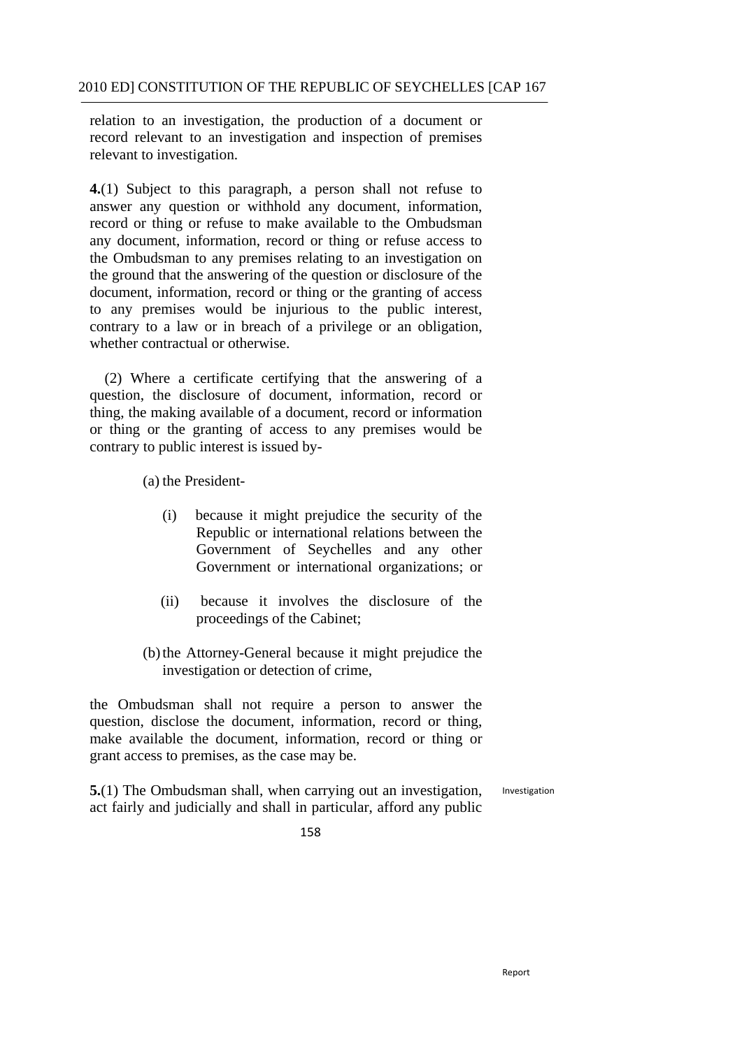relation to an investigation, the production of a document or record relevant to an investigation and inspection of premises relevant to investigation.

**4.**(1) Subject to this paragraph, a person shall not refuse to answer any question or withhold any document, information, record or thing or refuse to make available to the Ombudsman any document, information, record or thing or refuse access to the Ombudsman to any premises relating to an investigation on the ground that the answering of the question or disclosure of the document, information, record or thing or the granting of access to any premises would be injurious to the public interest, contrary to a law or in breach of a privilege or an obligation, whether contractual or otherwise.

(2) Where a certificate certifying that the answering of a question, the disclosure of document, information, record or thing, the making available of a document, record or information or thing or the granting of access to any premises would be contrary to public interest is issued by-

(a) the President-

- (i) because it might prejudice the security of the Republic or international relations between the Government of Seychelles and any other Government or international organizations; or
- (ii) because it involves the disclosure of the proceedings of the Cabinet;
- (b) the Attorney-General because it might prejudice the investigation or detection of crime,

the Ombudsman shall not require a person to answer the question, disclose the document, information, record or thing, make available the document, information, record or thing or grant access to premises, as the case may be.

**5.**(1) The Ombudsman shall, when carrying out an investigation, act fairly and judicially and shall in particular, afford any public Investigation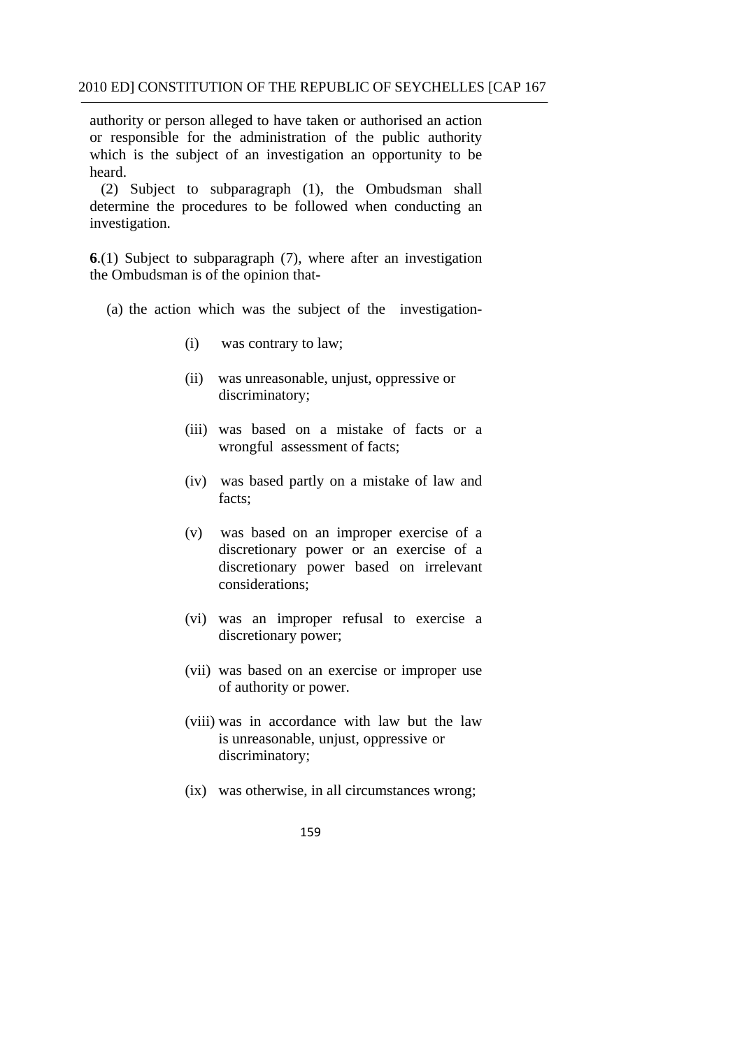authority or person alleged to have taken or authorised an action or responsible for the administration of the public authority which is the subject of an investigation an opportunity to be heard.

(2) Subject to subparagraph (1), the Ombudsman shall determine the procedures to be followed when conducting an investigation.

**6**.(1) Subject to subparagraph (7), where after an investigation the Ombudsman is of the opinion that-

- (a) the action which was the subject of the investigation
	- $(i)$ was contrary to law;
	- (ii) was unreasonable, unjust, oppressive or discriminatory;
	- (iii) was based on a mistake of facts or a wrongful assessment of facts;
	- (iv) was based partly on a mistake of law and facts;
	- (v) was based on an improper exercise of a discretionary power or an exercise of a discretionary power based on irrelevant considerations;
	- (vi) was an improper refusal to exercise a discretionary power;
	- (vii) was based on an exercise or improper use of authority or power.
	- (viii) was in accordance with law but the law is unreasonable, unjust, oppressive or discriminatory;
	- (ix) was otherwise, in all circumstances wrong;
		- 159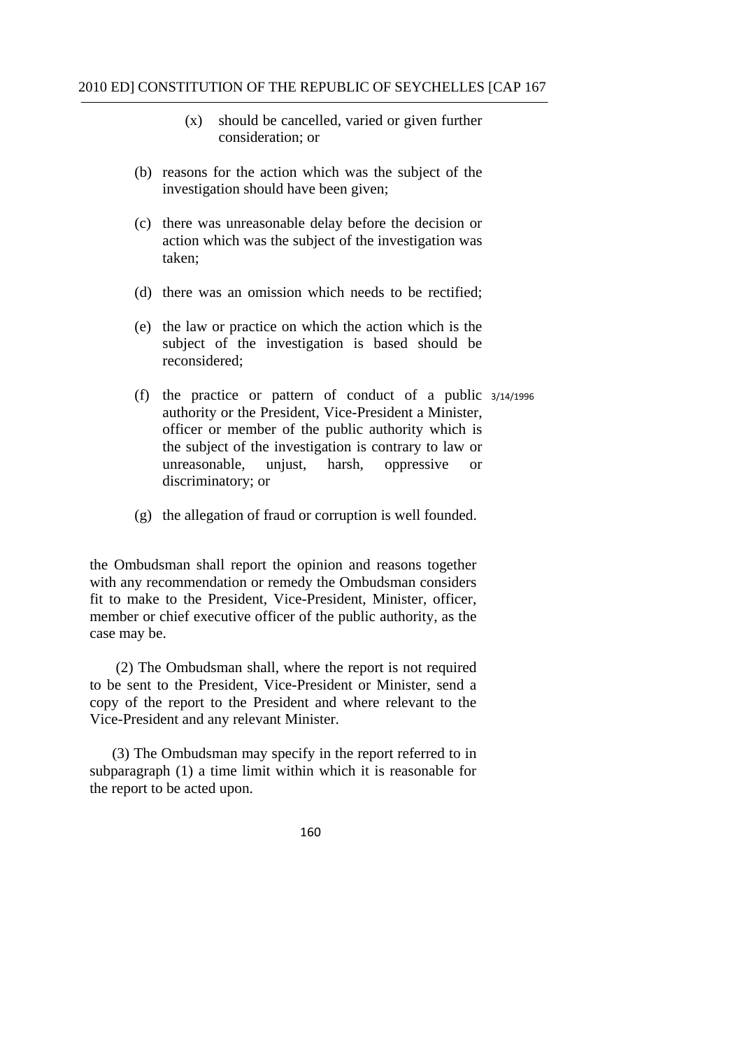- (x) should be cancelled, varied or given further consideration; or
- (b) reasons for the action which was the subject of the investigation should have been given;
- (c) there was unreasonable delay before the decision or action which was the subject of the investigation was taken;
- (d) there was an omission which needs to be rectified;
- (e) the law or practice on which the action which is the subject of the investigation is based should be reconsidered;
- (f) the practice or pattern of conduct of a public 3/14/1996 authority or the President, Vice-President a Minister, officer or member of the public authority which is the subject of the investigation is contrary to law or unreasonable, unjust, harsh, oppressive or discriminatory; or
- (g) the allegation of fraud or corruption is well founded.

the Ombudsman shall report the opinion and reasons together with any recommendation or remedy the Ombudsman considers fit to make to the President, Vice-President, Minister, officer, member or chief executive officer of the public authority, as the case may be.

(2) The Ombudsman shall, where the report is not required to be sent to the President, Vice-President or Minister, send a copy of the report to the President and where relevant to the Vice-President and any relevant Minister.

(3) The Ombudsman may specify in the report referred to in subparagraph (1) a time limit within which it is reasonable for the report to be acted upon.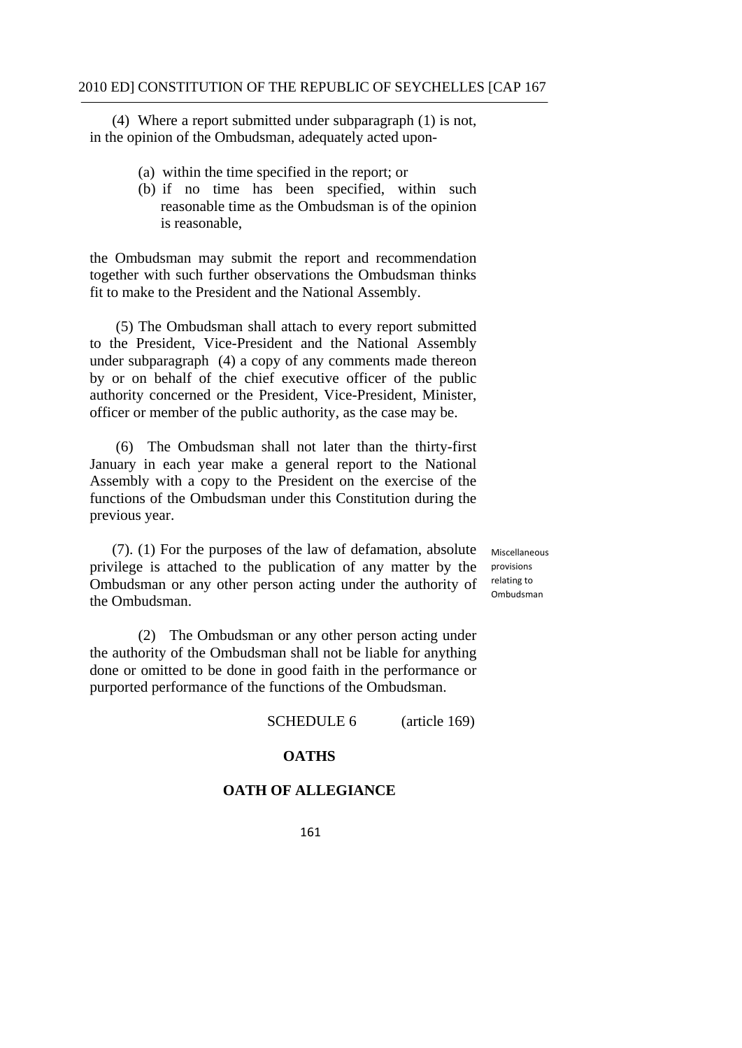(4) Where a report submitted under subparagraph (1) is not, in the opinion of the Ombudsman, adequately acted upon-

- (a) within the time specified in the report; or
- (b) if no time has been specified, within such reasonable time as the Ombudsman is of the opinion is reasonable,

the Ombudsman may submit the report and recommendation together with such further observations the Ombudsman thinks fit to make to the President and the National Assembly.

(5) The Ombudsman shall attach to every report submitted to the President, Vice-President and the National Assembly under subparagraph (4) a copy of any comments made thereon by or on behalf of the chief executive officer of the public authority concerned or the President, Vice-President, Minister, officer or member of the public authority, as the case may be.

(6) The Ombudsman shall not later than the thirty-first January in each year make a general report to the National Assembly with a copy to the President on the exercise of the functions of the Ombudsman under this Constitution during the previous year.

(7). (1) For the purposes of the law of defamation, absolute privilege is attached to the publication of any matter by the Ombudsman or any other person acting under the authority of the Ombudsman.

 relating to Miscellaneous provisions Ombudsman

 (2) The Ombudsman or any other person acting under the authority of the Ombudsman shall not be liable for anything done or omitted to be done in good faith in the performance or purported performance of the functions of the Ombudsman.

SCHEDULE 6 (article 169)

#### **OATHS**

### **OATH OF ALLEGIANCE**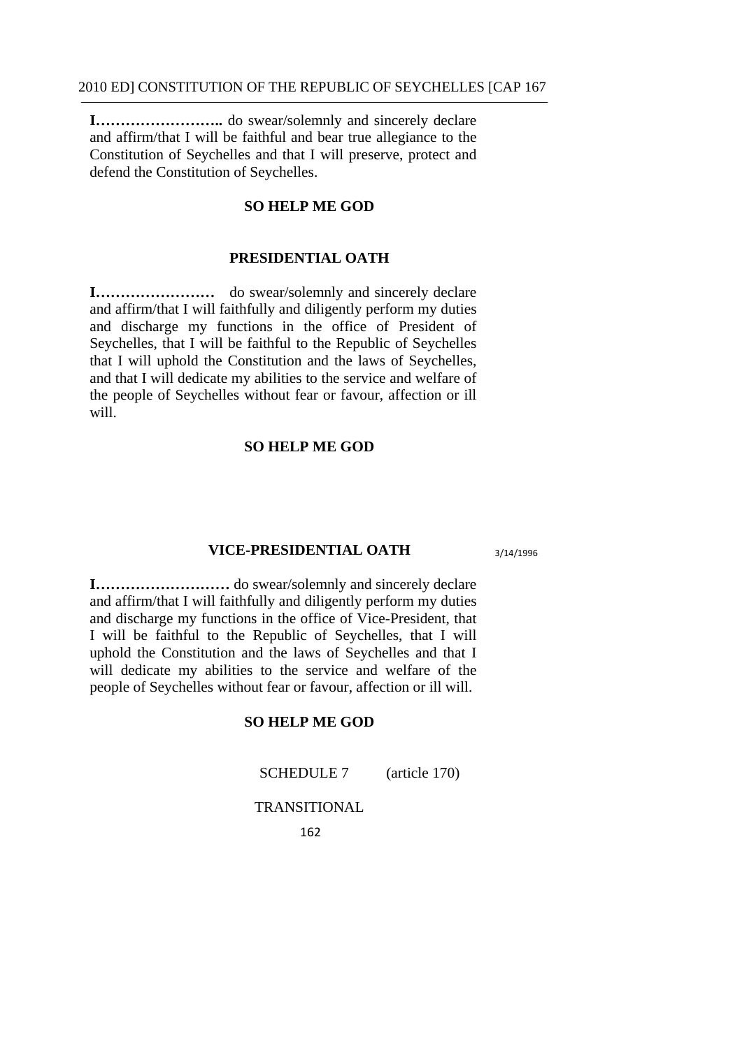**I……………………..** do swear/solemnly and sincerely declare and affirm/that I will be faithful and bear true allegiance to the Constitution of Seychelles and that I will preserve, protect and defend the Constitution of Seychelles.

### **SO HELP ME GOD**

# **PRESIDENTIAL OATH**

**I……………………** do swear/solemnly and sincerely declare and affirm/that I will faithfully and diligently perform my duties and discharge my functions in the office of President of Seychelles, that I will be faithful to the Republic of Seychelles that I will uphold the Constitution and the laws of Seychelles, and that I will dedicate my abilities to the service and welfare of the people of Seychelles without fear or favour, affection or ill will.

# **SO HELP ME GOD**

#### **VICE-PRESIDENTIAL OATH** 3/14/1996

**I………………………** do swear/solemnly and sincerely declare and affirm/that I will faithfully and diligently perform my duties and discharge my functions in the office of Vice-President, that I will be faithful to the Republic of Seychelles, that I will uphold the Constitution and the laws of Seychelles and that I will dedicate my abilities to the service and welfare of the people of Seychelles without fear or favour, affection or ill will.

# **SO HELP ME GOD**

SCHEDULE 7 (article 170)

TRANSITIONAL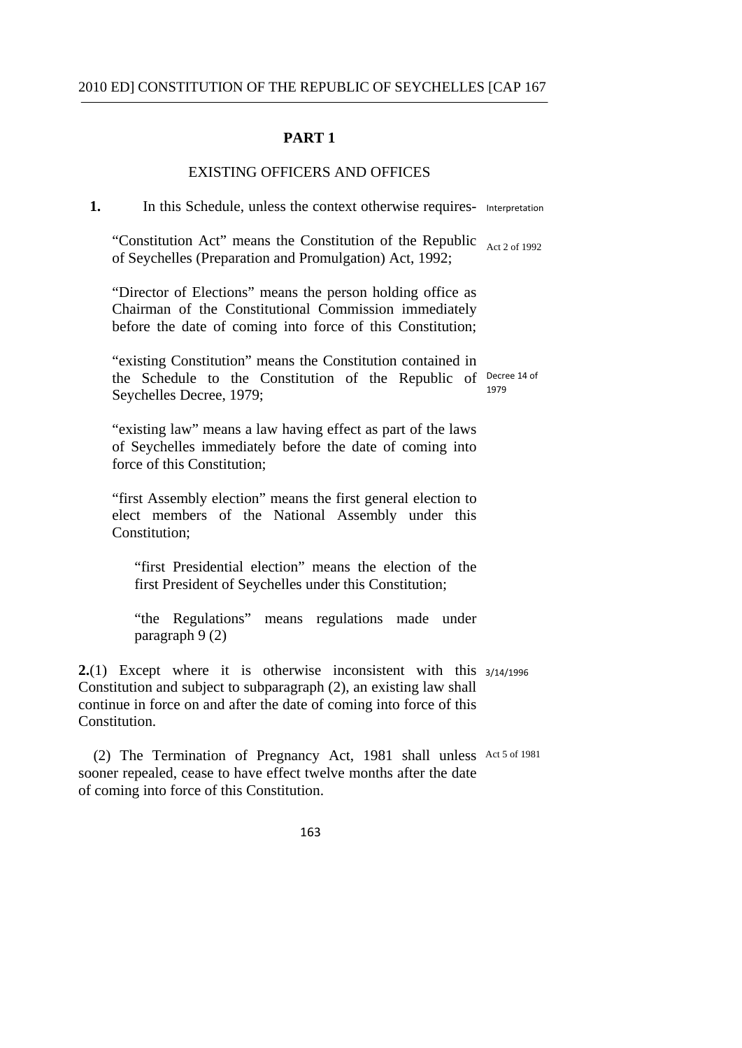### **PART 1**

# EXISTING OFFICERS AND OFFICES

1. In this Schedule, unless the context otherwise requires- Interpretation

"Constitution Act" means the Constitution of the Republic  $_{Act\,2\,of\,1992}$ of Seychelles (Preparation and Promulgation) Act, 1992;

"Director of Elections" means the person holding office as Chairman of the Constitutional Commission immediately before the date of coming into force of this Constitution;

 the Schedule to the Constitution of the Republic of Decree 14 of "existing Constitution" means the Constitution contained in Seychelles Decree, 1979; 1979

"existing law" means a law having effect as part of the laws of Seychelles immediately before the date of coming into force of this Constitution;

"first Assembly election" means the first general election to elect members of the National Assembly under this Constitution:

"first Presidential election" means the election of the first President of Seychelles under this Constitution;

"the Regulations" means regulations made under paragraph 9 (2)

**2.**(1) Except where it is otherwise inconsistent with this 3/14/1996 Constitution and subject to subparagraph (2), an existing law shall continue in force on and after the date of coming into force of this **Constitution** 

 (2) The Termination of Pregnancy Act, 1981 shall unless Act 5 of 1981 sooner repealed, cease to have effect twelve months after the date of coming into force of this Constitution.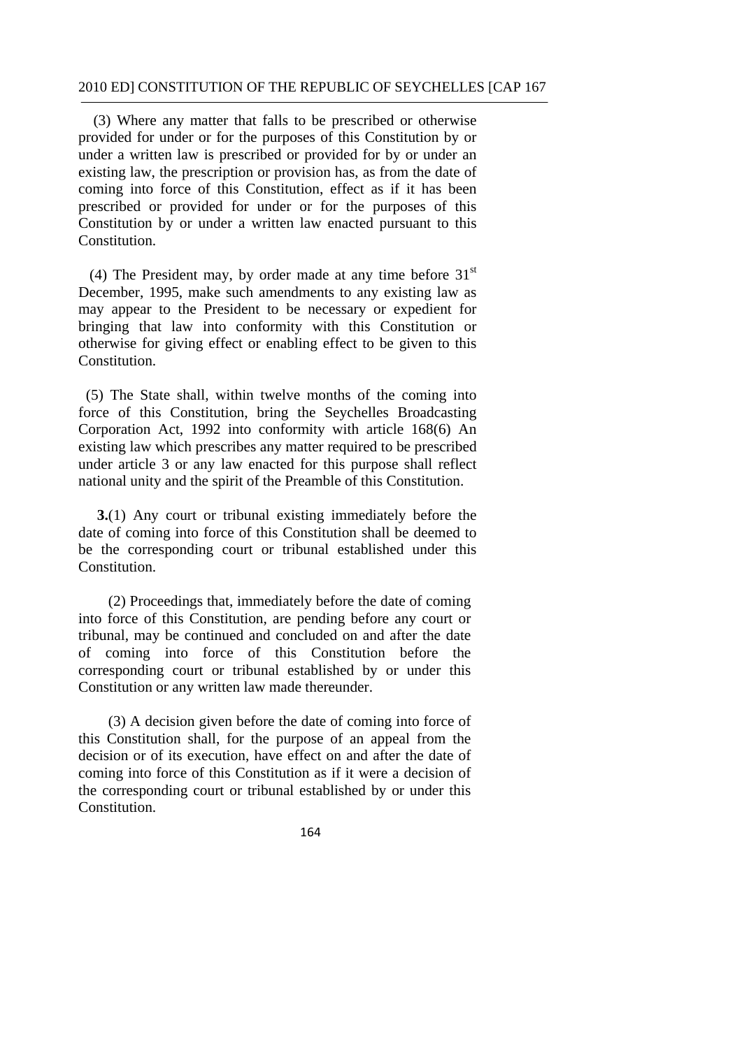(3) Where any matter that falls to be prescribed or otherwise provided for under or for the purposes of this Constitution by or under a written law is prescribed or provided for by or under an existing law, the prescription or provision has, as from the date of coming into force of this Constitution, effect as if it has been prescribed or provided for under or for the purposes of this Constitution by or under a written law enacted pursuant to this Constitution.

(4) The President may, by order made at any time before  $31<sup>st</sup>$ December, 1995, make such amendments to any existing law as may appear to the President to be necessary or expedient for bringing that law into conformity with this Constitution or otherwise for giving effect or enabling effect to be given to this Constitution.

(5) The State shall, within twelve months of the coming into force of this Constitution, bring the Seychelles Broadcasting Corporation Act, 1992 into conformity with article 168(6) An existing law which prescribes any matter required to be prescribed under article 3 or any law enacted for this purpose shall reflect national unity and the spirit of the Preamble of this Constitution.

**3.**(1) Any court or tribunal existing immediately before the date of coming into force of this Constitution shall be deemed to be the corresponding court or tribunal established under this Constitution.

 (2) Proceedings that, immediately before the date of coming into force of this Constitution, are pending before any court or tribunal, may be continued and concluded on and after the date of coming into force of this Constitution before the corresponding court or tribunal established by or under this Constitution or any written law made thereunder.

(3) A decision given before the date of coming into force of this Constitution shall, for the purpose of an appeal from the decision or of its execution, have effect on and after the date of coming into force of this Constitution as if it were a decision of the corresponding court or tribunal established by or under this Constitution.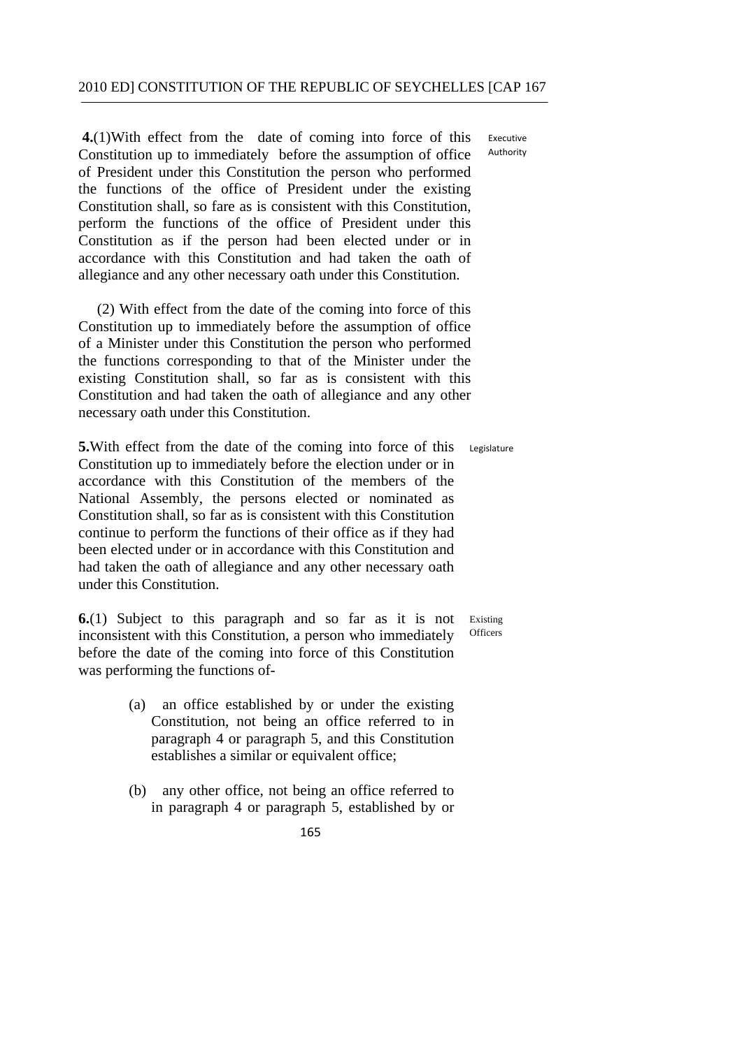**4.**(1)With effect from the date of coming into force of this Executive Constitution up to immediately before the assumption of office of President under this Constitution the person who performed the functions of the office of President under the existing Constitution shall, so fare as is consistent with this Constitution, perform the functions of the office of President under this Constitution as if the person had been elected under or in accordance with this Constitution and had taken the oath of allegiance and any other necessary oath under this Constitution.

(2) With effect from the date of the coming into force of this Constitution up to immediately before the assumption of office of a Minister under this Constitution the person who performed the functions corresponding to that of the Minister under the existing Constitution shall, so far as is consistent with this Constitution and had taken the oath of allegiance and any other necessary oath under this Constitution.

**5.**With effect from the date of the coming into force of this Legislature Constitution up to immediately before the election under or in accordance with this Constitution of the members of the National Assembly, the persons elected or nominated as Constitution shall, so far as is consistent with this Constitution continue to perform the functions of their office as if they had been elected under or in accordance with this Constitution and had taken the oath of allegiance and any other necessary oath under this Constitution.

**6.**(1) Subject to this paragraph and so far as it is not Existing inconsistent with this Constitution a nerson who immediately officers inconsistent with this Constitution, a person who immediately before the date of the coming into force of this Constitution was performing the functions of-

- (a) an office established by or under the existing Constitution, not being an office referred to in paragraph 4 or paragraph 5, and this Constitution establishes a similar or equivalent office;
- (b) any other office, not being an office referred to in paragraph 4 or paragraph 5, established by or

Authority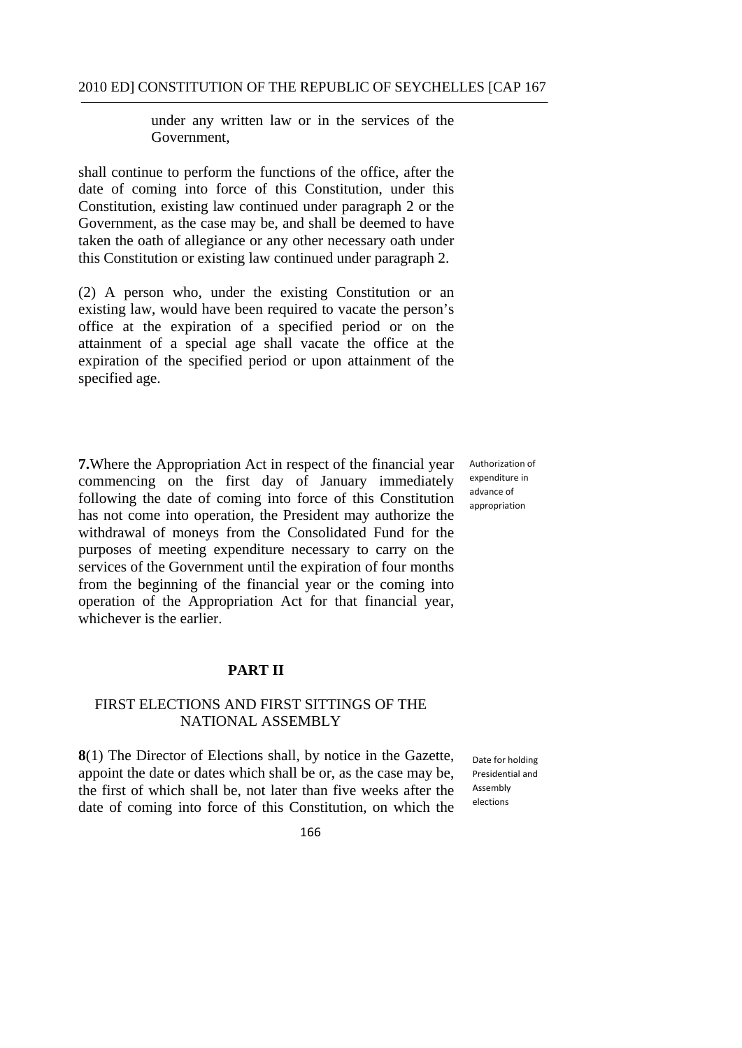under any written law or in the services of the Government,

shall continue to perform the functions of the office, after the date of coming into force of this Constitution, under this Constitution, existing law continued under paragraph 2 or the Government, as the case may be, and shall be deemed to have taken the oath of allegiance or any other necessary oath under this Constitution or existing law continued under paragraph 2.

(2) A person who, under the existing Constitution or an existing law, would have been required to vacate the person's office at the expiration of a specified period or on the attainment of a special age shall vacate the office at the expiration of the specified period or upon attainment of the specified age.

**7.**Where the Appropriation Act in respect of the financial year commencing on the first day of January immediately following the date of coming into force of this Constitution has not come into operation, the President may authorize the withdrawal of moneys from the Consolidated Fund for the purposes of meeting expenditure necessary to carry on the services of the Government until the expiration of four months from the beginning of the financial year or the coming into operation of the Appropriation Act for that financial year, whichever is the earlier.

# **PART II**

# FIRST ELECTIONS AND FIRST SITTINGS OF THE NATIONAL ASSEMBLY

**8**(1) The Director of Elections shall, by notice in the Gazette, appoint the date or dates which shall be or, as the case may be, the first of which shall be, not later than five weeks after the date of coming into force of this Constitution, on which the

 Date for holding Presidential and **A**ccombly elections

166

 Authorization of expenditure in advance of appropriation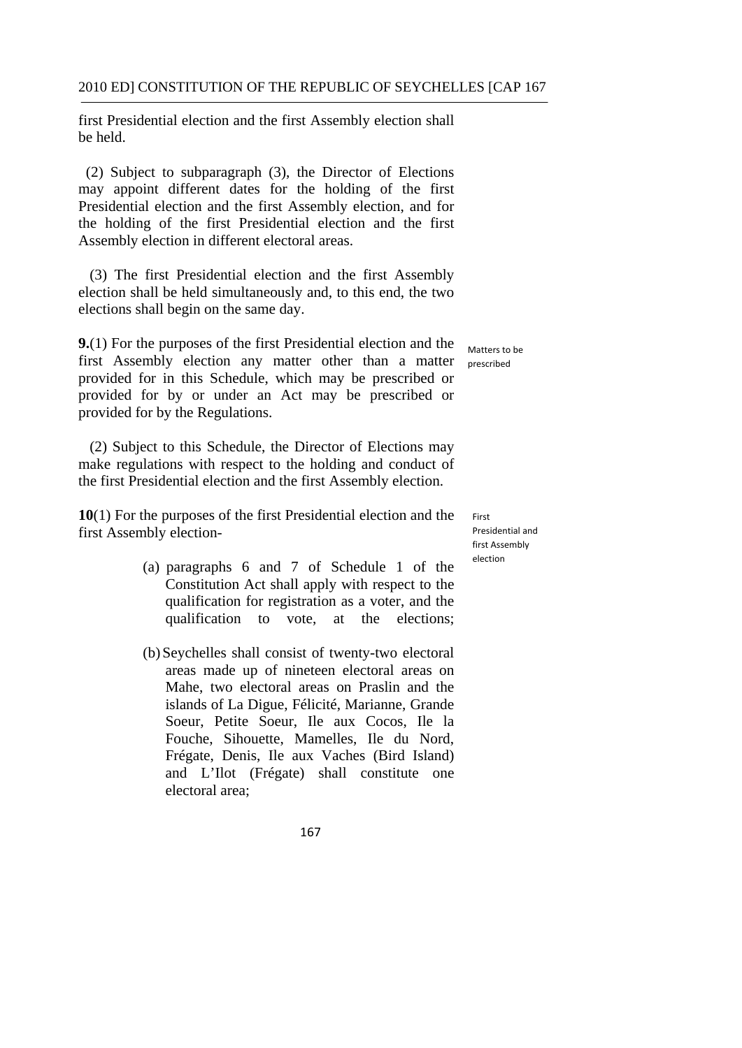first Presidential election and the first Assembly election shall be held.

(2) Subject to subparagraph (3), the Director of Elections may appoint different dates for the holding of the first Presidential election and the first Assembly election, and for the holding of the first Presidential election and the first Assembly election in different electoral areas.

(3) The first Presidential election and the first Assembly election shall be held simultaneously and, to this end, the two elections shall begin on the same day.

**9.**(1) For the purposes of the first Presidential election and the first Assembly election any matter other than a matter provided for in this Schedule, which may be prescribed or provided for by or under an Act may be prescribed or provided for by the Regulations.

(2) Subject to this Schedule, the Director of Elections may make regulations with respect to the holding and conduct of the first Presidential election and the first Assembly election.

**10**(1) For the purposes of the first Presidential election and the first Assembly election

- (a) paragraphs 6 and 7 of Schedule 1 of the Constitution Act shall apply with respect to the qualification for registration as a voter, and the qualification to vote, at the elections;
- (b) Seychelles shall consist of twenty-two electoral areas made up of nineteen electoral areas on Mahe, two electoral areas on Praslin and the islands of La Digue, Félicité, Marianne, Grande Soeur, Petite Soeur, Ile aux Cocos, Ile la Fouche, Sihouette, Mamelles, Ile du Nord, Frégate, Denis, Ile aux Vaches (Bird Island) and L'Ilot (Frégate) shall constitute one electoral area;

 Matters to be prescribed

 Presidential and first Assembly First election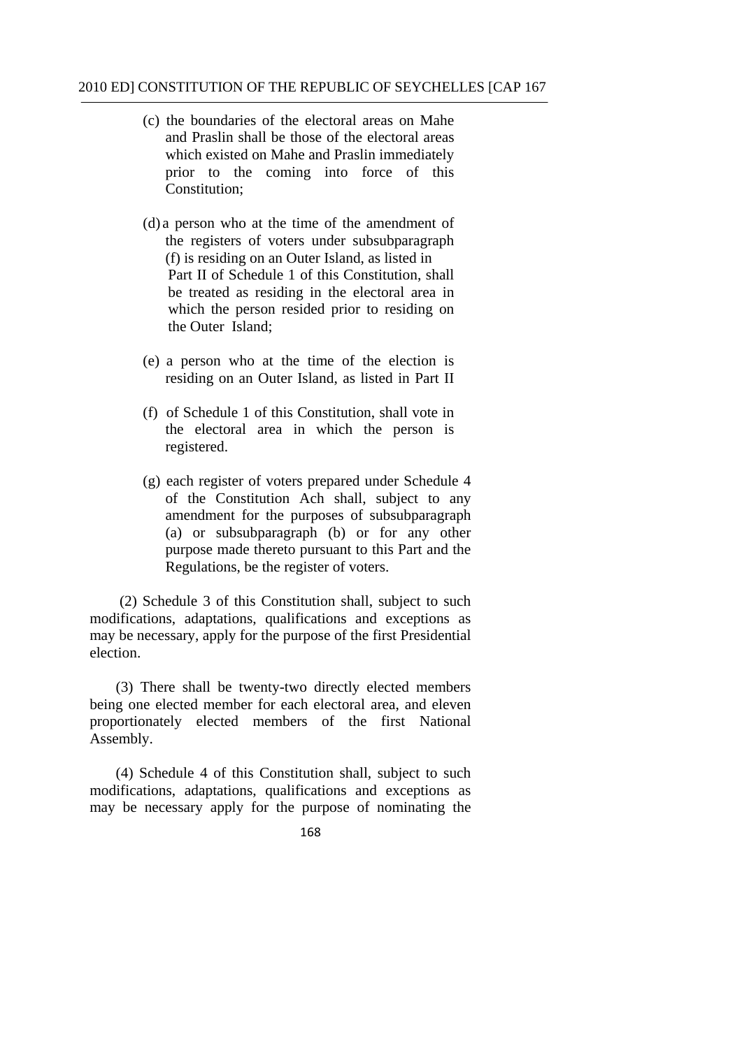- (c) the boundaries of the electoral areas on Mahe and Praslin shall be those of the electoral areas which existed on Mahe and Praslin immediately prior to the coming into force of this Constitution;
- (d) a person who at the time of the amendment of the registers of voters under subsubparagraph (f) is residing on an Outer Island, as listed in Part II of Schedule 1 of this Constitution, shall be treated as residing in the electoral area in which the person resided prior to residing on the Outer Island;
- (e) a person who at the time of the election is residing on an Outer Island, as listed in Part II
- registered. (f) of Schedule 1 of this Constitution, shall vote in the electoral area in which the person is
- $(g)$  each register of voters prepared under Schedule 4 of the Constitution Ach shall, subject to any amendment for the purposes of subsubparagraph (a) or subsubparagraph (b) or for any other purpose made thereto pursuant to this Part and the Regulations, be the register of voters.

(2) Schedule 3 of this Constitution shall, subject to such modifications, adaptations, qualifications and exceptions as may be necessary, apply for the purpose of the first Presidential election.

(3) There shall be twenty-two directly elected members being one elected member for each electoral area, and eleven proportionately elected members of the first National Assembly.

(4) Schedule 4 of this Constitution shall, subject to such modifications, adaptations, qualifications and exceptions as may be necessary apply for the purpose of nominating the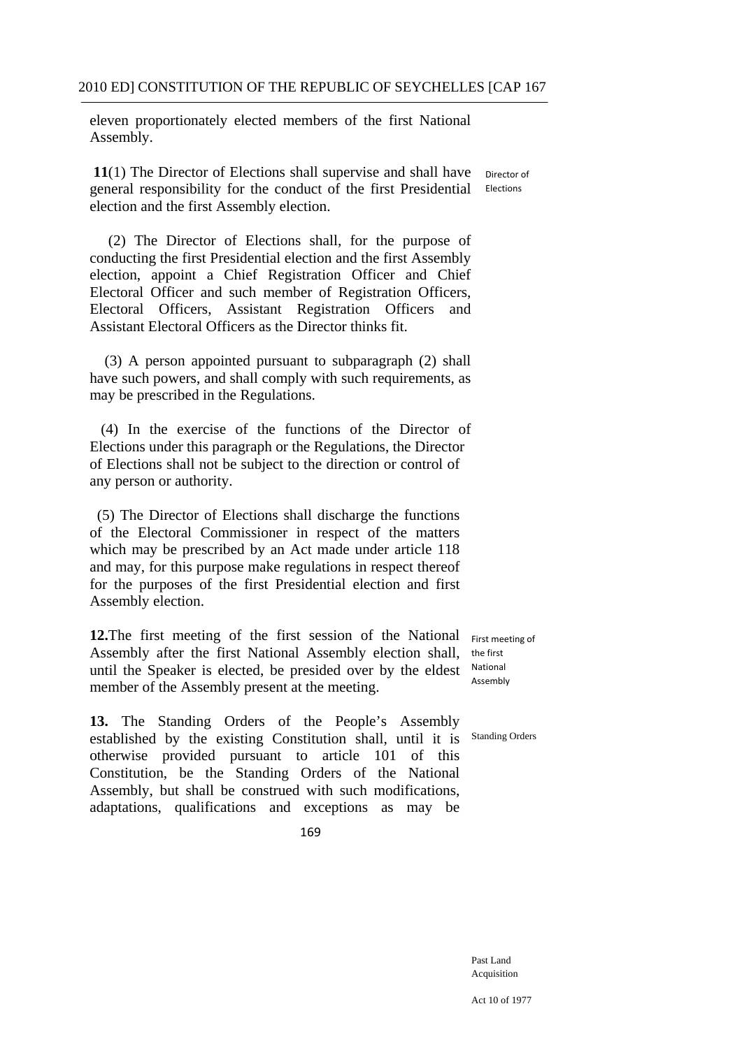eleven proportionately elected members of the first National Assembly.

11(1) The Director of Elections shall supervise and shall have Director of general responsibility for the conduct of the first Presidential election and the first Assembly election. Elections

(2) The Director of Elections shall, for the purpose of conducting the first Presidential election and the first Assembly election, appoint a Chief Registration Officer and Chief Electoral Officer and such member of Registration Officers, Electoral Officers, Assistant Registration Officers and Assistant Electoral Officers as the Director thinks fit.

(3) A person appointed pursuant to subparagraph (2) shall have such powers, and shall comply with such requirements, as may be prescribed in the Regulations.

(4) In the exercise of the functions of the Director of Elections under this paragraph or the Regulations, the Director of Elections shall not be subject to the direction or control of any person or authority.

(5) The Director of Elections shall discharge the functions of the Electoral Commissioner in respect of the matters which may be prescribed by an Act made under article 118 and may, for this purpose make regulations in respect thereof for the purposes of the first Presidential election and first Assembly election.

**12.**The first meeting of the first session of the National Assembly after the first National Assembly election shall, until the Speaker is elected, be presided over by the eldest member of the Assembly present at the meeting.

adaptations, qualifications and exceptions as may be

**13.** The Standing Orders of the People's Assembly established by the existing Constitution shall, until it is otherwise provided pursuant to article 101 of this Constitution, be the Standing Orders of the National Assembly, but shall be construed with such modifications,

 First meeting of the first National Assembly

Standing Orders

169

Past Land Acquisition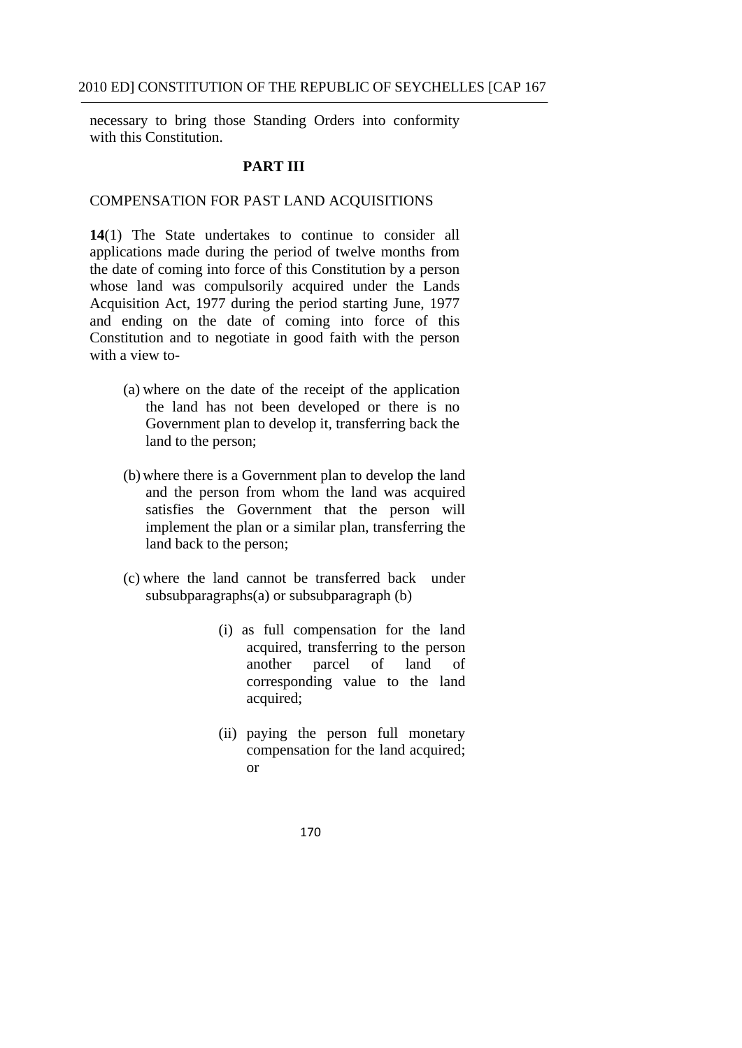necessary to bring those Standing Orders into conformity with this Constitution.

### **PART III**

# COMPENSATION FOR PAST LAND ACQUISITIONS

**14**(1) The State undertakes to continue to consider all applications made during the period of twelve months from the date of coming into force of this Constitution by a person whose land was compulsorily acquired under the Lands Acquisition Act, 1977 during the period starting June, 1977 and ending on the date of coming into force of this Constitution and to negotiate in good faith with the person with a view to-

- (a) where on the date of the receipt of the application the land has not been developed or there is no Government plan to develop it, transferring back the land to the person;
- (b) where there is a Government plan to develop the land and the person from whom the land was acquired satisfies the Government that the person will implement the plan or a similar plan, transferring the land back to the person;
- (c) where the land cannot be transferred back under subsubparagraphs(a) or subsubparagraph (b)
	- (i) as full compensation for the land acquired, transferring to the person another parcel of land of corresponding value to the land acquired;
	- (ii) paying the person full monetary compensation for the land acquired; or
		- 170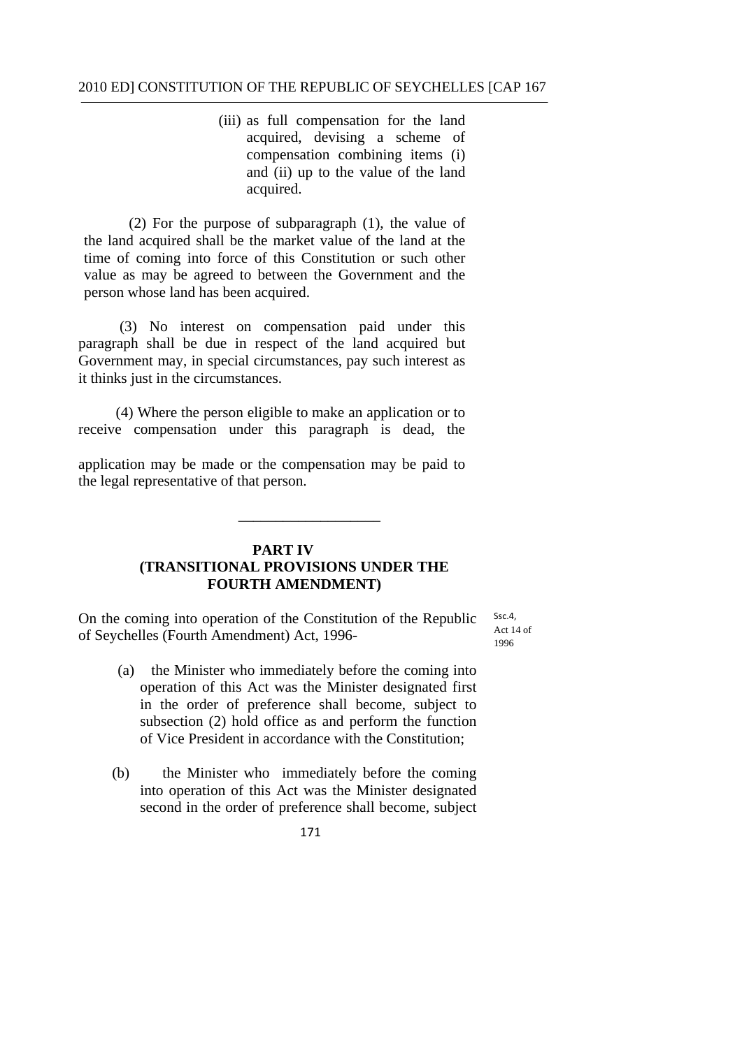(iii) as full compensation for the land acquired, devising a scheme of compensation combining items (i) and (ii) up to the value of the land acquired.

(2) For the purpose of subparagraph (1), the value of the land acquired shall be the market value of the land at the time of coming into force of this Constitution or such other value as may be agreed to between the Government and the person whose land has been acquired.

(3) No interest on compensation paid under this paragraph shall be due in respect of the land acquired but Government may, in special circumstances, pay such interest as it thinks just in the circumstances.

(4) Where the person eligible to make an application or to receive compensation under this paragraph is dead, the

application may be made or the compensation may be paid to the legal representative of that person.

### **PART IV (TRANSITIONAL PROVISIONS UNDER THE FOURTH AMENDMENT)**

\_\_\_\_\_\_\_\_\_\_\_\_\_\_\_\_\_\_\_

On the coming into operation of the Constitution of the Republic of Seychelles (Fourth Amendment) Act, 1996Ssc.4 Act  $14$  of 1996

- (a) the Minister who immediately before the coming into operation of this Act was the Minister designated first in the order of preference shall become, subject to subsection (2) hold office as and perform the function of Vice President in accordance with the Constitution;
- (b) the Minister who immediately before the coming into operation of this Act was the Minister designated second in the order of preference shall become, subject
	- 171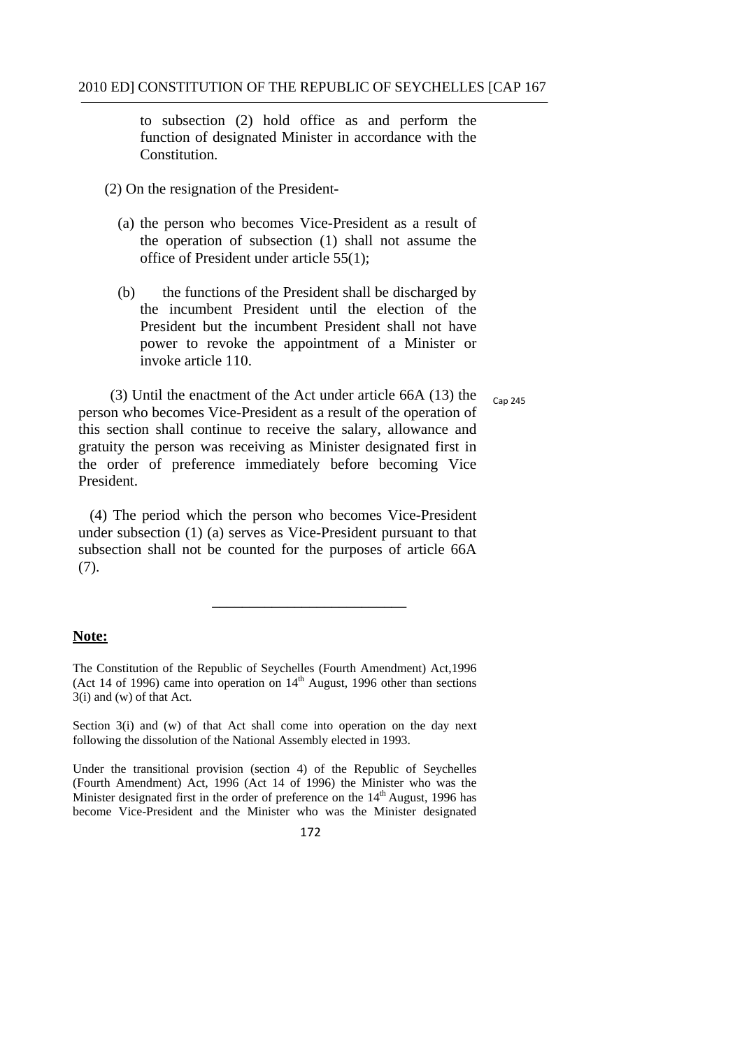to subsection (2) hold office as and perform the function of designated Minister in accordance with the Constitution.

- (2) On the resignation of the President-
	- (a) the person who becomes Vice-President as a result of the operation of subsection (1) shall not assume the office of President under article 55(1);
	- (b) the functions of the President shall be discharged by the incumbent President until the election of the President but the incumbent President shall not have power to revoke the appointment of a Minister or invoke article 110.

(3) Until the enactment of the Act under article 66A (13) the  $_{Cap\ 245}$ person who becomes Vice-President as a result of the operation of this section shall continue to receive the salary, allowance and gratuity the person was receiving as Minister designated first in the order of preference immediately before becoming Vice President.

(4) The period which the person who becomes Vice-President under subsection (1) (a) serves as Vice-President pursuant to that subsection shall not be counted for the purposes of article 66A (7).

\_\_\_\_\_\_\_\_\_\_\_\_\_\_\_\_\_\_\_\_\_\_\_\_\_\_

#### **Note:**

(Act 14 of 1996) came into operation on  $14<sup>th</sup>$  August, 1996 other than sections The Constitution of the Republic of Seychelles (Fourth Amendment) Act,1996 3(i) and (w) of that Act.

 Section 3(i) and (w) of that Act shall come into operation on the day next following the dissolution of the National Assembly elected in 1993.

 (Fourth Amendment) Act, 1996 (Act 14 of 1996) the Minister who was the Under the transitional provision (section 4) of the Republic of Seychelles Minister designated first in the order of preference on the  $14<sup>th</sup>$  August, 1996 has become Vice-President and the Minister who was the Minister designated